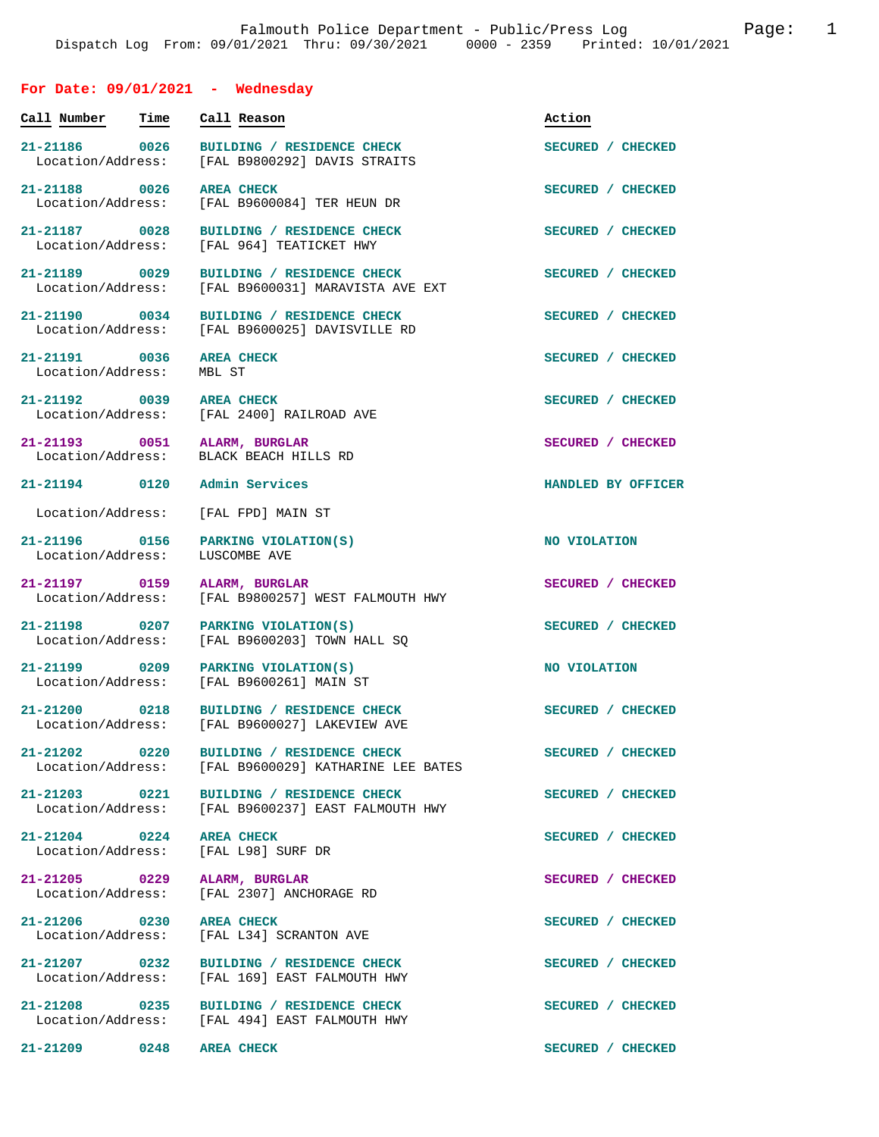# **For Date: 09/01/2021 - Wednesday**

| Call Number                        | Time | Call Reason                                                                                      | Action             |
|------------------------------------|------|--------------------------------------------------------------------------------------------------|--------------------|
| 21-21186 0026<br>Location/Address: |      | BUILDING / RESIDENCE CHECK<br>[FAL B9800292] DAVIS STRAITS                                       | SECURED / CHECKED  |
| 21-21188 0026<br>Location/Address: |      | <b>AREA CHECK</b><br>[FAL B9600084] TER HEUN DR                                                  | SECURED / CHECKED  |
| 21-21187 0028<br>Location/Address: |      | BUILDING / RESIDENCE CHECK<br>[FAL 964] TEATICKET HWY                                            | SECURED / CHECKED  |
| 21-21189 0029<br>Location/Address: |      | BUILDING / RESIDENCE CHECK<br>[FAL B9600031] MARAVISTA AVE EXT                                   | SECURED / CHECKED  |
| 21-21190 0034                      |      | BUILDING / RESIDENCE CHECK<br>Location/Address: [FAL B9600025] DAVISVILLE RD                     | SECURED / CHECKED  |
| 21-21191 0036<br>Location/Address: |      | <b>AREA CHECK</b><br>MBL ST                                                                      | SECURED / CHECKED  |
| 21-21192 0039                      |      | <b>AREA CHECK</b><br>Location/Address: [FAL 2400] RAILROAD AVE                                   | SECURED / CHECKED  |
| Location/Address:                  |      | 21-21193 0051 ALARM, BURGLAR<br>BLACK BEACH HILLS RD                                             | SECURED / CHECKED  |
|                                    |      | 21-21194 0120 Admin Services                                                                     | HANDLED BY OFFICER |
| Location/Address:                  |      | [FAL FPD] MAIN ST                                                                                |                    |
| 21-21196 0156<br>Location/Address: |      | PARKING VIOLATION(S)<br>LUSCOMBE AVE                                                             | NO VIOLATION       |
| 21-21197 0159<br>Location/Address: |      | ALARM, BURGLAR<br>[FAL B9800257] WEST FALMOUTH HWY                                               | SECURED / CHECKED  |
| 21-21198 0207<br>Location/Address: |      | PARKING VIOLATION(S)<br>[FAL B9600203] TOWN HALL SO                                              | SECURED / CHECKED  |
| 21-21199 0209<br>Location/Address: |      | PARKING VIOLATION(S)<br>[FAL B9600261] MAIN ST                                                   | NO VIOLATION       |
| 21-21200 0218                      |      | BUILDING / RESIDENCE CHECK<br>Location/Address: [FAL B9600027] LAKEVIEW AVE                      | SECURED / CHECKED  |
|                                    |      | 21-21202 0220 BUILDING / RESIDENCE CHECK<br>Location/Address: [FAL B9600029] KATHARINE LEE BATES | SECURED / CHECKED  |
|                                    |      | 21-21203 0221 BUILDING / RESIDENCE CHECK<br>Location/Address: [FAL B9600237] EAST FALMOUTH HWY   | SECURED / CHECKED  |
| 21-21204 0224 AREA CHECK           |      | Location/Address: [FAL L98] SURF DR                                                              | SECURED / CHECKED  |
|                                    |      | 21-21205 0229 ALARM, BURGLAR<br>Location/Address: [FAL 2307] ANCHORAGE RD                        | SECURED / CHECKED  |
| 21-21206 0230 AREA CHECK           |      | Location/Address: [FAL L34] SCRANTON AVE                                                         | SECURED / CHECKED  |
|                                    |      | 21-21207 0232 BUILDING / RESIDENCE CHECK<br>Location/Address: [FAL 169] EAST FALMOUTH HWY        | SECURED / CHECKED  |
|                                    |      | 21-21208 0235 BUILDING / RESIDENCE CHECK<br>Location/Address: [FAL 494] EAST FALMOUTH HWY        | SECURED / CHECKED  |
| 21-21209                           | 0248 | <b>AREA CHECK</b>                                                                                | SECURED / CHECKED  |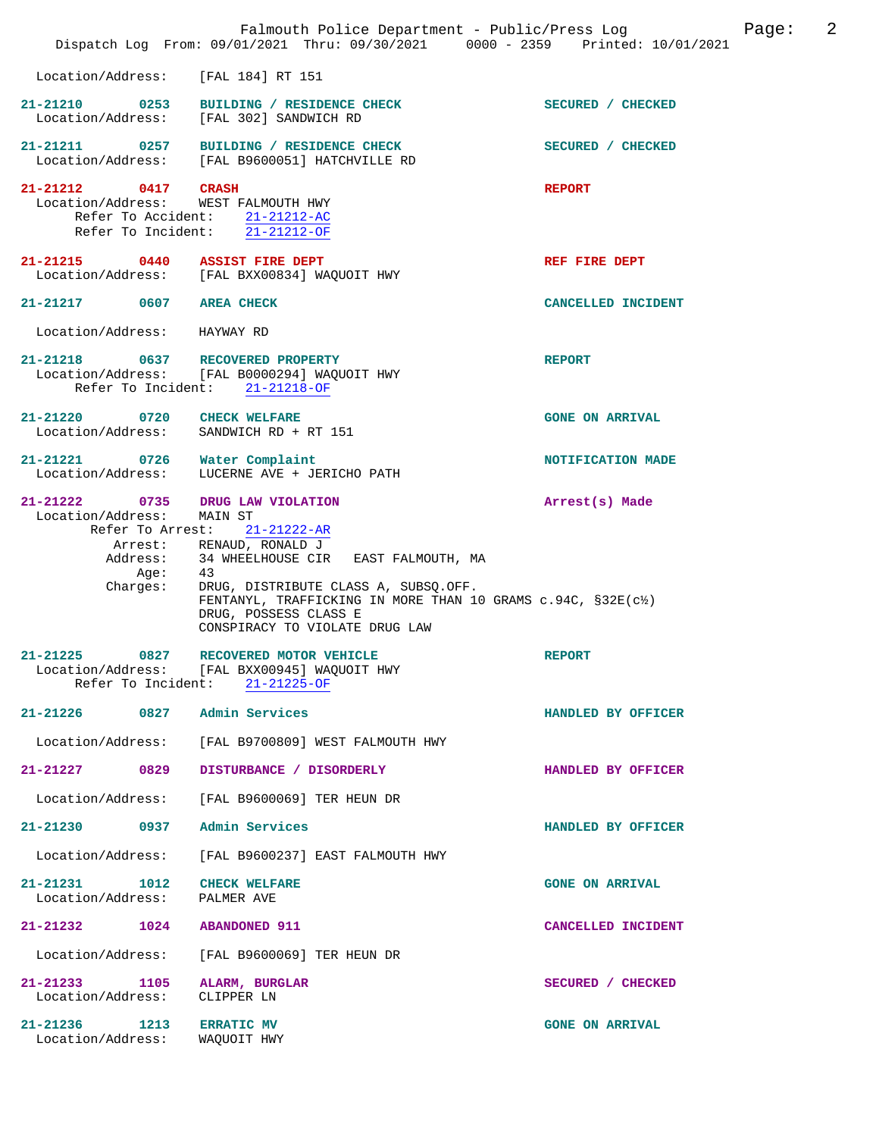|                                                                           | Falmouth Police Department - Public/Press Log<br>Dispatch Log From: 09/01/2021 Thru: 09/30/2021 0000 - 2359 Printed: 10/01/2021                                                                                                                                                             |                        | 2<br>Page: |
|---------------------------------------------------------------------------|---------------------------------------------------------------------------------------------------------------------------------------------------------------------------------------------------------------------------------------------------------------------------------------------|------------------------|------------|
| Location/Address:                                                         | [FAL 184] RT 151                                                                                                                                                                                                                                                                            |                        |            |
| 21-21210 0253<br>Location/Address:                                        | BUILDING / RESIDENCE CHECK<br>[FAL 302] SANDWICH RD                                                                                                                                                                                                                                         | SECURED / CHECKED      |            |
| Location/Address:                                                         | 21-21211 0257 BUILDING / RESIDENCE CHECK<br>[FAL B9600051] HATCHVILLE RD                                                                                                                                                                                                                    | SECURED / CHECKED      |            |
| 21-21212 0417 CRASH<br>Location/Address:                                  | WEST FALMOUTH HWY<br>Refer To Accident: 21-21212-AC<br>Refer To Incident: $\overline{21-21212-OF}$                                                                                                                                                                                          | <b>REPORT</b>          |            |
| 21-21215                                                                  | 0440 ASSIST FIRE DEPT<br>Location/Address: [FAL BXX00834] WAQUOIT HWY                                                                                                                                                                                                                       | REF FIRE DEPT          |            |
| 21-21217 0607 AREA CHECK                                                  |                                                                                                                                                                                                                                                                                             | CANCELLED INCIDENT     |            |
| Location/Address:                                                         | HAYWAY RD                                                                                                                                                                                                                                                                                   |                        |            |
| 21-21218 0637 RECOVERED PROPERTY                                          | Location/Address: [FAL B0000294] WAOUOIT HWY<br>Refer To Incident: 21-21218-OF                                                                                                                                                                                                              | <b>REPORT</b>          |            |
| 21-21220 0720 CHECK WELFARE<br>Location/Address: SANDWICH RD + RT 151     |                                                                                                                                                                                                                                                                                             | <b>GONE ON ARRIVAL</b> |            |
| 21-21221 0726 Water Complaint<br>Location/Address:                        | LUCERNE AVE + JERICHO PATH                                                                                                                                                                                                                                                                  | NOTIFICATION MADE      |            |
| 21-21222 0735 DRUG LAW VIOLATION<br>Location/Address:<br>Aqe:<br>Charges: | MAIN ST<br>Refer To Arrest: 21-21222-AR<br>Arrest: RENAUD, RONALD J<br>Address: 34 WHEELHOUSE CIR EAST FALMOUTH, MA<br>43<br>DRUG, DISTRIBUTE CLASS A, SUBSQ.OFF.<br>FENTANYL, TRAFFICKING IN MORE THAN 10 GRAMS c.94C, §32E(c1)<br>DRUG, POSSESS CLASS E<br>CONSPIRACY TO VIOLATE DRUG LAW | Arrest(s) Made         |            |
| 0827<br>21-21225<br>Refer To Incident:                                    | RECOVERED MOTOR VEHICLE<br>Location/Address: [FAL BXX00945] WAQUOIT HWY<br>$21 - 21225 - OF$                                                                                                                                                                                                | <b>REPORT</b>          |            |
| 21-21226 0827 Admin Services                                              |                                                                                                                                                                                                                                                                                             | HANDLED BY OFFICER     |            |
| Location/Address:                                                         | [FAL B9700809] WEST FALMOUTH HWY                                                                                                                                                                                                                                                            |                        |            |
| 21-21227<br>0829                                                          | DISTURBANCE / DISORDERLY                                                                                                                                                                                                                                                                    | HANDLED BY OFFICER     |            |
| Location/Address:                                                         | [FAL B9600069] TER HEUN DR                                                                                                                                                                                                                                                                  |                        |            |
| 21-21230 0937                                                             | Admin Services                                                                                                                                                                                                                                                                              | HANDLED BY OFFICER     |            |
| Location/Address:                                                         | [FAL B9600237] EAST FALMOUTH HWY                                                                                                                                                                                                                                                            |                        |            |
| $21 - 21231$<br>1012<br>Location/Address:                                 | <b>CHECK WELFARE</b><br>PALMER AVE                                                                                                                                                                                                                                                          | <b>GONE ON ARRIVAL</b> |            |
| 21-21232<br>1024                                                          | <b>ABANDONED 911</b>                                                                                                                                                                                                                                                                        | CANCELLED INCIDENT     |            |
| Location/Address:                                                         | [FAL B9600069] TER HEUN DR                                                                                                                                                                                                                                                                  |                        |            |
| $21 - 21233$<br>1105<br>Location/Address:                                 | ALARM, BURGLAR<br>CLIPPER LN                                                                                                                                                                                                                                                                | SECURED / CHECKED      |            |
| 21-21236<br>1213<br>Location/Address:                                     | <b>ERRATIC MV</b><br>WAQUOIT HWY                                                                                                                                                                                                                                                            | <b>GONE ON ARRIVAL</b> |            |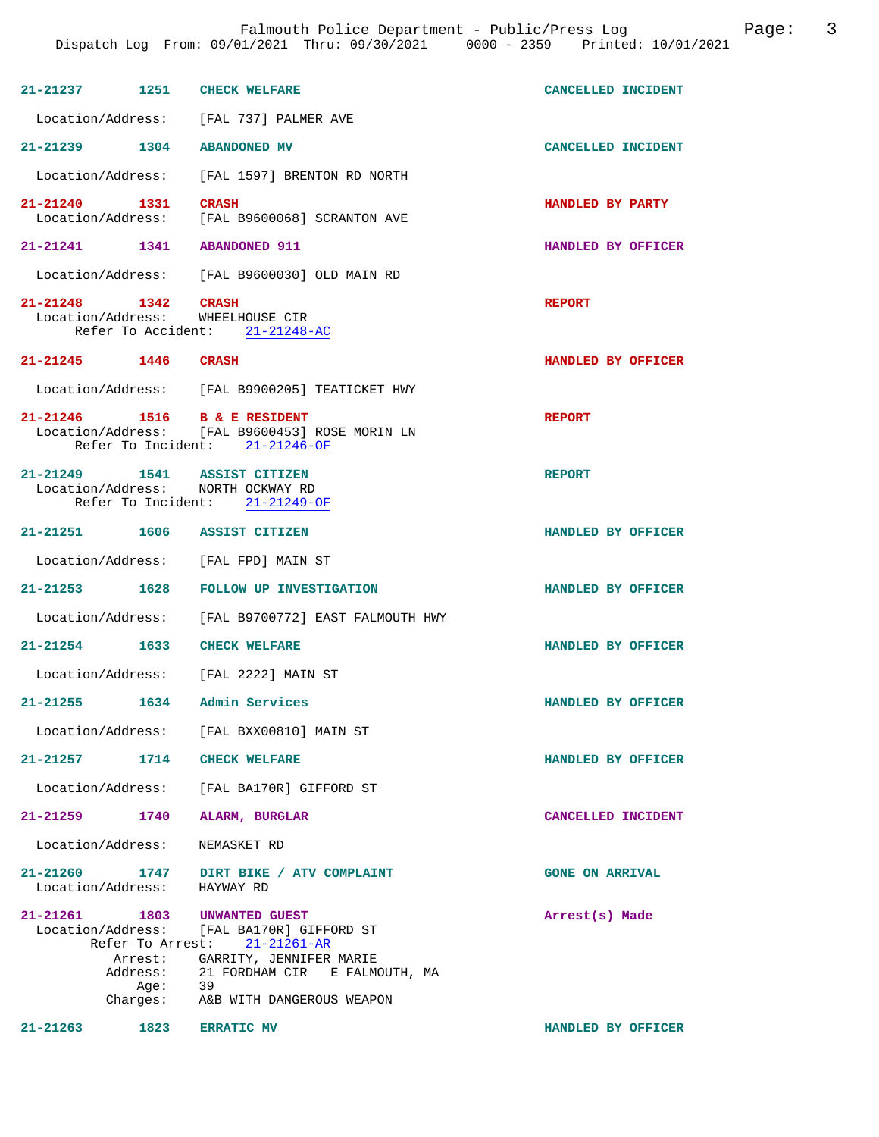| 21-21237 1251 CHECK WELFARE<br>CANCELLED INCIDENT<br>Location/Address: [FAL 737] PALMER AVE<br>21-21239 1304 ABANDONED MV<br>CANCELLED INCIDENT<br>Location/Address: [FAL 1597] BRENTON RD NORTH<br>21-21240 1331 CRASH<br>HANDLED BY PARTY<br>Location/Address: [FAL B9600068] SCRANTON AVE<br>21-21241 1341 ABANDONED 911<br>HANDLED BY OFFICER<br>Location/Address: [FAL B9600030] OLD MAIN RD<br>21-21248 1342 CRASH<br><b>REPORT</b><br>Location/Address: WHEELHOUSE CIR<br>Refer To Accident: 21-21248-AC<br>21-21245 1446 CRASH<br>HANDLED BY OFFICER<br>Location/Address: [FAL B9900205] TEATICKET HWY<br>21-21246 1516 B & E RESIDENT<br>Location/Address: [FAL B9600453] ROSE MORIN LN<br><b>REPORT</b><br>Refer To Incident: 21-21246-OF<br>21-21249   1541   ASSIST CITIZEN<br><b>REPORT</b><br>Location/Address: NORTH OCKWAY RD<br>Refer To Incident: 21-21249-OF<br>21-21251 1606 ASSIST CITIZEN<br>HANDLED BY OFFICER |  |  |
|---------------------------------------------------------------------------------------------------------------------------------------------------------------------------------------------------------------------------------------------------------------------------------------------------------------------------------------------------------------------------------------------------------------------------------------------------------------------------------------------------------------------------------------------------------------------------------------------------------------------------------------------------------------------------------------------------------------------------------------------------------------------------------------------------------------------------------------------------------------------------------------------------------------------------------------|--|--|
|                                                                                                                                                                                                                                                                                                                                                                                                                                                                                                                                                                                                                                                                                                                                                                                                                                                                                                                                       |  |  |
|                                                                                                                                                                                                                                                                                                                                                                                                                                                                                                                                                                                                                                                                                                                                                                                                                                                                                                                                       |  |  |
|                                                                                                                                                                                                                                                                                                                                                                                                                                                                                                                                                                                                                                                                                                                                                                                                                                                                                                                                       |  |  |
|                                                                                                                                                                                                                                                                                                                                                                                                                                                                                                                                                                                                                                                                                                                                                                                                                                                                                                                                       |  |  |
|                                                                                                                                                                                                                                                                                                                                                                                                                                                                                                                                                                                                                                                                                                                                                                                                                                                                                                                                       |  |  |
|                                                                                                                                                                                                                                                                                                                                                                                                                                                                                                                                                                                                                                                                                                                                                                                                                                                                                                                                       |  |  |
|                                                                                                                                                                                                                                                                                                                                                                                                                                                                                                                                                                                                                                                                                                                                                                                                                                                                                                                                       |  |  |
|                                                                                                                                                                                                                                                                                                                                                                                                                                                                                                                                                                                                                                                                                                                                                                                                                                                                                                                                       |  |  |
|                                                                                                                                                                                                                                                                                                                                                                                                                                                                                                                                                                                                                                                                                                                                                                                                                                                                                                                                       |  |  |
|                                                                                                                                                                                                                                                                                                                                                                                                                                                                                                                                                                                                                                                                                                                                                                                                                                                                                                                                       |  |  |
|                                                                                                                                                                                                                                                                                                                                                                                                                                                                                                                                                                                                                                                                                                                                                                                                                                                                                                                                       |  |  |
|                                                                                                                                                                                                                                                                                                                                                                                                                                                                                                                                                                                                                                                                                                                                                                                                                                                                                                                                       |  |  |
|                                                                                                                                                                                                                                                                                                                                                                                                                                                                                                                                                                                                                                                                                                                                                                                                                                                                                                                                       |  |  |
| Location/Address: [FAL FPD] MAIN ST                                                                                                                                                                                                                                                                                                                                                                                                                                                                                                                                                                                                                                                                                                                                                                                                                                                                                                   |  |  |
| 21-21253 1628 FOLLOW UP INVESTIGATION<br>HANDLED BY OFFICER                                                                                                                                                                                                                                                                                                                                                                                                                                                                                                                                                                                                                                                                                                                                                                                                                                                                           |  |  |
| Location/Address: [FAL B9700772] EAST FALMOUTH HWY                                                                                                                                                                                                                                                                                                                                                                                                                                                                                                                                                                                                                                                                                                                                                                                                                                                                                    |  |  |
| 21-21254 1633 CHECK WELFARE<br>HANDLED BY OFFICER                                                                                                                                                                                                                                                                                                                                                                                                                                                                                                                                                                                                                                                                                                                                                                                                                                                                                     |  |  |
| Location/Address: [FAL 2222] MAIN ST                                                                                                                                                                                                                                                                                                                                                                                                                                                                                                                                                                                                                                                                                                                                                                                                                                                                                                  |  |  |
| 1634<br>Admin Services<br>21-21255<br>HANDLED BY OFFICER                                                                                                                                                                                                                                                                                                                                                                                                                                                                                                                                                                                                                                                                                                                                                                                                                                                                              |  |  |
| Location/Address: [FAL BXX00810] MAIN ST                                                                                                                                                                                                                                                                                                                                                                                                                                                                                                                                                                                                                                                                                                                                                                                                                                                                                              |  |  |
| 21-21257 1714 CHECK WELFARE<br>HANDLED BY OFFICER                                                                                                                                                                                                                                                                                                                                                                                                                                                                                                                                                                                                                                                                                                                                                                                                                                                                                     |  |  |
| Location/Address: [FAL BA170R] GIFFORD ST                                                                                                                                                                                                                                                                                                                                                                                                                                                                                                                                                                                                                                                                                                                                                                                                                                                                                             |  |  |
| 21-21259 1740 ALARM, BURGLAR<br>CANCELLED INCIDENT                                                                                                                                                                                                                                                                                                                                                                                                                                                                                                                                                                                                                                                                                                                                                                                                                                                                                    |  |  |
| Location/Address: NEMASKET RD                                                                                                                                                                                                                                                                                                                                                                                                                                                                                                                                                                                                                                                                                                                                                                                                                                                                                                         |  |  |
| 21-21260 1747 DIRT BIKE / ATV COMPLAINT<br><b>GONE ON ARRIVAL</b><br>Location/Address: HAYWAY RD                                                                                                                                                                                                                                                                                                                                                                                                                                                                                                                                                                                                                                                                                                                                                                                                                                      |  |  |
| 21-21261 1803 UNWANTED GUEST<br>Arrest(s) Made<br>Location/Address: [FAL BA170R] GIFFORD ST<br>Refer To Arrest: 21-21261-AR<br>Arrest: GARRITY, JENNIFER MARIE<br>Address: 21 FORDHAM CIR E FALMOUTH, MA<br>Age: 39<br>rges: A&B WITH DANGEROUS WEAPON<br>Charges:                                                                                                                                                                                                                                                                                                                                                                                                                                                                                                                                                                                                                                                                    |  |  |
| 21-21263<br>1823<br><b>ERRATIC MV</b><br>HANDLED BY OFFICER                                                                                                                                                                                                                                                                                                                                                                                                                                                                                                                                                                                                                                                                                                                                                                                                                                                                           |  |  |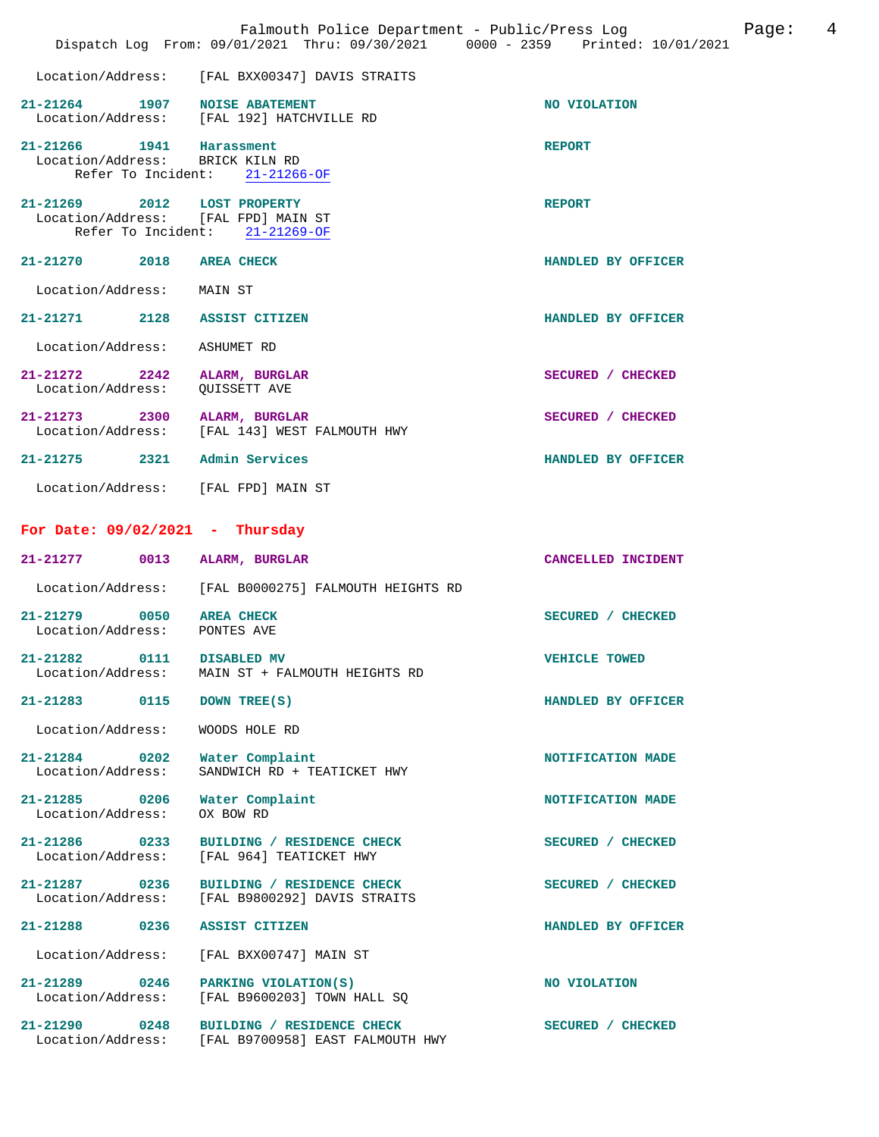|                                                                                   | Falmouth Police Department - Public/Press Log<br>Dispatch Log From: 09/01/2021 Thru: 09/30/2021 0000 - 2359 Printed: 10/01/2021 | 4<br>Page:           |
|-----------------------------------------------------------------------------------|---------------------------------------------------------------------------------------------------------------------------------|----------------------|
| Location/Address:                                                                 | [FAL BXX00347] DAVIS STRAITS                                                                                                    |                      |
| 21-21264 1907 NOISE ABATEMENT                                                     | Location/Address: [FAL 192] HATCHVILLE RD                                                                                       | NO VIOLATION         |
| 21-21266 1941 Harassment<br>Location/Address: BRICK KILN RD<br>Refer To Incident: | $21 - 21266 - OF$                                                                                                               | <b>REPORT</b>        |
| $21 - 21269$ 2012<br>Location/Address:                                            | <b>LOST PROPERTY</b><br>[FAL FPD] MAIN ST<br>Refer To Incident: $21-21269-OF$                                                   | <b>REPORT</b>        |
| $21 - 21270$<br>2018                                                              | <b>AREA CHECK</b>                                                                                                               | HANDLED BY OFFICER   |
| Location/Address:                                                                 | MAIN ST                                                                                                                         |                      |
| 21-21271 2128                                                                     | ASSIST CITIZEN                                                                                                                  | HANDLED BY OFFICER   |
| Location/Address:                                                                 | ASHUMET RD                                                                                                                      |                      |
| $21 - 21272$<br>2242<br>Location/Address:                                         | ALARM, BURGLAR<br>QUISSETT AVE                                                                                                  | SECURED / CHECKED    |
| 21-21273 2300                                                                     | ALARM, BURGLAR<br>Location/Address: [FAL 143] WEST FALMOUTH HWY                                                                 | SECURED / CHECKED    |
| 21-21275 2321 Admin Services                                                      |                                                                                                                                 | HANDLED BY OFFICER   |
| Location/Address: [FAL FPD] MAIN ST                                               |                                                                                                                                 |                      |
| For Date: $09/02/2021$ - Thursday                                                 |                                                                                                                                 |                      |
| $21 - 21277$<br>0013                                                              | ALARM, BURGLAR                                                                                                                  | CANCELLED INCIDENT   |
| Location/Address:                                                                 | [FAL B0000275] FALMOUTH HEIGHTS RD                                                                                              |                      |
| $21 - 21279$<br>0050<br>Location/Address:                                         | <b>AREA CHECK</b><br>PONTES AVE                                                                                                 | SECURED / CHECKED    |
| 21-21282<br>0111<br>Location/Address:                                             | DISABLED MV<br>MAIN ST + FALMOUTH HEIGHTS RD                                                                                    | <b>VEHICLE TOWED</b> |
| 21-21283<br>0115                                                                  | DOWN TREE(S)                                                                                                                    | HANDLED BY OFFICER   |
| Location/Address:                                                                 | WOODS HOLE RD                                                                                                                   |                      |
| $21 - 21284$ 0202<br>Location/Address:                                            | Water Complaint<br>SANDWICH RD + TEATICKET HWY                                                                                  | NOTIFICATION MADE    |
| 21-21285 0206<br>Location/Address:                                                | Water Complaint<br>OX BOW RD                                                                                                    | NOTIFICATION MADE    |
| $21 - 21286$ 0233<br>Location/Address:                                            | BUILDING / RESIDENCE CHECK<br>[FAL 964] TEATICKET HWY                                                                           | SECURED / CHECKED    |
| 21-21287 0236<br>Location/Address:                                                | BUILDING / RESIDENCE CHECK<br>[FAL B9800292] DAVIS STRAITS                                                                      | SECURED / CHECKED    |
| 0236<br>$21 - 21288$                                                              | ASSIST CITIZEN                                                                                                                  | HANDLED BY OFFICER   |
| Location/Address:                                                                 | [FAL BXX00747] MAIN ST                                                                                                          |                      |
| 21-21289 0246<br>Location/Address:                                                | PARKING VIOLATION(S)<br>[FAL B9600203] TOWN HALL SQ                                                                             | NO VIOLATION         |
| 21-21290 0248<br>Location/Address:                                                | BUILDING / RESIDENCE CHECK<br>[FAL B9700958] EAST FALMOUTH HWY                                                                  | SECURED / CHECKED    |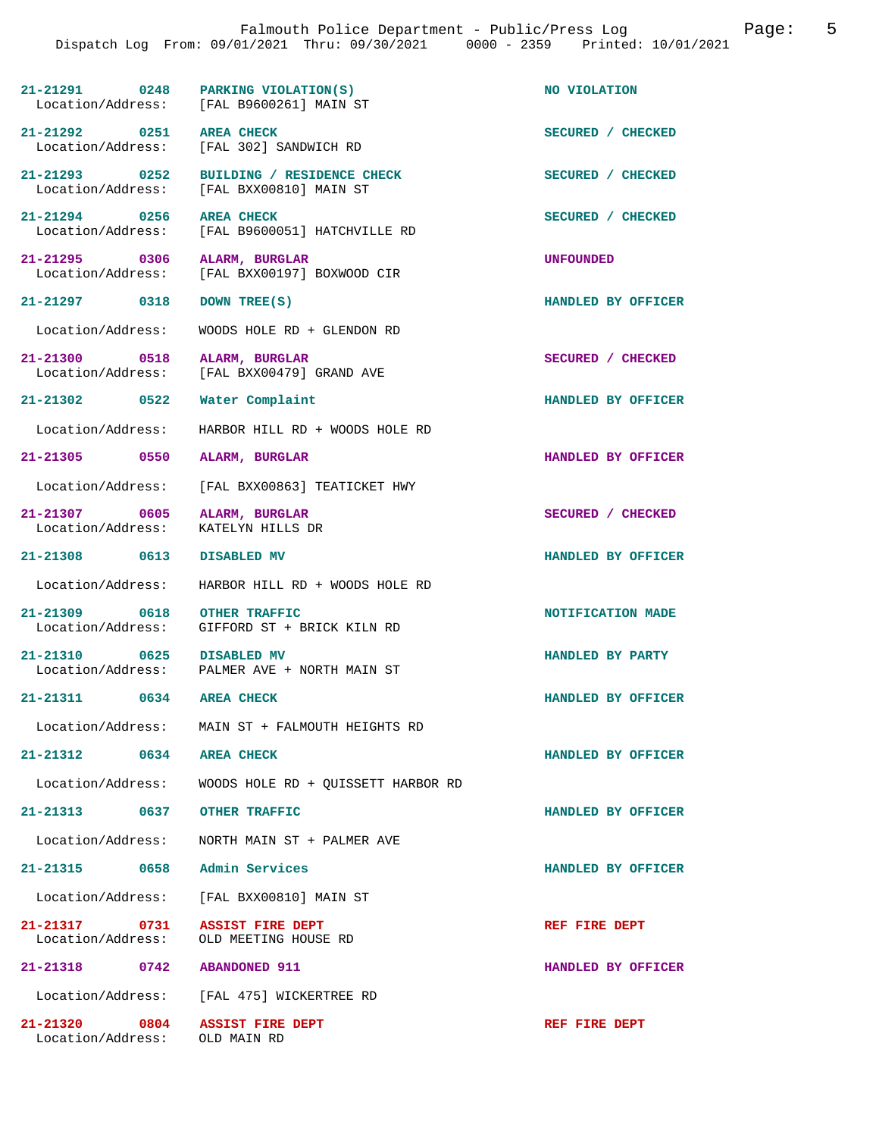|                                                                    | 21-21291 0248 PARKING VIOLATION(S)<br>Location/Address: [FAL B9600261] MAIN ST       | NO VIOLATION       |
|--------------------------------------------------------------------|--------------------------------------------------------------------------------------|--------------------|
| 21-21292 0251 AREA CHECK                                           | Location/Address: [FAL 302] SANDWICH RD                                              | SECURED / CHECKED  |
|                                                                    | 21-21293 0252 BUILDING / RESIDENCE CHECK<br>Location/Address: [FAL BXX00810] MAIN ST | SECURED / CHECKED  |
| 21-21294 0256 AREA CHECK                                           | Location/Address: [FAL B9600051] HATCHVILLE RD                                       | SECURED / CHECKED  |
| 21-21295 0306 ALARM, BURGLAR                                       | Location/Address: [FAL BXX00197] BOXWOOD CIR                                         | <b>UNFOUNDED</b>   |
| 21-21297 0318 DOWN TREE(S)                                         |                                                                                      | HANDLED BY OFFICER |
|                                                                    | Location/Address: WOODS HOLE RD + GLENDON RD                                         |                    |
| 21-21300 0518 ALARM, BURGLAR                                       | Location/Address: [FAL BXX00479] GRAND AVE                                           | SECURED / CHECKED  |
| 21-21302 0522 Water Complaint                                      |                                                                                      | HANDLED BY OFFICER |
|                                                                    | Location/Address: HARBOR HILL RD + WOODS HOLE RD                                     |                    |
| 21-21305 0550 ALARM, BURGLAR                                       |                                                                                      | HANDLED BY OFFICER |
|                                                                    | Location/Address: [FAL BXX00863] TEATICKET HWY                                       |                    |
| 21-21307 0605 ALARM, BURGLAR<br>Location/Address: KATELYN HILLS DR |                                                                                      | SECURED / CHECKED  |
| 21-21308 0613 DISABLED MV                                          |                                                                                      | HANDLED BY OFFICER |
|                                                                    | Location/Address: HARBOR HILL RD + WOODS HOLE RD                                     |                    |
| 21-21309 0618 OTHER TRAFFIC                                        | Location/Address: GIFFORD ST + BRICK KILN RD                                         | NOTIFICATION MADE  |
| 21-21310 0625 DISABLED MV                                          | Location/Address: PALMER AVE + NORTH MAIN ST                                         | HANDLED BY PARTY   |
| 21-21311 0634                                                      | <b>AREA CHECK</b>                                                                    | HANDLED BY OFFICER |
|                                                                    | Location/Address: MAIN ST + FALMOUTH HEIGHTS RD                                      |                    |
| 21-21312 0634 AREA CHECK                                           |                                                                                      | HANDLED BY OFFICER |
|                                                                    | Location/Address: WOODS HOLE RD + QUISSETT HARBOR RD                                 |                    |
| 21-21313 0637 OTHER TRAFFIC                                        |                                                                                      | HANDLED BY OFFICER |
|                                                                    | Location/Address: NORTH MAIN ST + PALMER AVE                                         |                    |
| 21-21315 0658 Admin Services                                       |                                                                                      | HANDLED BY OFFICER |
|                                                                    | Location/Address: [FAL BXX00810] MAIN ST                                             |                    |
| 21-21317 0731 ASSIST FIRE DEPT                                     | Location/Address: OLD MEETING HOUSE RD                                               | REF FIRE DEPT      |
| 21-21318 0742 ABANDONED 911                                        |                                                                                      | HANDLED BY OFFICER |
|                                                                    | Location/Address: [FAL 475] WICKERTREE RD                                            |                    |
| 21-21320 0804 ASSIST FIRE DEPT                                     |                                                                                      | REF FIRE DEPT      |

Location/Address: OLD MAIN RD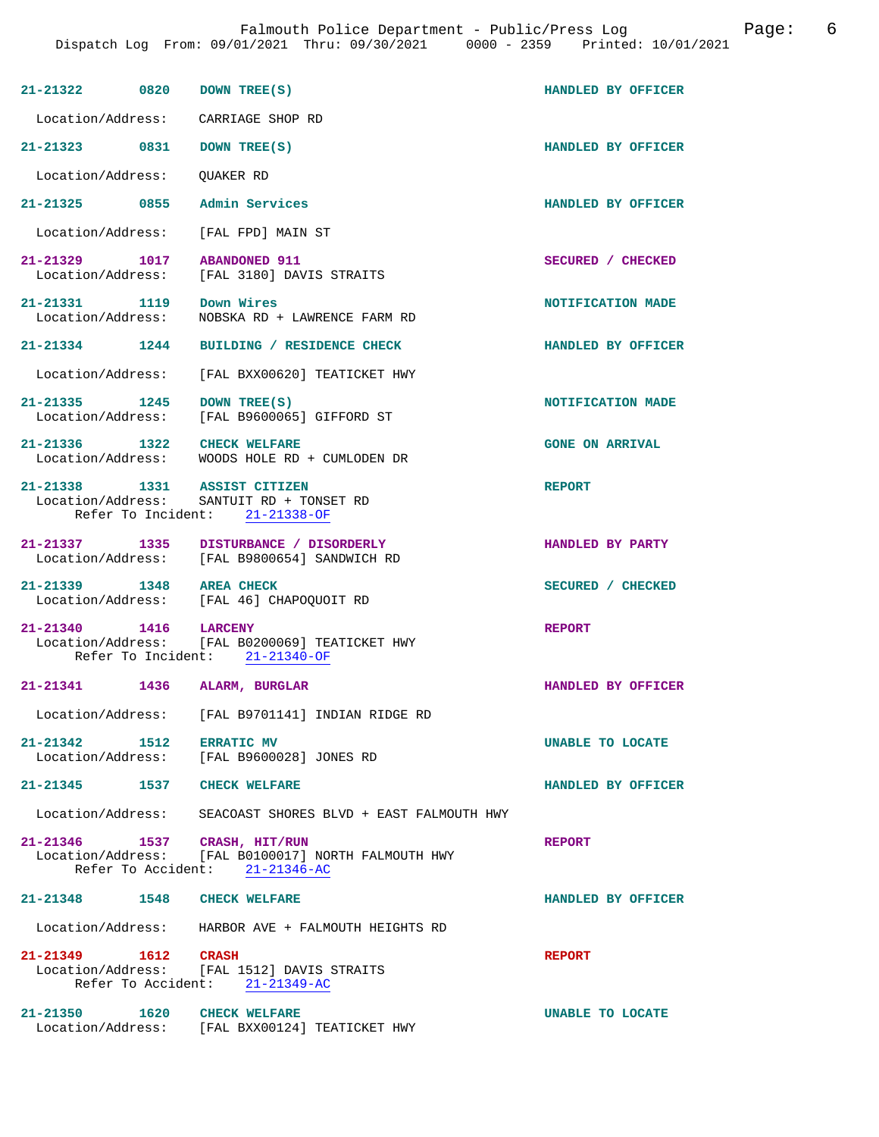| 21-21322 0820 DOWN TREE(S)                    |                                                                                                                       | HANDLED BY OFFICER     |
|-----------------------------------------------|-----------------------------------------------------------------------------------------------------------------------|------------------------|
|                                               | Location/Address: CARRIAGE SHOP RD                                                                                    |                        |
| 21-21323 0831 DOWN TREE(S)                    |                                                                                                                       | HANDLED BY OFFICER     |
| Location/Address: OUAKER RD                   |                                                                                                                       |                        |
| 21-21325 0855                                 | Admin Services                                                                                                        | HANDLED BY OFFICER     |
|                                               | Location/Address: [FAL FPD] MAIN ST                                                                                   |                        |
| 21-21329 1017<br>Location/Address:            | <b>ABANDONED 911</b><br>[FAL 3180] DAVIS STRAITS                                                                      | SECURED / CHECKED      |
| 21-21331 1119 Down Wires<br>Location/Address: | NOBSKA RD + LAWRENCE FARM RD                                                                                          | NOTIFICATION MADE      |
|                                               | 21-21334 1244 BUILDING / RESIDENCE CHECK                                                                              | HANDLED BY OFFICER     |
|                                               | Location/Address: [FAL BXX00620] TEATICKET HWY                                                                        |                        |
| 21-21335 1245 DOWN TREE(S)                    | Location/Address: [FAL B9600065] GIFFORD ST                                                                           | NOTIFICATION MADE      |
| 21-21336 1322 CHECK WELFARE                   | Location/Address: WOODS HOLE RD + CUMLODEN DR                                                                         | <b>GONE ON ARRIVAL</b> |
|                                               | 21-21338 1331 ASSIST CITIZEN<br>Location/Address: SANTUIT RD + TONSET RD<br>Refer To Incident: 21-21338-OF            | <b>REPORT</b>          |
|                                               | 21-21337 1335 DISTURBANCE / DISORDERLY<br>Location/Address: [FAL B9800654] SANDWICH RD                                | HANDLED BY PARTY       |
| 21-21339 1348 AREA CHECK                      | Location/Address: [FAL 46] CHAPOQUOIT RD                                                                              | SECURED / CHECKED      |
| 21-21340 1416 LARCENY                         | Location/Address: [FAL B0200069] TEATICKET HWY<br>Refer To Incident: 21-21340-OF                                      | <b>REPORT</b>          |
| 21-21341 1436 ALARM, BURGLAR                  |                                                                                                                       | HANDLED BY OFFICER     |
| Location/Address:                             | [FAL B9701141] INDIAN RIDGE RD                                                                                        |                        |
| 21-21342 1512 ERRATIC MV                      | Location/Address: [FAL B9600028] JONES RD                                                                             | UNABLE TO LOCATE       |
| 21-21345 1537 CHECK WELFARE                   |                                                                                                                       | HANDLED BY OFFICER     |
|                                               | Location/Address: SEACOAST SHORES BLVD + EAST FALMOUTH HWY                                                            |                        |
|                                               | 21-21346 1537 CRASH, HIT/RUN<br>Location/Address: [FAL B0100017] NORTH FALMOUTH HWY<br>Refer To Accident: 21-21346-AC | <b>REPORT</b>          |
| 21-21348 1548 CHECK WELFARE                   |                                                                                                                       | HANDLED BY OFFICER     |
|                                               | Location/Address: HARBOR AVE + FALMOUTH HEIGHTS RD                                                                    |                        |
| 21-21349 1612 CRASH                           | Location/Address: [FAL 1512] DAVIS STRAITS<br>Refer To Accident: $21-21349-AC$                                        | <b>REPORT</b>          |
| 21-21350 1620 CHECK WELFARE                   | Location/Address: [FAL BXX00124] TEATICKET HWY                                                                        | UNABLE TO LOCATE       |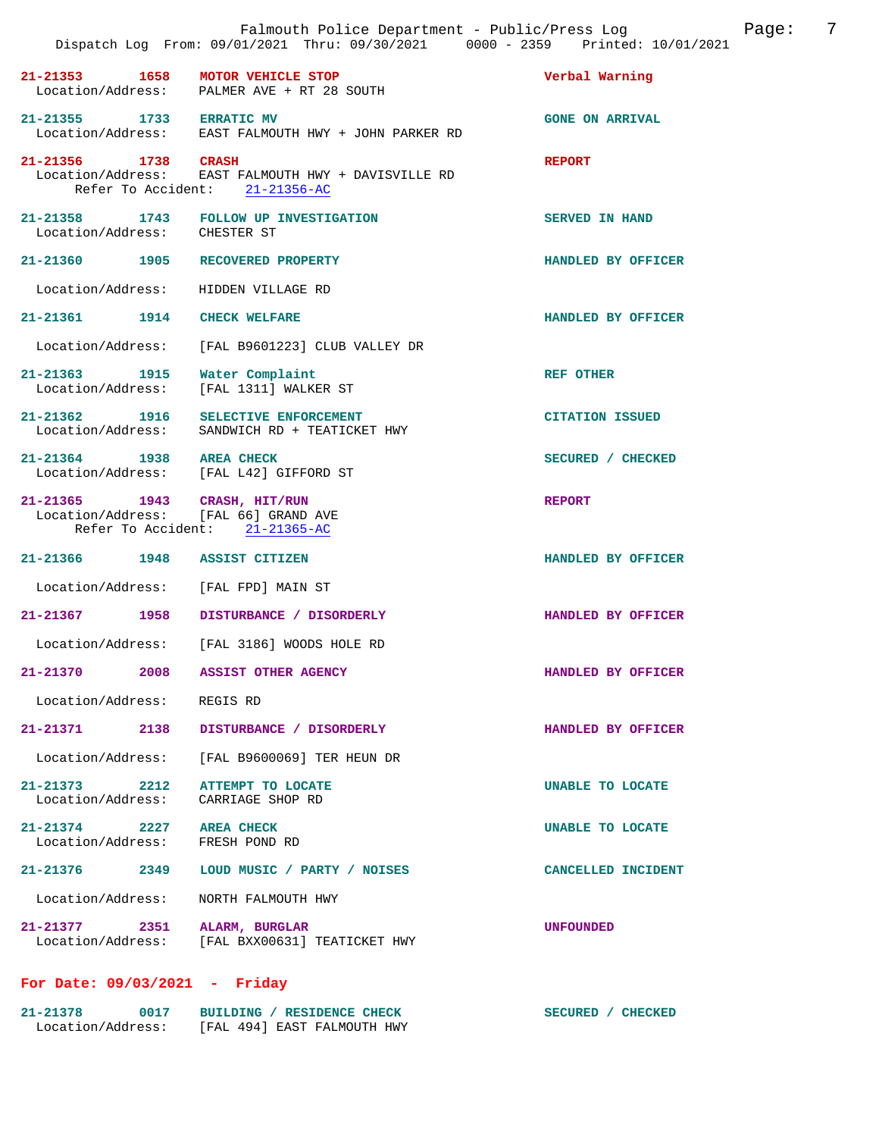|                                                             |      | Falmouth Police Department - Public/Press Log<br>Dispatch Log From: 09/01/2021 Thru: 09/30/2021 0000 - 2359 Printed: 10/01/2021 |                        | Page: | 7 |
|-------------------------------------------------------------|------|---------------------------------------------------------------------------------------------------------------------------------|------------------------|-------|---|
|                                                             |      | 21-21353 1658 MOTOR VEHICLE STOP<br>Location/Address: PALMER AVE + RT 28 SOUTH                                                  | Verbal Warning         |       |   |
| 21-21355 1733 ERRATIC MV                                    |      | Location/Address: EAST FALMOUTH HWY + JOHN PARKER RD                                                                            | <b>GONE ON ARRIVAL</b> |       |   |
| 21-21356 1738 CRASH                                         |      | Location/Address: EAST FALMOUTH HWY + DAVISVILLE RD<br>Refer To Accident: 21-21356-AC                                           | <b>REPORT</b>          |       |   |
| Location/Address: CHESTER ST                                |      | 21-21358 1743 FOLLOW UP INVESTIGATION                                                                                           | <b>SERVED IN HAND</b>  |       |   |
|                                                             |      | 21-21360 1905 RECOVERED PROPERTY                                                                                                | HANDLED BY OFFICER     |       |   |
|                                                             |      | Location/Address: HIDDEN VILLAGE RD                                                                                             |                        |       |   |
| 21-21361 1914 CHECK WELFARE                                 |      |                                                                                                                                 | HANDLED BY OFFICER     |       |   |
|                                                             |      | Location/Address: [FAL B9601223] CLUB VALLEY DR                                                                                 |                        |       |   |
|                                                             |      | $21-21363$ 1915 Water Complaint<br>Location/Address: [FAL 1311] WALKER ST                                                       | <b>REF OTHER</b>       |       |   |
|                                                             |      | 21-21362 1916 SELECTIVE ENFORCEMENT<br>Location/Address: SANDWICH RD + TEATICKET HWY                                            | <b>CITATION ISSUED</b> |       |   |
| 21-21364 1938 AREA CHECK                                    |      | Location/Address: [FAL L42] GIFFORD ST                                                                                          | SECURED / CHECKED      |       |   |
|                                                             |      | 21-21365 1943 CRASH, HIT/RUN<br>Location/Address: [FAL 66] GRAND AVE<br>Refer To Accident: 21-21365-AC                          | <b>REPORT</b>          |       |   |
| 21-21366 1948 ASSIST CITIZEN                                |      |                                                                                                                                 | HANDLED BY OFFICER     |       |   |
|                                                             |      | Location/Address: [FAL FPD] MAIN ST                                                                                             |                        |       |   |
|                                                             |      | 21-21367 1958 DISTURBANCE / DISORDERLY                                                                                          | HANDLED BY OFFICER     |       |   |
|                                                             |      | Location/Address: [FAL 3186] WOODS HOLE RD                                                                                      |                        |       |   |
| 21-21370                                                    | 2008 | <b>ASSIST OTHER AGENCY</b>                                                                                                      | HANDLED BY OFFICER     |       |   |
| Location/Address: REGIS RD                                  |      |                                                                                                                                 |                        |       |   |
|                                                             |      | 21-21371 2138 DISTURBANCE / DISORDERLY                                                                                          | HANDLED BY OFFICER     |       |   |
|                                                             |      | Location/Address: [FAL B9600069] TER HEUN DR                                                                                    |                        |       |   |
|                                                             |      | 21-21373 2212 ATTEMPT TO LOCATE<br>Location/Address: CARRIAGE SHOP RD                                                           | UNABLE TO LOCATE       |       |   |
| 21-21374 2227 AREA CHECK<br>Location/Address: FRESH POND RD |      |                                                                                                                                 | UNABLE TO LOCATE       |       |   |
|                                                             |      | 21-21376 2349 LOUD MUSIC / PARTY / NOISES                                                                                       | CANCELLED INCIDENT     |       |   |
|                                                             |      | Location/Address: NORTH FALMOUTH HWY                                                                                            |                        |       |   |
| 21-21377 2351 ALARM, BURGLAR                                |      | Location/Address: [FAL BXX00631] TEATICKET HWY                                                                                  | <b>UNFOUNDED</b>       |       |   |
|                                                             |      |                                                                                                                                 |                        |       |   |

# **For Date: 09/03/2021 - Friday**

| 21-21378          | 0017 | BUILDING / RESIDENCE CHECK  | SECURED / CHECKED |
|-------------------|------|-----------------------------|-------------------|
| Location/Address: |      | [FAL 494] EAST FALMOUTH HWY |                   |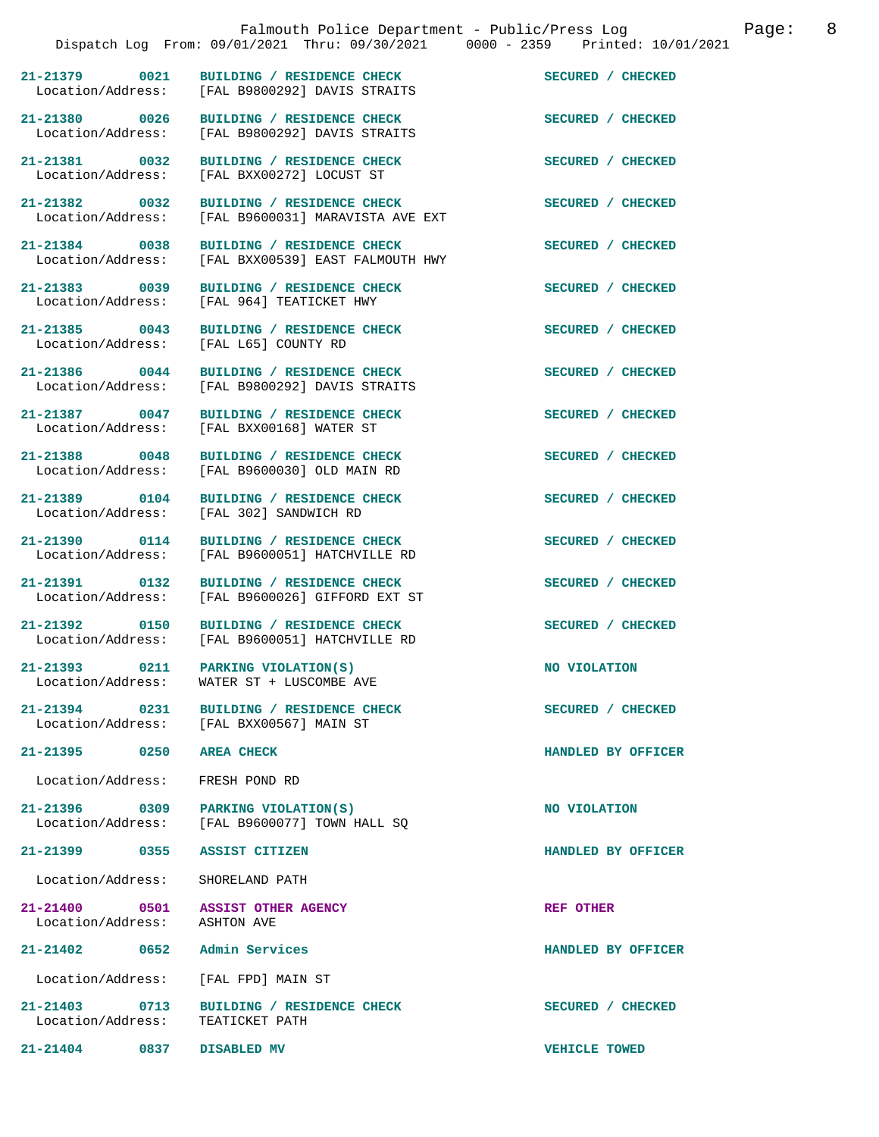|                                                                   | Falmouth Police Department - Public/Press Log<br>Dispatch Log From: 09/01/2021 Thru: 09/30/2021 0000 - 2359 Printed: 10/01/2021 | Page:                | 8 |
|-------------------------------------------------------------------|---------------------------------------------------------------------------------------------------------------------------------|----------------------|---|
| 21-21379 0021                                                     | BUILDING / RESIDENCE CHECK<br>Location/Address: [FAL B9800292] DAVIS STRAITS                                                    | SECURED / CHECKED    |   |
| 21-21380 0026<br>Location/Address:                                | BUILDING / RESIDENCE CHECK<br>[FAL B9800292] DAVIS STRAITS                                                                      | SECURED / CHECKED    |   |
| 21-21381 0032                                                     | BUILDING / RESIDENCE CHECK<br>Location/Address: [FAL BXX00272] LOCUST ST                                                        | SECURED / CHECKED    |   |
| 21-21382 0032<br>Location/Address:                                | BUILDING / RESIDENCE CHECK<br>[FAL B9600031] MARAVISTA AVE EXT                                                                  | SECURED / CHECKED    |   |
| 21-21384 0038                                                     | BUILDING / RESIDENCE CHECK<br>Location/Address: [FAL BXX00539] EAST FALMOUTH HWY                                                | SECURED / CHECKED    |   |
| 21-21383 0039<br>Location/Address:                                | BUILDING / RESIDENCE CHECK<br>[FAL 964] TEATICKET HWY                                                                           | SECURED / CHECKED    |   |
| 21-21385 0043                                                     | BUILDING / RESIDENCE CHECK<br>Location/Address: [FAL L65] COUNTY RD                                                             | SECURED / CHECKED    |   |
| 21-21386 0044<br>Location/Address:                                | BUILDING / RESIDENCE CHECK<br>[FAL B9800292] DAVIS STRAITS                                                                      | SECURED / CHECKED    |   |
| 21-21387 0047<br>Location/Address:                                | BUILDING / RESIDENCE CHECK<br>[FAL BXX00168] WATER ST                                                                           | SECURED / CHECKED    |   |
| 21-21388 0048<br>Location/Address:                                | BUILDING / RESIDENCE CHECK<br>[FAL B9600030] OLD MAIN RD                                                                        | SECURED / CHECKED    |   |
| 21-21389 0104<br>Location/Address:                                | BUILDING / RESIDENCE CHECK<br>[FAL 302] SANDWICH RD                                                                             | SECURED / CHECKED    |   |
| 21-21390 0114                                                     | BUILDING / RESIDENCE CHECK<br>Location/Address: [FAL B9600051] HATCHVILLE RD                                                    | SECURED / CHECKED    |   |
| 21-21391 0132<br>Location/Address:                                | BUILDING / RESIDENCE CHECK<br>[FAL B9600026] GIFFORD EXT ST                                                                     | SECURED / CHECKED    |   |
|                                                                   | 21-21392 0150 BUILDING / RESIDENCE CHECK<br>Location/Address: [FAL B9600051] HATCHVILLE RD                                      | SECURED / CHECKED    |   |
|                                                                   | 21-21393 0211 PARKING VIOLATION(S)<br>Location/Address: WATER ST + LUSCOMBE AVE                                                 | NO VIOLATION         |   |
|                                                                   | 21-21394 0231 BUILDING / RESIDENCE CHECK<br>Location/Address: [FAL BXX00567] MAIN ST                                            | SECURED / CHECKED    |   |
| 21-21395 0250 AREA CHECK                                          |                                                                                                                                 | HANDLED BY OFFICER   |   |
| Location/Address:                                                 | FRESH POND RD                                                                                                                   |                      |   |
|                                                                   | 21-21396 0309 PARKING VIOLATION(S)<br>Location/Address: [FAL B9600077] TOWN HALL SQ                                             | NO VIOLATION         |   |
| 21-21399 0355 ASSIST CITIZEN                                      |                                                                                                                                 | HANDLED BY OFFICER   |   |
| Location/Address: SHORELAND PATH                                  |                                                                                                                                 |                      |   |
| 21-21400 0501 ASSIST OTHER AGENCY<br>Location/Address: ASHTON AVE |                                                                                                                                 | REF OTHER            |   |
| 21-21402 0652 Admin Services                                      |                                                                                                                                 | HANDLED BY OFFICER   |   |
| Location/Address: [FAL FPD] MAIN ST                               |                                                                                                                                 |                      |   |
| Location/Address:                                                 | 21-21403 0713 BUILDING / RESIDENCE CHECK<br>TEATICKET PATH                                                                      | SECURED / CHECKED    |   |
| 21-21404 0837                                                     | DISABLED MV                                                                                                                     | <b>VEHICLE TOWED</b> |   |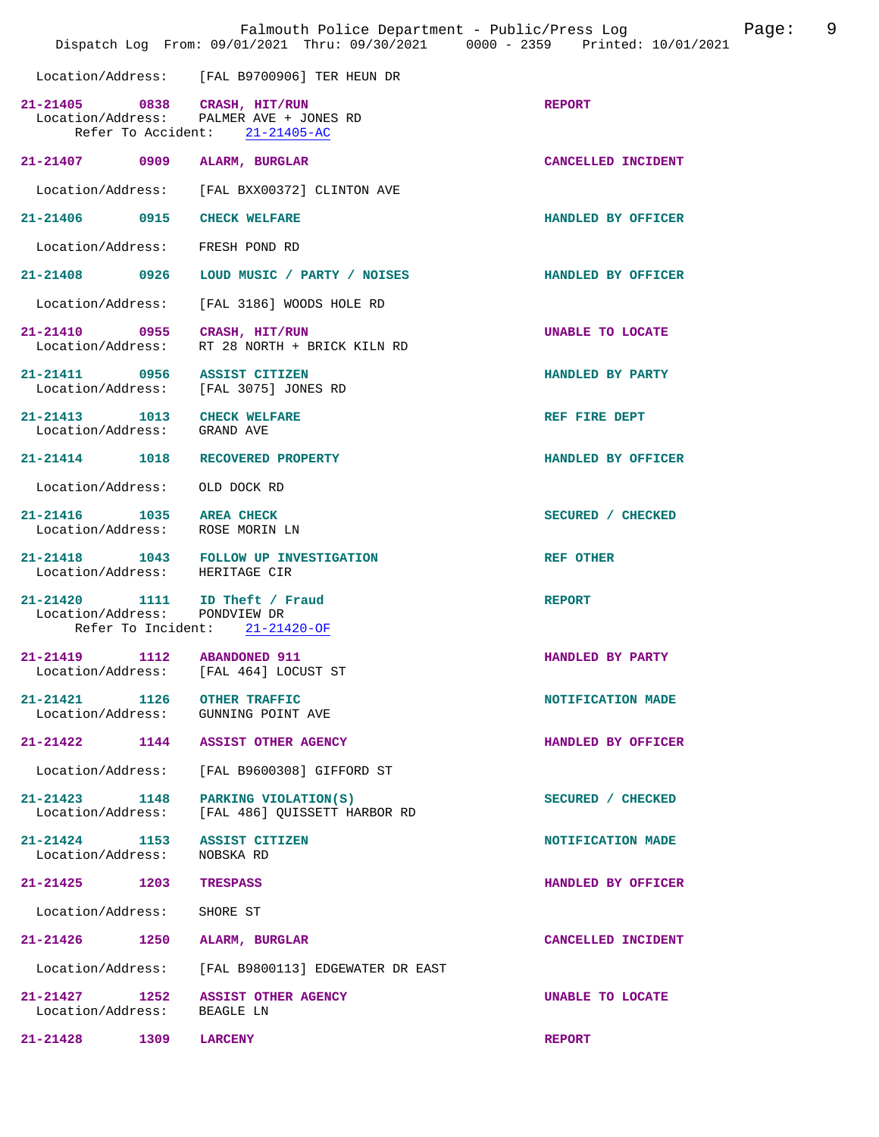|                                                                                          |      | Falmouth Police Department - Public/Press Log<br>Dispatch Log From: 09/01/2021 Thru: 09/30/2021 0000 - 2359 Printed: 10/01/2021 |                    | Page: | 9 |
|------------------------------------------------------------------------------------------|------|---------------------------------------------------------------------------------------------------------------------------------|--------------------|-------|---|
|                                                                                          |      | Location/Address: [FAL B9700906] TER HEUN DR                                                                                    |                    |       |   |
| 21-21405 0838 CRASH, HIT/RUN                                                             |      | Location/Address: PALMER AVE + JONES RD<br>Refer To Accident: 21-21405-AC                                                       | <b>REPORT</b>      |       |   |
| 21-21407 0909                                                                            |      | ALARM, BURGLAR                                                                                                                  | CANCELLED INCIDENT |       |   |
| Location/Address:                                                                        |      | [FAL BXX00372] CLINTON AVE                                                                                                      |                    |       |   |
| 21-21406 0915                                                                            |      | <b>CHECK WELFARE</b>                                                                                                            | HANDLED BY OFFICER |       |   |
| Location/Address:                                                                        |      | FRESH POND RD                                                                                                                   |                    |       |   |
|                                                                                          |      | 21-21408 0926 LOUD MUSIC / PARTY / NOISES                                                                                       | HANDLED BY OFFICER |       |   |
| Location/Address:                                                                        |      | [FAL 3186] WOODS HOLE RD                                                                                                        |                    |       |   |
| 21-21410 0955 CRASH, HIT/RUN                                                             |      | Location/Address: RT 28 NORTH + BRICK KILN RD                                                                                   | UNABLE TO LOCATE   |       |   |
| 21-21411 0956 ASSIST CITIZEN                                                             |      | Location/Address: [FAL 3075] JONES RD                                                                                           | HANDLED BY PARTY   |       |   |
| $21-21413 \qquad \qquad 1013 \qquad \text{CHECK WELFARE}$<br>Location/Address: GRAND AVE |      |                                                                                                                                 | REF FIRE DEPT      |       |   |
|                                                                                          |      | 21-21414 1018 RECOVERED PROPERTY                                                                                                | HANDLED BY OFFICER |       |   |
| Location/Address:                                                                        |      | OLD DOCK RD                                                                                                                     |                    |       |   |
| 21-21416 1035 AREA CHECK                                                                 |      | Location/Address: ROSE MORIN LN                                                                                                 | SECURED / CHECKED  |       |   |
| Location/Address: HERITAGE CIR                                                           |      | 21-21418  1043  FOLLOW UP INVESTIGATION                                                                                         | REF OTHER          |       |   |
| Location/Address:                                                                        |      | 21-21420 1111 ID Theft / Fraud<br>PONDVIEW DR<br>Refer To Incident: 21-21420-OF                                                 | <b>REPORT</b>      |       |   |
| $21 - 21419$<br>Location/Address:                                                        | 1112 | <b>ABANDONED 911</b><br>[FAL 464] LOCUST ST                                                                                     | HANDLED BY PARTY   |       |   |
| 21-21421 1126 OTHER TRAFFIC                                                              |      | Location/Address: GUNNING POINT AVE                                                                                             | NOTIFICATION MADE  |       |   |
|                                                                                          |      | 21-21422 1144 ASSIST OTHER AGENCY                                                                                               | HANDLED BY OFFICER |       |   |
| Location/Address:                                                                        |      | [FAL B9600308] GIFFORD ST                                                                                                       |                    |       |   |
| 21-21423 1148<br>Location/Address:                                                       |      | PARKING VIOLATION(S)<br>[FAL 486] OUISSETT HARBOR RD                                                                            | SECURED / CHECKED  |       |   |
| 21-21424 1153 ASSIST CITIZEN<br>Location/Address:                                        |      | NOBSKA RD                                                                                                                       | NOTIFICATION MADE  |       |   |
| 21-21425 1203                                                                            |      | <b>TRESPASS</b>                                                                                                                 | HANDLED BY OFFICER |       |   |
| Location/Address:                                                                        |      | SHORE ST                                                                                                                        |                    |       |   |
| 21-21426                                                                                 | 1250 | ALARM, BURGLAR                                                                                                                  | CANCELLED INCIDENT |       |   |
| Location/Address:                                                                        |      | [FAL B9800113] EDGEWATER DR EAST                                                                                                |                    |       |   |
| Location/Address: BEAGLE LN                                                              |      | 21-21427 1252 ASSIST OTHER AGENCY                                                                                               | UNABLE TO LOCATE   |       |   |
| $21 - 21428$                                                                             | 1309 | LARCENY                                                                                                                         | <b>REPORT</b>      |       |   |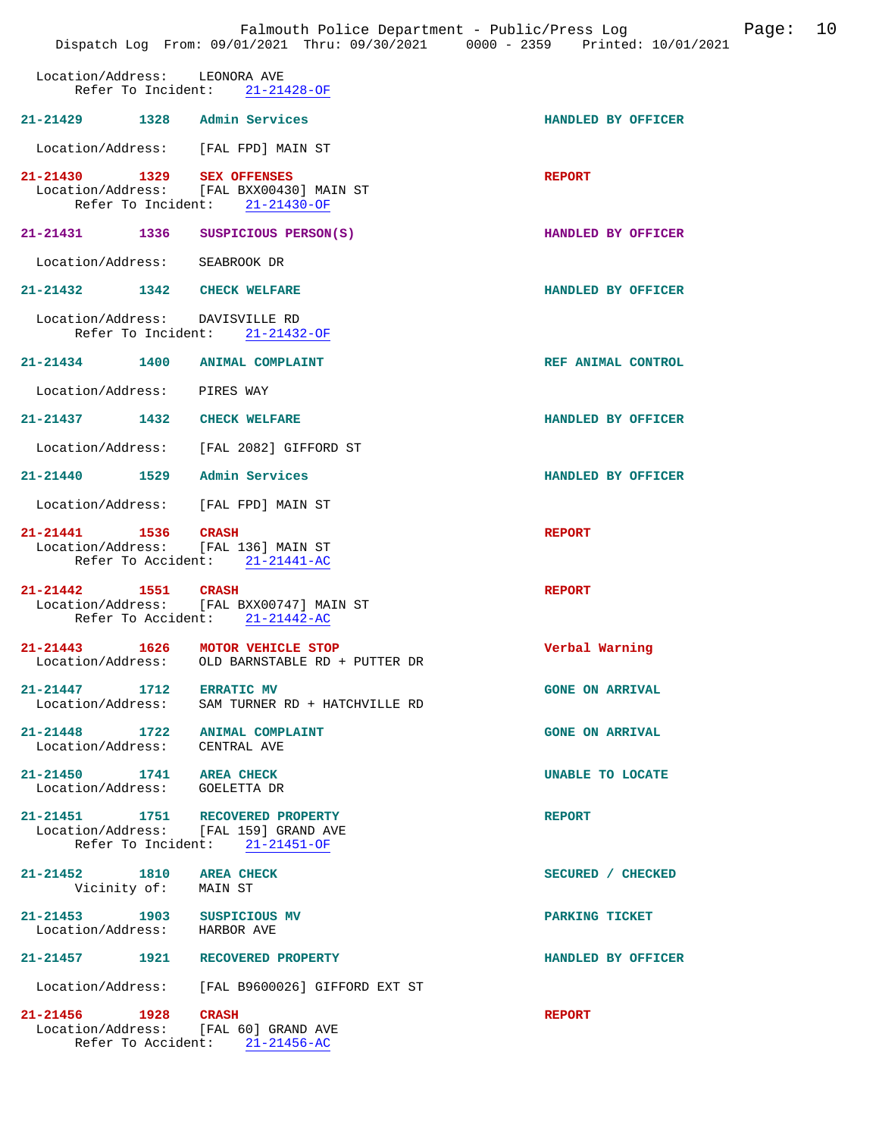|                                    |                    | Dispatch Log From: 09/01/2021 Thru: 09/30/2021 0000 - 2359 Printed: 10/01/2021                                    | Falmouth Police Department - Public/Press Log<br>Page: | 10 |
|------------------------------------|--------------------|-------------------------------------------------------------------------------------------------------------------|--------------------------------------------------------|----|
| Location/Address:                  |                    | LEONORA AVE<br>Refer To Incident:<br>$21 - 21428 - OF$                                                            |                                                        |    |
|                                    |                    | 21-21429 1328 Admin Services                                                                                      | HANDLED BY OFFICER                                     |    |
|                                    |                    | Location/Address: [FAL FPD] MAIN ST                                                                               |                                                        |    |
| 21-21430                           | 1329               | <b>SEX OFFENSES</b><br>Location/Address: [FAL BXX00430] MAIN ST<br>Refer To Incident: 21-21430-OF                 | <b>REPORT</b>                                          |    |
|                                    |                    | 21-21431 1336 SUSPICIOUS PERSON(S)                                                                                | HANDLED BY OFFICER                                     |    |
| Location/Address:                  |                    | SEABROOK DR                                                                                                       |                                                        |    |
| $21 - 21432$ 1342                  |                    | <b>CHECK WELFARE</b>                                                                                              | HANDLED BY OFFICER                                     |    |
|                                    | Refer To Incident: | Location/Address: DAVISVILLE RD<br>21-21432-OF                                                                    |                                                        |    |
|                                    |                    | 21-21434 1400 ANIMAL COMPLAINT                                                                                    | REF ANIMAL CONTROL                                     |    |
| Location/Address:                  |                    | PIRES WAY                                                                                                         |                                                        |    |
| 21-21437 1432                      |                    | <b>CHECK WELFARE</b>                                                                                              | HANDLED BY OFFICER                                     |    |
|                                    |                    | Location/Address: [FAL 2082] GIFFORD ST                                                                           |                                                        |    |
|                                    |                    | 21-21440   1529   Admin Services                                                                                  | HANDLED BY OFFICER                                     |    |
|                                    |                    | Location/Address: [FAL FPD] MAIN ST                                                                               |                                                        |    |
| 21-21441 1536<br>Location/Address: |                    | <b>CRASH</b><br>[FAL 136] MAIN ST<br>Refer To Accident: 21-21441-AC                                               | <b>REPORT</b>                                          |    |
| 21-21442                           | 1551               | <b>CRASH</b><br>Location/Address: [FAL BXX00747] MAIN ST<br>Refer To Accident: 21-21442-AC                        | <b>REPORT</b>                                          |    |
| $21 - 21443$<br>Location/Address:  | 1626               | MOTOR VEHICLE STOP<br>OLD BARNSTABLE RD + PUTTER DR                                                               | Verbal Warning                                         |    |
| 21-21447 1712 ERRATIC MV           |                    | Location/Address: SAM TURNER RD + HATCHVILLE RD                                                                   | <b>GONE ON ARRIVAL</b>                                 |    |
| Location/Address: CENTRAL AVE      |                    | 21-21448 1722 ANIMAL COMPLAINT                                                                                    | <b>GONE ON ARRIVAL</b>                                 |    |
| 21-21450 1741 AREA CHECK           |                    | Location/Address: GOELETTA DR                                                                                     | <b>UNABLE TO LOCATE</b>                                |    |
|                                    |                    | 21-21451    1751    RECOVERED PROPERTY<br>Location/Address: [FAL 159] GRAND AVE<br>Refer To Incident: 21-21451-OF | <b>REPORT</b>                                          |    |
| 21-21452 1810 AREA CHECK           |                    | Vicinity of: MAIN ST                                                                                              | SECURED / CHECKED                                      |    |
| Location/Address: HARBOR AVE       |                    | 21-21453 1903 SUSPICIOUS MV                                                                                       | PARKING TICKET                                         |    |
|                                    |                    | 21-21457 1921 RECOVERED PROPERTY                                                                                  | HANDLED BY OFFICER                                     |    |
|                                    |                    | Location/Address: [FAL B9600026] GIFFORD EXT ST                                                                   |                                                        |    |
| 21-21456 1928 CRASH                |                    | Location/Address: [FAL 60] GRAND AVE<br>Refer To Accident: 21-21456-AC                                            | <b>REPORT</b>                                          |    |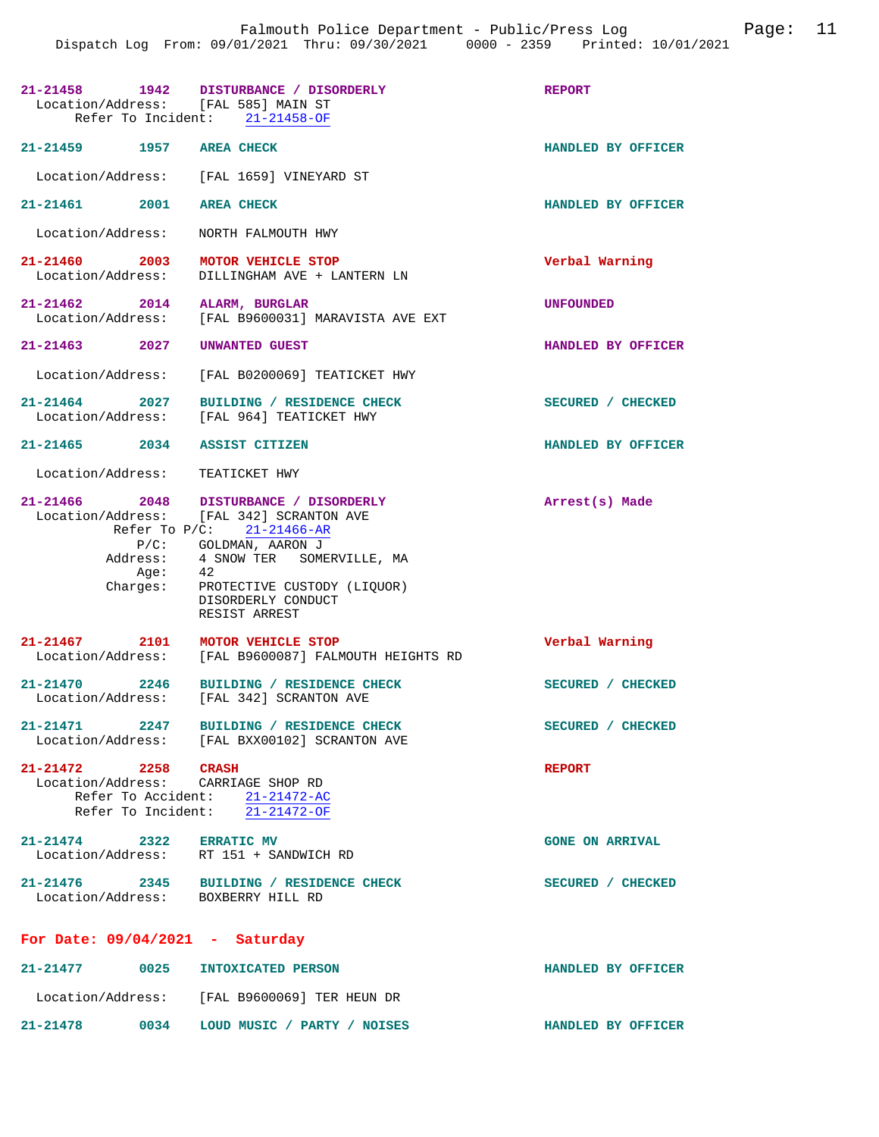| Location/Address: [FAL 585] MAIN ST                     | 21-21458 1942 DISTURBANCE / DISORDERLY<br>Refer To Incident: 21-21458-OF                                                                                                                                                                                                                                                                                                                  | <b>REPORT</b>          |
|---------------------------------------------------------|-------------------------------------------------------------------------------------------------------------------------------------------------------------------------------------------------------------------------------------------------------------------------------------------------------------------------------------------------------------------------------------------|------------------------|
| 21-21459 1957 AREA CHECK                                |                                                                                                                                                                                                                                                                                                                                                                                           | HANDLED BY OFFICER     |
|                                                         | Location/Address: [FAL 1659] VINEYARD ST                                                                                                                                                                                                                                                                                                                                                  |                        |
| 21-21461 2001 AREA CHECK                                |                                                                                                                                                                                                                                                                                                                                                                                           | HANDLED BY OFFICER     |
| Location/Address:                                       | NORTH FALMOUTH HWY                                                                                                                                                                                                                                                                                                                                                                        |                        |
| 21-21460 2003 MOTOR VEHICLE STOP<br>Location/Address:   | DILLINGHAM AVE + LANTERN LN                                                                                                                                                                                                                                                                                                                                                               | Verbal Warning         |
| 21-21462 2014                                           | ALARM, BURGLAR<br>Location/Address: [FAL B9600031] MARAVISTA AVE EXT                                                                                                                                                                                                                                                                                                                      | <b>UNFOUNDED</b>       |
| $21 - 21463$ 2027                                       | UNWANTED GUEST                                                                                                                                                                                                                                                                                                                                                                            | HANDLED BY OFFICER     |
| Location/Address:                                       | [FAL B0200069] TEATICKET HWY                                                                                                                                                                                                                                                                                                                                                              |                        |
|                                                         | 21-21464 2027 BUILDING / RESIDENCE CHECK<br>Location/Address: [FAL 964] TEATICKET HWY                                                                                                                                                                                                                                                                                                     | SECURED / CHECKED      |
| 21-21465 2034 ASSIST CITIZEN                            |                                                                                                                                                                                                                                                                                                                                                                                           | HANDLED BY OFFICER     |
| Location/Address: TEATICKET HWY                         |                                                                                                                                                                                                                                                                                                                                                                                           |                        |
| Age:<br>Charges:                                        | 21-21466 2048 DISTURBANCE / DISORDERLY<br>Location/Address: [FAL 342] SCRANTON AVE<br>Refer To $P/C:$ 21-21466-AR<br>$\begin{tabular}{llll} \multicolumn{2}{l}{{\bf P/C:}}&{\bf GOLDMAN},\text{ AARON J}\\ \multicolumn{2}{l}{Address:} &{\bf 4}\text{ SNOWLEDS} & {\bf 5OMERVILLE}\text{, MA} \end{tabular}$<br>42<br>PROTECTIVE CUSTODY (LIQUOR)<br>DISORDERLY CONDUCT<br>RESIST ARREST | Arrest(s) Made         |
| 21-21467 2101 MOTOR VEHICLE STOP<br>Location/Address:   | [FAL B9600087] FALMOUTH HEIGHTS RD                                                                                                                                                                                                                                                                                                                                                        | Verbal Warning         |
|                                                         | 21-21470 2246 BUILDING / RESIDENCE CHECK<br>Location/Address: [FAL 342] SCRANTON AVE                                                                                                                                                                                                                                                                                                      | SECURED / CHECKED      |
|                                                         | 21-21471 2247 BUILDING / RESIDENCE CHECK<br>Location/Address: [FAL BXX00102] SCRANTON AVE                                                                                                                                                                                                                                                                                                 | SECURED / CHECKED      |
| $21 - 21472$ 2258<br>Location/Address: CARRIAGE SHOP RD | <b>CRASH</b><br>Refer To Accident: 21-21472-AC<br>Refer To Incident: 21-21472-OF                                                                                                                                                                                                                                                                                                          | <b>REPORT</b>          |
| 21-21474 2322 ERRATIC MV                                | Location/Address: RT 151 + SANDWICH RD                                                                                                                                                                                                                                                                                                                                                    | <b>GONE ON ARRIVAL</b> |
| Location/Address: BOXBERRY HILL RD                      | 21-21476 2345 BUILDING / RESIDENCE CHECK                                                                                                                                                                                                                                                                                                                                                  | SECURED / CHECKED      |
|                                                         |                                                                                                                                                                                                                                                                                                                                                                                           |                        |
| For Date: $09/04/2021$ - Saturday                       |                                                                                                                                                                                                                                                                                                                                                                                           |                        |
| $21 - 21477$ 0025                                       | INTOXICATED PERSON                                                                                                                                                                                                                                                                                                                                                                        | HANDLED BY OFFICER     |

**21-21478 0034 LOUD MUSIC / PARTY / NOISES HANDLED BY OFFICER**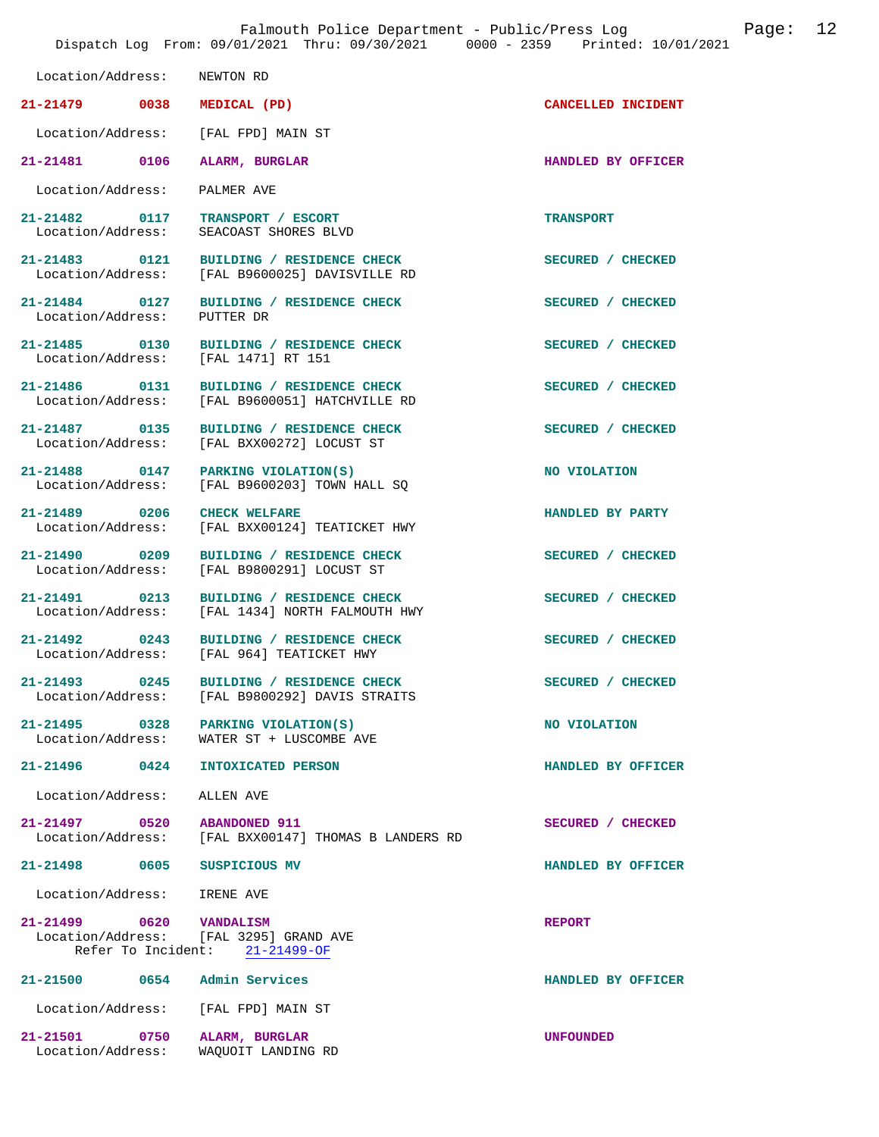|                                     | Dispatch Log From: 09/01/2021 Thru: 09/30/2021 0000 - 2359 Printed: 10/01/2021 |                    |
|-------------------------------------|--------------------------------------------------------------------------------|--------------------|
| Location/Address:                   | NEWTON RD                                                                      |                    |
| 21-21479 0038                       | MEDICAL (PD)                                                                   | CANCELLED INCIDENT |
| Location/Address: [FAL FPD] MAIN ST |                                                                                |                    |
| 21-21481 0106                       | ALARM, BURGLAR                                                                 | HANDLED BY OFFICER |
| Location/Address:                   | PALMER AVE                                                                     |                    |
| 21-21482 0117<br>Location/Address:  | TRANSPORT / ESCORT<br>SEACOAST SHORES BLVD                                     | <b>TRANSPORT</b>   |
| 21-21483 0121<br>Location/Address:  | BUILDING / RESIDENCE CHECK<br>[FAL B9600025] DAVISVILLE RD                     | SECURED / CHECKED  |
| 21-21484 0127<br>Location/Address:  | BUILDING / RESIDENCE CHECK<br>PUTTER DR                                        | SECURED / CHECKED  |
| 21-21485 0130<br>Location/Address:  | BUILDING / RESIDENCE CHECK<br>[FAL 1471] RT 151                                | SECURED / CHECKED  |
| 21-21486 0131                       | BUILDING / RESIDENCE CHECK<br>Location/Address: [FAL B9600051] HATCHVILLE RD   | SECURED / CHECKED  |
| 21-21487 0135<br>Location/Address:  | BUILDING / RESIDENCE CHECK<br>[FAL BXX00272] LOCUST ST                         | SECURED / CHECKED  |
| 21-21488 0147                       | PARKING VIOLATION(S)<br>Location/Address: [FAL B9600203] TOWN HALL SQ          | NO VIOLATION       |
| 21-21489 0206<br>Location/Address:  | <b>CHECK WELFARE</b><br>[FAL BXX00124] TEATICKET HWY                           | HANDLED BY PARTY   |
| 21-21490 0209<br>Location/Address:  | BUILDING / RESIDENCE CHECK<br>[FAL B9800291] LOCUST ST                         | SECURED / CHECKED  |
| 21-21491 0213<br>Location/Address:  | BUILDING / RESIDENCE CHECK<br>[FAL 1434] NORTH FALMOUTH HWY                    | SECURED / CHECKED  |
| 21-21492 0243                       | BUILDING / RESIDENCE CHECK<br>Location/Address: [FAL 964] TEATICKET HWY        | SECURED / CHECKED  |
| 21-21493 0245                       | BUILDING / RESIDENCE CHECK<br>Location/Address: [FAL B9800292] DAVIS STRAITS   | SECURED / CHECKED  |
| 21-21495 0328 PARKING VIOLATION(S)  | Location/Address: WATER ST + LUSCOMBE AVE                                      | NO VIOLATION       |
| 21-21496 0424                       | INTOXICATED PERSON                                                             | HANDLED BY OFFICER |
| Location/Address: ALLEN AVE         |                                                                                |                    |
| 21-21497 0520 ABANDONED 911         | Location/Address: [FAL BXX00147] THOMAS B LANDERS RD                           | SECURED / CHECKED  |
| 21-21498 0605 SUSPICIOUS MV         |                                                                                | HANDLED BY OFFICER |
| Location/Address: IRENE AVE         |                                                                                |                    |
| 21-21499 0620 VANDALISM             | Location/Address: [FAL 3295] GRAND AVE<br>Refer To Incident: 21-21499-OF       | <b>REPORT</b>      |
| 21-21500 0654 Admin Services        |                                                                                | HANDLED BY OFFICER |
| Location/Address: [FAL FPD] MAIN ST |                                                                                |                    |
| 21-21501 0750<br>Location/Address:  | ALARM, BURGLAR<br>WAQUOIT LANDING RD                                           | <b>UNFOUNDED</b>   |

Falmouth Police Department - Public/Press Log Page: 12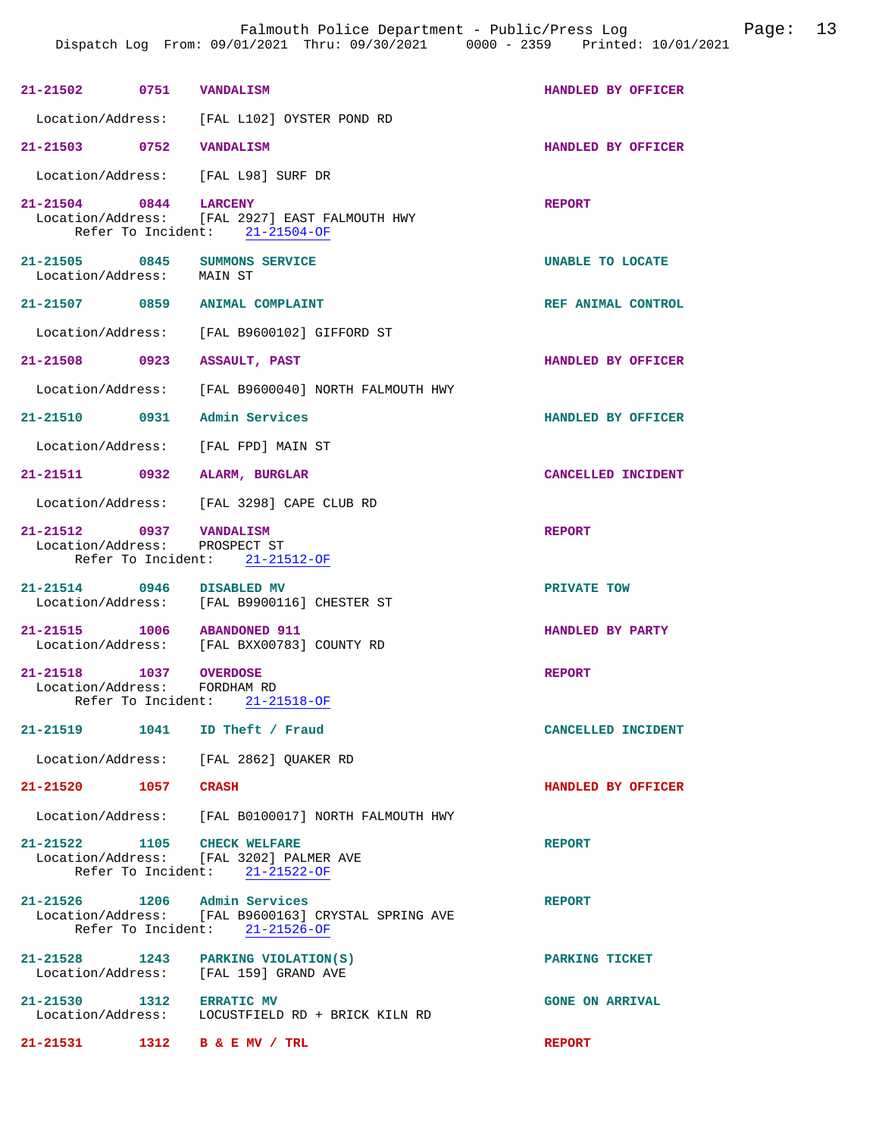| 21-21502 0751 VANDALISM                                  |                                                                                                          | HANDLED BY OFFICER     |
|----------------------------------------------------------|----------------------------------------------------------------------------------------------------------|------------------------|
|                                                          | Location/Address: [FAL L102] OYSTER POND RD                                                              |                        |
| 21-21503 0752                                            | <b>VANDALISM</b>                                                                                         | HANDLED BY OFFICER     |
|                                                          | Location/Address: [FAL L98] SURF DR                                                                      |                        |
| 21-21504 0844                                            | <b>LARCENY</b><br>Location/Address: [FAL 2927] EAST FALMOUTH HWY<br>Refer To Incident: $21-21504-OF$     | <b>REPORT</b>          |
| Location/Address: MAIN ST                                | 21-21505 0845 SUMMONS SERVICE                                                                            | UNABLE TO LOCATE       |
| 21-21507 0859                                            | ANIMAL COMPLAINT                                                                                         | REF ANIMAL CONTROL     |
|                                                          | Location/Address: [FAL B9600102] GIFFORD ST                                                              |                        |
| 21-21508 0923                                            | <b>ASSAULT, PAST</b>                                                                                     | HANDLED BY OFFICER     |
|                                                          | Location/Address: [FAL B9600040] NORTH FALMOUTH HWY                                                      |                        |
| 21-21510 0931                                            | Admin Services                                                                                           | HANDLED BY OFFICER     |
|                                                          | Location/Address: [FAL FPD] MAIN ST                                                                      |                        |
| 21-21511 0932                                            | ALARM, BURGLAR                                                                                           | CANCELLED INCIDENT     |
|                                                          | Location/Address: [FAL 3298] CAPE CLUB RD                                                                |                        |
| 21-21512 0937 VANDALISM<br>Location/Address: PROSPECT ST | Refer To Incident: 21-21512-OF                                                                           | <b>REPORT</b>          |
| 21-21514 0946 DISABLED MV                                | Location/Address: [FAL B9900116] CHESTER ST                                                              | PRIVATE TOW            |
| 21-21515 1006 ABANDONED 911                              | Location/Address: [FAL BXX00783] COUNTY RD                                                               | HANDLED BY PARTY       |
| 21-21518 1037 OVERDOSE<br>Location/Address:              | FORDHAM RD<br>Refer To Incident: 21-21518-OF                                                             | <b>REPORT</b>          |
|                                                          |                                                                                                          |                        |
|                                                          | 21-21519 1041 ID Theft / Fraud                                                                           | CANCELLED INCIDENT     |
|                                                          | Location/Address: [FAL 2862] QUAKER RD                                                                   |                        |
| 21-21520 1057 CRASH                                      |                                                                                                          | HANDLED BY OFFICER     |
|                                                          | Location/Address: [FAL B0100017] NORTH FALMOUTH HWY                                                      |                        |
|                                                          | 21-21522 1105 CHECK WELFARE<br>Location/Address: [FAL 3202] PALMER AVE<br>Refer To Incident: 21-21522-OF | <b>REPORT</b>          |
| 21-21526 1206 Admin Services                             | Location/Address: [FAL B9600163] CRYSTAL SPRING AVE<br>Refer To Incident: 21-21526-OF                    | <b>REPORT</b>          |
|                                                          | $21-21528$ 1243 PARKING VIOLATION(S)<br>Location/Address: [FAL 159] GRAND AVE                            | PARKING TICKET         |
| 21-21530 1312 ERRATIC MV                                 | Location/Address: LOCUSTFIELD RD + BRICK KILN RD                                                         | <b>GONE ON ARRIVAL</b> |
|                                                          |                                                                                                          |                        |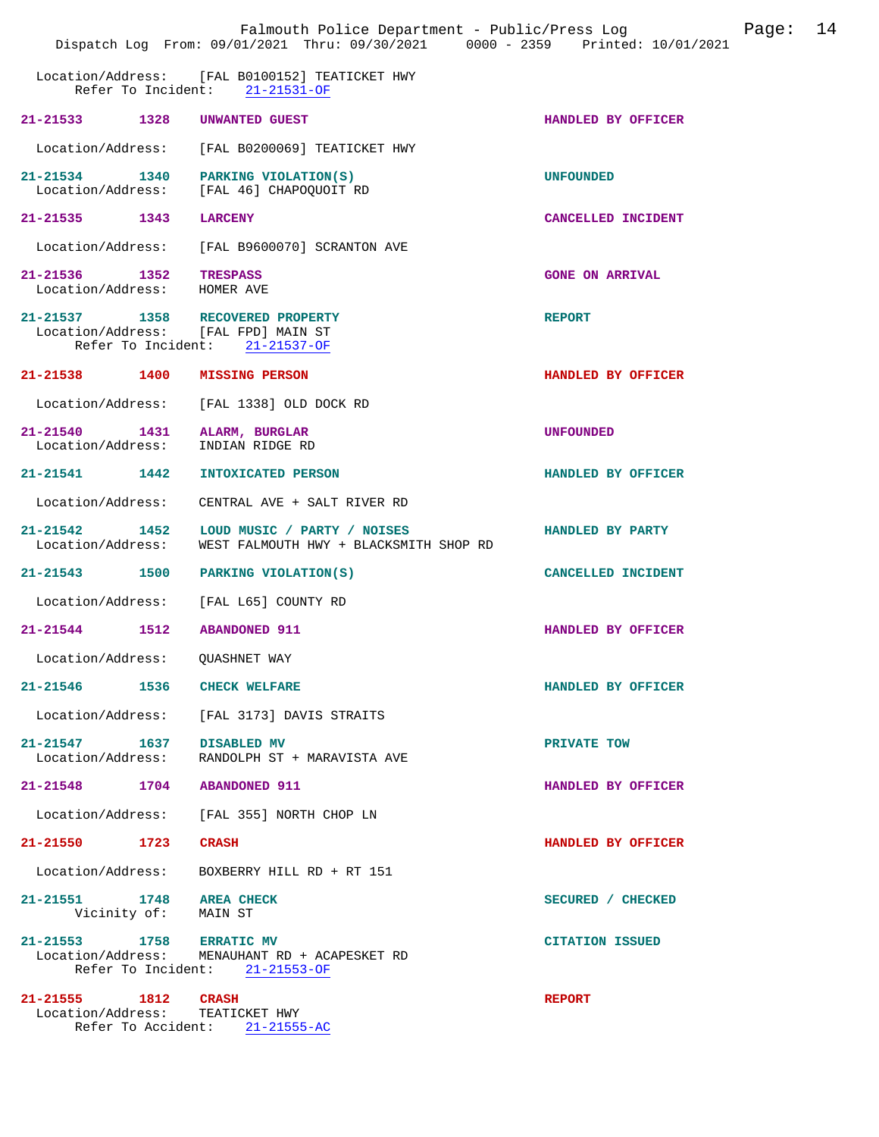|                                                  | Falmouth Police Department - Public/Press Log<br>Dispatch Log From: 09/01/2021 Thru: 09/30/2021 0000 - 2359 Printed: 10/01/2021 |                        | Page: | 14 |
|--------------------------------------------------|---------------------------------------------------------------------------------------------------------------------------------|------------------------|-------|----|
|                                                  | Location/Address: [FAL B0100152] TEATICKET HWY<br>Refer To Incident: 21-21531-OF                                                |                        |       |    |
| 21-21533 1328 UNWANTED GUEST                     |                                                                                                                                 | HANDLED BY OFFICER     |       |    |
| Location/Address:                                | [FAL B0200069] TEATICKET HWY                                                                                                    |                        |       |    |
|                                                  | 21-21534 1340 PARKING VIOLATION(S)<br>Location/Address: [FAL 46] CHAPOOUOIT RD                                                  | <b>UNFOUNDED</b>       |       |    |
| 21-21535 1343 LARCENY                            |                                                                                                                                 | CANCELLED INCIDENT     |       |    |
| Location/Address:                                | [FAL B9600070] SCRANTON AVE                                                                                                     |                        |       |    |
| 21-21536 1352<br>Location/Address: HOMER AVE     | <b>TRESPASS</b>                                                                                                                 | <b>GONE ON ARRIVAL</b> |       |    |
|                                                  | 21-21537 1358 RECOVERED PROPERTY<br>Location/Address: [FAL FPD] MAIN ST<br>Refer To Incident: 21-21537-OF                       | <b>REPORT</b>          |       |    |
|                                                  | 21-21538 1400 MISSING PERSON                                                                                                    | HANDLED BY OFFICER     |       |    |
|                                                  | Location/Address: [FAL 1338] OLD DOCK RD                                                                                        |                        |       |    |
|                                                  | 21-21540 1431 ALARM, BURGLAR<br>Location/Address: INDIAN RIDGE RD                                                               | <b>UNFOUNDED</b>       |       |    |
| 21-21541 1442                                    | INTOXICATED PERSON                                                                                                              | HANDLED BY OFFICER     |       |    |
| Location/Address:                                | CENTRAL AVE + SALT RIVER RD                                                                                                     |                        |       |    |
| Location/Address:                                | 21-21542 1452 LOUD MUSIC / PARTY / NOISES<br>WEST FALMOUTH HWY + BLACKSMITH SHOP RD                                             | HANDLED BY PARTY       |       |    |
| 21-21543 1500                                    | PARKING VIOLATION(S)                                                                                                            | CANCELLED INCIDENT     |       |    |
|                                                  | Location/Address: [FAL L65] COUNTY RD                                                                                           |                        |       |    |
| 21-21544 1512                                    | <b>ABANDONED 911</b>                                                                                                            | HANDLED BY OFFICER     |       |    |
| Location/Address:                                | QUASHNET WAY                                                                                                                    |                        |       |    |
| 21-21546 1536 CHECK WELFARE                      |                                                                                                                                 | HANDLED BY OFFICER     |       |    |
|                                                  | Location/Address: [FAL 3173] DAVIS STRAITS                                                                                      |                        |       |    |
| 21-21547 1637 DISABLED MV                        | Location/Address: RANDOLPH ST + MARAVISTA AVE                                                                                   | PRIVATE TOW            |       |    |
| 21-21548 1704 ABANDONED 911                      |                                                                                                                                 | HANDLED BY OFFICER     |       |    |
|                                                  | Location/Address: [FAL 355] NORTH CHOP LN                                                                                       |                        |       |    |
| 21-21550 1723                                    | <b>CRASH</b>                                                                                                                    | HANDLED BY OFFICER     |       |    |
|                                                  | Location/Address: BOXBERRY HILL RD + RT 151                                                                                     |                        |       |    |
| 21-21551 1748 AREA CHECK<br>Vicinity of: MAIN ST |                                                                                                                                 | SECURED / CHECKED      |       |    |
| 21-21553 1758 ERRATIC MV                         | Location/Address: MENAUHANT RD + ACAPESKET RD<br>Refer To Incident: 21-21553-OF                                                 | <b>CITATION ISSUED</b> |       |    |
| 21-21555 1812 CRASH                              | Location/Address: TEATICKET HWY<br>Refer To Accident: 21-21555-AC                                                               | <b>REPORT</b>          |       |    |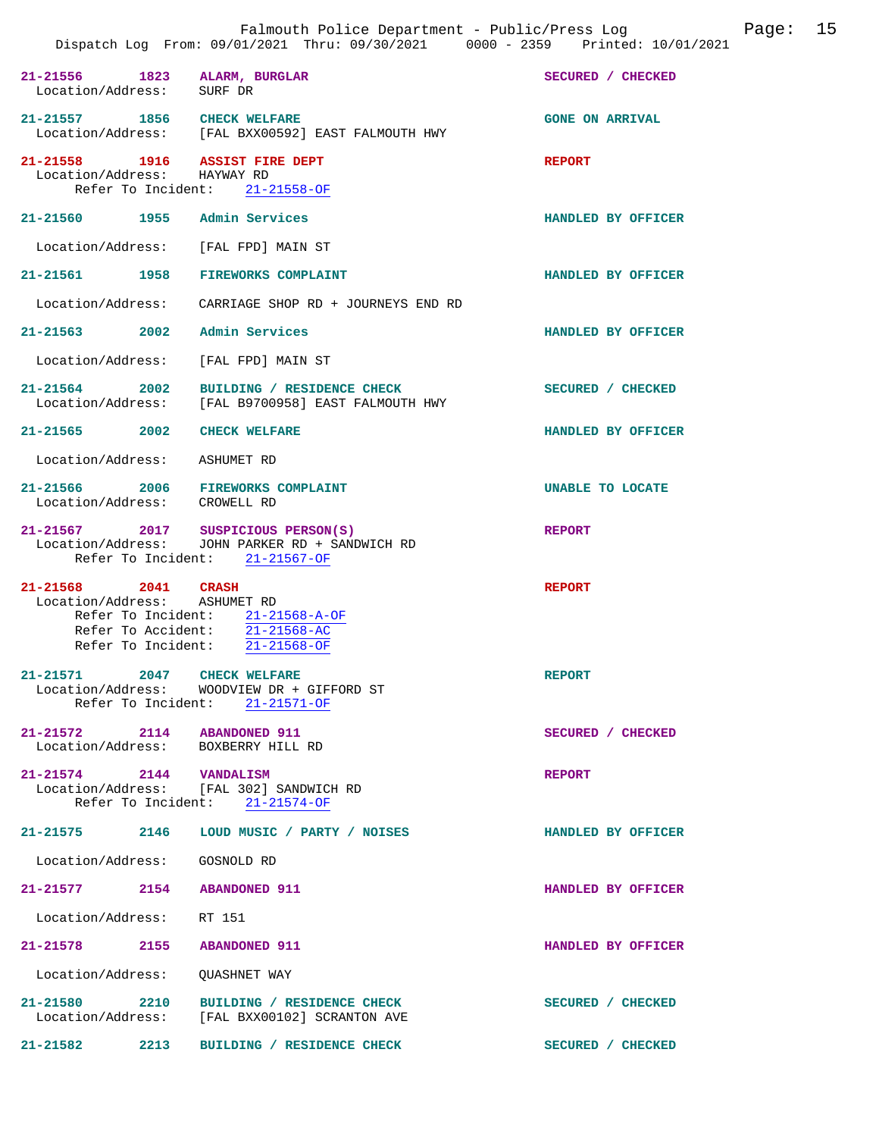| 21-21556 1823 ALARM, BURGLAR<br>Location/Address: SURF DR         |                                                                                                                        | SECURED / CHECKED      |
|-------------------------------------------------------------------|------------------------------------------------------------------------------------------------------------------------|------------------------|
| 21-21557 1856 CHECK WELFARE                                       | Location/Address: [FAL BXX00592] EAST FALMOUTH HWY                                                                     | <b>GONE ON ARRIVAL</b> |
| 21-21558 1916 ASSIST FIRE DEPT<br>Location/Address: HAYWAY RD     | Refer To Incident: 21-21558-OF                                                                                         | <b>REPORT</b>          |
| 21-21560 1955 Admin Services                                      |                                                                                                                        | HANDLED BY OFFICER     |
| Location/Address: [FAL FPD] MAIN ST                               |                                                                                                                        |                        |
|                                                                   | 21-21561 1958 FIREWORKS COMPLAINT                                                                                      | HANDLED BY OFFICER     |
|                                                                   | Location/Address: CARRIAGE SHOP RD + JOURNEYS END RD                                                                   |                        |
| 21-21563 2002 Admin Services                                      |                                                                                                                        | HANDLED BY OFFICER     |
| Location/Address: [FAL FPD] MAIN ST                               |                                                                                                                        |                        |
|                                                                   | 21-21564 2002 BUILDING / RESIDENCE CHECK<br>Location/Address: [FAL B9700958] EAST FALMOUTH HWY                         | SECURED / CHECKED      |
| 21-21565 2002 CHECK WELFARE                                       |                                                                                                                        | HANDLED BY OFFICER     |
| Location/Address: ASHUMET RD                                      |                                                                                                                        |                        |
| Location/Address: CROWELL RD                                      | 21-21566 2006 FIREWORKS COMPLAINT                                                                                      | UNABLE TO LOCATE       |
|                                                                   | 21-21567 2017 SUSPICIOUS PERSON(S)<br>Location/Address: JOHN PARKER RD + SANDWICH RD<br>Refer To Incident: 21-21567-OF | <b>REPORT</b>          |
| 21-21568 2041 CRASH<br>Location/Address: ASHUMET RD               | Refer To Incident: 21-21568-A-OF<br>Refer To Accident: 21-21568-AC<br>Refer To Incident: 21-21568-OF                   | <b>REPORT</b>          |
| 21-21571 2047 CHECK WELFARE                                       | Location/Address: WOODVIEW DR + GIFFORD ST<br>Refer To Incident: 21-21571-OF                                           | <b>REPORT</b>          |
| 21-21572 2114 ABANDONED 911<br>Location/Address: BOXBERRY HILL RD |                                                                                                                        | SECURED / CHECKED      |
|                                                                   | 21-21574 2144 VANDALISM<br>Location/Address: [FAL 302] SANDWICH RD<br>Refer To Incident: 21-21574-OF                   | <b>REPORT</b>          |
|                                                                   | 21-21575 2146 LOUD MUSIC / PARTY / NOISES                                                                              | HANDLED BY OFFICER     |
| Location/Address: GOSNOLD RD                                      |                                                                                                                        |                        |
| 21-21577 2154 ABANDONED 911                                       |                                                                                                                        | HANDLED BY OFFICER     |
| Location/Address: RT 151                                          |                                                                                                                        |                        |
| 21-21578 2155 ABANDONED 911                                       |                                                                                                                        | HANDLED BY OFFICER     |
| Location/Address: QUASHNET WAY                                    |                                                                                                                        |                        |
|                                                                   | 21-21580 2210 BUILDING / RESIDENCE CHECK<br>Location/Address: [FAL BXX00102] SCRANTON AVE                              | SECURED / CHECKED      |
|                                                                   | 21-21582 2213 BUILDING / RESIDENCE CHECK                                                                               | SECURED / CHECKED      |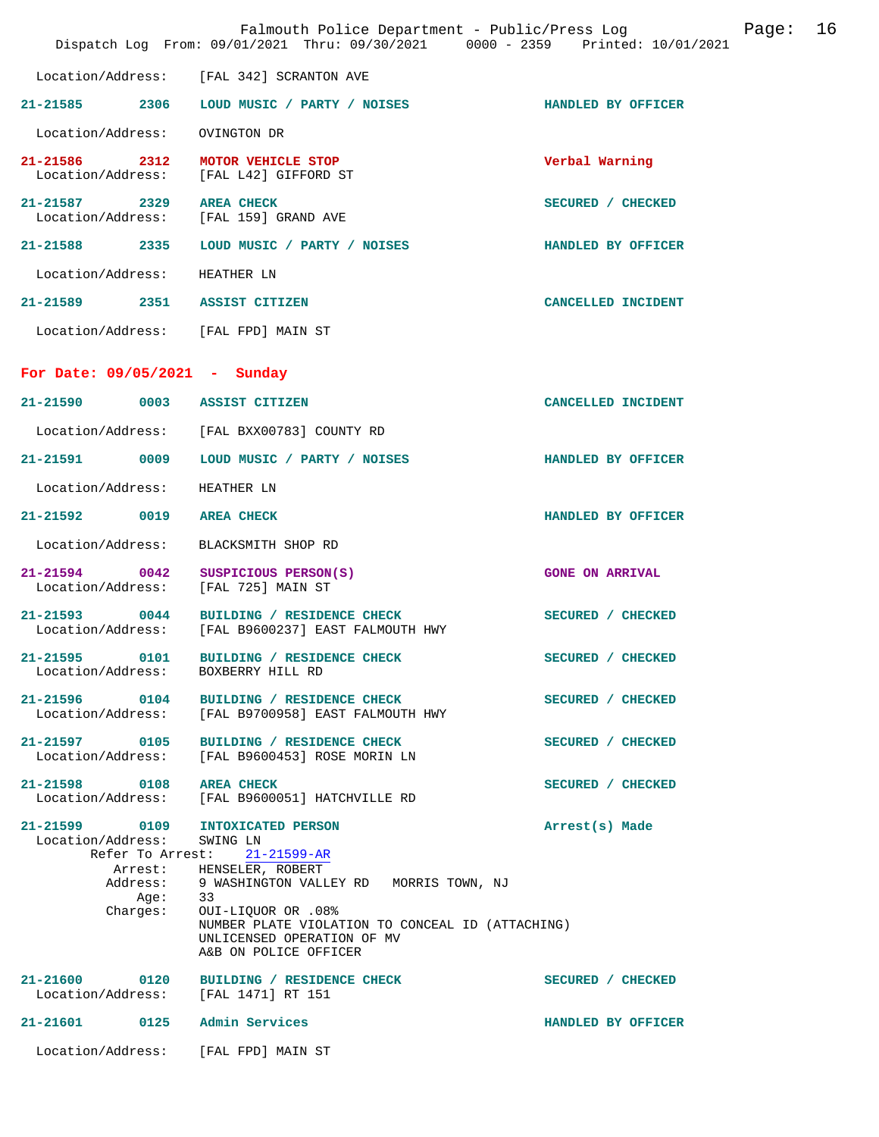|                                     | Falmouth Police Department - Public/Press Log<br>Dispatch Log From: 09/01/2021 Thru: 09/30/2021 0000 - 2359 Printed: 10/01/2021                             |                        | Page: 16 |  |
|-------------------------------------|-------------------------------------------------------------------------------------------------------------------------------------------------------------|------------------------|----------|--|
|                                     | Location/Address: [FAL 342] SCRANTON AVE                                                                                                                    |                        |          |  |
|                                     | 21-21585 2306 LOUD MUSIC / PARTY / NOISES                                                                                                                   | HANDLED BY OFFICER     |          |  |
| Location/Address:                   | OVINGTON DR                                                                                                                                                 |                        |          |  |
| 21-21586 2312                       | MOTOR VEHICLE STOP<br>Location/Address: [FAL L42] GIFFORD ST                                                                                                | Verbal Warning         |          |  |
| 21-21587 2329                       | <b>AREA CHECK</b><br>Location/Address: [FAL 159] GRAND AVE                                                                                                  | SECURED / CHECKED      |          |  |
|                                     | 21-21588 2335 LOUD MUSIC / PARTY / NOISES                                                                                                                   | HANDLED BY OFFICER     |          |  |
| Location/Address: HEATHER LN        |                                                                                                                                                             |                        |          |  |
| 21-21589 2351 ASSIST CITIZEN        |                                                                                                                                                             | CANCELLED INCIDENT     |          |  |
| Location/Address: [FAL FPD] MAIN ST |                                                                                                                                                             |                        |          |  |
| For Date: $09/05/2021$ - Sunday     |                                                                                                                                                             |                        |          |  |
| 21-21590 0003 ASSIST CITIZEN        |                                                                                                                                                             | CANCELLED INCIDENT     |          |  |
|                                     | Location/Address: [FAL BXX00783] COUNTY RD                                                                                                                  |                        |          |  |
|                                     | 21-21591 0009 LOUD MUSIC / PARTY / NOISES                                                                                                                   | HANDLED BY OFFICER     |          |  |
| Location/Address:                   | HEATHER LN                                                                                                                                                  |                        |          |  |
| 21-21592 0019 AREA CHECK            |                                                                                                                                                             | HANDLED BY OFFICER     |          |  |
| Location/Address:                   | BLACKSMITH SHOP RD                                                                                                                                          |                        |          |  |
| 21-21594 0042                       | SUSPICIOUS PERSON(S)<br>Location/Address: [FAL 725] MAIN ST                                                                                                 | <b>GONE ON ARRIVAL</b> |          |  |
| 21-21593 0044                       | BUILDING / RESIDENCE CHECK<br>Location/Address: [FAL B9600237] EAST FALMOUTH HWY                                                                            | SECURED / CHECKED      |          |  |
| 21-21595 0101<br>Location/Address:  | BUILDING / RESIDENCE CHECK<br>BOXBERRY HILL RD                                                                                                              | SECURED / CHECKED      |          |  |
|                                     | 21-21596 0104 BUILDING / RESIDENCE CHECK<br>Location/Address: [FAL B9700958] EAST FALMOUTH HWY                                                              | SECURED / CHECKED      |          |  |
| 21-21597 0105<br>Location/Address:  | BUILDING / RESIDENCE CHECK<br>[FAL B9600453] ROSE MORIN LN                                                                                                  | SECURED / CHECKED      |          |  |
| 21-21598 0108<br>Location/Address:  | <b>AREA CHECK</b><br>[FAL B9600051] HATCHVILLE RD                                                                                                           | SECURED / CHECKED      |          |  |
| Location/Address:                   | 21-21599 0109 INTOXICATED PERSON<br>SWING LN<br>Refer To Arrest: 21-21599-AR<br>Arrest: HENSELER, ROBERT<br>Address: 9 WASHINGTON VALLEY RD MORRIS TOWN, NJ | Arrest(s) Made         |          |  |
| Age:<br>Charges:                    | 33<br>0UI-LIQUOR OR .08%<br>NUMBER PLATE VIOLATION TO CONCEAL ID (ATTACHING)<br>UNLICENSED OPERATION OF MV<br>A&B ON POLICE OFFICER                         |                        |          |  |
| Location/Address:                   | 21-21600 0120 BUILDING / RESIDENCE CHECK<br>[FAL 1471] RT 151                                                                                               | SECURED / CHECKED      |          |  |
| 21-21601 0125 Admin Services        |                                                                                                                                                             | HANDLED BY OFFICER     |          |  |
| Location/Address:                   | [FAL FPD] MAIN ST                                                                                                                                           |                        |          |  |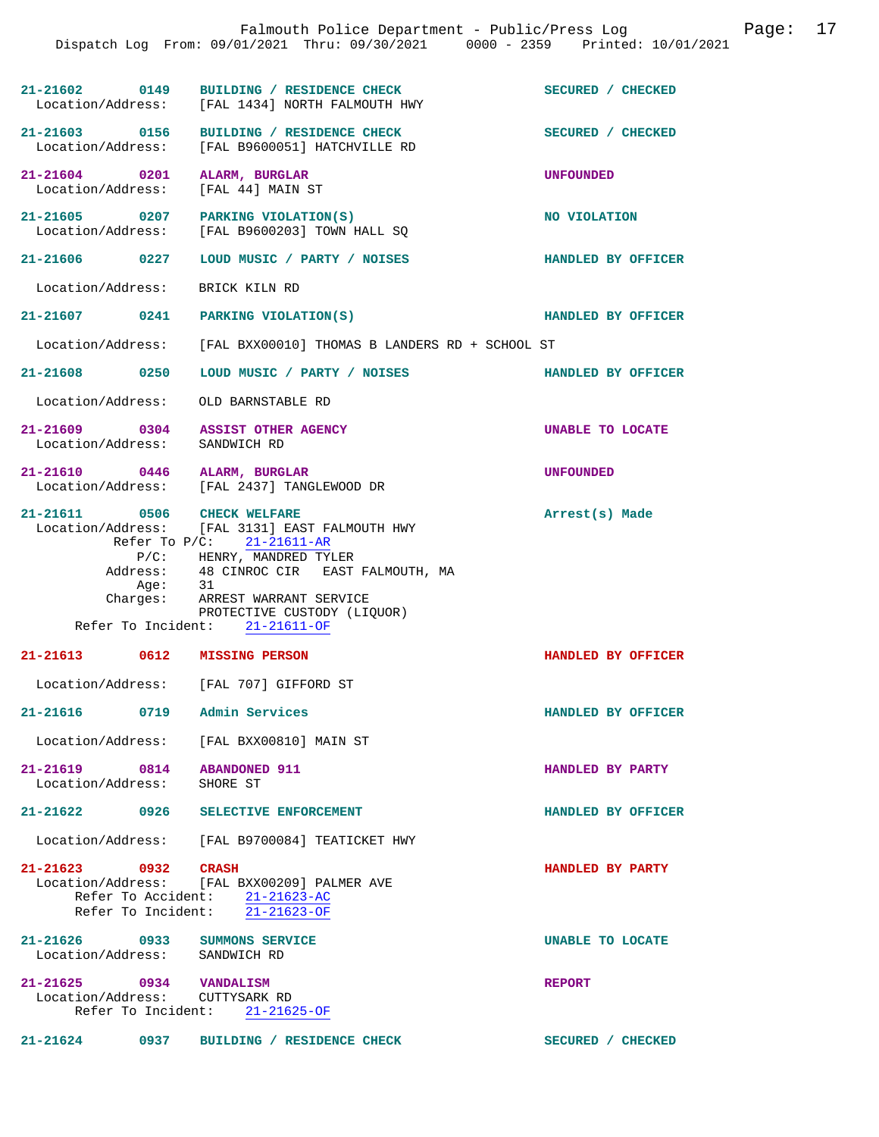|                            |      | Dispatch Log From: 09/01/2021 Thru: 09/30/2021 0000 - 2359 Printed: 10/01/2021                                                                                                                                                                                                                        | Falmouth Police Department - Public/Press Log | Page: | 17 |
|----------------------------|------|-------------------------------------------------------------------------------------------------------------------------------------------------------------------------------------------------------------------------------------------------------------------------------------------------------|-----------------------------------------------|-------|----|
|                            |      |                                                                                                                                                                                                                                                                                                       |                                               |       |    |
|                            |      | 21-21602 0149 BUILDING / RESIDENCE CHECK<br>Location/Address: [FAL 1434] NORTH FALMOUTH HWY                                                                                                                                                                                                           | SECURED / CHECKED                             |       |    |
|                            |      | 21-21603 0156 BUILDING / RESIDENCE CHECK<br>Location/Address: [FAL B9600051] HATCHVILLE RD                                                                                                                                                                                                            | SECURED / CHECKED                             |       |    |
|                            |      | 21-21604 0201 ALARM, BURGLAR<br>Location/Address: [FAL 44] MAIN ST                                                                                                                                                                                                                                    | <b>UNFOUNDED</b>                              |       |    |
|                            |      | 21-21605 0207 PARKING VIOLATION(S)<br>Location/Address: [FAL B9600203] TOWN HALL SQ                                                                                                                                                                                                                   | NO VIOLATION                                  |       |    |
| 21-21606 0227              |      | LOUD MUSIC / PARTY / NOISES                                                                                                                                                                                                                                                                           | HANDLED BY OFFICER                            |       |    |
| Location/Address:          |      | BRICK KILN RD                                                                                                                                                                                                                                                                                         |                                               |       |    |
|                            |      | 21-21607 0241 PARKING VIOLATION(S)                                                                                                                                                                                                                                                                    | HANDLED BY OFFICER                            |       |    |
| Location/Address:          |      | [FAL BXX00010] THOMAS B LANDERS RD + SCHOOL ST                                                                                                                                                                                                                                                        |                                               |       |    |
| 21-21608 0250              |      | LOUD MUSIC / PARTY / NOISES                                                                                                                                                                                                                                                                           | HANDLED BY OFFICER                            |       |    |
| Location/Address:          |      | OLD BARNSTABLE RD                                                                                                                                                                                                                                                                                     |                                               |       |    |
| Location/Address:          |      | 21-21609 0304 ASSIST OTHER AGENCY<br>SANDWICH RD                                                                                                                                                                                                                                                      | UNABLE TO LOCATE                              |       |    |
| Location/Address:          |      | 21-21610 0446 ALARM, BURGLAR<br>[FAL 2437] TANGLEWOOD DR                                                                                                                                                                                                                                              | <b>UNFOUNDED</b>                              |       |    |
|                            | Age: | 21-21611 0506 CHECK WELFARE<br>Location/Address: [FAL 3131] EAST FALMOUTH HWY<br>Refer To $P/C$ : 21-21611-AR<br>$P/C$ : HENRY, MANDRED TYLER<br>Address: 48 CINROC CIR EAST FALMOUTH, MA<br>31<br>Charges: ARREST WARRANT SERVICE<br>PROTECTIVE CUSTODY (LIQUOR)<br>Refer To Incident: $21-21611-OF$ | Arrest(s) Made                                |       |    |
| 21-21613                   | 0612 | <b>MISSING PERSON</b>                                                                                                                                                                                                                                                                                 | HANDLED BY OFFICER                            |       |    |
|                            |      | Location/Address: [FAL 707] GIFFORD ST                                                                                                                                                                                                                                                                |                                               |       |    |
|                            |      | 21-21616 0719 Admin Services                                                                                                                                                                                                                                                                          | HANDLED BY OFFICER                            |       |    |
|                            |      | Location/Address: [FAL BXX00810] MAIN ST                                                                                                                                                                                                                                                              |                                               |       |    |
| Location/Address: SHORE ST |      | 21-21619 0814 ABANDONED 911                                                                                                                                                                                                                                                                           | HANDLED BY PARTY                              |       |    |
|                            |      | 21-21622 0926 SELECTIVE ENFORCEMENT                                                                                                                                                                                                                                                                   | HANDLED BY OFFICER                            |       |    |
|                            |      | Location/Address: [FAL B9700084] TEATICKET HWY                                                                                                                                                                                                                                                        |                                               |       |    |
| 21-21623 0932 CRASH        |      | Location/Address: [FAL BXX00209] PALMER AVE<br>Refer To Accident: 21-21623-AC<br>Refer To Incident: $\overline{21-21623-OF}$                                                                                                                                                                          | HANDLED BY PARTY                              |       |    |
|                            |      | 21-21626 0933 SUMMONS SERVICE<br>Location/Address: SANDWICH RD                                                                                                                                                                                                                                        | UNABLE TO LOCATE                              |       |    |
| 21-21625 0934 VANDALISM    |      | Location/Address: CUTTYSARK RD<br>Refer To Incident: 21-21625-OF                                                                                                                                                                                                                                      | <b>REPORT</b>                                 |       |    |
|                            |      | 21-21624 0937 BUILDING / RESIDENCE CHECK                                                                                                                                                                                                                                                              | SECURED / CHECKED                             |       |    |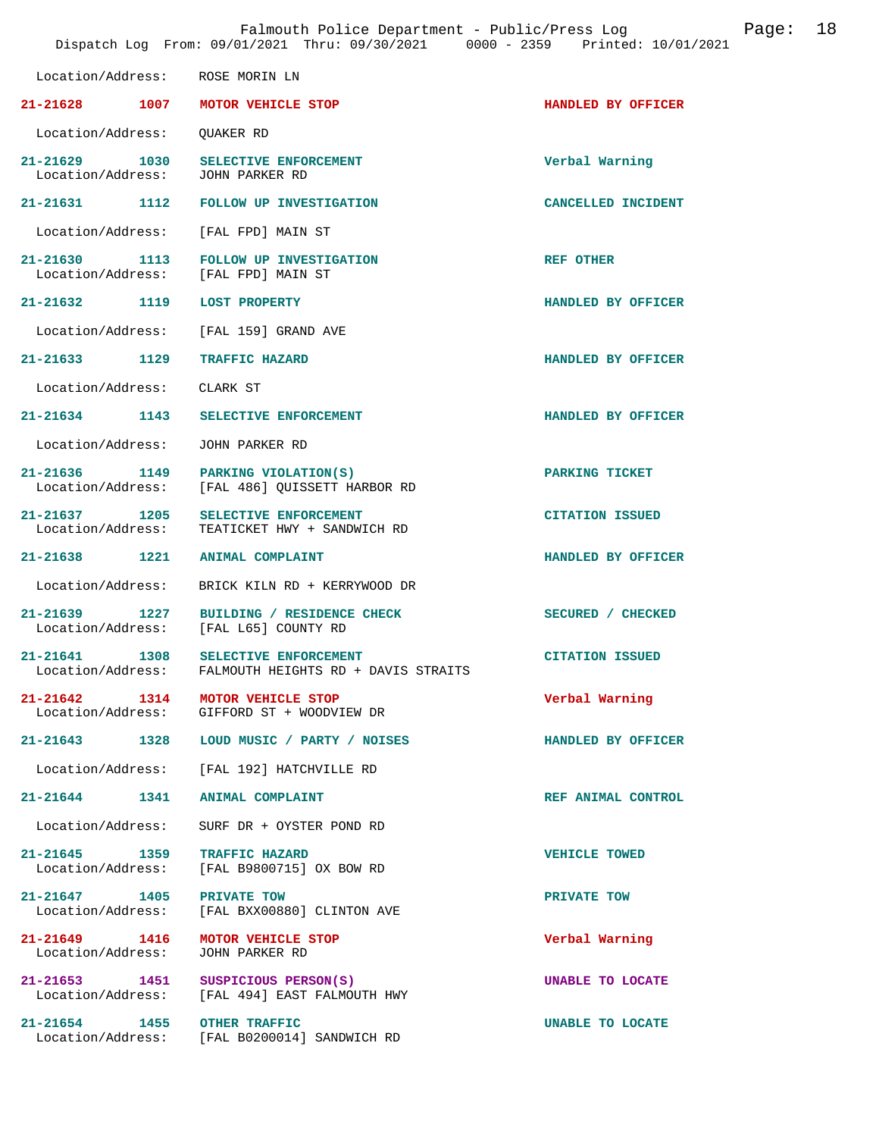|                                           | Falmouth Police Department - Public/Press Log<br>Dispatch Log From: 09/01/2021 Thru: 09/30/2021 0000 - 2359 Printed: 10/01/2021 |                        | Page: | 18 |
|-------------------------------------------|---------------------------------------------------------------------------------------------------------------------------------|------------------------|-------|----|
| Location/Address:                         | ROSE MORIN LN                                                                                                                   |                        |       |    |
| 21-21628<br>1007                          | MOTOR VEHICLE STOP                                                                                                              | HANDLED BY OFFICER     |       |    |
| Location/Address:                         | QUAKER RD                                                                                                                       |                        |       |    |
| $21 - 21629$<br>1030<br>Location/Address: | SELECTIVE ENFORCEMENT<br>JOHN PARKER RD                                                                                         | Verbal Warning         |       |    |
| 1112<br>$21 - 21631$                      | FOLLOW UP INVESTIGATION                                                                                                         | CANCELLED INCIDENT     |       |    |
| Location/Address:                         | [FAL FPD] MAIN ST                                                                                                               |                        |       |    |
| 21-21630 1113<br>Location/Address:        | FOLLOW UP INVESTIGATION<br>[FAL FPD] MAIN ST                                                                                    | <b>REF OTHER</b>       |       |    |
| 21-21632 1119                             | <b>LOST PROPERTY</b>                                                                                                            | HANDLED BY OFFICER     |       |    |
| Location/Address:                         | [FAL 159] GRAND AVE                                                                                                             |                        |       |    |
| $21 - 21633$<br>1129                      | <b>TRAFFIC HAZARD</b>                                                                                                           | HANDLED BY OFFICER     |       |    |
| Location/Address:                         | CLARK ST                                                                                                                        |                        |       |    |
| $21 - 21634$<br>1143                      | SELECTIVE ENFORCEMENT                                                                                                           | HANDLED BY OFFICER     |       |    |
| Location/Address:                         | JOHN PARKER RD                                                                                                                  |                        |       |    |
| $21 - 21636$<br>Location/Address:         | 1149<br>PARKING VIOLATION(S)<br>[FAL 486] QUISSETT HARBOR RD                                                                    | PARKING TICKET         |       |    |
| 21-21637 1205<br>Location/Address:        | SELECTIVE ENFORCEMENT<br>TEATICKET HWY + SANDWICH RD                                                                            | <b>CITATION ISSUED</b> |       |    |
| 21-21638<br>1221                          | <b>ANIMAL COMPLAINT</b>                                                                                                         | HANDLED BY OFFICER     |       |    |
| Location/Address:                         | BRICK KILN RD + KERRYWOOD DR                                                                                                    |                        |       |    |
| $21 - 21639$<br>1227<br>Location/Address: | BUILDING / RESIDENCE CHECK<br>[FAL L65] COUNTY RD                                                                               | SECURED / CHECKED      |       |    |
| 21-21641<br>1308<br>Location/Address:     | SELECTIVE ENFORCEMENT<br>FALMOUTH HEIGHTS RD + DAVIS STRAITS                                                                    | <b>CITATION ISSUED</b> |       |    |
| $21 - 21642$ 1314<br>Location/Address:    | MOTOR VEHICLE STOP<br>GIFFORD ST + WOODVIEW DR                                                                                  | Verbal Warning         |       |    |
| 21-21643 1328                             | LOUD MUSIC / PARTY / NOISES                                                                                                     | HANDLED BY OFFICER     |       |    |
| Location/Address:                         | [FAL 192] HATCHVILLE RD                                                                                                         |                        |       |    |
| 21-21644 1341                             | ANIMAL COMPLAINT                                                                                                                | REF ANIMAL CONTROL     |       |    |
| Location/Address:                         | SURF DR + OYSTER POND RD                                                                                                        |                        |       |    |
| 21-21645 1359<br>Location/Address:        | <b>TRAFFIC HAZARD</b><br>[FAL B9800715] OX BOW RD                                                                               | <b>VEHICLE TOWED</b>   |       |    |
| 21-21647 1405<br>Location/Address:        | PRIVATE TOW<br>[FAL BXX00880] CLINTON AVE                                                                                       | PRIVATE TOW            |       |    |
| 21-21649 1416<br>Location/Address:        | MOTOR VEHICLE STOP<br>JOHN PARKER RD                                                                                            | Verbal Warning         |       |    |
| 21-21653 1451<br>Location/Address:        | SUSPICIOUS PERSON(S)<br>[FAL 494] EAST FALMOUTH HWY                                                                             | UNABLE TO LOCATE       |       |    |
| 21-21654 1455                             | <b>OTHER TRAFFIC</b><br>Location/Address: [FAL B0200014] SANDWICH RD                                                            | UNABLE TO LOCATE       |       |    |
|                                           |                                                                                                                                 |                        |       |    |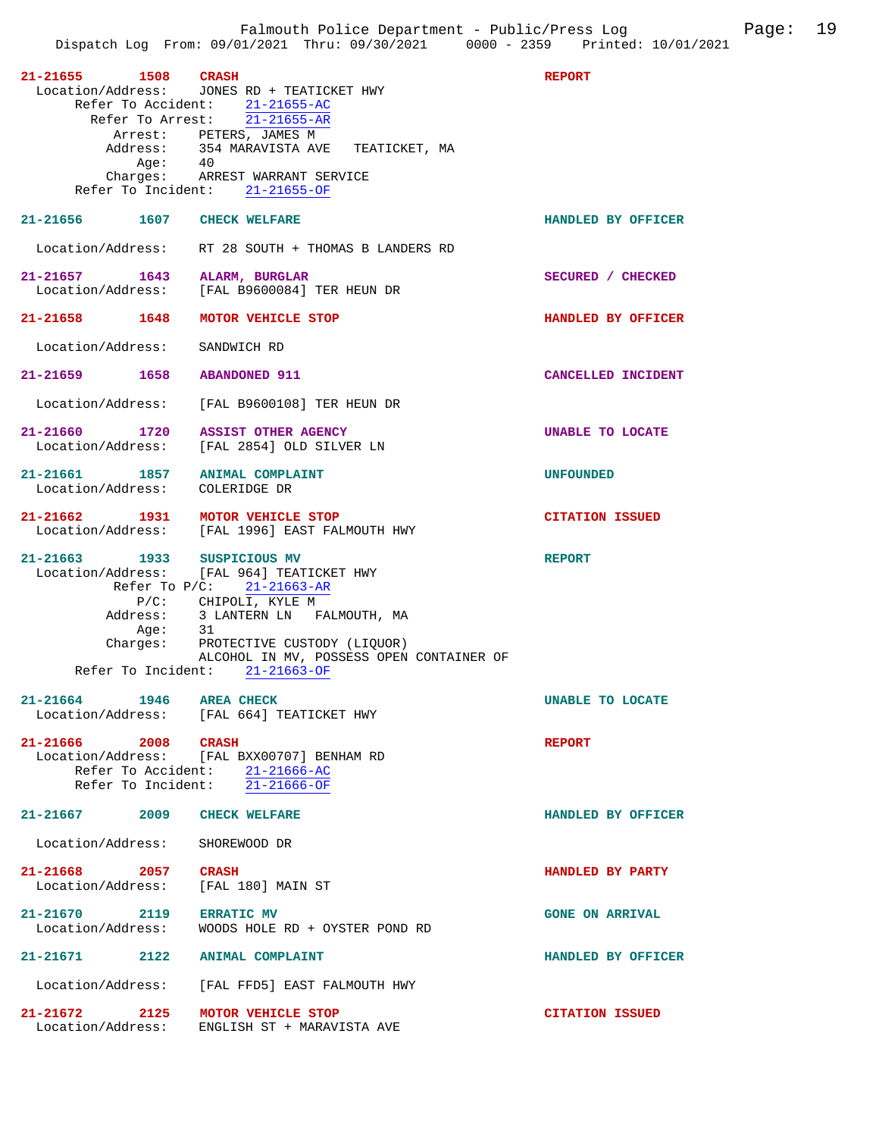| 21-21655 1508 CRASH                                              | Location/Address: JONES RD + TEATICKET HWY<br>Refer To Accident: 21-21655-AC<br>Refer To Arrest: 21-21655-AR   | <b>REPORT</b>             |
|------------------------------------------------------------------|----------------------------------------------------------------------------------------------------------------|---------------------------|
| Aqe:                                                             | Arrest: PETERS, JAMES M<br>Address: 354 MARAVISTA AVE TEATICKET, MA<br>40<br>Charges: ARREST WARRANT SERVICE   |                           |
| 21-21656 1607 CHECK WELFARE                                      | Refer To Incident: 21-21655-OF                                                                                 | HANDLED BY OFFICER        |
|                                                                  |                                                                                                                |                           |
|                                                                  | Location/Address: RT 28 SOUTH + THOMAS B LANDERS RD                                                            |                           |
|                                                                  | 21-21657 1643 ALARM, BURGLAR<br>Location/Address: [FAL B9600084] TER HEUN DR                                   | SECURED / CHECKED         |
| 21-21658 1648 MOTOR VEHICLE STOP                                 |                                                                                                                | HANDLED BY OFFICER        |
| Location/Address:                                                | SANDWICH RD                                                                                                    |                           |
| 21-21659 1658 ABANDONED 911                                      |                                                                                                                | <b>CANCELLED INCIDENT</b> |
|                                                                  | Location/Address: [FAL B9600108] TER HEUN DR                                                                   |                           |
| 21-21660 1720 ASSIST OTHER AGENCY                                | Location/Address: [FAL 2854] OLD SILVER LN                                                                     | UNABLE TO LOCATE          |
| 21-21661 1857 ANIMAL COMPLAINT<br>Location/Address: COLERIDGE DR |                                                                                                                | <b>UNFOUNDED</b>          |
| 21-21662 1931 MOTOR VEHICLE STOP                                 | Location/Address: [FAL 1996] EAST FALMOUTH HWY                                                                 | <b>CITATION ISSUED</b>    |
| 21-21663 1933 SUSPICIOUS MV                                      | Location/Address: [FAL 964] TEATICKET HWY<br>Refer To $P/C: 21-21663-AR$                                       | <b>REPORT</b>             |
|                                                                  | P/C: CHIPOLI, KYLE M<br>Address: 3 LANTERN LN FALMOUTH, MA<br>Age: 31<br>Charges: PROTECTIVE CUSTODY (LIQUOR)  |                           |
|                                                                  | ALCOHOL IN MV, POSSESS OPEN CONTAINER OF<br>Refer To Incident: 21-21663-OF                                     |                           |
| 21-21664<br>1946                                                 | <b>AREA CHECK</b>                                                                                              | UNABLE TO LOCATE          |
|                                                                  | Location/Address: [FAL 664] TEATICKET HWY                                                                      |                           |
| 21-21666 2008 CRASH                                              | Location/Address: [FAL BXX00707] BENHAM RD<br>Refer To Accident: 21-21666-AC<br>Refer To Incident: 21-21666-OF | <b>REPORT</b>             |
| $21 - 21667$ 2009                                                | <b>CHECK WELFARE</b>                                                                                           | HANDLED BY OFFICER        |
| Location/Address:                                                | SHOREWOOD DR                                                                                                   |                           |
| 21-21668 2057<br>Location/Address:                               | <b>CRASH</b><br>[FAL 180] MAIN ST                                                                              | HANDLED BY PARTY          |
| 21-21670 2119<br>Location/Address:                               | <b>ERRATIC MV</b><br>WOODS HOLE RD + OYSTER POND RD                                                            | <b>GONE ON ARRIVAL</b>    |
| $21 - 21671$ 2122                                                | <b>ANIMAL COMPLAINT</b>                                                                                        | HANDLED BY OFFICER        |
| Location/Address:                                                | [FAL FFD5] EAST FALMOUTH HWY                                                                                   |                           |
| 21-21672<br>2125<br>Location/Address:                            | MOTOR VEHICLE STOP<br>ENGLISH ST + MARAVISTA AVE                                                               | <b>CITATION ISSUED</b>    |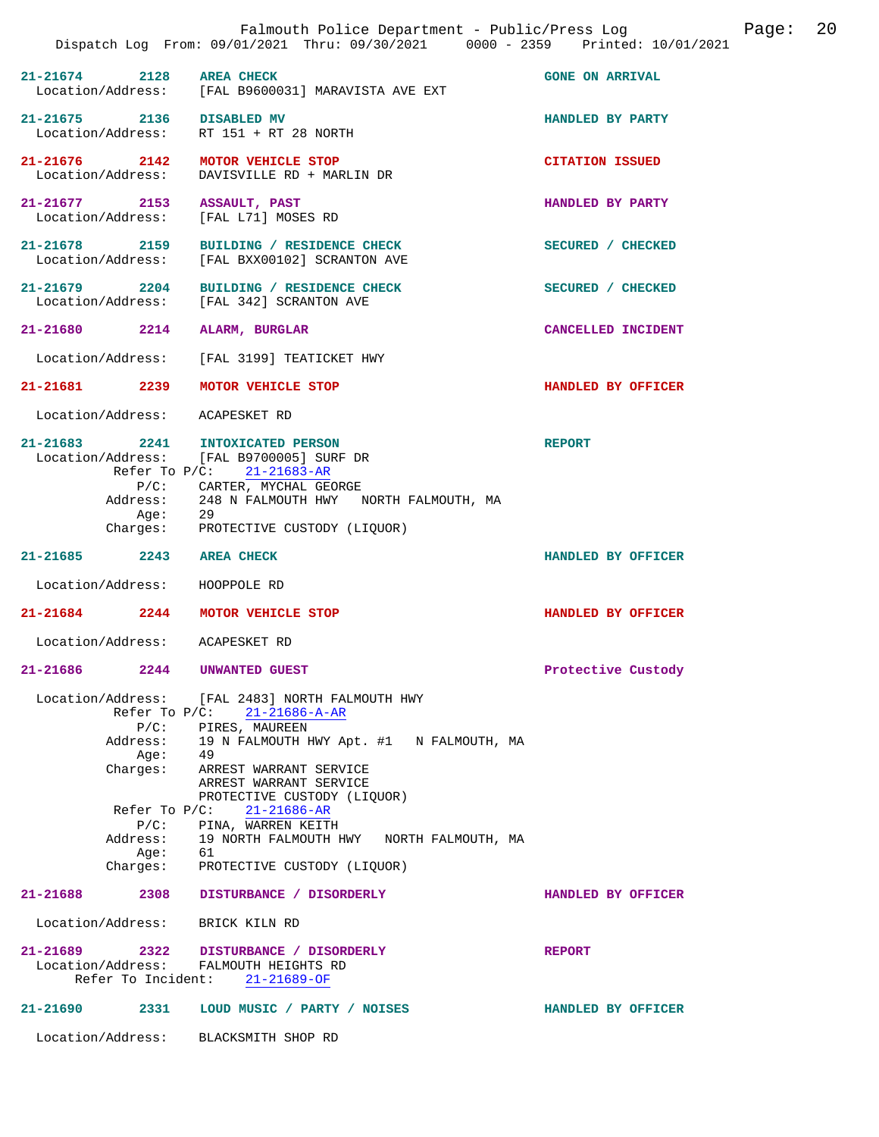|                   |                                                                          | Falmouth Police Department - Public/Press Log<br>Dispatch Log From: 09/01/2021 Thru: 09/30/2021 0000 - 2359 Printed: 10/01/2021                                                                                                                                                                                                                                                     |                        | Page: | 20 |
|-------------------|--------------------------------------------------------------------------|-------------------------------------------------------------------------------------------------------------------------------------------------------------------------------------------------------------------------------------------------------------------------------------------------------------------------------------------------------------------------------------|------------------------|-------|----|
| $21 - 21674$ 2128 |                                                                          | <b>AREA CHECK</b><br>Location/Address: [FAL B9600031] MARAVISTA AVE EXT                                                                                                                                                                                                                                                                                                             | <b>GONE ON ARRIVAL</b> |       |    |
|                   |                                                                          | $21-21675$ 2136 DISABLED MV<br>Location/Address: RT 151 + RT 28 NORTH                                                                                                                                                                                                                                                                                                               | HANDLED BY PARTY       |       |    |
|                   |                                                                          | 21-21676 2142 MOTOR VEHICLE STOP<br>Location/Address: DAVISVILLE RD + MARLIN DR                                                                                                                                                                                                                                                                                                     | <b>CITATION ISSUED</b> |       |    |
|                   |                                                                          | 21-21677 2153 ASSAULT, PAST<br>Location/Address: [FAL L71] MOSES RD                                                                                                                                                                                                                                                                                                                 | HANDLED BY PARTY       |       |    |
|                   |                                                                          | 21-21678 2159 BUILDING / RESIDENCE CHECK<br>Location/Address: [FAL BXX00102] SCRANTON AVE                                                                                                                                                                                                                                                                                           | SECURED / CHECKED      |       |    |
|                   |                                                                          | 21-21679 2204 BUILDING / RESIDENCE CHECK<br>Location/Address: [FAL 342] SCRANTON AVE                                                                                                                                                                                                                                                                                                | SECURED / CHECKED      |       |    |
|                   |                                                                          | 21-21680 2214 ALARM, BURGLAR                                                                                                                                                                                                                                                                                                                                                        | CANCELLED INCIDENT     |       |    |
|                   |                                                                          | Location/Address: [FAL 3199] TEATICKET HWY                                                                                                                                                                                                                                                                                                                                          |                        |       |    |
|                   |                                                                          | 21-21681 2239 MOTOR VEHICLE STOP                                                                                                                                                                                                                                                                                                                                                    | HANDLED BY OFFICER     |       |    |
|                   |                                                                          | Location/Address: ACAPESKET RD                                                                                                                                                                                                                                                                                                                                                      |                        |       |    |
|                   |                                                                          | 21-21683 2241 INTOXICATED PERSON<br>Location/Address: [FAL B9700005] SURF DR<br>Refer To P/C: 21-21683-AR<br>P/C: CARTER, MYCHAL GEORGE<br>Address: 248 N FALMOUTH HWY NORTH FALMOUTH, MA<br>Age: 29<br>Charges: PROTECTIVE CUSTODY (LIQUOR)                                                                                                                                        | <b>REPORT</b>          |       |    |
|                   |                                                                          | 21-21685 2243 AREA CHECK                                                                                                                                                                                                                                                                                                                                                            | HANDLED BY OFFICER     |       |    |
|                   |                                                                          | Location/Address: HOOPPOLE RD                                                                                                                                                                                                                                                                                                                                                       |                        |       |    |
|                   |                                                                          | 21-21684 2244 MOTOR VEHICLE STOP                                                                                                                                                                                                                                                                                                                                                    | HANDLED BY OFFICER     |       |    |
|                   |                                                                          | Location/Address: ACAPESKET RD                                                                                                                                                                                                                                                                                                                                                      |                        |       |    |
| 21-21686          | 2244                                                                     | <b>UNWANTED GUEST</b>                                                                                                                                                                                                                                                                                                                                                               | Protective Custody     |       |    |
|                   | Age:<br>Charges:<br>Refer To $P/C$ :<br>$P/C$ :<br>Address:<br>Age: $61$ | Location/Address: [FAL 2483] NORTH FALMOUTH HWY<br>Refer To P/C: 21-21686-A-AR<br>P/C: PIRES, MAUREEN<br>Address: 19 N FALMOUTH HWY Apt. #1 N FALMOUTH, MA<br>-49<br>ARREST WARRANT SERVICE<br>ARREST WARRANT SERVICE<br>PROTECTIVE CUSTODY (LIQUOR)<br>$21 - 21686 - AR$<br>PINA, WARREN KEITH<br>19 NORTH FALMOUTH HWY NORTH FALMOUTH, MA<br>Charges: PROTECTIVE CUSTODY (LIQUOR) |                        |       |    |
| 21-21688 2308     |                                                                          | DISTURBANCE / DISORDERLY                                                                                                                                                                                                                                                                                                                                                            | HANDLED BY OFFICER     |       |    |
|                   |                                                                          | Location/Address: BRICK KILN RD                                                                                                                                                                                                                                                                                                                                                     |                        |       |    |
|                   |                                                                          | 21-21689 2322 DISTURBANCE / DISORDERLY<br>Location/Address: FALMOUTH HEIGHTS RD<br>Refer To Incident: 21-21689-OF                                                                                                                                                                                                                                                                   | <b>REPORT</b>          |       |    |
| 21-21690 2331     |                                                                          | LOUD MUSIC / PARTY / NOISES                                                                                                                                                                                                                                                                                                                                                         | HANDLED BY OFFICER     |       |    |
|                   |                                                                          | Location/Address: BLACKSMITH SHOP RD                                                                                                                                                                                                                                                                                                                                                |                        |       |    |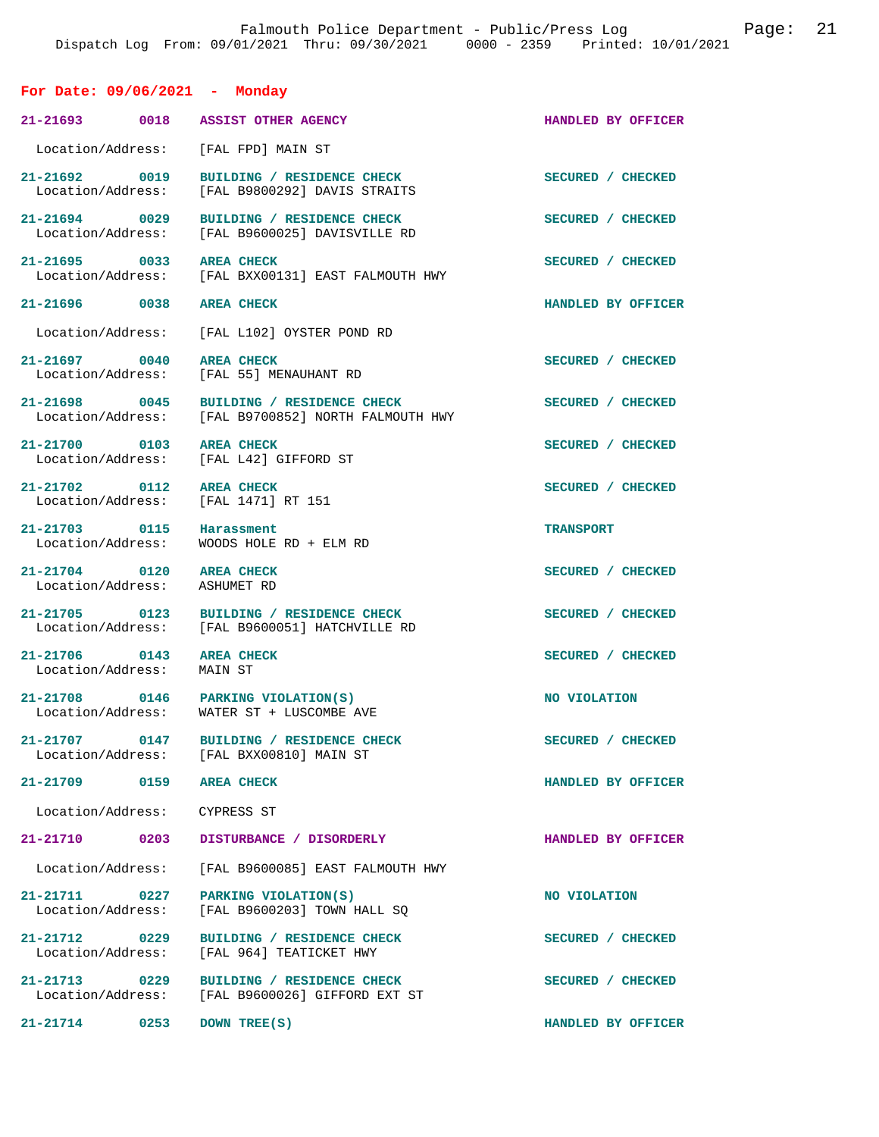### **For Date: 09/06/2021 - Monday**

| 21-21693 0018 ASSIST OTHER AGENCY                        |                                                                                   | HANDLED BY OFFICER |
|----------------------------------------------------------|-----------------------------------------------------------------------------------|--------------------|
| Location/Address: [FAL FPD] MAIN ST                      |                                                                                   |                    |
| 21-21692 0019<br>Location/Address:                       | BUILDING / RESIDENCE CHECK<br>[FAL B9800292] DAVIS STRAITS                        | SECURED / CHECKED  |
| $21 - 21694$ 0029                                        | BUILDING / RESIDENCE CHECK<br>Location/Address: [FAL B9600025] DAVISVILLE RD      | SECURED / CHECKED  |
| 21-21695 0033 AREA CHECK                                 | Location/Address: [FAL BXX00131] EAST FALMOUTH HWY                                | SECURED / CHECKED  |
| 21-21696 0038 AREA CHECK                                 |                                                                                   | HANDLED BY OFFICER |
| Location/Address:                                        | [FAL L102] OYSTER POND RD                                                         |                    |
| 21-21697 0040 AREA CHECK                                 | Location/Address: [FAL 55] MENAUHANT RD                                           | SECURED / CHECKED  |
| 21-21698 0045                                            | BUILDING / RESIDENCE CHECK<br>Location/Address: [FAL B9700852] NORTH FALMOUTH HWY | SECURED / CHECKED  |
| 21-21700 0103 AREA CHECK                                 | Location/Address: [FAL L42] GIFFORD ST                                            | SECURED / CHECKED  |
| 21-21702 0112<br>Location/Address:                       | <b>AREA CHECK</b><br>[FAL 1471] RT 151                                            | SECURED / CHECKED  |
| 21-21703 0115<br>Location/Address:                       | Harassment<br>WOODS HOLE RD + ELM RD                                              | <b>TRANSPORT</b>   |
| 21-21704 0120 AREA CHECK<br>Location/Address: ASHUMET RD |                                                                                   | SECURED / CHECKED  |
| 21-21705 0123                                            | BUILDING / RESIDENCE CHECK<br>Location/Address: [FAL B9600051] HATCHVILLE RD      | SECURED / CHECKED  |
| 21-21706 0143 AREA CHECK<br>Location/Address:            | MAIN ST                                                                           | SECURED / CHECKED  |
|                                                          | 21-21708 0146 PARKING VIOLATION(S)<br>Location/Address: WATER ST + LUSCOMBE AVE   | NO VIOLATION       |
| 21-21707<br>0147<br>Location/Address:                    | BUILDING / RESIDENCE CHECK<br>[FAL BXX00810] MAIN ST                              | SECURED / CHECKED  |
| 21-21709<br>0159                                         | <b>AREA CHECK</b>                                                                 | HANDLED BY OFFICER |
| Location/Address:                                        | CYPRESS ST                                                                        |                    |
| 21-21710 0203                                            | DISTURBANCE / DISORDERLY                                                          | HANDLED BY OFFICER |
| Location/Address:                                        | [FAL B9600085] EAST FALMOUTH HWY                                                  |                    |
| 21-21711<br>0227<br>Location/Address:                    | PARKING VIOLATION(S)<br>[FAL B9600203] TOWN HALL SO                               | NO VIOLATION       |
| 21-21712 0229<br>Location/Address:                       | BUILDING / RESIDENCE CHECK<br>[FAL 964] TEATICKET HWY                             | SECURED / CHECKED  |
| 21-21713 0229<br>Location/Address:                       | BUILDING / RESIDENCE CHECK<br>[FAL B9600026] GIFFORD EXT ST                       | SECURED / CHECKED  |
| $21 - 21714$<br>0253                                     | DOWN TREE(S)                                                                      | HANDLED BY OFFICER |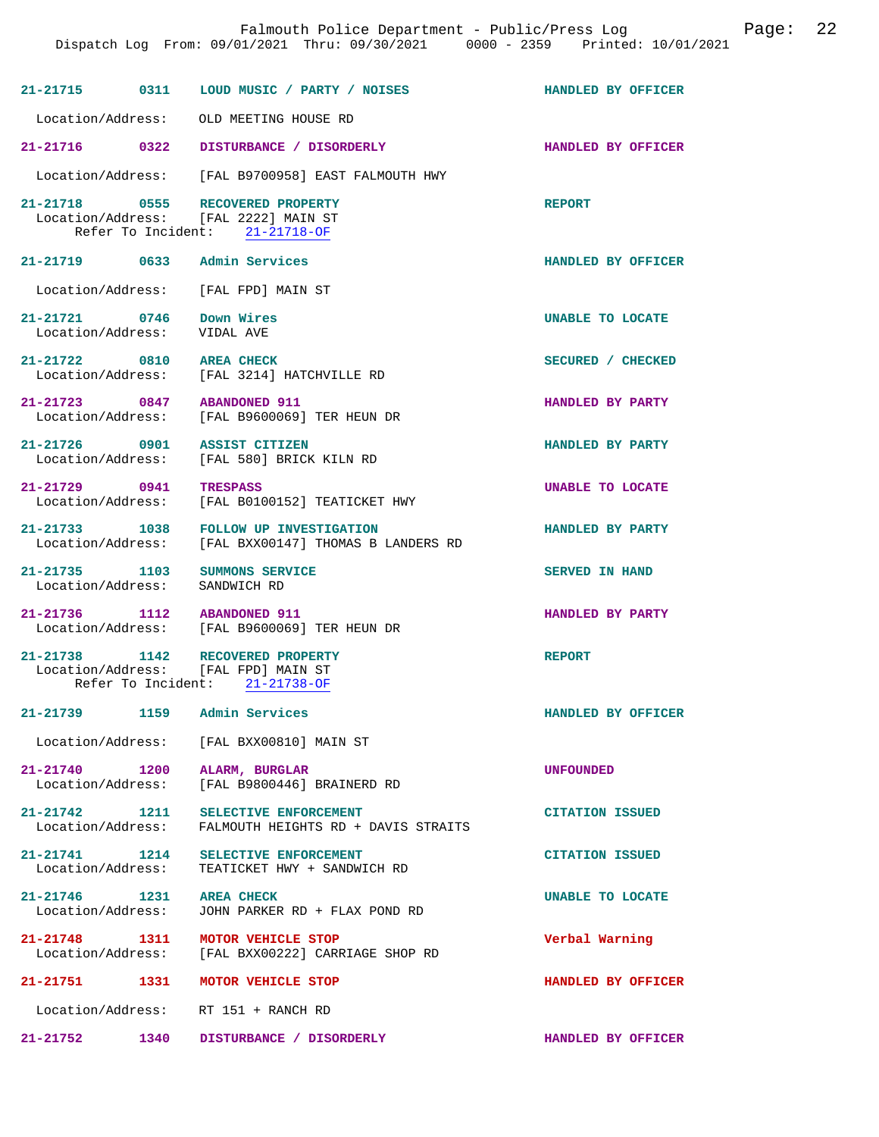|                                                  |      | Falmouth Police Department - Public/Press Log<br>Dispatch Log From: 09/01/2021 Thru: 09/30/2021 0000 - 2359 Printed: 10/01/2021 |                        | Page: | 22 |
|--------------------------------------------------|------|---------------------------------------------------------------------------------------------------------------------------------|------------------------|-------|----|
|                                                  |      |                                                                                                                                 | HANDLED BY OFFICER     |       |    |
| Location/Address:                                |      | OLD MEETING HOUSE RD                                                                                                            |                        |       |    |
| 21-21716 0322                                    |      | DISTURBANCE / DISORDERLY                                                                                                        | HANDLED BY OFFICER     |       |    |
| Location/Address:                                |      | [FAL B9700958] EAST FALMOUTH HWY                                                                                                |                        |       |    |
|                                                  |      | 21-21718 0555 RECOVERED PROPERTY<br>Location/Address: [FAL 2222] MAIN ST<br>Refer To Incident: 21-21718-OF                      | <b>REPORT</b>          |       |    |
| 21-21719 0633 Admin Services                     |      |                                                                                                                                 | HANDLED BY OFFICER     |       |    |
| Location/Address:                                |      | [FAL FPD] MAIN ST                                                                                                               |                        |       |    |
| 21-21721 0746<br>Location/Address:               |      | Down Wires<br>VIDAL AVE                                                                                                         | UNABLE TO LOCATE       |       |    |
| 21-21722 0810 AREA CHECK                         |      | Location/Address: [FAL 3214] HATCHVILLE RD                                                                                      | SECURED / CHECKED      |       |    |
| 21-21723 0847 ABANDONED 911<br>Location/Address: |      | [FAL B9600069] TER HEUN DR                                                                                                      | HANDLED BY PARTY       |       |    |
| 21-21726 0901<br>Location/Address:               |      | <b>ASSIST CITIZEN</b><br>[FAL 580] BRICK KILN RD                                                                                | HANDLED BY PARTY       |       |    |
| 21-21729 0941<br>Location/Address:               |      | <b>TRESPASS</b><br>[FAL B0100152] TEATICKET HWY                                                                                 | UNABLE TO LOCATE       |       |    |
| 21-21733 1038<br>Location/Address:               |      | FOLLOW UP INVESTIGATION<br>[FAL BXX00147] THOMAS B LANDERS RD                                                                   | HANDLED BY PARTY       |       |    |
| 21-21735 1103<br>Location/Address: SANDWICH RD   |      | SUMMONS SERVICE                                                                                                                 | SERVED IN HAND         |       |    |
| 21-21736 1112<br>Location/Address:               |      | <b>ABANDONED 911</b><br>[FAL B9600069] TER HEUN DR                                                                              | HANDLED BY PARTY       |       |    |
| $21 - 21738$                                     | 1142 | RECOVERED PROPERTY<br>Location/Address: [FAL FPD] MAIN ST<br>Refer To Incident: 21-21738-OF                                     | <b>REPORT</b>          |       |    |
| 21-21739 1159                                    |      | Admin Services                                                                                                                  | HANDLED BY OFFICER     |       |    |
| Location/Address:                                |      | [FAL BXX00810] MAIN ST                                                                                                          |                        |       |    |
| 21-21740 1200<br>Location/Address:               |      | ALARM, BURGLAR<br>[FAL B9800446] BRAINERD RD                                                                                    | <b>UNFOUNDED</b>       |       |    |
| 21-21742 1211<br>Location/Address:               |      | SELECTIVE ENFORCEMENT<br>FALMOUTH HEIGHTS RD + DAVIS STRAITS                                                                    | <b>CITATION ISSUED</b> |       |    |
| 21-21741 1214<br>Location/Address:               |      | SELECTIVE ENFORCEMENT<br>TEATICKET HWY + SANDWICH RD                                                                            | <b>CITATION ISSUED</b> |       |    |
| 21-21746 1231<br>Location/Address:               |      | <b>AREA CHECK</b><br>JOHN PARKER RD + FLAX POND RD                                                                              | UNABLE TO LOCATE       |       |    |
| 21-21748 1311<br>Location/Address:               |      | MOTOR VEHICLE STOP<br>[FAL BXX00222] CARRIAGE SHOP RD                                                                           | Verbal Warning         |       |    |
| 21-21751                                         |      | 1331 MOTOR VEHICLE STOP                                                                                                         | HANDLED BY OFFICER     |       |    |
| Location/Address:                                |      | RT 151 + RANCH RD                                                                                                               |                        |       |    |
| 21-21752                                         | 1340 | DISTURBANCE / DISORDERLY                                                                                                        | HANDLED BY OFFICER     |       |    |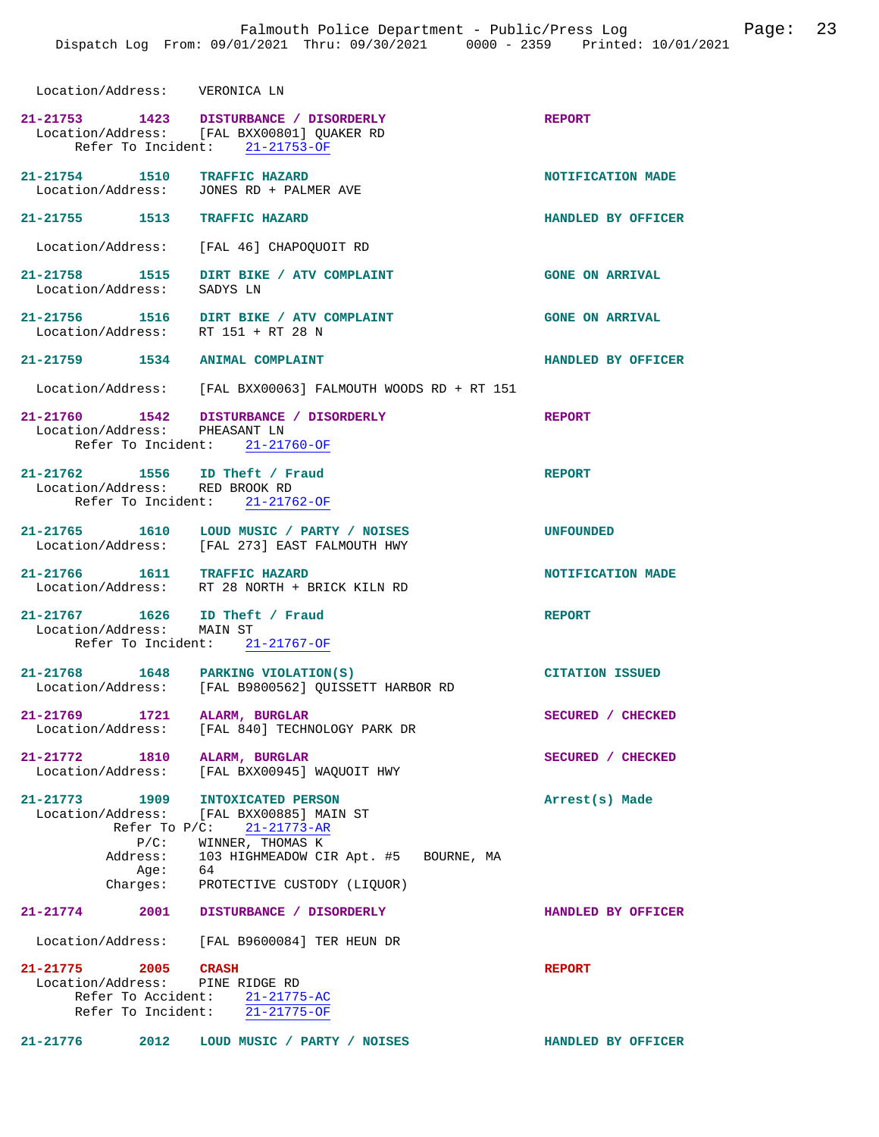**21-21753 1423 DISTURBANCE / DISORDERLY REPORT**  Location/Address: [FAL BXX00801] QUAKER RD Refer To Incident: 21-21753-OF **21-21754 1510 TRAFFIC HAZARD NOTIFICATION MADE**  Location/Address: JONES RD + PALMER AVE **21-21755 1513 TRAFFIC HAZARD HANDLED BY OFFICER**  Location/Address: [FAL 46] CHAPOQUOIT RD **21-21758 1515 DIRT BIKE / ATV COMPLAINT GONE ON ARRIVAL**  Location/Address: SADYS LN **21-21756 1516 DIRT BIKE / ATV COMPLAINT GONE ON ARRIVAL**  Location/Address: RT 151 + RT 28 N **21-21759 1534 ANIMAL COMPLAINT HANDLED BY OFFICER**  Location/Address: [FAL BXX00063] FALMOUTH WOODS RD + RT 151 **21-21760 1542 DISTURBANCE / DISORDERLY REPORT**  Location/Address: PHEASANT LN Refer To Incident: 21-21760-OF **21-21762 1556 ID Theft / Fraud REPORT**  Location/Address: RED BROOK RD Refer To Incident: 21-21762-OF **21-21765 1610 LOUD MUSIC / PARTY / NOISES UNFOUNDED**  [FAL 273] EAST FALMOUTH HWY **21-21766 1611 TRAFFIC HAZARD NOTIFICATION MADE**  Location/Address: RT 28 NORTH + BRICK KILN RD **21-21767 1626 ID Theft / Fraud REPORT**  Location/Address: MAIN ST Refer To Incident: 21-21767-OF **21-21768 1648 PARKING VIOLATION(S) CITATION ISSUED**  Location/Address: [FAL B9800562] QUISSETT HARBOR RD **21-21769 1721 ALARM, BURGLAR SECURED / CHECKED**  Location/Address: [FAL 840] TECHNOLOGY PARK DR **21-21772 1810 ALARM, BURGLAR SECURED / CHECKED**  Location/Address: [FAL BXX00945] WAQUOIT HWY **21-21773 1909 INTOXICATED PERSON Arrest(s) Made**  Location/Address: [FAL BXX00885] MAIN ST Refer To P/C: 21-21773-AR P/C: WINNER, THOMAS K Address: 103 HIGHMEADOW CIR Apt. #5 BOURNE, MA Age: 64<br>Charges: PR PROTECTIVE CUSTODY (LIQUOR) **21-21774 2001 DISTURBANCE / DISORDERLY HANDLED BY OFFICER**  Location/Address: [FAL B9600084] TER HEUN DR **21-21775 2005 CRASH REPORT**  Location/Address: PINE RIDGE RD Refer To Accident:  $\frac{21-21775-AC}{21-21775-OF}$ Refer To Incident:

**21-21776 2012 LOUD MUSIC / PARTY / NOISES HANDLED BY OFFICER** 

Location/Address: VERONICA LN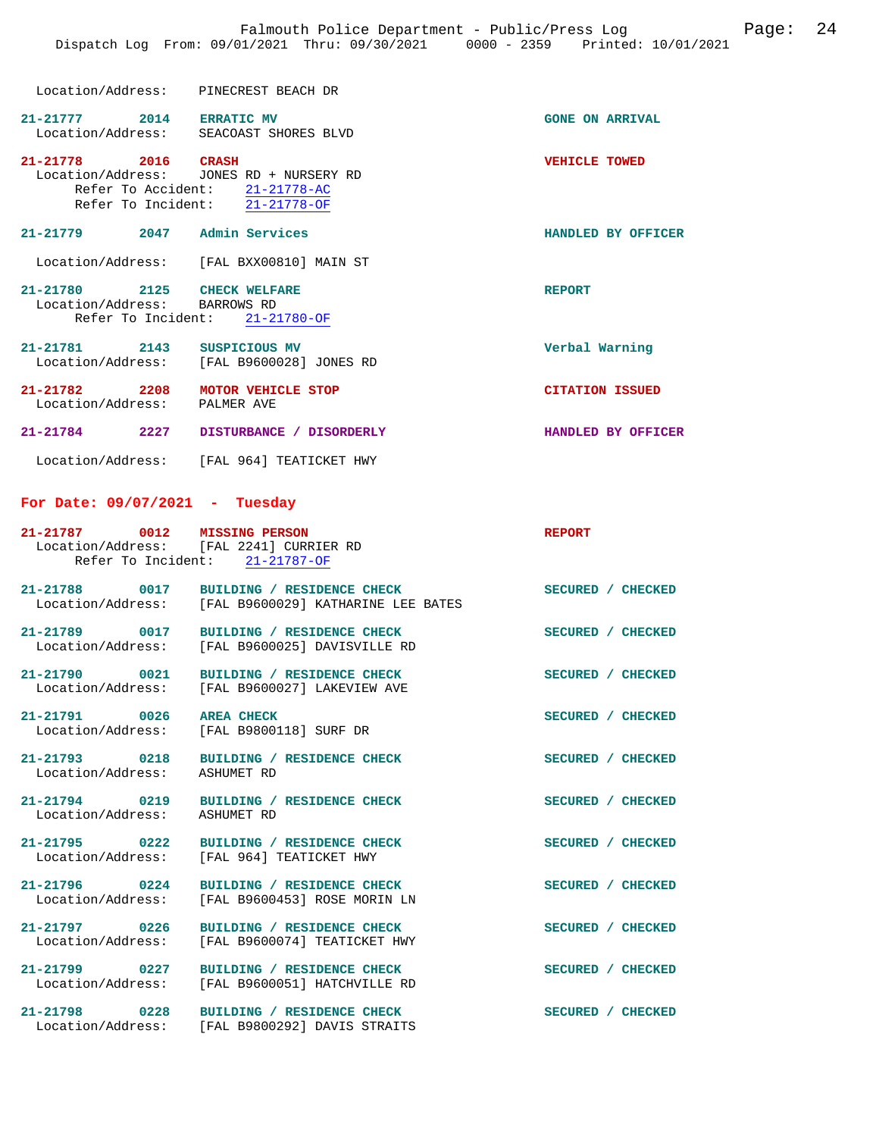| Location/Address: | PINECREST BEACH DR |  |
|-------------------|--------------------|--|

| 21-21777<br>Location/Address: | 2014 | <b>ERRATIC MV</b><br>SEACOAST SHORES BLVD | <b>GONE ON ARRIVAL</b> |
|-------------------------------|------|-------------------------------------------|------------------------|
| 21-21778<br>Location/Address: | 2016 | <b>CRASH</b><br>JONES RD + NURSERY RD     | <b>VEHICLE TOWED</b>   |

 Refer To Accident: 21-21778-AC Refer To Incident: 21-21778-OF

### **21-21779 2047 Admin Services HANDLED BY OFFICER**

Location/Address: [FAL BXX00810] MAIN ST

#### 21-21780 2125 CHECK WELFARE **REPORT** Location/Address: BARROWS RD Location/Address: Refer To Incident: 21-21780-OF

**21-21781 2143 SUSPICIOUS MV Verbal Warning**   $[FAL B9600028]$  JONES RD

**21-21782 2208 MOTOR VEHICLE STOP CITATION ISSUED**  Location/Address: **21-21784 2227 DISTURBANCE / DISORDERLY HANDLED BY OFFICER** 

Location/Address: [FAL 964] TEATICKET HWY

#### **For Date: 09/07/2021 - Tuesday**

| 21-21787 0012 MISSING PERSON | Location/Address: [FAL 2241] CURRIER RD<br>Refer To Incident: 21-21787-OF                        | <b>REPORT</b>     |
|------------------------------|--------------------------------------------------------------------------------------------------|-------------------|
|                              | 21-21788 0017 BUILDING / RESIDENCE CHECK<br>Location/Address: [FAL B9600029] KATHARINE LEE BATES | SECURED / CHECKED |
|                              | 21-21789 0017 BUILDING / RESIDENCE CHECK<br>Location/Address: [FAL B9600025] DAVISVILLE RD       | SECURED / CHECKED |
| 21-21790 0021                | BUILDING / RESIDENCE CHECK<br>Location/Address: [FAL B9600027] LAKEVIEW AVE                      | SECURED / CHECKED |
| 21-21791 0026                | <b>AREA CHECK</b><br>Location/Address: [FAL B9800118] SURF DR                                    | SECURED / CHECKED |
| Location/Address: ASHUMET RD | 21-21793 0218 BUILDING / RESIDENCE CHECK                                                         | SECURED / CHECKED |
| Location/Address: ASHUMET RD | 21-21794 0219 BUILDING / RESIDENCE CHECK                                                         | SECURED / CHECKED |
|                              | 21-21795 0222 BUILDING / RESIDENCE CHECK<br>Location/Address: [FAL 964] TEATICKET HWY            | SECURED / CHECKED |
| 21-21796 0224                | BUILDING / RESIDENCE CHECK<br>Location/Address: [FAL B9600453] ROSE MORIN LN                     | SECURED / CHECKED |
| 21-21797 0226                | BUILDING / RESIDENCE CHECK<br>Location/Address: [FAL B9600074] TEATICKET HWY                     | SECURED / CHECKED |
|                              | 21-21799 0227 BUILDING / RESIDENCE CHECK<br>Location/Address: [FAL B9600051] HATCHVILLE RD       | SECURED / CHECKED |
|                              | 21-21798 0228 BUILDING / RESIDENCE CHECK<br>Location/Address: [FAL B9800292] DAVIS STRAITS       | SECURED / CHECKED |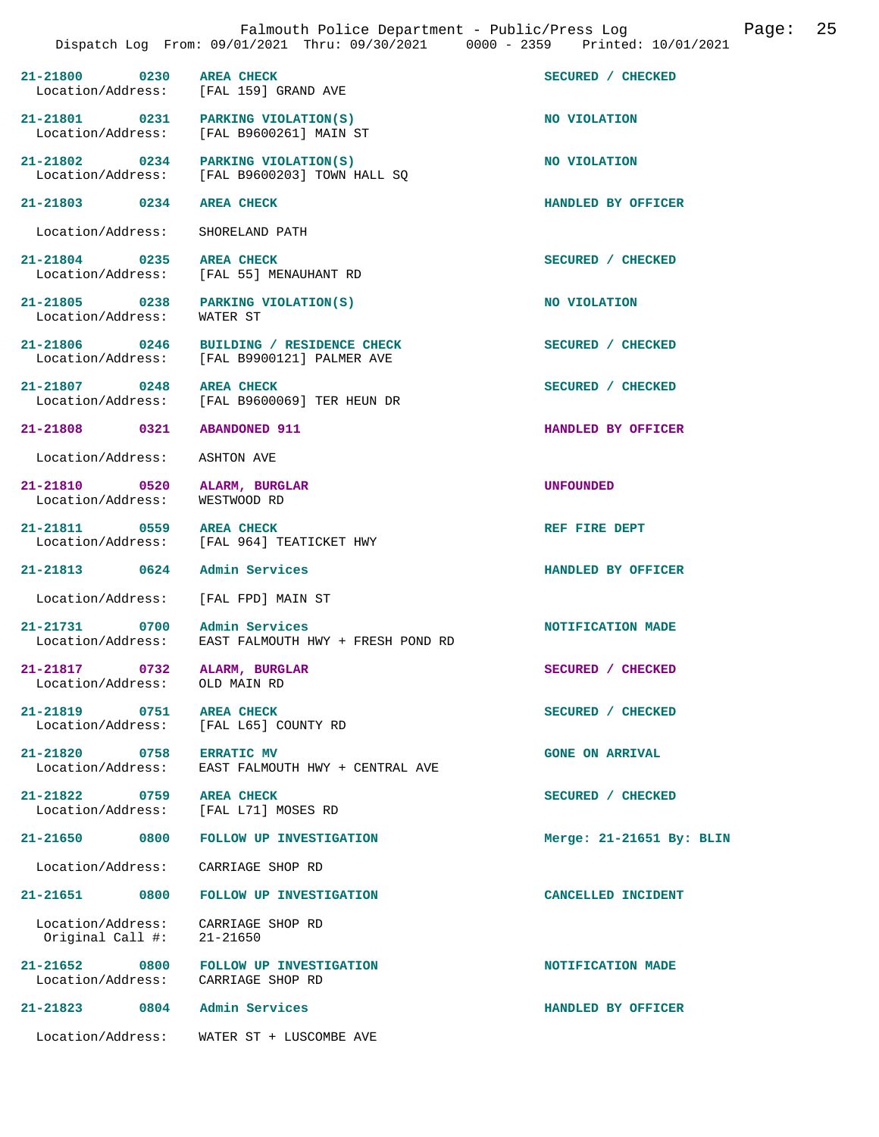|                                       |      | Falmouth Police Department - Public/Press Log<br>Dispatch Log From: 09/01/2021 Thru: 09/30/2021 0000 - 2359 Printed: 10/01/2021 |                            | Page: | 25 |
|---------------------------------------|------|---------------------------------------------------------------------------------------------------------------------------------|----------------------------|-------|----|
| 21-21800 0230                         |      | <b>AREA CHECK</b><br>Location/Address: [FAL 159] GRAND AVE                                                                      | SECURED / CHECKED          |       |    |
| Location/Address:                     |      | 21-21801 0231 PARKING VIOLATION(S)<br>[FAL B9600261] MAIN ST                                                                    | NO VIOLATION               |       |    |
|                                       |      | 21-21802 0234 PARKING VIOLATION(S)<br>Location/Address: [FAL B9600203] TOWN HALL SQ                                             | NO VIOLATION               |       |    |
| $21 - 21803$ 0234                     |      | <b>AREA CHECK</b>                                                                                                               | HANDLED BY OFFICER         |       |    |
| Location/Address:                     |      | SHORELAND PATH                                                                                                                  |                            |       |    |
| 21-21804 0235<br>Location/Address:    |      | <b>AREA CHECK</b><br>[FAL 55] MENAUHANT RD                                                                                      | SECURED / CHECKED          |       |    |
| 21-21805 0238<br>Location/Address:    |      | PARKING VIOLATION(S)<br>WATER ST                                                                                                | NO VIOLATION               |       |    |
| 21-21806 0246<br>Location/Address:    |      | BUILDING / RESIDENCE CHECK<br>[FAL B9900121] PALMER AVE                                                                         | SECURED / CHECKED          |       |    |
| 21-21807 0248                         |      | <b>AREA CHECK</b><br>Location/Address: [FAL B9600069] TER HEUN DR                                                               | SECURED / CHECKED          |       |    |
| 21-21808 0321                         |      | <b>ABANDONED 911</b>                                                                                                            | HANDLED BY OFFICER         |       |    |
| Location/Address:                     |      | ASHTON AVE                                                                                                                      |                            |       |    |
| 21-21810 0520<br>Location/Address:    |      | ALARM, BURGLAR<br>WESTWOOD RD                                                                                                   | <b>UNFOUNDED</b>           |       |    |
| 21-21811 0559<br>Location/Address:    |      | <b>AREA CHECK</b><br>[FAL 964] TEATICKET HWY                                                                                    | REF FIRE DEPT              |       |    |
| 21-21813 0624                         |      | Admin Services                                                                                                                  | HANDLED BY OFFICER         |       |    |
| Location/Address:                     |      | [FAL FPD] MAIN ST                                                                                                               |                            |       |    |
| 21-21731 0700 Admin Services          |      | Location/Address: EAST FALMOUTH HWY + FRESH POND RD                                                                             | NOTIFICATION MADE          |       |    |
| 21-21817<br>Location/Address:         | 0732 | ALARM, BURGLAR<br>OLD MAIN RD                                                                                                   | SECURED / CHECKED          |       |    |
| 21-21819 0751<br>Location/Address:    |      | <b>AREA CHECK</b><br>[FAL L65] COUNTY RD                                                                                        | SECURED / CHECKED          |       |    |
| 21-21820 0758<br>Location/Address:    |      | <b>ERRATIC MV</b><br>EAST FALMOUTH HWY + CENTRAL AVE                                                                            | <b>GONE ON ARRIVAL</b>     |       |    |
| 21-21822 0759<br>Location/Address:    |      | <b>AREA CHECK</b><br>[FAL L71] MOSES RD                                                                                         | SECURED / CHECKED          |       |    |
| 21-21650                              | 0800 | FOLLOW UP INVESTIGATION                                                                                                         | Merge: $21-21651$ By: BLIN |       |    |
| Location/Address:                     |      | CARRIAGE SHOP RD                                                                                                                |                            |       |    |
| 21-21651 0800                         |      | FOLLOW UP INVESTIGATION                                                                                                         | CANCELLED INCIDENT         |       |    |
| Location/Address:<br>Original Call #: |      | CARRIAGE SHOP RD<br>21-21650                                                                                                    |                            |       |    |
| 21-21652 0800<br>Location/Address:    |      | FOLLOW UP INVESTIGATION<br>CARRIAGE SHOP RD                                                                                     | NOTIFICATION MADE          |       |    |
| 21-21823 0804                         |      | Admin Services                                                                                                                  | HANDLED BY OFFICER         |       |    |
| Location/Address:                     |      | WATER ST + LUSCOMBE AVE                                                                                                         |                            |       |    |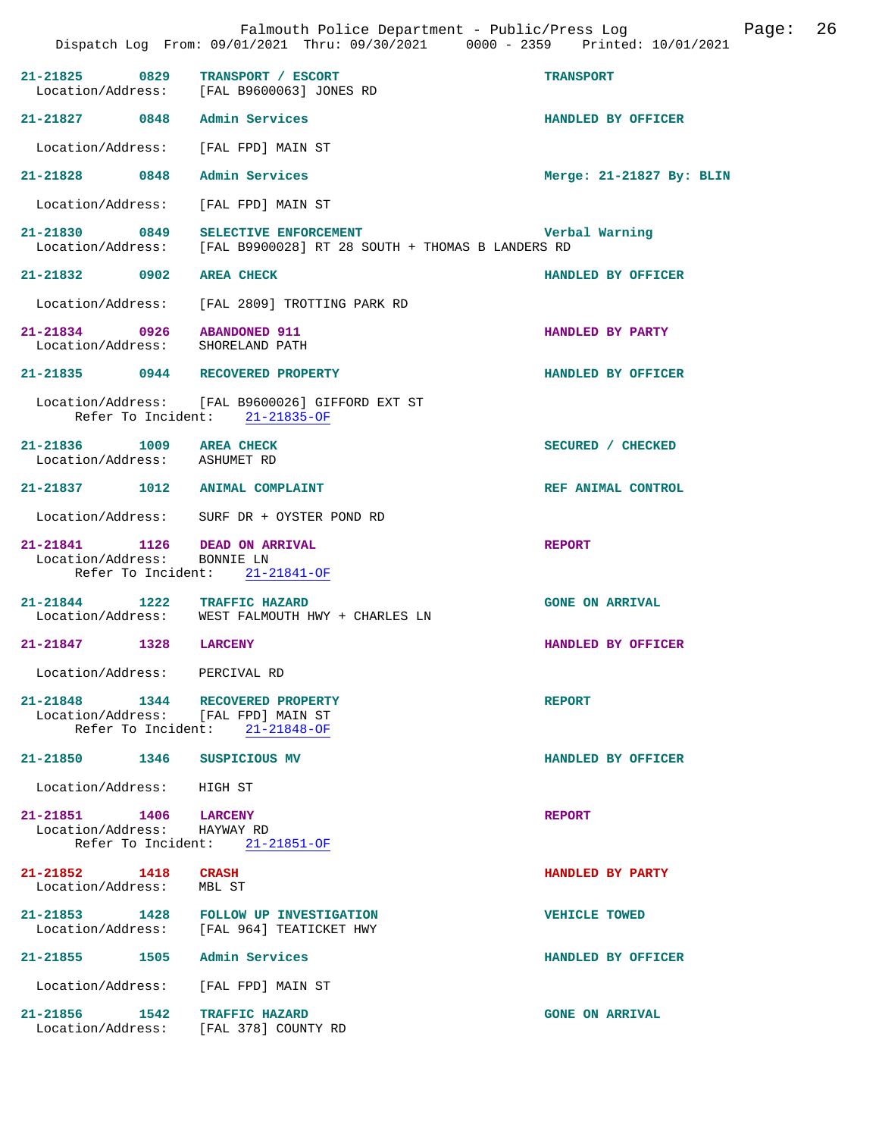|                                                                          |      | Falmouth Police Department - Public/Press Log<br>Dispatch Log From: 09/01/2021 Thru: 09/30/2021 0000 - 2359 Printed: 10/01/2021 |                          | Page: | 26 |
|--------------------------------------------------------------------------|------|---------------------------------------------------------------------------------------------------------------------------------|--------------------------|-------|----|
| $21 - 21825$                                                             | 0829 | TRANSPORT / ESCORT<br>Location/Address: [FAL B9600063] JONES RD                                                                 | <b>TRANSPORT</b>         |       |    |
| 21-21827 0848                                                            |      | Admin Services                                                                                                                  | HANDLED BY OFFICER       |       |    |
| Location/Address:                                                        |      | [FAL FPD] MAIN ST                                                                                                               |                          |       |    |
| 21-21828 0848                                                            |      | Admin Services                                                                                                                  | Merge: 21-21827 By: BLIN |       |    |
| Location/Address:                                                        |      | [FAL FPD] MAIN ST                                                                                                               |                          |       |    |
| 21-21830 0849                                                            |      | SELECTIVE ENFORCEMENT<br>Location/Address: [FAL B9900028] RT 28 SOUTH + THOMAS B LANDERS RD                                     | Verbal Warning           |       |    |
| 21-21832 0902                                                            |      | <b>AREA CHECK</b>                                                                                                               | HANDLED BY OFFICER       |       |    |
| Location/Address:                                                        |      | [FAL 2809] TROTTING PARK RD                                                                                                     |                          |       |    |
| 21-21834 0926 ABANDONED 911<br>Location/Address: SHORELAND PATH          |      |                                                                                                                                 | HANDLED BY PARTY         |       |    |
|                                                                          |      | 21-21835 0944 RECOVERED PROPERTY                                                                                                | HANDLED BY OFFICER       |       |    |
|                                                                          |      | Location/Address: [FAL B9600026] GIFFORD EXT ST<br>Refer To Incident: 21-21835-OF                                               |                          |       |    |
| 21-21836 1009 AREA CHECK<br>Location/Address: ASHUMET RD                 |      |                                                                                                                                 | SECURED / CHECKED        |       |    |
| 21-21837 1012                                                            |      | <b>ANIMAL COMPLAINT</b>                                                                                                         | REF ANIMAL CONTROL       |       |    |
|                                                                          |      | Location/Address: SURF DR + OYSTER POND RD                                                                                      |                          |       |    |
| 21-21841 1126 DEAD ON ARRIVAL<br>Location/Address:<br>Refer To Incident: |      | BONNIE LN<br>21-21841-OF                                                                                                        | <b>REPORT</b>            |       |    |
| $21 - 21844$ 1222<br>Location/Address:                                   |      | <b>TRAFFIC HAZARD</b><br>WEST FALMOUTH HWY + CHARLES LN                                                                         | <b>GONE ON ARRIVAL</b>   |       |    |
| 21-21847                                                                 | 1328 | <b>LARCENY</b>                                                                                                                  | HANDLED BY OFFICER       |       |    |
| Location/Address: PERCIVAL RD                                            |      |                                                                                                                                 |                          |       |    |
|                                                                          |      | 21-21848 1344 RECOVERED PROPERTY<br>Location/Address: [FAL FPD] MAIN ST<br>Refer To Incident: 21-21848-OF                       | <b>REPORT</b>            |       |    |
| 21-21850 1346                                                            |      | SUSPICIOUS MV                                                                                                                   | HANDLED BY OFFICER       |       |    |
| Location/Address:                                                        |      | HIGH ST                                                                                                                         |                          |       |    |
| 21-21851 1406<br>Location/Address:                                       |      | <b>LARCENY</b><br>HAYWAY RD<br>Refer To Incident: 21-21851-OF                                                                   | <b>REPORT</b>            |       |    |
| 21-21852 1418<br>Location/Address:                                       |      | <b>CRASH</b><br>MBL ST                                                                                                          | HANDLED BY PARTY         |       |    |
| 21-21853 1428                                                            |      | <b>FOLLOW UP INVESTIGATION</b><br>Location/Address: [FAL 964] TEATICKET HWY                                                     | <b>VEHICLE TOWED</b>     |       |    |
| $21 - 21855$                                                             | 1505 | Admin Services                                                                                                                  | HANDLED BY OFFICER       |       |    |
| Location/Address:                                                        |      | [FAL FPD] MAIN ST                                                                                                               |                          |       |    |
| 21-21856                                                                 | 1542 | TRAFFIC HAZARD<br>Location/Address: [FAL 378] COUNTY RD                                                                         | <b>GONE ON ARRIVAL</b>   |       |    |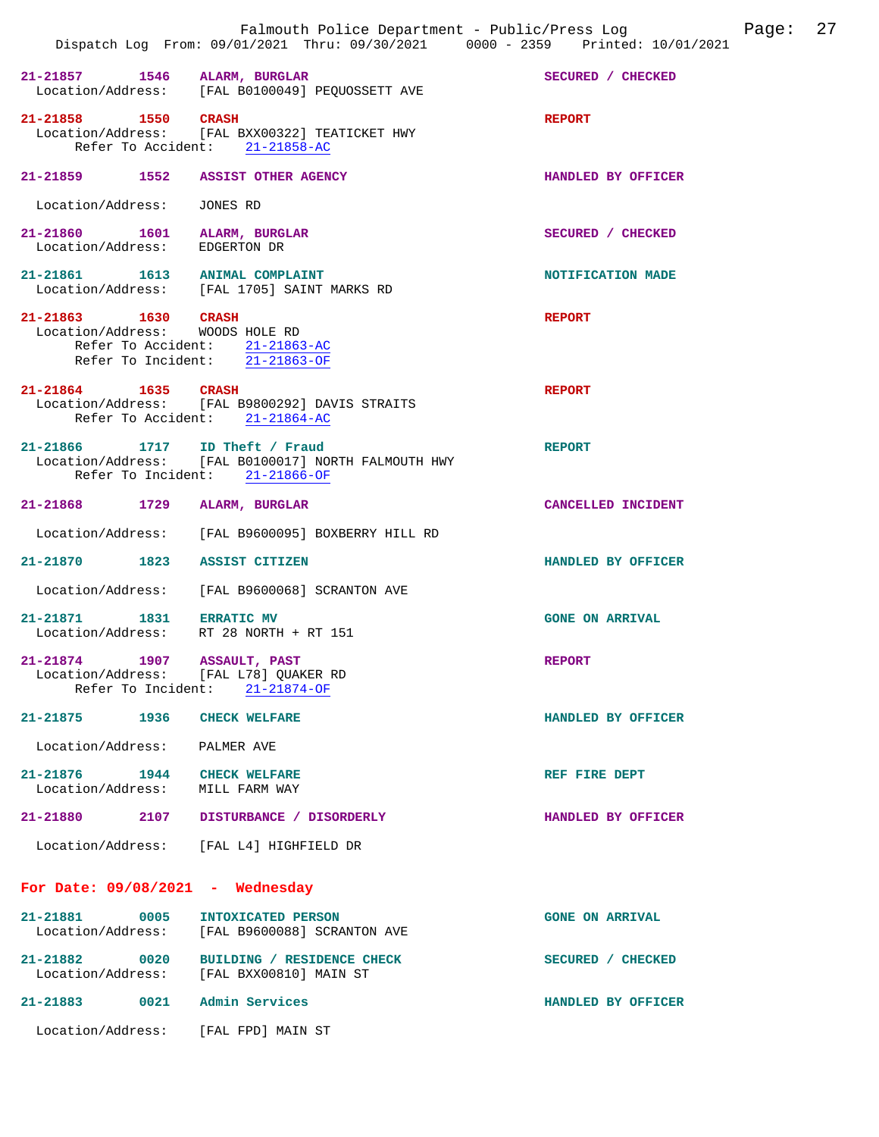|                                                                      | Falmouth Police Department - Public/Press Log<br>Dispatch Log From: 09/01/2021 Thru: 09/30/2021 0000 - 2359 Printed: 10/01/2021 | Page:                  | 27 |
|----------------------------------------------------------------------|---------------------------------------------------------------------------------------------------------------------------------|------------------------|----|
| 21-21857 1546 ALARM, BURGLAR                                         | Location/Address: [FAL B0100049] PEQUOSSETT AVE                                                                                 | SECURED / CHECKED      |    |
| 21-21858 1550 CRASH                                                  | Location/Address: [FAL BXX00322] TEATICKET HWY<br>Refer To Accident: 21-21858-AC                                                | <b>REPORT</b>          |    |
| 21-21859 1552 ASSIST OTHER AGENCY                                    |                                                                                                                                 | HANDLED BY OFFICER     |    |
| Location/Address:                                                    | JONES RD                                                                                                                        |                        |    |
| 21-21860 1601 ALARM, BURGLAR<br>Location/Address:                    | EDGERTON DR                                                                                                                     | SECURED / CHECKED      |    |
| 21-21861 1613 ANIMAL COMPLAINT                                       | Location/Address: [FAL 1705] SAINT MARKS RD                                                                                     | NOTIFICATION MADE      |    |
| 21-21863 1630 CRASH<br>Location/Address: WOODS HOLE RD               | Refer To Accident: 21-21863-AC<br>Refer To Incident: 21-21863-OF                                                                | <b>REPORT</b>          |    |
| 21-21864 1635 CRASH                                                  | Location/Address: [FAL B9800292] DAVIS STRAITS<br>Refer To Accident: 21-21864-AC                                                | <b>REPORT</b>          |    |
| 21-21866 1717 ID Theft / Fraud                                       | Location/Address: [FAL B0100017] NORTH FALMOUTH HWY<br>Refer To Incident: 21-21866-OF                                           | <b>REPORT</b>          |    |
| 21-21868 1729                                                        | ALARM, BURGLAR                                                                                                                  | CANCELLED INCIDENT     |    |
|                                                                      | Location/Address: [FAL B9600095] BOXBERRY HILL RD                                                                               |                        |    |
| 21-21870 1823 ASSIST CITIZEN                                         |                                                                                                                                 | HANDLED BY OFFICER     |    |
|                                                                      | Location/Address: [FAL B9600068] SCRANTON AVE                                                                                   |                        |    |
| 21-21871 1831 ERRATIC MV<br>Location/Address: RT 28 NORTH + RT 151   |                                                                                                                                 | <b>GONE ON ARRIVAL</b> |    |
| 21-21874 1907 ASSAULT, PAST<br>Location/Address: [FAL L78] QUAKER RD | Refer To Incident: 21-21874-OF                                                                                                  | <b>REPORT</b>          |    |
| 21-21875 1936 CHECK WELFARE                                          |                                                                                                                                 | HANDLED BY OFFICER     |    |
| Location/Address: PALMER AVE                                         |                                                                                                                                 |                        |    |
| 21-21876 1944 CHECK WELFARE<br>Location/Address: MILL FARM WAY       |                                                                                                                                 | REF FIRE DEPT          |    |
|                                                                      | 21-21880 2107 DISTURBANCE / DISORDERLY                                                                                          | HANDLED BY OFFICER     |    |
|                                                                      | Location/Address: [FAL L4] HIGHFIELD DR                                                                                         |                        |    |
| For Date: $09/08/2021$ - Wednesday                                   |                                                                                                                                 |                        |    |
| 21-21881 0005                                                        | INTOXICATED PERSON<br>Location/Address: [FAL B9600088] SCRANTON AVE                                                             | <b>GONE ON ARRIVAL</b> |    |
|                                                                      | 21-21882 0020 BUILDING / RESIDENCE CHECK<br>Location/Address: [FAL BXX00810] MAIN ST                                            | SECURED / CHECKED      |    |
| 21-21883 0021 Admin Services                                         |                                                                                                                                 | HANDLED BY OFFICER     |    |
| Location/Address: [FAL FPD] MAIN ST                                  |                                                                                                                                 |                        |    |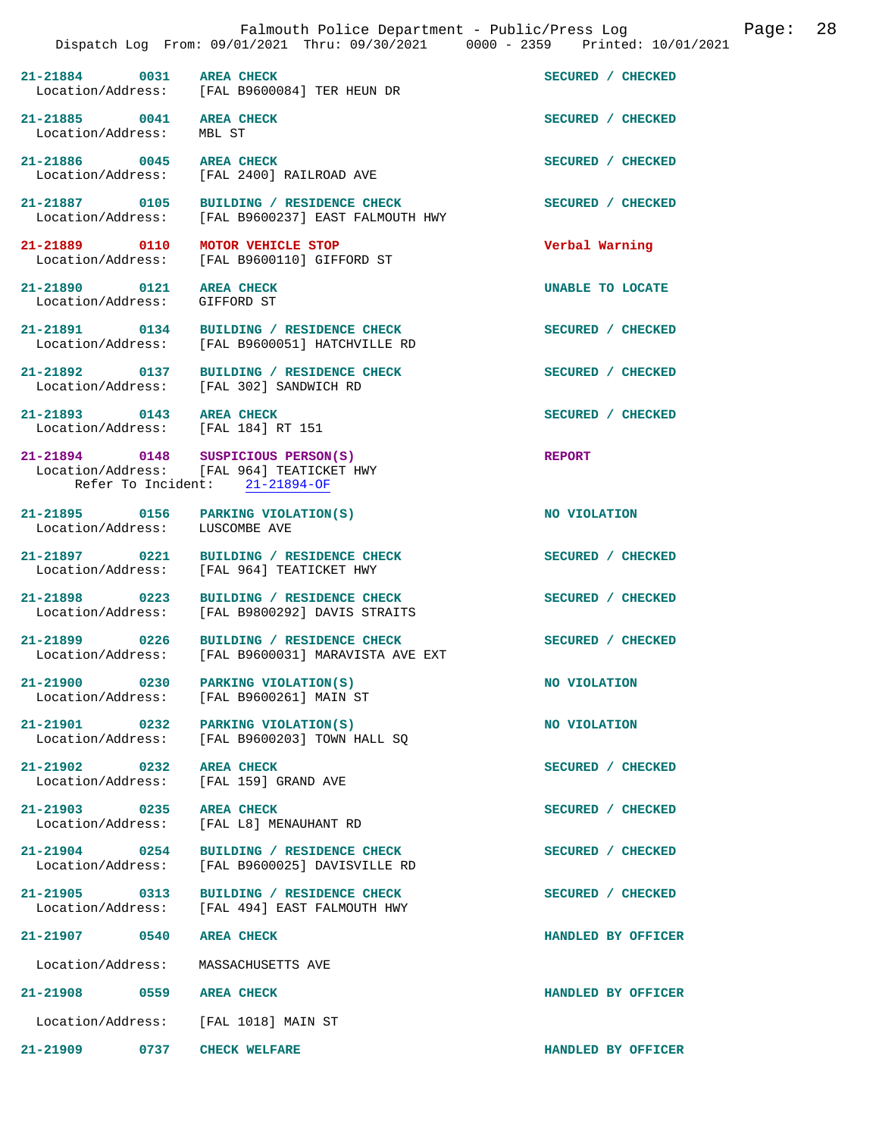|                                                                | Falmouth Police Department - Public/Press Log<br>Dispatch Log From: 09/01/2021 Thru: 09/30/2021 0000 - 2359 Printed: 10/01/2021 |                    | Page: | 28 |
|----------------------------------------------------------------|---------------------------------------------------------------------------------------------------------------------------------|--------------------|-------|----|
| 21-21884<br>0031                                               | <b>AREA CHECK</b><br>Location/Address: [FAL B9600084] TER HEUN DR                                                               | SECURED / CHECKED  |       |    |
| 21-21885 0041<br>Location/Address:                             | <b>AREA CHECK</b><br>MBL ST                                                                                                     | SECURED / CHECKED  |       |    |
| 21-21886 0045<br>Location/Address:                             | <b>AREA CHECK</b><br>[FAL 2400] RAILROAD AVE                                                                                    | SECURED / CHECKED  |       |    |
| 21-21887 0105<br>Location/Address:                             | BUILDING / RESIDENCE CHECK<br>[FAL B9600237] EAST FALMOUTH HWY                                                                  | SECURED / CHECKED  |       |    |
| 21-21889 0110                                                  | MOTOR VEHICLE STOP<br>Location/Address: [FAL B9600110] GIFFORD ST                                                               | Verbal Warning     |       |    |
| 21-21890 0121<br>Location/Address:                             | <b>AREA CHECK</b><br>GIFFORD ST                                                                                                 | UNABLE TO LOCATE   |       |    |
|                                                                | 21-21891 0134 BUILDING / RESIDENCE CHECK<br>Location/Address: [FAL B9600051] HATCHVILLE RD                                      | SECURED / CHECKED  |       |    |
|                                                                | 21-21892 0137 BUILDING / RESIDENCE CHECK<br>Location/Address: [FAL 302] SANDWICH RD                                             | SECURED / CHECKED  |       |    |
| 21-21893 0143 AREA CHECK<br>Location/Address: [FAL 184] RT 151 |                                                                                                                                 | SECURED / CHECKED  |       |    |
|                                                                | 21-21894 0148 SUSPICIOUS PERSON(S)<br>Location/Address: [FAL 964] TEATICKET HWY<br>Refer To Incident: 21-21894-OF               | <b>REPORT</b>      |       |    |
| Location/Address: LUSCOMBE AVE                                 | 21-21895 0156 PARKING VIOLATION(S)                                                                                              | NO VIOLATION       |       |    |
| 21-21897 0221                                                  | BUILDING / RESIDENCE CHECK<br>Location/Address: [FAL 964] TEATICKET HWY                                                         | SECURED / CHECKED  |       |    |
| 21-21898 0223                                                  | BUILDING / RESIDENCE CHECK<br>Location/Address: [FAL B9800292] DAVIS STRAITS                                                    | SECURED / CHECKED  |       |    |
|                                                                | 21-21899 0226 BUILDING / RESIDENCE CHECK<br>Location/Address: [FAL B9600031] MARAVISTA AVE EXT                                  | SECURED / CHECKED  |       |    |
|                                                                | 21-21900 0230 PARKING VIOLATION(S)<br>Location/Address: [FAL B9600261] MAIN ST                                                  | NO VIOLATION       |       |    |
| 21-21901 0232<br>Location/Address:                             | PARKING VIOLATION(S)<br>[FAL B9600203] TOWN HALL SO                                                                             | NO VIOLATION       |       |    |
| $21 - 21902$ 0232<br>Location/Address:                         | <b>AREA CHECK</b><br>[FAL 159] GRAND AVE                                                                                        | SECURED / CHECKED  |       |    |
| $21 - 21903$ 0235<br>Location/Address:                         | <b>AREA CHECK</b><br>[FAL L8] MENAUHANT RD                                                                                      | SECURED / CHECKED  |       |    |
| $21 - 21904$ 0254<br>Location/Address:                         | BUILDING / RESIDENCE CHECK<br>[FAL B9600025] DAVISVILLE RD                                                                      | SECURED / CHECKED  |       |    |
| 21-21905 0313<br>Location/Address:                             | BUILDING / RESIDENCE CHECK<br>[FAL 494] EAST FALMOUTH HWY                                                                       | SECURED / CHECKED  |       |    |
| 21-21907 0540                                                  | <b>AREA CHECK</b>                                                                                                               | HANDLED BY OFFICER |       |    |
| Location/Address:                                              | MASSACHUSETTS AVE                                                                                                               |                    |       |    |
| 21-21908<br>0559                                               | <b>AREA CHECK</b>                                                                                                               | HANDLED BY OFFICER |       |    |
| Location/Address:                                              | [FAL 1018] MAIN ST                                                                                                              |                    |       |    |
| $21 - 21909$<br>0737                                           | <b>CHECK WELFARE</b>                                                                                                            | HANDLED BY OFFICER |       |    |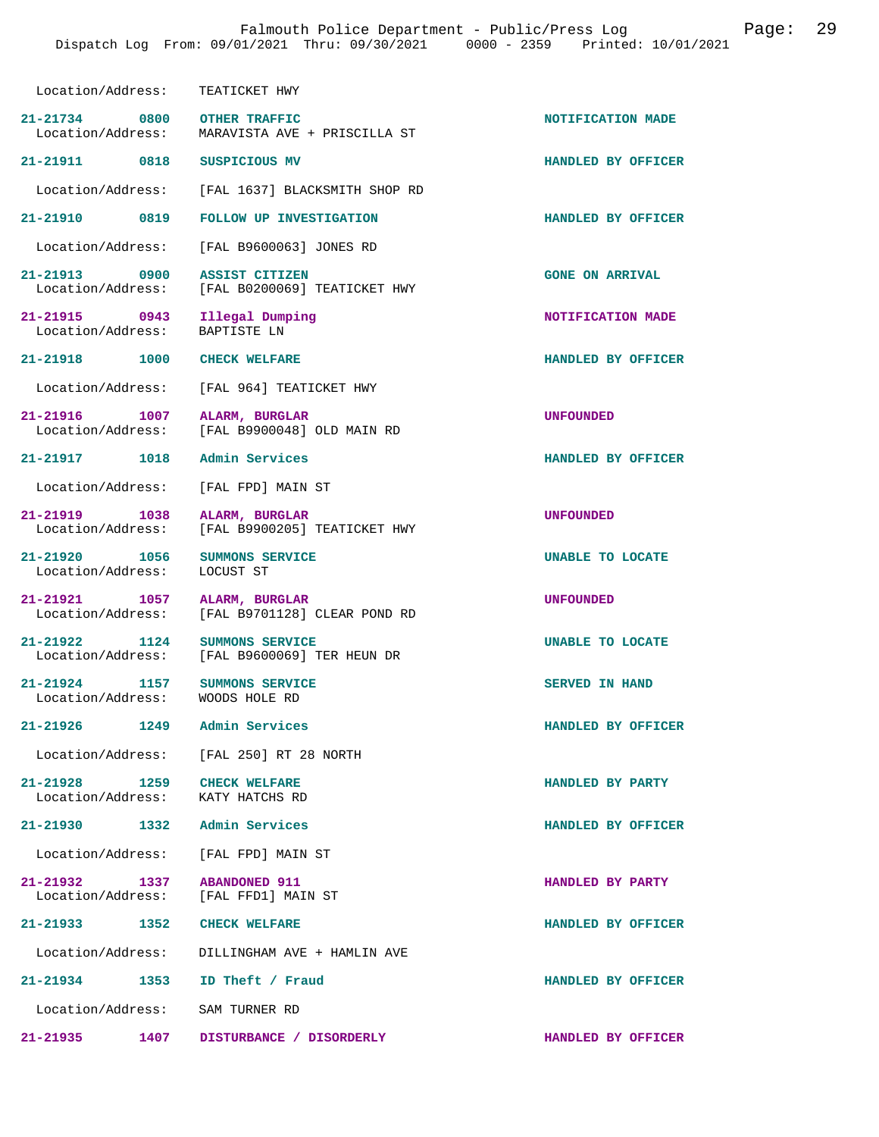| Location/Address: TEATICKET HWY                                 |                                                                               |                        |
|-----------------------------------------------------------------|-------------------------------------------------------------------------------|------------------------|
| 21-21734 0800 OTHER TRAFFIC                                     | Location/Address: MARAVISTA AVE + PRISCILLA ST                                | NOTIFICATION MADE      |
| 21-21911 0818 SUSPICIOUS MV                                     |                                                                               | HANDLED BY OFFICER     |
|                                                                 | Location/Address: [FAL 1637] BLACKSMITH SHOP RD                               |                        |
| 21-21910 0819                                                   | FOLLOW UP INVESTIGATION                                                       | HANDLED BY OFFICER     |
|                                                                 | Location/Address: [FAL B9600063] JONES RD                                     |                        |
| 21-21913 0900 ASSIST CITIZEN                                    | Location/Address: [FAL B0200069] TEATICKET HWY                                | <b>GONE ON ARRIVAL</b> |
| 21-21915 0943 Illegal Dumping<br>Location/Address: BAPTISTE LN  |                                                                               | NOTIFICATION MADE      |
| 21-21918 1000 CHECK WELFARE                                     |                                                                               | HANDLED BY OFFICER     |
|                                                                 | Location/Address: [FAL 964] TEATICKET HWY                                     |                        |
| 21-21916 1007                                                   | ALARM, BURGLAR<br>Location/Address: [FAL B9900048] OLD MAIN RD                | UNFOUNDED              |
| 21-21917 1018 Admin Services                                    |                                                                               | HANDLED BY OFFICER     |
| Location/Address: [FAL FPD] MAIN ST                             |                                                                               |                        |
| 1038<br>21-21919                                                | ALARM, BURGLAR<br>Location/Address: [FAL B9900205] TEATICKET HWY              | <b>UNFOUNDED</b>       |
| 21-21920 1056 SUMMONS SERVICE<br>Location/Address:              | LOCUST ST                                                                     | UNABLE TO LOCATE       |
| 21-21921 1057 ALARM, BURGLAR                                    | Location/Address: [FAL B9701128] CLEAR POND RD                                | <b>UNFOUNDED</b>       |
|                                                                 | 21-21922 1124 SUMMONS SERVICE<br>Location/Address: [FAL B9600069] TER HEUN DR | UNABLE TO LOCATE       |
| 1157<br>21-21924<br>Location/Address: WOODS HOLE RD             | SUMMONS SERVICE                                                               | <b>SERVED IN HAND</b>  |
| 21-21926 1249 Admin Services                                    |                                                                               | HANDLED BY OFFICER     |
|                                                                 | Location/Address: [FAL 250] RT 28 NORTH                                       |                        |
| 21-21928 1259 CHECK WELFARE<br>Location/Address: KATY HATCHS RD |                                                                               | HANDLED BY PARTY       |
| 21-21930    1332    Admin Services                              |                                                                               | HANDLED BY OFFICER     |
| Location/Address: [FAL FPD] MAIN ST                             |                                                                               |                        |
| 21-21932 1337                                                   | 1-21932 1337 ABANDONED 911<br>Location/Address: [FAL FFD1] MAIN ST            | HANDLED BY PARTY       |
| 21-21933 1352 CHECK WELFARE                                     |                                                                               | HANDLED BY OFFICER     |
|                                                                 | Location/Address: DILLINGHAM AVE + HAMLIN AVE                                 |                        |
| 21-21934 1353 ID Theft / Fraud                                  |                                                                               | HANDLED BY OFFICER     |
| Location/Address: SAM TURNER RD                                 |                                                                               |                        |

**21-21935 1407 DISTURBANCE / DISORDERLY HANDLED BY OFFICER**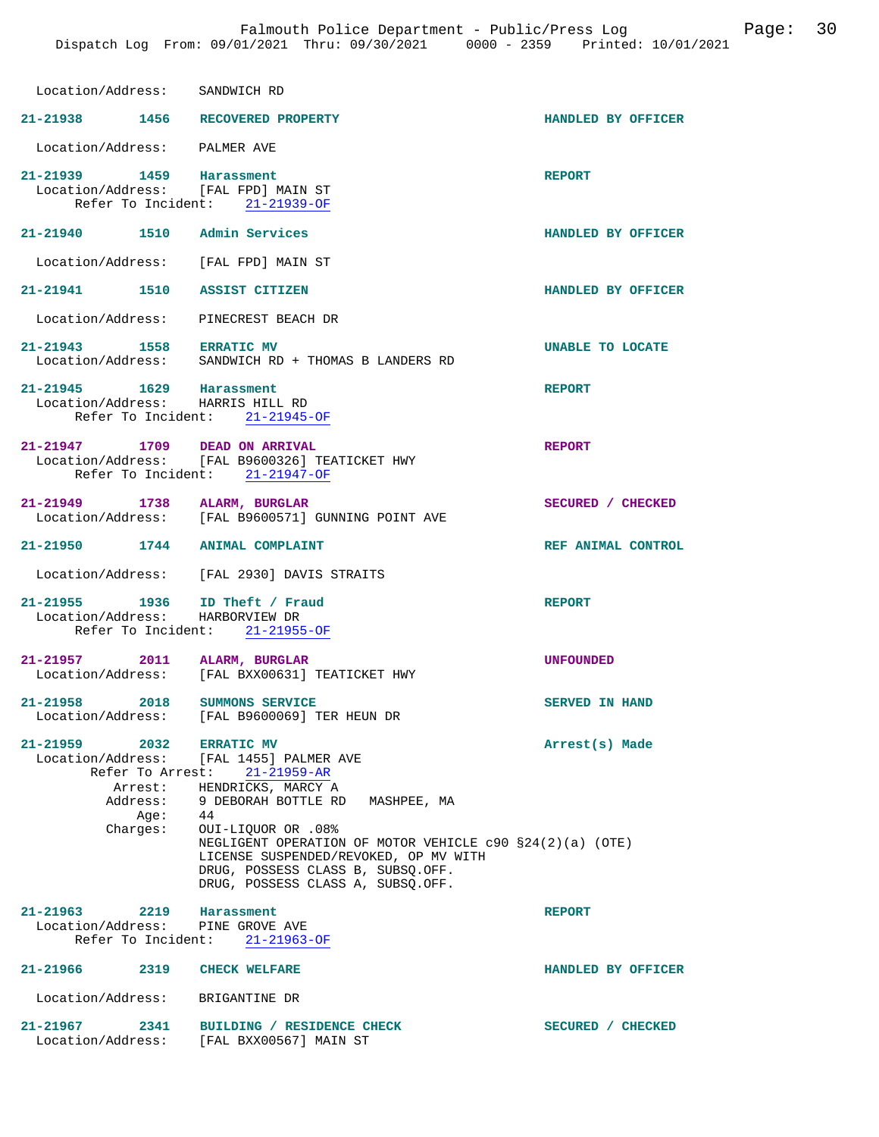| Location/Address: SANDWICH RD                                     |                                                                                                                                                                                                       |                       |
|-------------------------------------------------------------------|-------------------------------------------------------------------------------------------------------------------------------------------------------------------------------------------------------|-----------------------|
| 21-21938 1456 RECOVERED PROPERTY                                  |                                                                                                                                                                                                       | HANDLED BY OFFICER    |
|                                                                   |                                                                                                                                                                                                       |                       |
| Location/Address: PALMER AVE                                      |                                                                                                                                                                                                       |                       |
| 21-21939 1459 Harassment<br>Location/Address: [FAL FPD] MAIN ST   | Refer To Incident: 21-21939-OF                                                                                                                                                                        | <b>REPORT</b>         |
| 21-21940   1510   Admin Services                                  |                                                                                                                                                                                                       | HANDLED BY OFFICER    |
| Location/Address: [FAL FPD] MAIN ST                               |                                                                                                                                                                                                       |                       |
| 21-21941 1510 ASSIST CITIZEN                                      |                                                                                                                                                                                                       | HANDLED BY OFFICER    |
| Location/Address: PINECREST BEACH DR                              |                                                                                                                                                                                                       |                       |
|                                                                   | 21-21943 1558 ERRATIC MV<br>Location/Address: SANDWICH RD + THOMAS B LANDERS RD                                                                                                                       | UNABLE TO LOCATE      |
| 21-21945 1629 Harassment<br>Location/Address: HARRIS HILL RD      | Refer To Incident: 21-21945-OF                                                                                                                                                                        | <b>REPORT</b>         |
| 21-21947 1709 DEAD ON ARRIVAL                                     | Location/Address: [FAL B9600326] TEATICKET HWY<br>Refer To Incident: 21-21947-OF                                                                                                                      | <b>REPORT</b>         |
| 21-21949 1738 ALARM, BURGLAR                                      | Location/Address: [FAL B9600571] GUNNING POINT AVE                                                                                                                                                    | SECURED / CHECKED     |
| 21-21950 1744 ANIMAL COMPLAINT                                    |                                                                                                                                                                                                       | REF ANIMAL CONTROL    |
|                                                                   | Location/Address: [FAL 2930] DAVIS STRAITS                                                                                                                                                            |                       |
| 21-21955 1936 ID Theft / Fraud<br>Location/Address: HARBORVIEW DR | Refer To Incident: 21-21955-OF                                                                                                                                                                        | <b>REPORT</b>         |
| 21-21957 2011 ALARM, BURGLAR                                      | Location/Address: [FAL BXX00631] TEATICKET HWY                                                                                                                                                        | <b>UNFOUNDED</b>      |
| 2018<br>$21 - 21958$<br>Location/Address:                         | <b>SUMMONS SERVICE</b><br>[FAL B9600069] TER HEUN DR                                                                                                                                                  | <b>SERVED IN HAND</b> |
| 21-21959 2032<br>Address:<br>Age:                                 | <b>ERRATIC MV</b><br>Location/Address: [FAL 1455] PALMER AVE<br>Refer To Arrest: 21-21959-AR<br>Arrest: HENDRICKS, MARCY A<br>9 DEBORAH BOTTLE RD MASHPEE, MA<br>44                                   | Arrest(s) Made        |
| Charges:                                                          | OUI-LIQUOR OR .08%<br>NEGLIGENT OPERATION OF MOTOR VEHICLE $c90$ $$24(2)(a)$ (OTE)<br>LICENSE SUSPENDED/REVOKED, OP MV WITH<br>DRUG, POSSESS CLASS B, SUBSQ.OFF.<br>DRUG, POSSESS CLASS A, SUBSO.OFF. |                       |
| 21-21963 2219 Harassment<br>Location/Address: PINE GROVE AVE      | Refer To Incident: 21-21963-OF                                                                                                                                                                        | <b>REPORT</b>         |
| 21-21966 2319                                                     | <b>CHECK WELFARE</b>                                                                                                                                                                                  | HANDLED BY OFFICER    |
| Location/Address: BRIGANTINE DR                                   |                                                                                                                                                                                                       |                       |
|                                                                   |                                                                                                                                                                                                       |                       |
| 21-21967 2341                                                     | BUILDING / RESIDENCE CHECK<br>Location/Address: [FAL BXX00567] MAIN ST                                                                                                                                | SECURED / CHECKED     |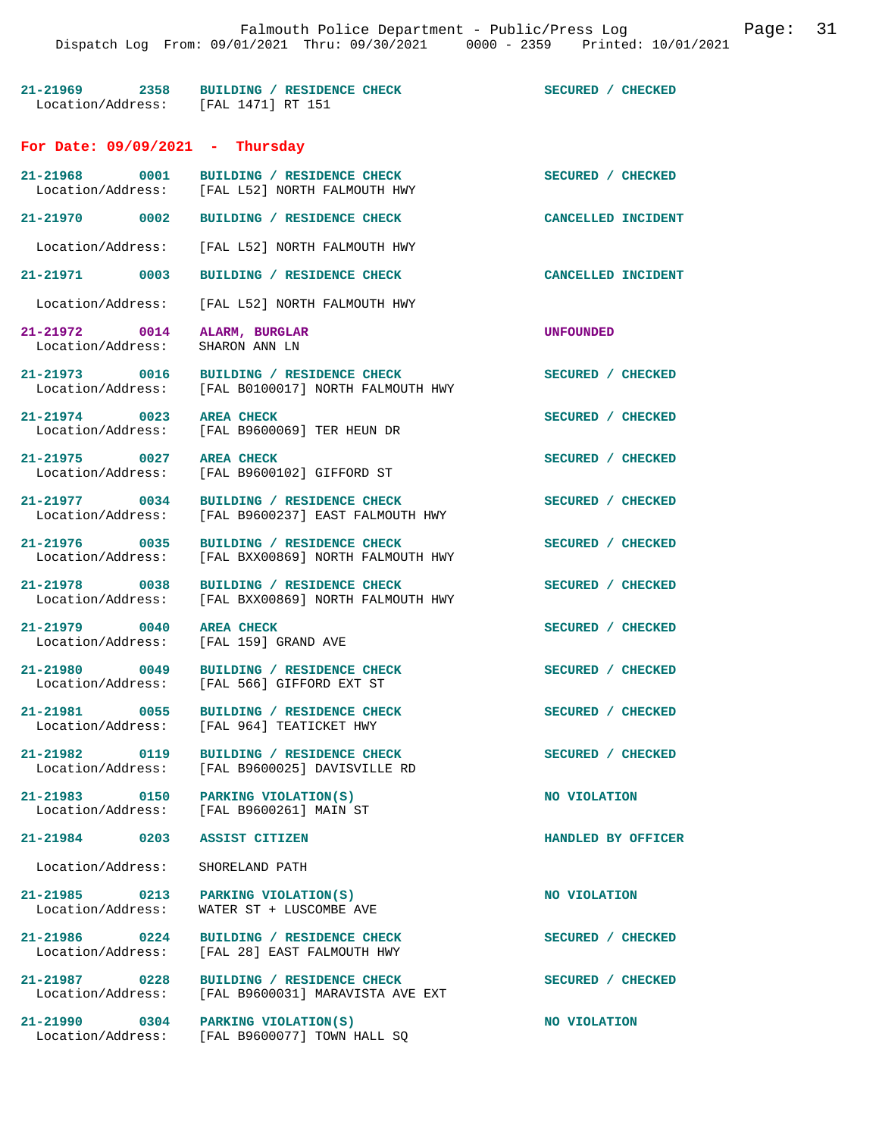| 21-21969          | 2358 | BUILDING / RESIDENCE CHECK |  | SECURED / CHECKED |  |
|-------------------|------|----------------------------|--|-------------------|--|
| Location/Address: |      | [FAL 1471] RT 151          |  |                   |  |

#### **For Date: 09/09/2021 - Thursday**

| 21-21968                             | 0001 |
|--------------------------------------|------|
| $T$ cantion $\lambda$ ddroga $\cdot$ |      |

| 21-21968 0001                      | BUILDING / RESIDENCE CHECK<br>21-21968 0001 BUILDING / RESIDENCE CHECK<br>Location/Address: [FAL L52] NORTH FALMOUTH HWY | SECURED / CHECKED         |
|------------------------------------|--------------------------------------------------------------------------------------------------------------------------|---------------------------|
| 21-21970 0002                      | BUILDING / RESIDENCE CHECK                                                                                               | CANCELLED INCIDENT        |
|                                    | Location/Address: [FAL L52] NORTH FALMOUTH HWY                                                                           |                           |
| 21-21971 0003                      | BUILDING / RESIDENCE CHECK                                                                                               | <b>CANCELLED INCIDENT</b> |
|                                    | Location/Address: [FAL L52] NORTH FALMOUTH HWY                                                                           |                           |
| 21-21972 0014<br>Location/Address: | ALARM, BURGLAR<br>SHARON ANN LN                                                                                          | <b>UNFOUNDED</b>          |
|                                    | 21-21973 0016 BUILDING / RESIDENCE CHECK<br>Location/Address: [FAL B0100017] NORTH FALMOUTH HWY                          | SECURED / CHECKED         |
| 21-21974 0023                      | <b>AREA CHECK</b><br>Location/Address: [FAL B9600069] TER HEUN DR                                                        | SECURED / CHECKED         |
| 21-21975 0027                      | <b>AREA CHECK</b><br>Location/Address: [FAL B9600102] GIFFORD ST                                                         | SECURED / CHECKED         |
| 21-21977 0034                      | BUILDING / RESIDENCE CHECK<br>Location/Address: [FAL B9600237] EAST FALMOUTH HWY                                         | SECURED / CHECKED         |
| 21-21976 0035                      | BUILDING / RESIDENCE CHECK<br>Location/Address: [FAL BXX00869] NORTH FALMOUTH HWY                                        | SECURED / CHECKED         |
| 21-21978 0038                      | BUILDING / RESIDENCE CHECK<br>Location/Address: [FAL BXX00869] NORTH FALMOUTH HWY                                        | SECURED / CHECKED         |
| 21-21979 0040                      | <b>AREA CHECK</b><br>Location/Address: [FAL 159] GRAND AVE                                                               | SECURED / CHECKED         |
| 21-21980 0049                      | BUILDING / RESIDENCE CHECK<br>Location/Address: [FAL 566] GIFFORD EXT ST                                                 | SECURED / CHECKED         |
| 21-21981 0055                      | BUILDING / RESIDENCE CHECK<br>Location/Address: [FAL 964] TEATICKET HWY                                                  | SECURED / CHECKED         |
| 21-21982 0119                      | BUILDING / RESIDENCE CHECK<br>Location/Address: [FAL B9600025] DAVISVILLE RD                                             | SECURED / CHECKED         |
| 0150<br>21-21983                   | PARKING VIOLATION(S)<br>Location/Address: [FAL B9600261] MAIN ST                                                         | NO VIOLATION              |
| 21-21984 0203 ASSIST CITIZEN       |                                                                                                                          | HANDLED BY OFFICER        |
| Location/Address: SHORELAND PATH   |                                                                                                                          |                           |
| Location/Address:                  | 21-21985 0213 PARKING VIOLATION(S)<br>WATER ST + LUSCOMBE AVE                                                            | NO VIOLATION              |
|                                    | 21-21986 0224 BUILDING / RESIDENCE CHECK<br>Location/Address: [FAL 28] EAST FALMOUTH HWY                                 | SECURED / CHECKED         |

[FAL B9600031] MARAVISTA AVE EXT

 $[FAL B9600077]$  TOWN HALL SQ

21-21987 0228 BUILDING / RESIDENCE CHECK SECURED / CHECKED Location/Address: [FAL B9600031] MARAVISTA AVE EXT

**21-21990 0304 PARKING VIOLATION(S) NO VIOLATION**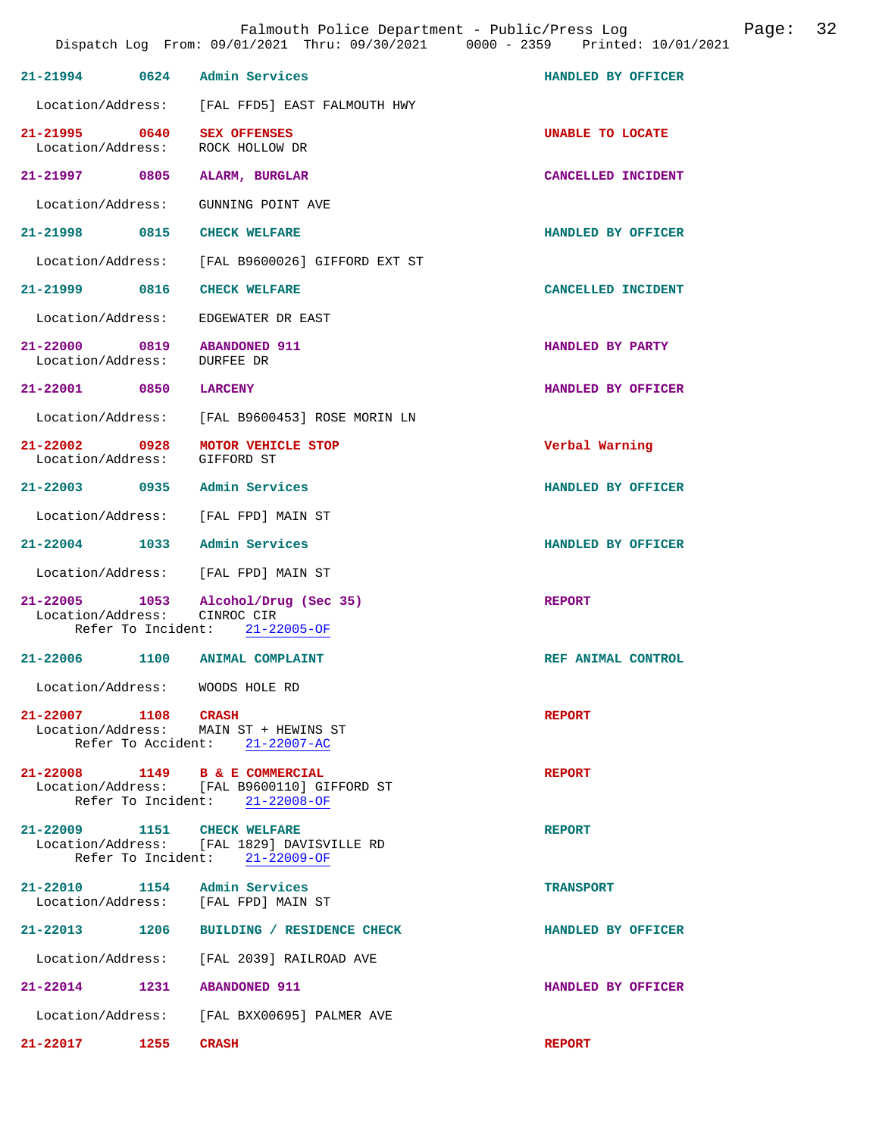|                                                                     |                                                                               | Dispatch Log From: 09/01/2021 Thru: 09/30/2021 0000 - 2359 Printed: 10/01/2021 |
|---------------------------------------------------------------------|-------------------------------------------------------------------------------|--------------------------------------------------------------------------------|
| 21-21994 0624 Admin Services                                        |                                                                               | HANDLED BY OFFICER                                                             |
|                                                                     | Location/Address: [FAL FFD5] EAST FALMOUTH HWY                                |                                                                                |
| 21-21995 0640 SEX OFFENSES<br>Location/Address: ROCK HOLLOW DR      |                                                                               | UNABLE TO LOCATE                                                               |
| 21-21997 0805 ALARM, BURGLAR                                        |                                                                               | CANCELLED INCIDENT                                                             |
| Location/Address: GUNNING POINT AVE                                 |                                                                               |                                                                                |
| 21-21998 0815 CHECK WELFARE                                         |                                                                               | HANDLED BY OFFICER                                                             |
|                                                                     | Location/Address: [FAL B9600026] GIFFORD EXT ST                               |                                                                                |
| 21-21999 0816 CHECK WELFARE                                         |                                                                               | CANCELLED INCIDENT                                                             |
| Location/Address: EDGEWATER DR EAST                                 |                                                                               |                                                                                |
| 21-22000 0819 ABANDONED 911<br>Location/Address: DURFEE DR          |                                                                               | HANDLED BY PARTY                                                               |
| 21-22001 0850 LARCENY                                               |                                                                               | HANDLED BY OFFICER                                                             |
|                                                                     | Location/Address: [FAL B9600453] ROSE MORIN LN                                |                                                                                |
| 21-22002 0928 MOTOR VEHICLE STOP<br>Location/Address: GIFFORD ST    |                                                                               | Verbal Warning                                                                 |
| 21-22003 0935 Admin Services                                        |                                                                               | HANDLED BY OFFICER                                                             |
| Location/Address: [FAL FPD] MAIN ST                                 |                                                                               |                                                                                |
| 21-22004 1033 Admin Services                                        |                                                                               | HANDLED BY OFFICER                                                             |
| Location/Address: [FAL FPD] MAIN ST                                 |                                                                               |                                                                                |
| Location/Address: CINROC CIR                                        | 21-22005 1053 Alcohol/Drug (Sec 35)<br>Refer To Incident: $21-22005-OF$       | <b>REPORT</b>                                                                  |
| 21-22006 1100 ANIMAL COMPLAINT                                      |                                                                               | REF ANIMAL CONTROL                                                             |
| Location/Address: WOODS HOLE RD                                     |                                                                               |                                                                                |
| 21-22007 1108 CRASH                                                 | Location/Address: MAIN ST + HEWINS ST<br>Refer To Accident: 21-22007-AC       | <b>REPORT</b>                                                                  |
| 21-22008 1149 B & E COMMERCIAL                                      | Location/Address: [FAL B9600110] GIFFORD ST<br>Refer To Incident: 21-22008-OF | <b>REPORT</b>                                                                  |
| 21-22009 1151 CHECK WELFARE                                         | Location/Address: [FAL 1829] DAVISVILLE RD<br>Refer To Incident: 21-22009-OF  | <b>REPORT</b>                                                                  |
| 21-22010 1154 Admin Services<br>Location/Address: [FAL FPD] MAIN ST |                                                                               | <b>TRANSPORT</b>                                                               |
| 21-22013 1206                                                       | BUILDING / RESIDENCE CHECK                                                    | HANDLED BY OFFICER                                                             |
|                                                                     | Location/Address: [FAL 2039] RAILROAD AVE                                     |                                                                                |
| 21-22014 1231 ABANDONED 911                                         |                                                                               | HANDLED BY OFFICER                                                             |
|                                                                     | Location/Address: [FAL BXX00695] PALMER AVE                                   |                                                                                |

**21-22017 1255 CRASH REPORT** 

Falmouth Police Department - Public/Press Log Canade: 32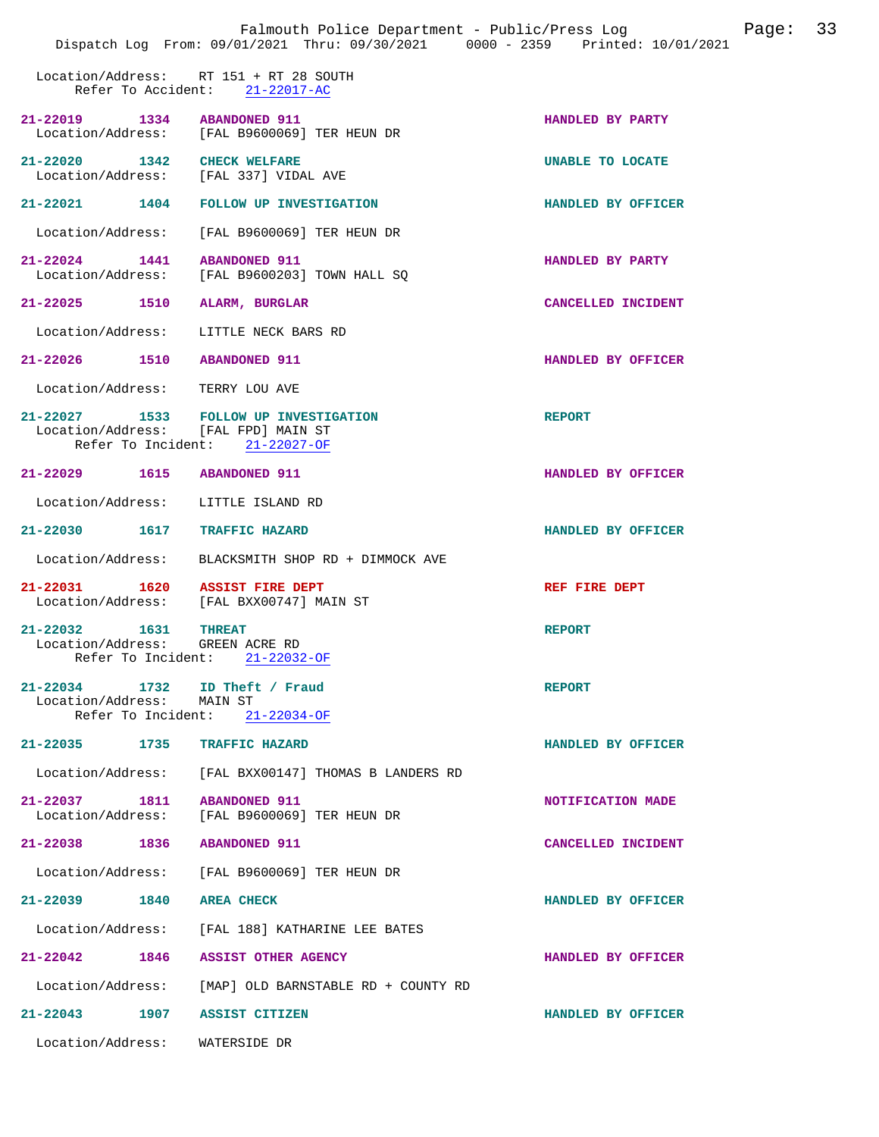|                                                                        | Falmouth Police Department - Public/Press Log Fage: 33<br>Dispatch Log From: 09/01/2021 Thru: 09/30/2021 0000 - 2359 Printed: 10/01/2021 |                    |  |
|------------------------------------------------------------------------|------------------------------------------------------------------------------------------------------------------------------------------|--------------------|--|
|                                                                        | Location/Address: RT 151 + RT 28 SOUTH<br>Refer To Accident: 21-22017-AC                                                                 |                    |  |
| 21-22019 1334 ABANDONED 911                                            | Location/Address: [FAL B9600069] TER HEUN DR                                                                                             | HANDLED BY PARTY   |  |
| 21-22020 1342 CHECK WELFARE<br>Location/Address: [FAL 337] VIDAL AVE   |                                                                                                                                          | UNABLE TO LOCATE   |  |
|                                                                        | 21-22021 1404 FOLLOW UP INVESTIGATION                                                                                                    | HANDLED BY OFFICER |  |
|                                                                        | Location/Address: [FAL B9600069] TER HEUN DR                                                                                             |                    |  |
| 21-22024 1441 ABANDONED 911                                            | Location/Address: [FAL B9600203] TOWN HALL SQ                                                                                            | HANDLED BY PARTY   |  |
| 21-22025 1510 ALARM, BURGLAR                                           |                                                                                                                                          | CANCELLED INCIDENT |  |
| Location/Address: LITTLE NECK BARS RD                                  |                                                                                                                                          |                    |  |
| 21-22026 1510 ABANDONED 911                                            |                                                                                                                                          | HANDLED BY OFFICER |  |
| Location/Address: TERRY LOU AVE                                        |                                                                                                                                          |                    |  |
| Location/Address: [FAL FPD] MAIN ST<br>Refer To Incident: 21-22027-OF  | 21-22027 1533 FOLLOW UP INVESTIGATION                                                                                                    | <b>REPORT</b>      |  |
| 21-22029 1615 ABANDONED 911                                            |                                                                                                                                          | HANDLED BY OFFICER |  |
| Location/Address: LITTLE ISLAND RD                                     |                                                                                                                                          |                    |  |
| 21-22030   1617   TRAFFIC HAZARD                                       |                                                                                                                                          | HANDLED BY OFFICER |  |
|                                                                        | Location/Address: BLACKSMITH SHOP RD + DIMMOCK AVE                                                                                       |                    |  |
| 21-22031  1620  ASSIST FIRE DEPT                                       | Location/Address: [FAL BXX00747] MAIN ST                                                                                                 | REF FIRE DEPT      |  |
| 21-22032 1631<br>Location/Address: GREEN ACRE RD<br>Refer To Incident: | <b>THREAT</b><br>21-22032-OF                                                                                                             | <b>REPORT</b>      |  |
| 21-22034 1732 ID Theft / Fraud<br>Location/Address: MAIN ST            | Refer To Incident: 21-22034-OF                                                                                                           | <b>REPORT</b>      |  |
| 21-22035 1735 TRAFFIC HAZARD                                           |                                                                                                                                          | HANDLED BY OFFICER |  |
|                                                                        | Location/Address: [FAL BXX00147] THOMAS B LANDERS RD                                                                                     |                    |  |
| 21-22037 1811 ABANDONED 911<br>Location/Address:                       | [FAL B9600069] TER HEUN DR                                                                                                               | NOTIFICATION MADE  |  |
| 21-22038 1836 ABANDONED 911                                            |                                                                                                                                          | CANCELLED INCIDENT |  |
|                                                                        | Location/Address: [FAL B9600069] TER HEUN DR                                                                                             |                    |  |
| 21–22039 1840                                                          | <b>AREA CHECK</b>                                                                                                                        | HANDLED BY OFFICER |  |
|                                                                        | Location/Address: [FAL 188] KATHARINE LEE BATES                                                                                          |                    |  |
| 21-22042 1846 ASSIST OTHER AGENCY                                      |                                                                                                                                          | HANDLED BY OFFICER |  |
|                                                                        | Location/Address: [MAP] OLD BARNSTABLE RD + COUNTY RD                                                                                    |                    |  |
| 21-22043 1907 ASSIST CITIZEN                                           |                                                                                                                                          | HANDLED BY OFFICER |  |
| Location/Address:                                                      | WATERSIDE DR                                                                                                                             |                    |  |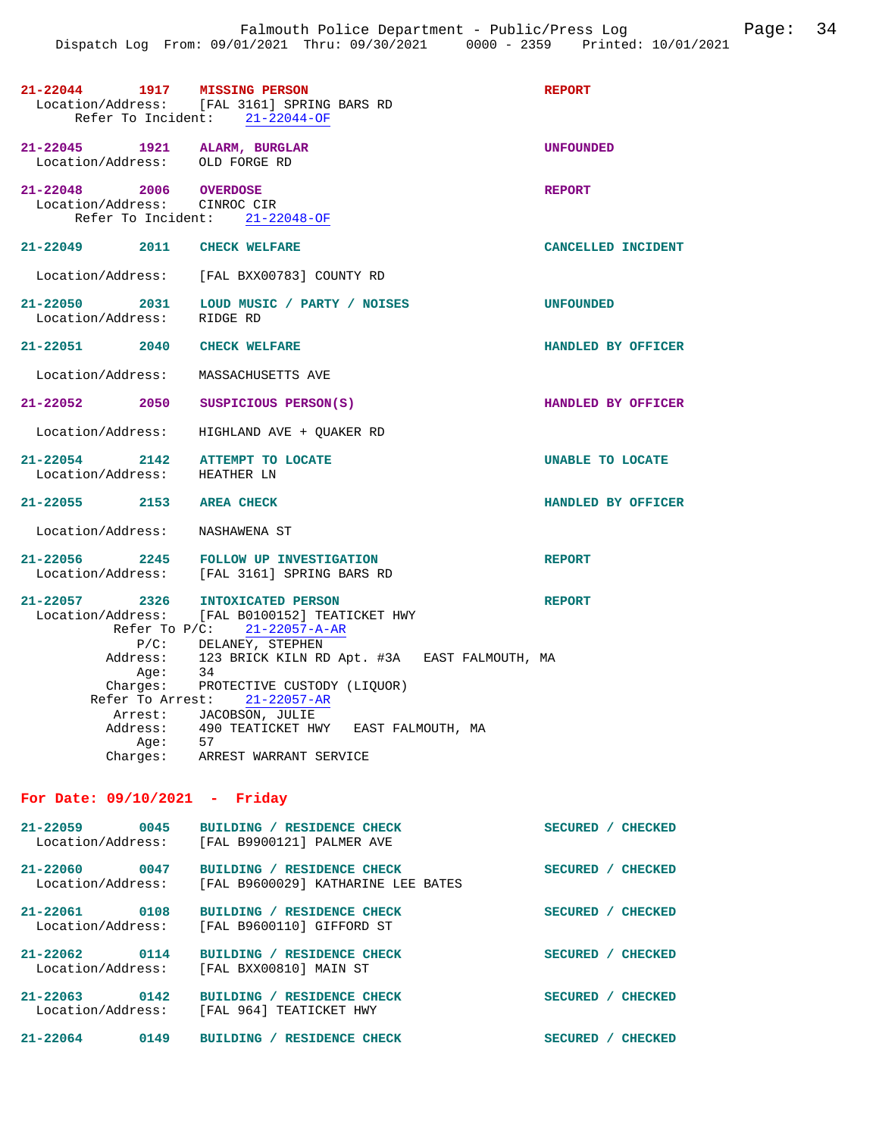| 21-22044 1917 MISSING PERSON<br>Location/Address: [FAL 3161] SPRING BARS RD<br>Refer To Incident: 21-22044-OF | <b>REPORT</b>                                                                                                       |                         |
|---------------------------------------------------------------------------------------------------------------|---------------------------------------------------------------------------------------------------------------------|-------------------------|
| 21-22045 1921 ALARM, BURGLAR<br>Location/Address: OLD FORGE RD                                                |                                                                                                                     | <b>UNFOUNDED</b>        |
| 21-22048 2006 OVERDOSE<br>Location/Address: CINROC CIR                                                        | Refer To Incident: 21-22048-OF                                                                                      | <b>REPORT</b>           |
| 21-22049 2011 CHECK WELFARE                                                                                   |                                                                                                                     | CANCELLED INCIDENT      |
|                                                                                                               | Location/Address: [FAL BXX00783] COUNTY RD                                                                          |                         |
| Location/Address: RIDGE RD                                                                                    | 21-22050 2031 LOUD MUSIC / PARTY / NOISES                                                                           | <b>UNFOUNDED</b>        |
| 21-22051 2040 CHECK WELFARE                                                                                   |                                                                                                                     | HANDLED BY OFFICER      |
| Location/Address: MASSACHUSETTS AVE                                                                           |                                                                                                                     |                         |
| 21-22052 2050 SUSPICIOUS PERSON(S)                                                                            |                                                                                                                     | HANDLED BY OFFICER      |
|                                                                                                               | Location/Address: HIGHLAND AVE + QUAKER RD                                                                          |                         |
| 21-22054 2142 ATTEMPT TO LOCATE<br>Location/Address: HEATHER LN                                               |                                                                                                                     | <b>UNABLE TO LOCATE</b> |
| 21-22055 2153 AREA CHECK                                                                                      |                                                                                                                     | HANDLED BY OFFICER      |
| Location/Address: NASHAWENA ST                                                                                |                                                                                                                     |                         |
|                                                                                                               | 21-22056 2245 FOLLOW UP INVESTIGATION<br>Location/Address: [FAL 3161] SPRING BARS RD                                | <b>REPORT</b>           |
|                                                                                                               | 21-22057 2326 INTOXICATED PERSON<br>Location/Address: [FAL B0100152] TEATICKET HWY<br>Refer To $P/C: 21-22057-A-AR$ | <b>REPORT</b>           |
|                                                                                                               | P/C: DELANEY, STEPHEN<br>Address: 123 BRICK KILN RD Apt. #3A EAST FALMOUTH, MA                                      |                         |
| Aqe:                                                                                                          | 34                                                                                                                  |                         |
|                                                                                                               | Charges: PROTECTIVE CUSTODY (LIQUOR)                                                                                |                         |
| Refer To Arrest: 21-22057-AR                                                                                  |                                                                                                                     |                         |
| Arrest: JACOBSON, JULIE<br>Address: 490 TEATICKET HWY EAST FALMOUTH, MA                                       |                                                                                                                     |                         |
| Address:                                                                                                      |                                                                                                                     |                         |
| Age: $57$                                                                                                     |                                                                                                                     |                         |
| Charges:                                                                                                      | ARREST WARRANT SERVICE                                                                                              |                         |

## **For Date: 09/10/2021 - Friday**

| $21 - 22059$<br>Location/Address: | 0045 | / RESIDENCE CHECK<br><b>BUILDING</b><br>[FAL B9900121] PALMER AVE      | <b>SECURED</b> | <b>CHECKED</b> |
|-----------------------------------|------|------------------------------------------------------------------------|----------------|----------------|
| $21 - 22060$<br>Location/Address: | 0047 | BUILDING / RESIDENCE CHECK<br>[FAL B9600029] KATHARINE LEE BATES       | <b>SECURED</b> | <b>CHECKED</b> |
| 21-22061<br>Location/Address:     | 0108 | BUILDING / RESIDENCE CHECK<br>[FAL B9600110] GIFFORD ST                | <b>SECURED</b> | <b>CHECKED</b> |
| $21 - 22062$<br>Location/Address: | 0114 | / RESIDENCE CHECK<br><b>BUILDING</b><br>[FAL BXX00810] MAIN ST         | <b>SECURED</b> | <b>CHECKED</b> |
| $21 - 22063$<br>Location/Address: | 0142 | <b>RESIDENCE CHECK</b><br><b>BUILDING</b><br>FRL 9641<br>TEATICKET HWY | <b>SECURED</b> | <b>CHECKED</b> |
| $21 - 22064$                      | 0149 | <b>RESIDENCE</b><br><b>BUILDING</b><br>CHECK                           | <b>SECURED</b> | <b>CHECKED</b> |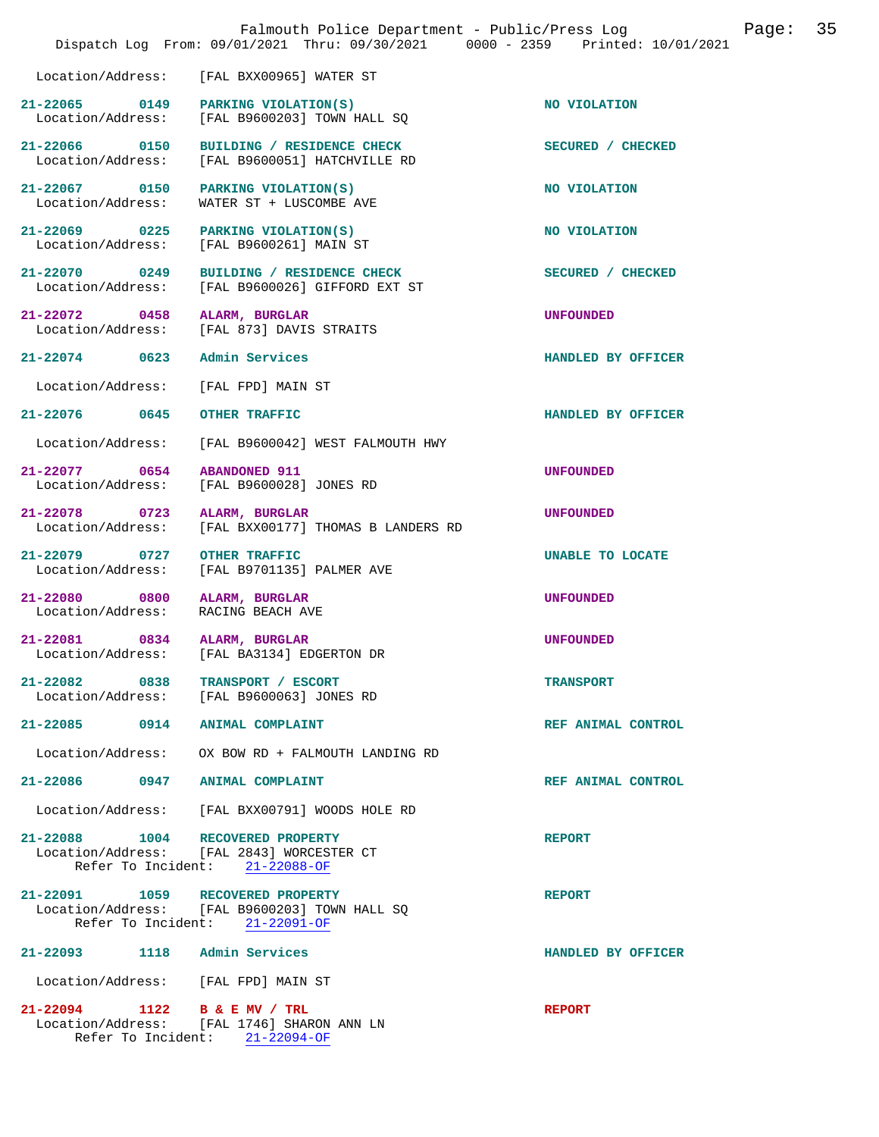|                                                   | Dispatch Log From: 09/01/2021 Thru: 09/30/2021 0000 - 2359 Printed: 10/01/2021  |                    |
|---------------------------------------------------|---------------------------------------------------------------------------------|--------------------|
| Location/Address:                                 | [FAL BXX00965] WATER ST                                                         |                    |
| 21-22065 0149<br>Location/Address:                | PARKING VIOLATION(S)<br>[FAL B9600203] TOWN HALL SQ                             | NO VIOLATION       |
| Location/Address:                                 | 21-22066 0150 BUILDING / RESIDENCE CHECK<br>[FAL B9600051] HATCHVILLE RD        | SECURED / CHECKED  |
| 21-22067 0150<br>Location/Address:                | PARKING VIOLATION(S)<br>WATER ST + LUSCOMBE AVE                                 | NO VIOLATION       |
| 21-22069 0225<br>Location/Address:                | PARKING VIOLATION(S)<br>[FAL B9600261] MAIN ST                                  | NO VIOLATION       |
| 21-22070 0249<br>Location/Address:                | BUILDING / RESIDENCE CHECK<br>[FAL B9600026] GIFFORD EXT ST                     | SECURED / CHECKED  |
| 21-22072 0458 ALARM, BURGLAR                      | Location/Address: [FAL 873] DAVIS STRAITS                                       | UNFOUNDED          |
| 21-22074 0623 Admin Services                      |                                                                                 | HANDLED BY OFFICER |
| Location/Address:                                 | [FAL FPD] MAIN ST                                                               |                    |
| 21-22076 0645                                     | <b>OTHER TRAFFIC</b>                                                            | HANDLED BY OFFICER |
| Location/Address:                                 | [FAL B9600042] WEST FALMOUTH HWY                                                |                    |
| 21-22077 0654<br>Location/Address:                | <b>ABANDONED 911</b><br>[FAL B9600028] JONES RD                                 | <b>UNFOUNDED</b>   |
| 21-22078 0723<br>Location/Address:                | ALARM, BURGLAR<br>[FAL BXX00177] THOMAS B LANDERS RD                            | <b>UNFOUNDED</b>   |
| 21-22079 0727<br>Location/Address:                | <b>OTHER TRAFFIC</b><br>[FAL B9701135] PALMER AVE                               | UNABLE TO LOCATE   |
| 21-22080 0800<br>Location/Address:                | ALARM, BURGLAR<br>RACING BEACH AVE                                              | <b>UNFOUNDED</b>   |
| 21-22081 0834 ALARM, BURGLAR<br>Location/Address: | [FAL BA3134] EDGERTON DR                                                        | <b>UNFOUNDED</b>   |
| 21-22082 0838                                     | TRANSPORT / ESCORT<br>Location/Address: [FAL B9600063] JONES RD                 | <b>TRANSPORT</b>   |
| 21-22085 0914 ANIMAL COMPLAINT                    |                                                                                 | REF ANIMAL CONTROL |
|                                                   | Location/Address: OX BOW RD + FALMOUTH LANDING RD                               |                    |
| 21-22086 0947 ANIMAL COMPLAINT                    |                                                                                 | REF ANIMAL CONTROL |
|                                                   | Location/Address: [FAL BXX00791] WOODS HOLE RD                                  |                    |
| 21-22088 1004 RECOVERED PROPERTY                  | Location/Address: [FAL 2843] WORCESTER CT<br>Refer To Incident: 21-22088-OF     | <b>REPORT</b>      |
| 21-22091 1059 RECOVERED PROPERTY                  | Location/Address: [FAL B9600203] TOWN HALL SQ<br>Refer To Incident: 21-22091-OF | <b>REPORT</b>      |
| 21-22093 1118 Admin Services                      |                                                                                 | HANDLED BY OFFICER |
| Location/Address: [FAL FPD] MAIN ST               |                                                                                 |                    |
| 21-22094 1122 B & E MV / TRL                      | Location/Address: [FAL 1746] SHARON ANN LN<br>Refer To Incident: 21-22094-OF    | <b>REPORT</b>      |

Falmouth Police Department - Public/Press Log Page: 35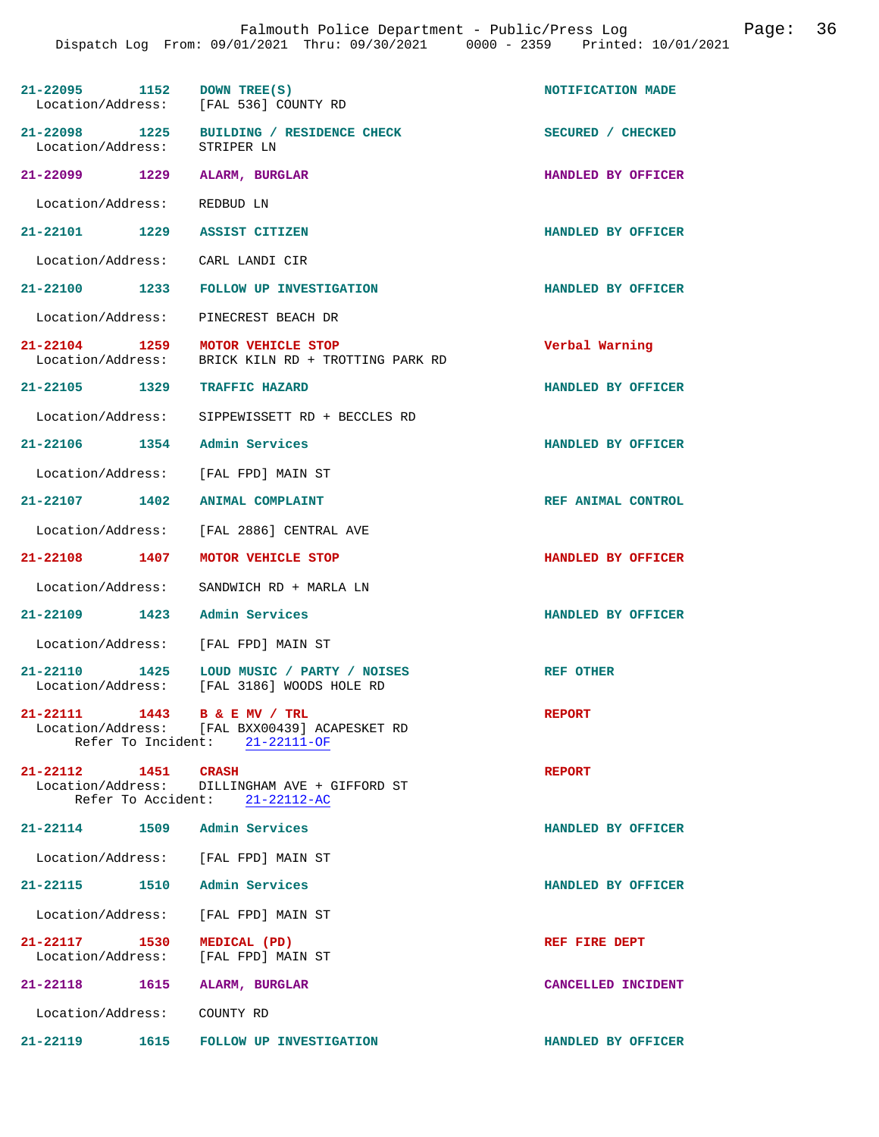|                              | 21-22095 1152 DOWN TREE(S)<br>Location/Address: [FAL 536] COUNTY RD                                             | NOTIFICATION MADE  |
|------------------------------|-----------------------------------------------------------------------------------------------------------------|--------------------|
| Location/Address: STRIPER LN | 21-22098 1225 BUILDING / RESIDENCE CHECK                                                                        | SECURED / CHECKED  |
|                              | 21-22099 1229 ALARM, BURGLAR                                                                                    | HANDLED BY OFFICER |
| Location/Address: REDBUD LN  |                                                                                                                 |                    |
|                              | 21-22101 1229 ASSIST CITIZEN                                                                                    | HANDLED BY OFFICER |
|                              | Location/Address: CARL LANDI CIR                                                                                |                    |
|                              | 21-22100 1233 FOLLOW UP INVESTIGATION                                                                           | HANDLED BY OFFICER |
|                              | Location/Address: PINECREST BEACH DR                                                                            |                    |
|                              | 21-22104 1259 MOTOR VEHICLE STOP<br>Location/Address: BRICK KILN RD + TROTTING PARK RD                          | Verbal Warning     |
|                              | 21-22105 1329 TRAFFIC HAZARD                                                                                    | HANDLED BY OFFICER |
|                              | Location/Address: SIPPEWISSETT RD + BECCLES RD                                                                  |                    |
|                              | 21-22106 1354 Admin Services                                                                                    | HANDLED BY OFFICER |
|                              | Location/Address: [FAL FPD] MAIN ST                                                                             |                    |
|                              | 21-22107 1402 ANIMAL COMPLAINT                                                                                  | REF ANIMAL CONTROL |
|                              | Location/Address: [FAL 2886] CENTRAL AVE                                                                        |                    |
|                              | 21-22108 1407 MOTOR VEHICLE STOP                                                                                | HANDLED BY OFFICER |
|                              | Location/Address: SANDWICH RD + MARLA LN                                                                        |                    |
|                              | 21-22109 1423 Admin Services                                                                                    | HANDLED BY OFFICER |
|                              | Location/Address: [FAL FPD] MAIN ST                                                                             |                    |
| $21 - 22110$                 | 1425 LOUD MUSIC / PARTY / NOISES<br>Location/Address: [FAL 3186] WOODS HOLE RD                                  | REF OTHER          |
|                              | 21-22111 1443 B & E MV / TRL<br>Location/Address: [FAL BXX00439] ACAPESKET RD<br>Refer To Incident: 21-22111-OF | <b>REPORT</b>      |
|                              | 21-22112 1451 CRASH<br>Location/Address: DILLINGHAM AVE + GIFFORD ST<br>Refer To Accident: 21-22112-AC          | <b>REPORT</b>      |
|                              | 21-22114 1509 Admin Services                                                                                    | HANDLED BY OFFICER |
|                              | Location/Address: [FAL FPD] MAIN ST                                                                             |                    |
|                              | 21-22115 1510 Admin Services                                                                                    | HANDLED BY OFFICER |
|                              | Location/Address: [FAL FPD] MAIN ST                                                                             |                    |
|                              | 21-22117 1530 MEDICAL (PD)<br>Location/Address: [FAL FPD] MAIN ST                                               | REF FIRE DEPT      |
|                              | 21-22118   1615   ALARM, BURGLAR                                                                                | CANCELLED INCIDENT |
| Location/Address: COUNTY RD  |                                                                                                                 |                    |
| 21-22119                     | 1615 FOLLOW UP INVESTIGATION                                                                                    | HANDLED BY OFFICER |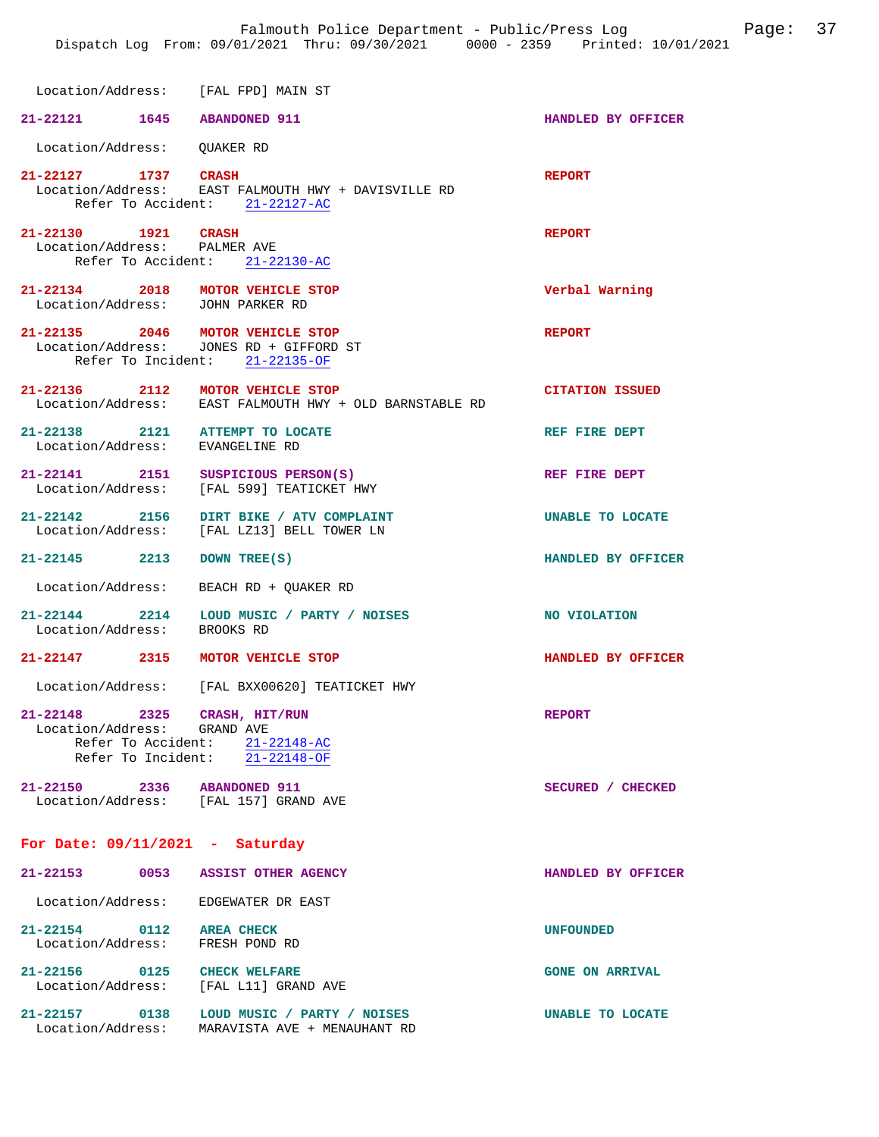Location/Address: [FAL FPD] MAIN ST **21-22121 1645 ABANDONED 911 HANDLED BY OFFICER**  Location/Address: QUAKER RD **21-22127 1737 CRASH REPORT**  Location/Address: EAST FALMOUTH HWY + DAVISVILLE RD Refer To Accident: 21-22127-AC **21-22130 1921 CRASH REPORT**  Location/Address: PALMER AVE Refer To Accident: 21-22130-AC **21-22134 2018 MOTOR VEHICLE STOP Verbal Warning**  Location/Address: **21-22135 2046 MOTOR VEHICLE STOP REPORT**  Location/Address: JONES RD + GIFFORD ST Refer To Incident: 21-22135-OF **21-22136 2112 MOTOR VEHICLE STOP CITATION ISSUED**  Location/Address: EAST FALMOUTH HWY + OLD BARNSTABLE RD **21-22138 2121 ATTEMPT TO LOCATE REF FIRE DEPT**  Location/Address: EVANGELINE RD 21-22141 2151 SUSPICIOUS PERSON(S) REF FIRE DEPT Location/Address: [FAL 599] TEATICKET HWY [FAL 599] TEATICKET HWY **21-22142 2156 DIRT BIKE / ATV COMPLAINT UNABLE TO LOCATE**  [FAL LZ13] BELL TOWER LN **21-22145 2213 DOWN TREE(S) HANDLED BY OFFICER**  Location/Address: BEACH RD + QUAKER RD 21-22144 2214 LOUD MUSIC / PARTY / NOISES NO VIOLATION Location/Address: BROOKS RD Location/Address: **21-22147 2315 MOTOR VEHICLE STOP HANDLED BY OFFICER**  Location/Address: [FAL BXX00620] TEATICKET HWY **21-22148 2325 CRASH, HIT/RUN REPORT**  Location/Address: Refer To Accident: 21-22148-AC Refer To Incident: 21-22148-OF **21-22150 2336 ABANDONED 911 SECURED / CHECKED**  Location/Address: **For Date: 09/11/2021 - Saturday 21-22153 0053 ASSIST OTHER AGENCY HANDLED BY OFFICER**  Location/Address: EDGEWATER DR EAST **21-22154 0112 AREA CHECK UNFOUNDED**  Location/Address: FRESH POND RD **21-22156 0125 CHECK WELFARE GONE ON ARRIVAL**  [FAL L11] GRAND AVE **21-22157 0138 LOUD MUSIC / PARTY / NOISES UNABLE TO LOCATE** 

Location/Address: MARAVISTA AVE + MENAUHANT RD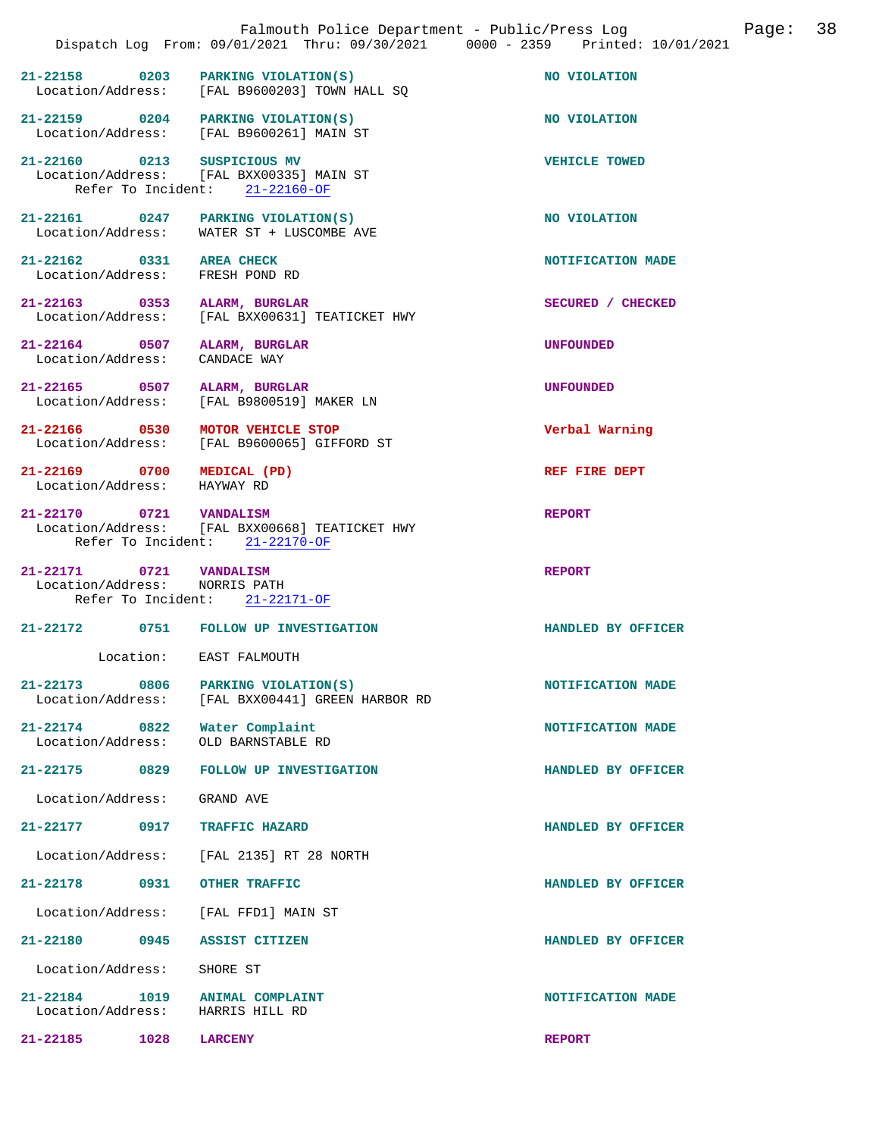|                                                             |      | Falmouth Police Department - Public/Press Log<br>Dispatch Log From: 09/01/2021 Thru: 09/30/2021 0000 - 2359 Printed: 10/01/2021 | 38<br>Page:          |
|-------------------------------------------------------------|------|---------------------------------------------------------------------------------------------------------------------------------|----------------------|
|                                                             |      | $21-22158$ 0203 PARKING VIOLATION(S)<br>Location/Address: [FAL B9600203] TOWN HALL SQ                                           | NO VIOLATION         |
|                                                             |      | 21-22159 0204 PARKING VIOLATION(S)<br>Location/Address: [FAL B9600261] MAIN ST                                                  | NO VIOLATION         |
|                                                             |      | 21-22160 0213 SUSPICIOUS MV<br>Location/Address: [FAL BXX00335] MAIN ST<br>Refer To Incident: 21-22160-OF                       | <b>VEHICLE TOWED</b> |
|                                                             |      | 21-22161 0247 PARKING VIOLATION(S)<br>Location/Address: WATER ST + LUSCOMBE AVE                                                 | NO VIOLATION         |
| 21-22162 0331 AREA CHECK<br>Location/Address: FRESH POND RD |      |                                                                                                                                 | NOTIFICATION MADE    |
| 21-22163 0353 ALARM, BURGLAR                                |      | Location/Address: [FAL BXX00631] TEATICKET HWY                                                                                  | SECURED / CHECKED    |
| 21-22164 0507 ALARM, BURGLAR<br>Location/Address:           |      | CANDACE WAY                                                                                                                     | <b>UNFOUNDED</b>     |
| 21-22165 0507 ALARM, BURGLAR<br>Location/Address:           |      | [FAL B9800519] MAKER LN                                                                                                         | <b>UNFOUNDED</b>     |
|                                                             |      | 21-22166 0530 MOTOR VEHICLE STOP<br>Location/Address: [FAL B9600065] GIFFORD ST                                                 | Verbal Warning       |
| 21-22169 0700 MEDICAL (PD)<br>Location/Address: HAYWAY RD   |      |                                                                                                                                 | REF FIRE DEPT        |
| 21-22170 0721 VANDALISM                                     |      | Location/Address: [FAL BXX00668] TEATICKET HWY<br>Refer To Incident: 21-22170-OF                                                | <b>REPORT</b>        |
| 21-22171 0721 VANDALISM<br>Location/Address: NORRIS PATH    |      | Refer To Incident: 21-22171-OF                                                                                                  | <b>REPORT</b>        |
|                                                             |      | 21-22172 0751 FOLLOW UP INVESTIGATION                                                                                           | HANDLED BY OFFICER   |
| Location:                                                   |      | <b>EAST FALMOUTH</b>                                                                                                            |                      |
| $21 - 22173$<br>Location/Address:                           | 0806 | PARKING VIOLATION(S)<br>[FAL BXX00441] GREEN HARBOR RD                                                                          | NOTIFICATION MADE    |
| $21 - 22174$<br>Location/Address:                           | 0822 | Water Complaint<br>OLD BARNSTABLE RD                                                                                            | NOTIFICATION MADE    |
| $21 - 22175$                                                | 0829 | FOLLOW UP INVESTIGATION                                                                                                         | HANDLED BY OFFICER   |
| Location/Address:                                           |      | GRAND AVE                                                                                                                       |                      |
| $21 - 22177$                                                | 0917 | TRAFFIC HAZARD                                                                                                                  | HANDLED BY OFFICER   |
| Location/Address:                                           |      | [FAL 2135] RT 28 NORTH                                                                                                          |                      |
| $21 - 22178$                                                | 0931 | OTHER TRAFFIC                                                                                                                   | HANDLED BY OFFICER   |
| Location/Address:                                           |      | [FAL FFD1] MAIN ST                                                                                                              |                      |
| 21-22180                                                    | 0945 | <b>ASSIST CITIZEN</b>                                                                                                           | HANDLED BY OFFICER   |
| Location/Address:                                           |      | SHORE ST                                                                                                                        |                      |
| $21 - 22184$<br>Location/Address:                           | 1019 | <b>ANIMAL COMPLAINT</b><br>HARRIS HILL RD                                                                                       | NOTIFICATION MADE    |
| 21-22185                                                    | 1028 | <b>LARCENY</b>                                                                                                                  | <b>REPORT</b>        |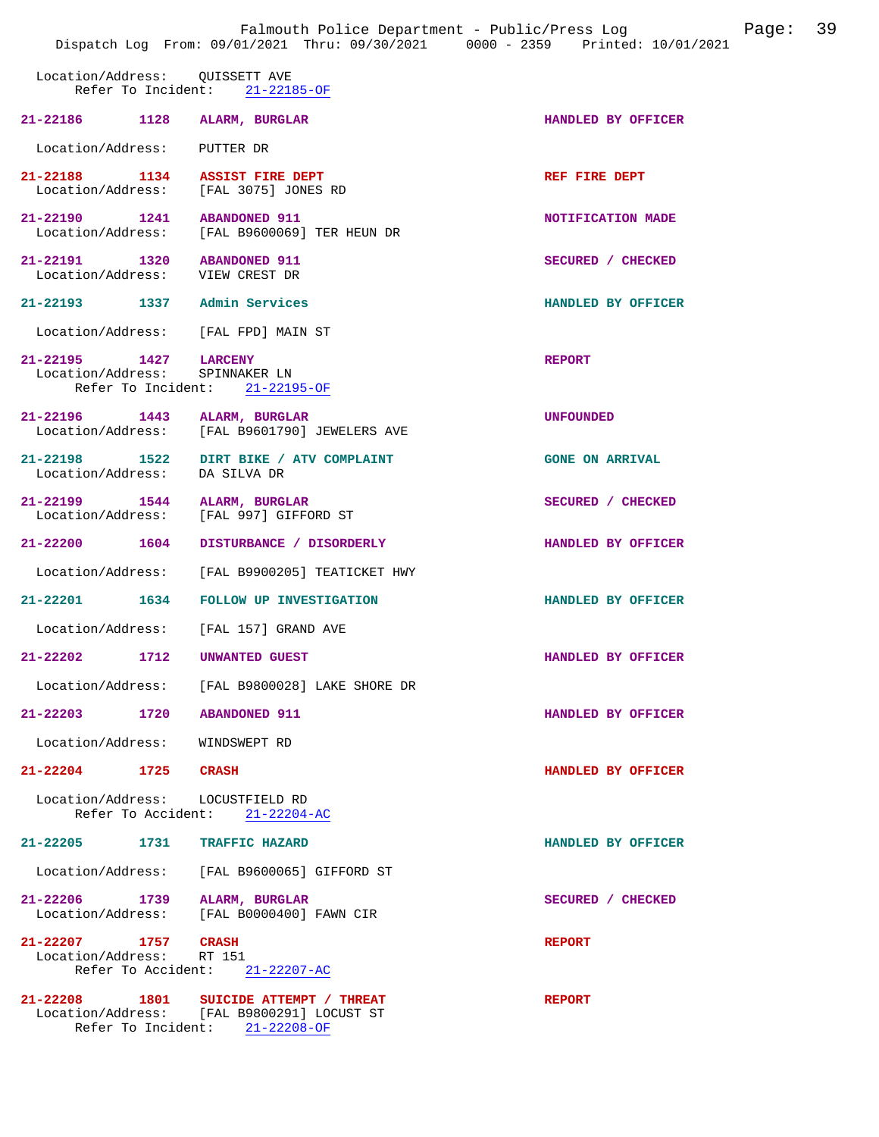|                                                                | Falmouth Police Department - Public/Press Log Fage: 39<br>Dispatch Log From: 09/01/2021 Thru: 09/30/2021 0000 - 2359 Printed: 10/01/2021 |                        |  |
|----------------------------------------------------------------|------------------------------------------------------------------------------------------------------------------------------------------|------------------------|--|
| Location/Address: QUISSETT AVE                                 | Refer To Incident: 21-22185-OF                                                                                                           |                        |  |
| 21-22186 1128 ALARM, BURGLAR                                   |                                                                                                                                          | HANDLED BY OFFICER     |  |
| Location/Address: PUTTER DR                                    |                                                                                                                                          |                        |  |
|                                                                | 21-22188 1134 ASSIST FIRE DEPT<br>Location/Address: [FAL 3075] JONES RD                                                                  | REF FIRE DEPT          |  |
| 21-22190 1241 ABANDONED 911                                    | Location/Address: [FAL B9600069] TER HEUN DR                                                                                             | NOTIFICATION MADE      |  |
| 21-22191 1320 ABANDONED 911<br>Location/Address: VIEW CREST DR |                                                                                                                                          | SECURED / CHECKED      |  |
| 21-22193 1337 Admin Services                                   |                                                                                                                                          | HANDLED BY OFFICER     |  |
|                                                                | Location/Address: [FAL FPD] MAIN ST                                                                                                      |                        |  |
| 21-22195 1427 LARCENY<br>Location/Address: SPINNAKER LN        | Refer To Incident: 21-22195-OF                                                                                                           | <b>REPORT</b>          |  |
| 21-22196 1443 ALARM, BURGLAR                                   | Location/Address: [FAL B9601790] JEWELERS AVE                                                                                            | <b>UNFOUNDED</b>       |  |
| Location/Address: DA SILVA DR                                  | 21-22198 1522 DIRT BIKE / ATV COMPLAINT                                                                                                  | <b>GONE ON ARRIVAL</b> |  |
| 21-22199 1544 ALARM, BURGLAR                                   | Location/Address: [FAL 997] GIFFORD ST                                                                                                   | SECURED / CHECKED      |  |
| 21-22200 1604                                                  | DISTURBANCE / DISORDERLY                                                                                                                 | HANDLED BY OFFICER     |  |
| Location/Address:                                              | [FAL B9900205] TEATICKET HWY                                                                                                             |                        |  |
|                                                                | 21-22201 1634 FOLLOW UP INVESTIGATION                                                                                                    | HANDLED BY OFFICER     |  |
|                                                                | Location/Address: [FAL 157] GRAND AVE                                                                                                    |                        |  |
| 21-22202 1712 UNWANTED GUEST                                   |                                                                                                                                          | HANDLED BY OFFICER     |  |
|                                                                | Location/Address: [FAL B9800028] LAKE SHORE DR                                                                                           |                        |  |
| 21-22203 1720 ABANDONED 911                                    |                                                                                                                                          | HANDLED BY OFFICER     |  |
| Location/Address: WINDSWEPT RD                                 |                                                                                                                                          |                        |  |
| 21-22204 1725 CRASH                                            |                                                                                                                                          | HANDLED BY OFFICER     |  |
| Location/Address: LOCUSTFIELD RD                               | Refer To Accident: 21-22204-AC                                                                                                           |                        |  |
| 21-22205 1731 TRAFFIC HAZARD                                   |                                                                                                                                          | HANDLED BY OFFICER     |  |
|                                                                | Location/Address: [FAL B9600065] GIFFORD ST                                                                                              |                        |  |
| 21-22206 1739 ALARM, BURGLAR                                   | Location/Address: [FAL B0000400] FAWN CIR                                                                                                | SECURED / CHECKED      |  |
| 21-22207 1757 CRASH<br>Location/Address: RT 151                | Refer To Accident: 21-22207-AC                                                                                                           | <b>REPORT</b>          |  |
|                                                                | 21-22208 1801 SUICIDE ATTEMPT / THREAT<br>Location/Address: [FAL B9800291] LOCUST ST<br>Refer To Incident: 21-22208-OF                   | <b>REPORT</b>          |  |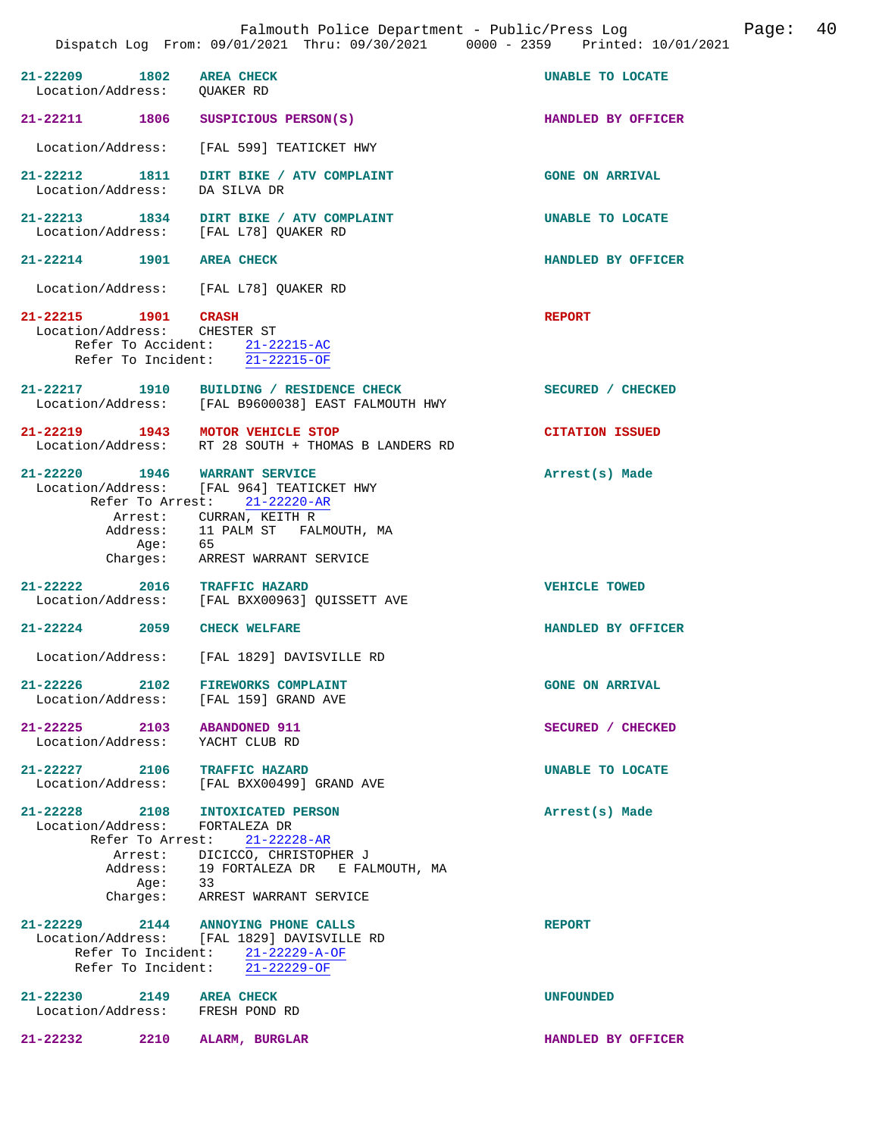| 21-22209 1802 AREA CHECK<br>Location/Address: QUAKER RD            |                                                                                                                                                                                        | UNABLE TO LOCATE       |
|--------------------------------------------------------------------|----------------------------------------------------------------------------------------------------------------------------------------------------------------------------------------|------------------------|
| 21-22211 1806                                                      | SUSPICIOUS PERSON(S)                                                                                                                                                                   | HANDLED BY OFFICER     |
|                                                                    | Location/Address: [FAL 599] TEATICKET HWY                                                                                                                                              |                        |
| 21-22212 1811<br>Location/Address: DA SILVA DR                     | DIRT BIKE / ATV COMPLAINT                                                                                                                                                              | <b>GONE ON ARRIVAL</b> |
| 21-22213 1834<br>Location/Address: [FAL L78] QUAKER RD             | DIRT BIKE / ATV COMPLAINT                                                                                                                                                              | UNABLE TO LOCATE       |
| 21-22214 1901 AREA CHECK                                           |                                                                                                                                                                                        | HANDLED BY OFFICER     |
| Location/Address: [FAL L78] QUAKER RD                              |                                                                                                                                                                                        |                        |
| 21-22215 1901 CRASH<br>Location/Address: CHESTER ST                | Refer To Accident: 21-22215-AC<br>Refer To Incident: 21-22215-OF                                                                                                                       | <b>REPORT</b>          |
|                                                                    | 21-22217 1910 BUILDING / RESIDENCE CHECK<br>Location/Address: [FAL B9600038] EAST FALMOUTH HWY                                                                                         | SECURED / CHECKED      |
| 21-22219 1943 MOTOR VEHICLE STOP                                   | Location/Address: RT 28 SOUTH + THOMAS B LANDERS RD                                                                                                                                    | <b>CITATION ISSUED</b> |
| 21-22220 1946 WARRANT SERVICE                                      | Location/Address: [FAL 964] TEATICKET HWY<br>Refer To Arrest: 21-22220-AR<br>Arrest: CURRAN, KEITH R<br>Address: 11 PALM ST FALMOUTH, MA<br>Age: 65<br>Charges: ARREST WARRANT SERVICE | Arrest(s) Made         |
| 21-22222 2016 TRAFFIC HAZARD                                       | Location/Address: [FAL BXX00963] QUISSETT AVE                                                                                                                                          | <b>VEHICLE TOWED</b>   |
| $21 - 22224$ 2059                                                  | <b>CHECK WELFARE</b>                                                                                                                                                                   | HANDLED BY OFFICER     |
|                                                                    | Location/Address: [FAL 1829] DAVISVILLE RD                                                                                                                                             |                        |
| $21 - 22226$<br>2102<br>Location/Address: [FAL 159] GRAND AVE      | <b>FIREWORKS COMPLAINT</b>                                                                                                                                                             | <b>GONE ON ARRIVAL</b> |
| $21 - 22225$ 2103<br>Location/Address: YACHT CLUB RD               | <b>ABANDONED 911</b>                                                                                                                                                                   | SECURED / CHECKED      |
| 21-22227 2106 TRAFFIC HAZARD                                       | Location/Address: [FAL BXX00499] GRAND AVE                                                                                                                                             | UNABLE TO LOCATE       |
| 21-22228 2108 INTOXICATED PERSON<br>Location/Address: FORTALEZA DR | Refer To Arrest: 21-22228-AR<br>Arrest: DICICCO, CHRISTOPHER J<br>Address: 19 FORTALEZA DR E FALMOUTH, MA<br>Age: 33<br>Charges: ARREST WARRANT SERVICE                                | Arrest(s) Made         |
| 21-22229 2144 ANNOYING PHONE CALLS                                 | Location/Address: [FAL 1829] DAVISVILLE RD<br>Refer To Incident: 21-22229-A-OF<br>Refer To Incident: 21-22229-OF                                                                       | <b>REPORT</b>          |
| 21-22230 2149 AREA CHECK<br>Location/Address: FRESH POND RD        |                                                                                                                                                                                        | <b>UNFOUNDED</b>       |
|                                                                    | 21-22232 2210 ALARM, BURGLAR                                                                                                                                                           | HANDLED BY OFFICER     |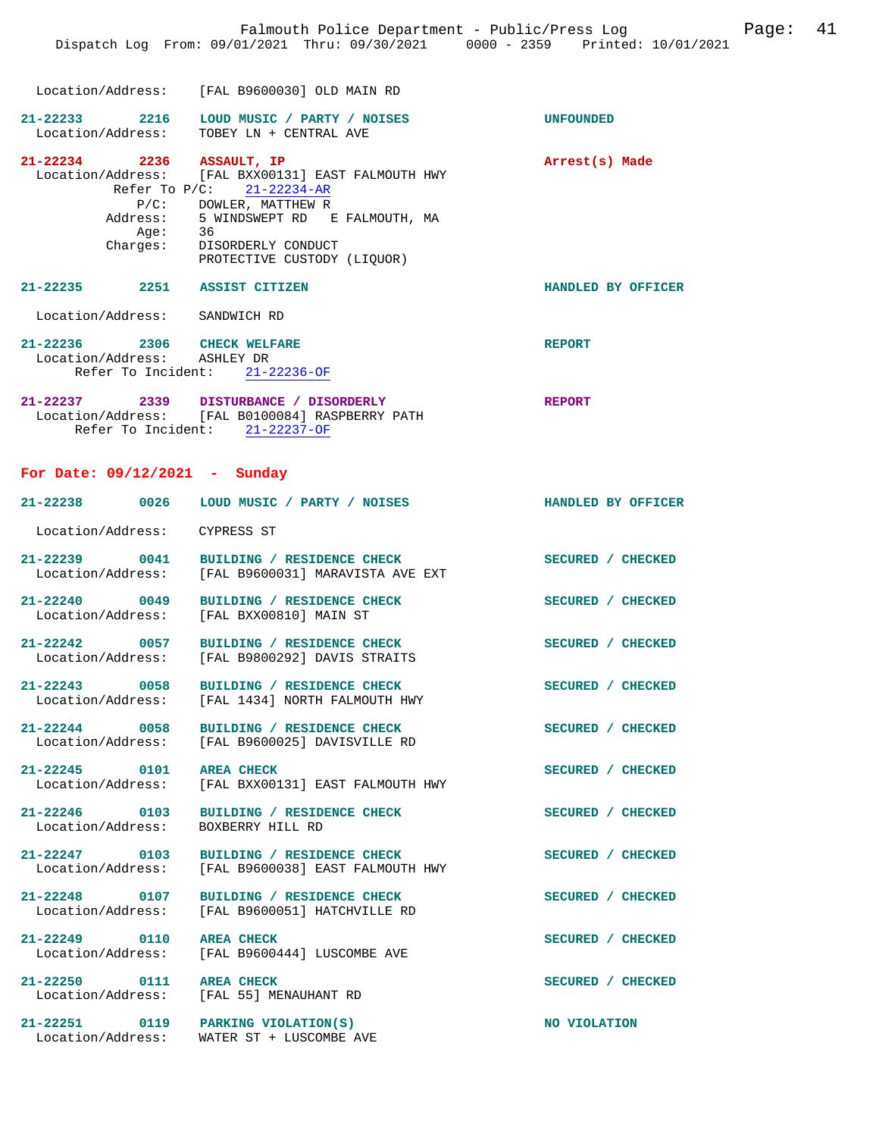**21-22233 2216 LOUD MUSIC / PARTY / NOISES UNFOUNDED**  Location/Address: TOBEY LN + CENTRAL AVE **21-22234 2236 ASSAULT, IP Arrest(s) Made**  Location/Address: [FAL BXX00131] EAST FALMOUTH HWY Refer To P/C: 21-22234-AR P/C: DOWLER, MATTHEW R Address: 5 WINDSWEPT RD E FALMOUTH, MA Age: 36 Charges: DISORDERLY CONDUCT PROTECTIVE CUSTODY (LIQUOR)

**21-22235 2251 ASSIST CITIZEN HANDLED BY OFFICER**  Location/Address: SANDWICH RD

| 21-22236        | 2306 | CHECK WELFARE                    | <b>REPORT</b> |
|-----------------|------|----------------------------------|---------------|
|                 |      | Location/Address: ASHLEY DR      |               |
|                 |      | Refer To Incident: $21-22236-OF$ |               |
| ່າ1 _ າ າ າ າ ກ | າລາດ | DICTIONANCE / DICODDEDIV         | הממחסם        |

| 41-44497          | - 2333             |             | DISIURBANCE / DISURDERLI      |  | <b>KEPURI</b> |
|-------------------|--------------------|-------------|-------------------------------|--|---------------|
| Location/Address: |                    |             | [FAL B0100084] RASPBERRY PATH |  |               |
|                   | Refer To Incident: | 21-22237-0F |                               |  |               |

## **For Date: 09/12/2021 - Sunday**

| For Date: 09/12/2021 - Sunday      |                                                                                                |                    |
|------------------------------------|------------------------------------------------------------------------------------------------|--------------------|
| 21-22238 0026                      | LOUD MUSIC / PARTY / NOISES                                                                    | HANDLED BY OFFICER |
| Location/Address: CYPRESS ST       |                                                                                                |                    |
| 21-22239 0041                      | BUILDING / RESIDENCE CHECK<br>Location/Address: [FAL B9600031] MARAVISTA AVE EXT               | SECURED / CHECKED  |
| 21-22240 0049                      | BUILDING / RESIDENCE CHECK<br>Location/Address: [FAL BXX00810] MAIN ST                         | SECURED / CHECKED  |
| 21-22242 0057                      | BUILDING / RESIDENCE CHECK<br>Location/Address: [FAL B9800292] DAVIS STRAITS                   | SECURED / CHECKED  |
| 21-22243 0058                      | BUILDING / RESIDENCE CHECK<br>Location/Address: [FAL 1434] NORTH FALMOUTH HWY                  | SECURED / CHECKED  |
| 21-22244 0058                      | BUILDING / RESIDENCE CHECK<br>Location/Address: [FAL B9600025] DAVISVILLE RD                   | SECURED / CHECKED  |
| 21-22245 0101                      | <b>AREA CHECK</b><br>Location/Address: [FAL BXX00131] EAST FALMOUTH HWY                        | SECURED / CHECKED  |
| Location/Address: BOXBERRY HILL RD | 21-22246 0103 BUILDING / RESIDENCE CHECK                                                       | SECURED / CHECKED  |
|                                    | 21-22247 0103 BUILDING / RESIDENCE CHECK<br>Location/Address: [FAL B9600038] EAST FALMOUTH HWY | SECURED / CHECKED  |
| 21-22248 0107                      | BUILDING / RESIDENCE CHECK<br>Location/Address: [FAL B9600051] HATCHVILLE RD                   | SECURED / CHECKED  |
| 21-22249 0110                      | <b>AREA CHECK</b><br>Location/Address: [FAL B9600444] LUSCOMBE AVE                             | SECURED / CHECKED  |
| 21-22250 0111                      | <b>AREA CHECK</b><br>Location/Address: [FAL 55] MENAUHANT RD                                   | SECURED / CHECKED  |
| Location/Address:                  | 21-22251 0119 PARKING VIOLATION(S)<br>WATER ST + LUSCOMBE AVE                                  | NO VIOLATION       |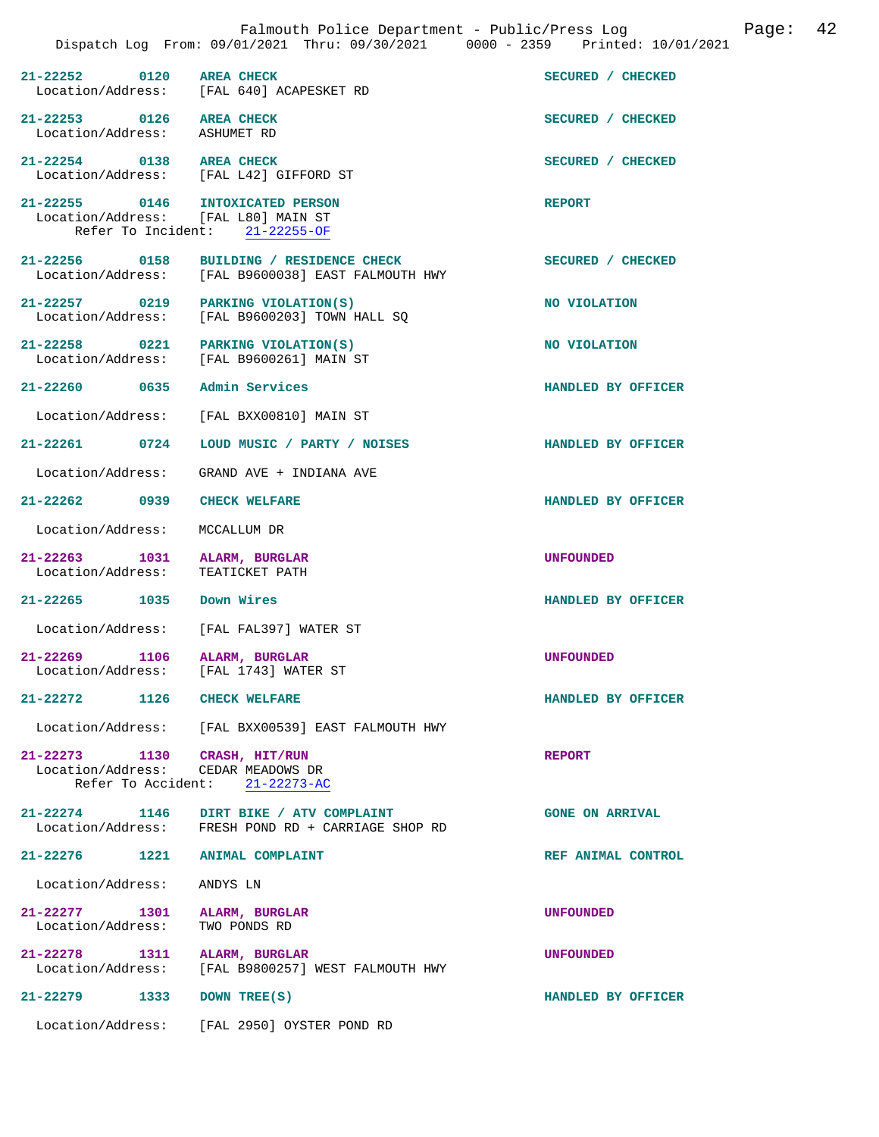|                                                                  | Falmouth Police Department - Public/Press Log Falmouth Police Department - Public/Press Log<br>Dispatch Log From: 09/01/2021 Thru: 09/30/2021 0000 - 2359 Printed: 10/01/2021 |                        |  |  |
|------------------------------------------------------------------|-------------------------------------------------------------------------------------------------------------------------------------------------------------------------------|------------------------|--|--|
| $21 - 22252$ 0120                                                | <b>AREA CHECK</b><br>Location/Address: [FAL 640] ACAPESKET RD                                                                                                                 | SECURED / CHECKED      |  |  |
| 21-22253 0126 AREA CHECK<br>Location/Address: ASHUMET RD         |                                                                                                                                                                               | SECURED / CHECKED      |  |  |
| 21-22254 0138 AREA CHECK                                         | Location/Address: [FAL L42] GIFFORD ST                                                                                                                                        | SECURED / CHECKED      |  |  |
|                                                                  | 21-22255 0146 INTOXICATED PERSON<br>Location/Address: [FAL L80] MAIN ST<br>Refer To Incident: 21-22255-OF                                                                     | <b>REPORT</b>          |  |  |
|                                                                  | 21-22256 0158 BUILDING / RESIDENCE CHECK<br>Location/Address: [FAL B9600038] EAST FALMOUTH HWY                                                                                | SECURED / CHECKED      |  |  |
|                                                                  | 21-22257 0219 PARKING VIOLATION(S)<br>Location/Address: [FAL B9600203] TOWN HALL SQ                                                                                           | NO VIOLATION           |  |  |
| Location/Address:                                                | 21-22258 0221 PARKING VIOLATION(S)<br>[FAL B9600261] MAIN ST                                                                                                                  | NO VIOLATION           |  |  |
| 21-22260 0635 Admin Services                                     |                                                                                                                                                                               | HANDLED BY OFFICER     |  |  |
| Location/Address:                                                | [FAL BXX00810] MAIN ST                                                                                                                                                        |                        |  |  |
| 21-22261 0724                                                    | LOUD MUSIC / PARTY / NOISES                                                                                                                                                   | HANDLED BY OFFICER     |  |  |
| Location/Address:                                                | GRAND AVE + INDIANA AVE                                                                                                                                                       |                        |  |  |
| 21-22262 0939                                                    | <b>CHECK WELFARE</b>                                                                                                                                                          | HANDLED BY OFFICER     |  |  |
| Location/Address:                                                | MCCALLUM DR                                                                                                                                                                   |                        |  |  |
| 21-22263 1031 ALARM, BURGLAR<br>Location/Address: TEATICKET PATH |                                                                                                                                                                               | <b>UNFOUNDED</b>       |  |  |
| 21-22265 1035 Down Wires                                         |                                                                                                                                                                               | HANDLED BY OFFICER     |  |  |
|                                                                  | Location/Address: [FAL FAL397] WATER ST                                                                                                                                       |                        |  |  |
| 21-22269 1106 ALARM, BURGLAR                                     | Location/Address: [FAL 1743] WATER ST                                                                                                                                         | <b>UNFOUNDED</b>       |  |  |
| 21-22272 1126 CHECK WELFARE                                      |                                                                                                                                                                               | HANDLED BY OFFICER     |  |  |
|                                                                  | Location/Address: [FAL BXX00539] EAST FALMOUTH HWY                                                                                                                            |                        |  |  |
| 21-22273 1130 CRASH, HIT/RUN                                     | Location/Address: CEDAR MEADOWS DR<br>Refer To Accident: 21-22273-AC                                                                                                          | <b>REPORT</b>          |  |  |
| $21 - 22274$ 1146                                                | DIRT BIKE / ATV COMPLAINT<br>Location/Address: FRESH POND RD + CARRIAGE SHOP RD                                                                                               | <b>GONE ON ARRIVAL</b> |  |  |
|                                                                  | 21-22276 1221 ANIMAL COMPLAINT                                                                                                                                                | REF ANIMAL CONTROL     |  |  |
| Location/Address:                                                | ANDYS LN                                                                                                                                                                      |                        |  |  |
| 21-22277 1301<br>Location/Address:                               | ALARM, BURGLAR<br>TWO PONDS RD                                                                                                                                                | <b>UNFOUNDED</b>       |  |  |
| 21-22278 1311<br>Location/Address:                               | ALARM, BURGLAR<br>[FAL B9800257] WEST FALMOUTH HWY                                                                                                                            | <b>UNFOUNDED</b>       |  |  |
| 21-22279 1333                                                    | DOWN TREE(S)                                                                                                                                                                  | HANDLED BY OFFICER     |  |  |
| Location/Address:                                                | [FAL 2950] OYSTER POND RD                                                                                                                                                     |                        |  |  |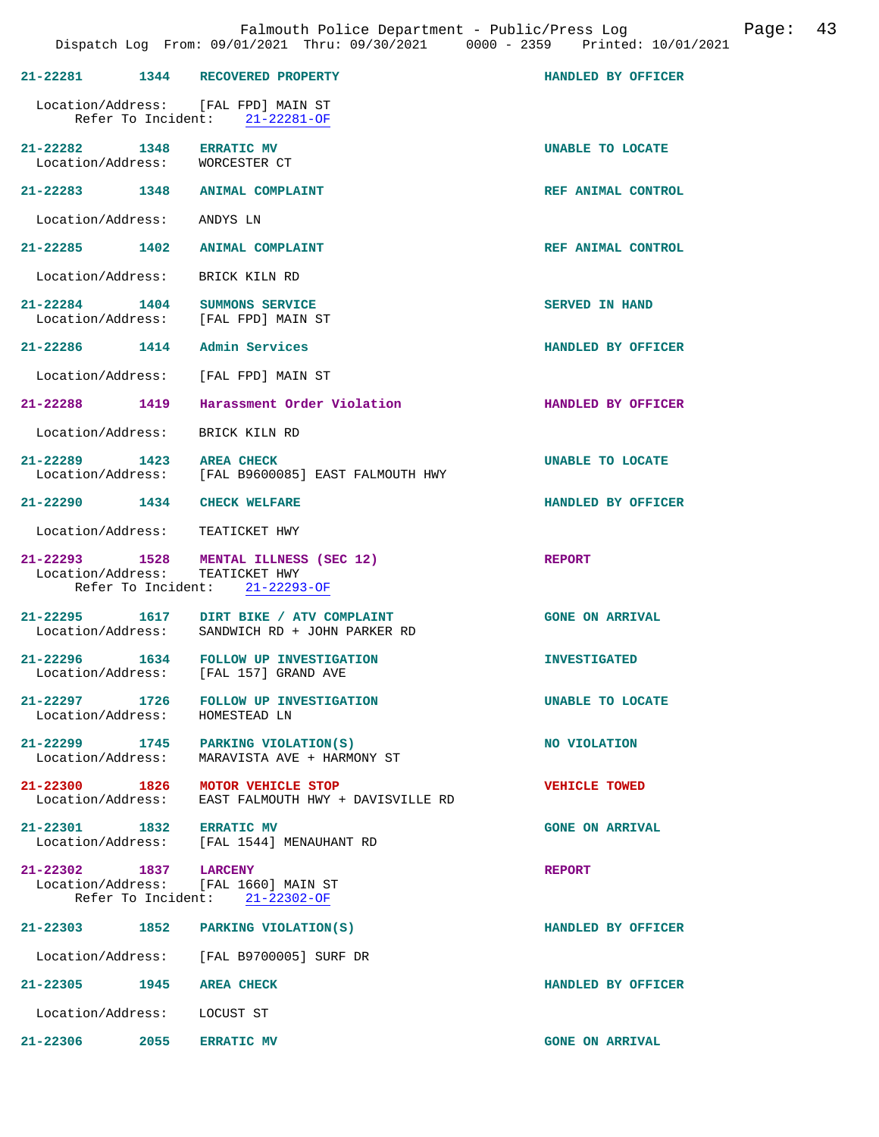|                                                            | 21-22281 1344 RECOVERED PROPERTY                                                                             | HANDLED BY OFFICER     |
|------------------------------------------------------------|--------------------------------------------------------------------------------------------------------------|------------------------|
|                                                            | Location/Address: [FAL FPD] MAIN ST<br>Refer To Incident: $21-22281-OF$                                      |                        |
| 21-22282 1348 ERRATIC MV<br>Location/Address: WORCESTER CT |                                                                                                              | UNABLE TO LOCATE       |
|                                                            | 21-22283 1348 ANIMAL COMPLAINT                                                                               | REF ANIMAL CONTROL     |
| Location/Address: ANDYS LN                                 |                                                                                                              |                        |
|                                                            | 21-22285 1402 ANIMAL COMPLAINT                                                                               | REF ANIMAL CONTROL     |
|                                                            | Location/Address: BRICK KILN RD                                                                              |                        |
|                                                            | 21-22284 1404 SUMMONS SERVICE<br>Location/Address: [FAL FPD] MAIN ST                                         | <b>SERVED IN HAND</b>  |
|                                                            | 21-22286 1414 Admin Services                                                                                 | HANDLED BY OFFICER     |
|                                                            | Location/Address: [FAL FPD] MAIN ST                                                                          |                        |
| 21-22288 1419                                              | Harassment Order Violation                                                                                   | HANDLED BY OFFICER     |
| Location/Address:                                          | BRICK KILN RD                                                                                                |                        |
| 21-22289 1423 AREA CHECK                                   | Location/Address: [FAL B9600085] EAST FALMOUTH HWY                                                           | UNABLE TO LOCATE       |
| 21-22290 1434 CHECK WELFARE                                |                                                                                                              | HANDLED BY OFFICER     |
|                                                            | Location/Address: TEATICKET HWY                                                                              |                        |
|                                                            | 21-22293 1528 MENTAL ILLNESS (SEC 12)<br>Location/Address: TEATICKET HWY<br>Refer To Incident: $21-22293-OF$ | <b>REPORT</b>          |
|                                                            | 21-22295 1617 DIRT BIKE / ATV COMPLAINT<br>Location/Address: SANDWICH RD + JOHN PARKER RD                    | <b>GONE ON ARRIVAL</b> |
|                                                            | 21-22296 1634 FOLLOW UP INVESTIGATION<br>Location/Address: [FAL 157] GRAND AVE                               | <b>INVESTIGATED</b>    |
| Location/Address:                                          | 21-22297 1726 FOLLOW UP INVESTIGATION<br>HOMESTEAD LN                                                        | UNABLE TO LOCATE       |
|                                                            | 21-22299 1745 PARKING VIOLATION(S)<br>Location/Address: MARAVISTA AVE + HARMONY ST                           | NO VIOLATION           |
|                                                            | 21-22300 1826 MOTOR VEHICLE STOP<br>Location/Address: EAST FALMOUTH HWY + DAVISVILLE RD                      | <b>VEHICLE TOWED</b>   |
|                                                            | 21-22301 1832 ERRATIC MV<br>Location/Address: [FAL 1544] MENAUHANT RD                                        | <b>GONE ON ARRIVAL</b> |
| 21-22302 1837 LARCENY                                      | Location/Address: [FAL 1660] MAIN ST<br>Refer To Incident: 21-22302-OF                                       | <b>REPORT</b>          |
|                                                            | 21-22303 1852 PARKING VIOLATION(S)                                                                           | HANDLED BY OFFICER     |
|                                                            | Location/Address: [FAL B9700005] SURF DR                                                                     |                        |
| 21-22305 1945 AREA CHECK                                   |                                                                                                              | HANDLED BY OFFICER     |
| Location/Address: LOCUST ST                                |                                                                                                              |                        |
| 21-22306 2055 ERRATIC MV                                   |                                                                                                              | <b>GONE ON ARRIVAL</b> |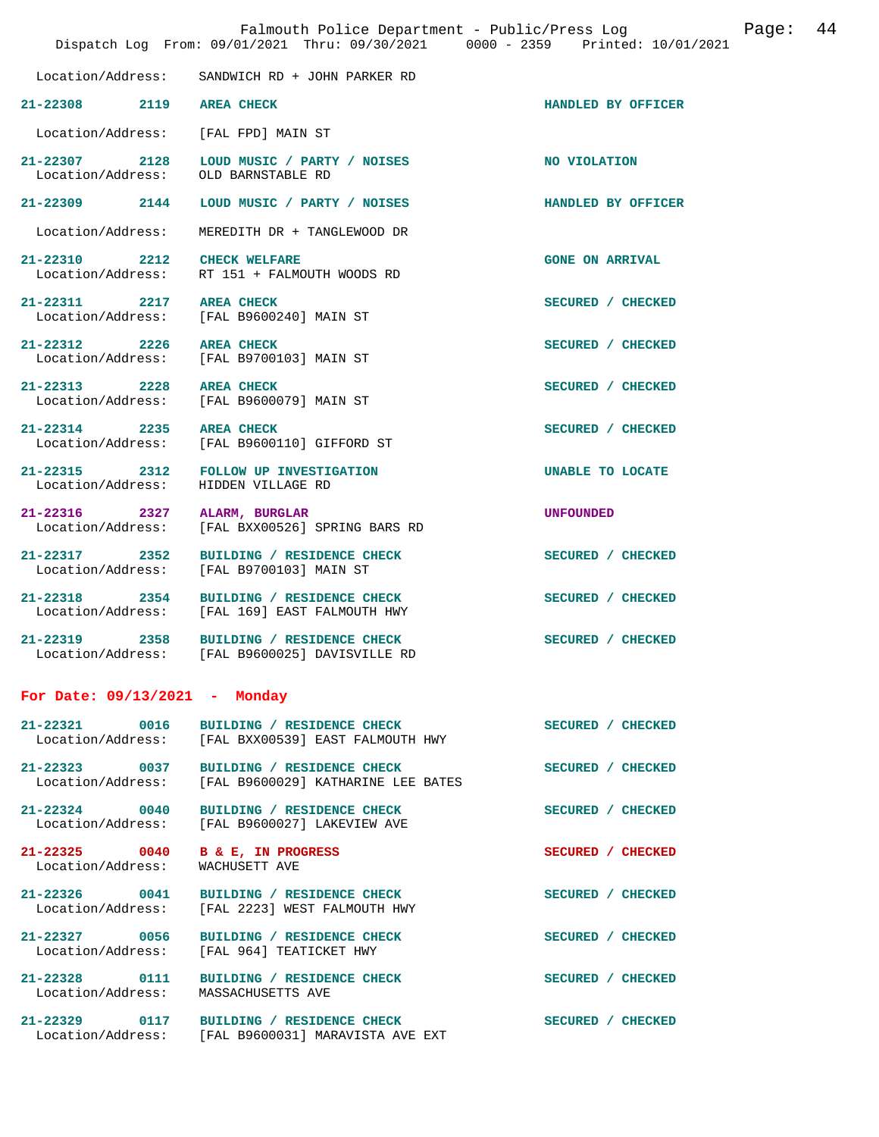|                                               | Falmouth Police Department - Public/Press Log<br>Dispatch Log From: 09/01/2021 Thru: 09/30/2021 0000 - 2359 Printed: 10/01/2021 | Page:                  | 44 |
|-----------------------------------------------|---------------------------------------------------------------------------------------------------------------------------------|------------------------|----|
| Location/Address:                             | SANDWICH RD + JOHN PARKER RD                                                                                                    |                        |    |
| 21-22308 2119                                 | <b>AREA CHECK</b>                                                                                                               | HANDLED BY OFFICER     |    |
| Location/Address:                             | [FAL FPD] MAIN ST                                                                                                               |                        |    |
| 21-22307 2128<br>Location/Address:            | LOUD MUSIC / PARTY / NOISES<br>OLD BARNSTABLE RD                                                                                | NO VIOLATION           |    |
| $21 - 22309$ 2144                             | LOUD MUSIC / PARTY / NOISES                                                                                                     | HANDLED BY OFFICER     |    |
| Location/Address:                             | MEREDITH DR + TANGLEWOOD DR                                                                                                     |                        |    |
| 21-22310 2212<br>Location/Address:            | <b>CHECK WELFARE</b><br>RT 151 + FALMOUTH WOODS RD                                                                              | <b>GONE ON ARRIVAL</b> |    |
| 21-22311 2217 AREA CHECK<br>Location/Address: | [FAL B9600240] MAIN ST                                                                                                          | SECURED / CHECKED      |    |
| 21-22312 2226 AREA CHECK                      | Location/Address: [FAL B9700103] MAIN ST                                                                                        | SECURED / CHECKED      |    |
| 21-22313 2228 AREA CHECK                      | Location/Address: [FAL B9600079] MAIN ST                                                                                        | SECURED / CHECKED      |    |
| 21-22314 2235                                 | <b>AREA CHECK</b><br>Location/Address: [FAL B9600110] GIFFORD ST                                                                | SECURED / CHECKED      |    |
| 21-22315 2312<br>Location/Address:            | FOLLOW UP INVESTIGATION<br>HIDDEN VILLAGE RD                                                                                    | UNABLE TO LOCATE       |    |
| 21-22316 2327<br>Location/Address:            | ALARM, BURGLAR<br>[FAL BXX00526] SPRING BARS RD                                                                                 | <b>UNFOUNDED</b>       |    |
| 21-22317 2352                                 | BUILDING / RESIDENCE CHECK<br>Location/Address: [FAL B9700103] MAIN ST                                                          | SECURED / CHECKED      |    |
| 21-22318 2354                                 | BUILDING / RESIDENCE CHECK<br>Location/Address: [FAL 169] EAST FALMOUTH HWY                                                     | SECURED / CHECKED      |    |
|                                               | 21-22319 2358 BUILDING / RESIDENCE CHECK<br>Location/Address: [FAL B9600025] DAVISVILLE RD                                      | SECURED / CHECKED      |    |
| For Date: $09/13/2021$ - Monday               |                                                                                                                                 |                        |    |
| 21-22321 0016                                 | BUILDING / RESIDENCE CHECK<br>Location/Address: [FAL BXX00539] EAST FALMOUTH HWY                                                | SECURED / CHECKED      |    |
|                                               | 21-22323 0037 BUILDING / RESIDENCE CHECK<br>Location/Address: [FAL B9600029] KATHARINE LEE BATES                                | SECURED / CHECKED      |    |
| 21-22324 0040<br>Location/Address:            | BUILDING / RESIDENCE CHECK<br>[FAL B9600027] LAKEVIEW AVE                                                                       | SECURED / CHECKED      |    |
| 21-22325 0040<br>Location/Address:            | <b>B &amp; E, IN PROGRESS</b><br>WACHUSETT AVE                                                                                  | SECURED / CHECKED      |    |
|                                               | 21-22326 0041 BUILDING / RESIDENCE CHECK<br>Location/Address: [FAL 2223] WEST FALMOUTH HWY                                      | SECURED / CHECKED      |    |
|                                               | 21-22327 0056 BUILDING / RESIDENCE CHECK<br>Location/Address: [FAL 964] TEATICKET HWY                                           | SECURED / CHECKED      |    |
| Location/Address: MASSACHUSETTS AVE           | 21-22328 0111 BUILDING / RESIDENCE CHECK                                                                                        | SECURED / CHECKED      |    |

**21-22329 0117 BUILDING / RESIDENCE CHECK SECURED / CHECKED**  Location/Address: [FAL B9600031] MARAVISTA AVE EXT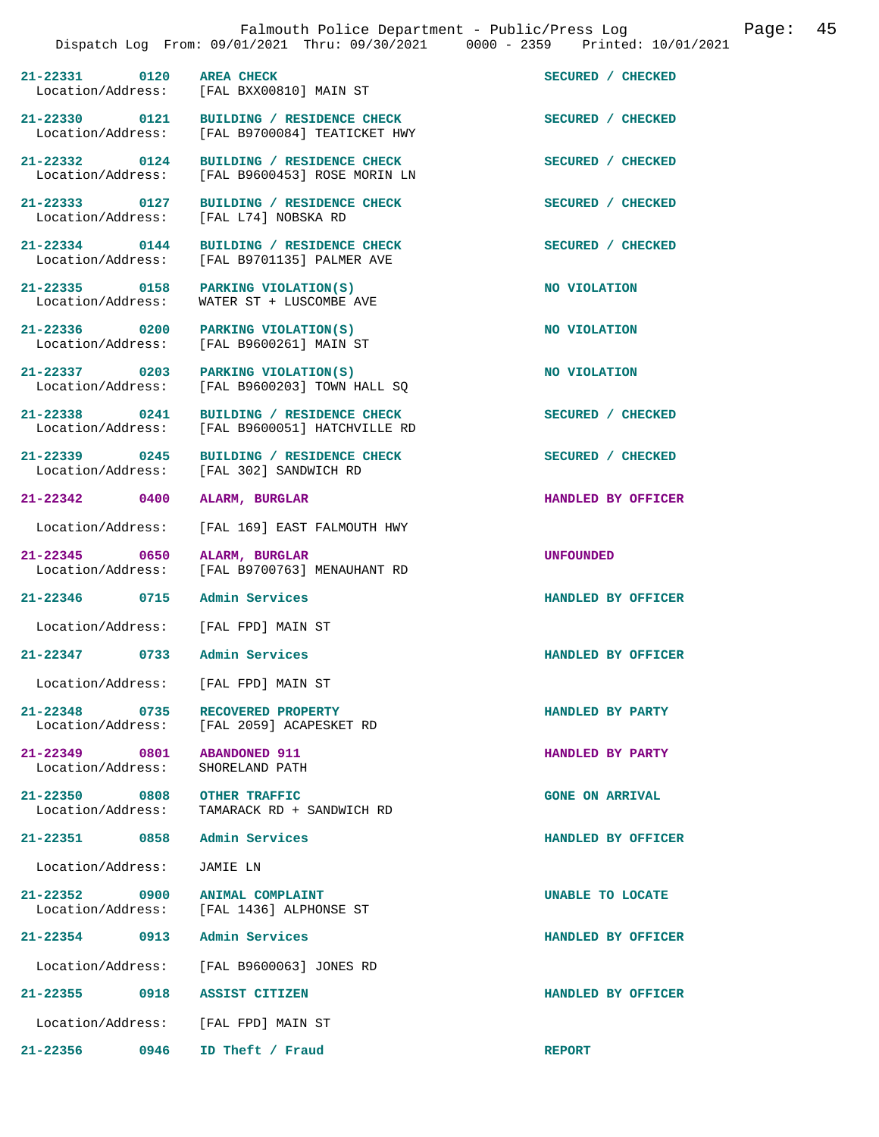21-22331 0120 AREA CHECK **SECURED** / CHECKED **SECURED** / CHECKED **Integral of ACCIL** BXX00810] MAIN ST [FAL BXX00810] MAIN ST 21-22330 0121 BUILDING / RESIDENCE CHECK<br>
Location/Address: [FAL B9700084] TEATICKET HWY [FAL B9700084] TEATICKET HWY **21-22332 0124 BUILDING / RESIDENCE CHECK SECURED / CHECKED**  Location/Address: [FAL B9600453] ROSE MORIN LN **21-22333 0127 BUILDING / RESIDENCE CHECK SECURED / CHECKED**  Location/Address: [FAL L74] NOBSKA RD **21-22334 0144 BUILDING / RESIDENCE CHECK SECURED / CHECKED**  [FAL B9701135] PALMER AVE **21-22335 0158 PARKING VIOLATION(S) NO VIOLATION**  WATER ST + LUSCOMBE AVE **21-22336 0200 PARKING VIOLATION(S) NO VIOLATION**  Location/Address: [FAL B9600261] MAIN ST 21-22337 0203 PARKING VIOLATION(S) NO VIOLATION Location/Address: [FAL B9600203] TOWN HALL SQ  $[FAL B9600203]$  TOWN HALL SQ **21-22338 0241 BUILDING / RESIDENCE CHECK SECURED / CHECKED**  Location/Address: [FAL B9600051] HATCHVILLE RD 21-22339 0245 BUILDING / RESIDENCE CHECK<br>
Location/Address: [FAL 302] SANDWICH RD [FAL 302] SANDWICH RD **21-22342 0400 ALARM, BURGLAR HANDLED BY OFFICER**  Location/Address: [FAL 169] EAST FALMOUTH HWY **21-22345 0650 ALARM, BURGLAR UNFOUNDED**  [FAL B9700763] MENAUHANT RD **21-22346 0715 Admin Services HANDLED BY OFFICER**  Location/Address: [FAL FPD] MAIN ST **21-22347 0733 Admin Services HANDLED BY OFFICER**  Location/Address: [FAL FPD] MAIN ST **21-22348 0735 RECOVERED PROPERTY HANDLED BY PARTY**  [FAL 2059] ACAPESKET RD **21-22349 0801 ABANDONED 911 HANDLED BY PARTY**  Location/Address: **21-22350 0808 OTHER TRAFFIC GONE ON ARRIVAL**  Location/Address: TAMARACK RD + SANDWICH RD **21-22351 0858 Admin Services HANDLED BY OFFICER**  Location/Address: JAMIE LN **21-22352 0900 ANIMAL COMPLAINT UNABLE TO LOCATE**  [FAL 1436] ALPHONSE ST **21-22354 0913 Admin Services HANDLED BY OFFICER**  Location/Address: [FAL B9600063] JONES RD **21-22355 0918 ASSIST CITIZEN HANDLED BY OFFICER** 

Location/Address: [FAL FPD] MAIN ST

**21-22356 0946 ID Theft / Fraud REPORT**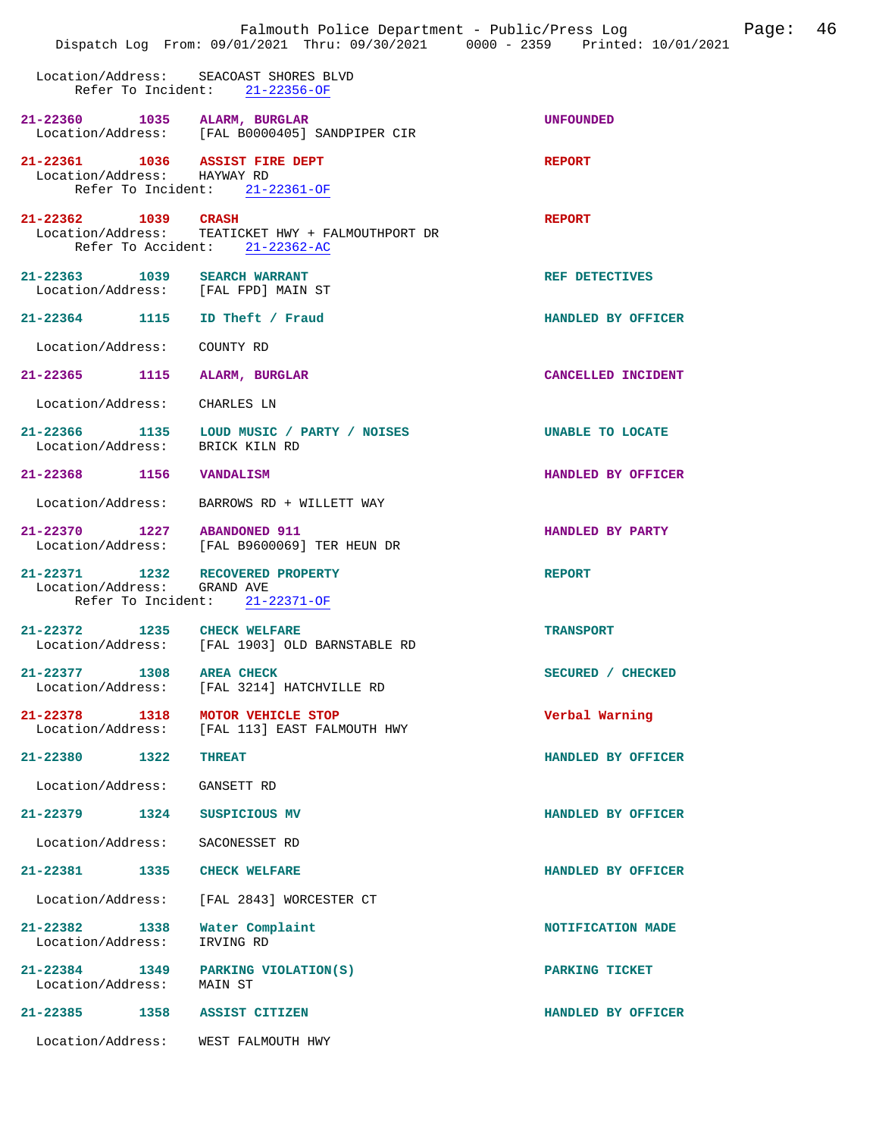|                                                                     | Falmouth Police Department - Public/Press Log<br>Dispatch Log From: 09/01/2021 Thru: 09/30/2021 0000 - 2359 Printed: 10/01/2021 | 46<br>Page:             |
|---------------------------------------------------------------------|---------------------------------------------------------------------------------------------------------------------------------|-------------------------|
|                                                                     | Location/Address: SEACOAST SHORES BLVD<br>Refer To Incident: 21-22356-OF                                                        |                         |
| 21-22360 1035 ALARM, BURGLAR                                        | Location/Address: [FAL B0000405] SANDPIPER CIR                                                                                  | <b>UNFOUNDED</b>        |
| 21-22361 1036 ASSIST FIRE DEPT<br>Location/Address: HAYWAY RD       | Refer To Incident: 21-22361-OF                                                                                                  | <b>REPORT</b>           |
| 21-22362 1039 CRASH                                                 | Location/Address: TEATICKET HWY + FALMOUTHPORT DR<br>Refer To Accident: 21-22362-AC                                             | <b>REPORT</b>           |
| 21-22363 1039 SEARCH WARRANT<br>Location/Address: [FAL FPD] MAIN ST |                                                                                                                                 | REF DETECTIVES          |
| 21-22364 1115 ID Theft / Fraud                                      |                                                                                                                                 | HANDLED BY OFFICER      |
| Location/Address:                                                   | COUNTY RD                                                                                                                       |                         |
| 21-22365 1115                                                       | ALARM, BURGLAR                                                                                                                  | CANCELLED INCIDENT      |
| Location/Address: CHARLES LN                                        |                                                                                                                                 |                         |
| Location/Address: BRICK KILN RD                                     | 21-22366 1135 LOUD MUSIC / PARTY / NOISES                                                                                       | <b>UNABLE TO LOCATE</b> |
| 21-22368 1156                                                       | VANDALISM                                                                                                                       | HANDLED BY OFFICER      |
| Location/Address:                                                   | BARROWS RD + WILLETT WAY                                                                                                        |                         |
| 21-22370 1227 ABANDONED 911                                         | Location/Address: [FAL B9600069] TER HEUN DR                                                                                    | HANDLED BY PARTY        |
| 21-22371 1232 RECOVERED PROPERTY<br>Location/Address: GRAND AVE     | Refer To Incident: 21-22371-OF                                                                                                  | <b>REPORT</b>           |
| 21-22372 1235 CHECK WELFARE                                         | Location/Address: [FAL 1903] OLD BARNSTABLE RD                                                                                  | <b>TRANSPORT</b>        |
| 21-22377 1308<br>Location/Address:                                  | <b>AREA CHECK</b><br>[FAL 3214] HATCHVILLE RD                                                                                   | SECURED / CHECKED       |
| 21-22378 1318<br>Location/Address:                                  | MOTOR VEHICLE STOP<br>[FAL 113] EAST FALMOUTH HWY                                                                               | Verbal Warning          |
| 21-22380 1322                                                       | <b>THREAT</b>                                                                                                                   | HANDLED BY OFFICER      |
| Location/Address:                                                   | GANSETT RD                                                                                                                      |                         |
| 21-22379 1324                                                       | SUSPICIOUS MV                                                                                                                   | HANDLED BY OFFICER      |
| Location/Address:                                                   | SACONESSET RD                                                                                                                   |                         |
| 21-22381 1335                                                       | <b>CHECK WELFARE</b>                                                                                                            | HANDLED BY OFFICER      |
| Location/Address:                                                   | [FAL 2843] WORCESTER CT                                                                                                         |                         |
| 21-22382 1338<br>Location/Address:                                  | Water Complaint<br>IRVING RD                                                                                                    | NOTIFICATION MADE       |
| 21-22384 1349<br>Location/Address:                                  | PARKING VIOLATION(S)<br>MAIN ST                                                                                                 | PARKING TICKET          |
| 1358<br>21-22385                                                    | ASSIST CITIZEN                                                                                                                  | HANDLED BY OFFICER      |
| Location/Address:                                                   | WEST FALMOUTH HWY                                                                                                               |                         |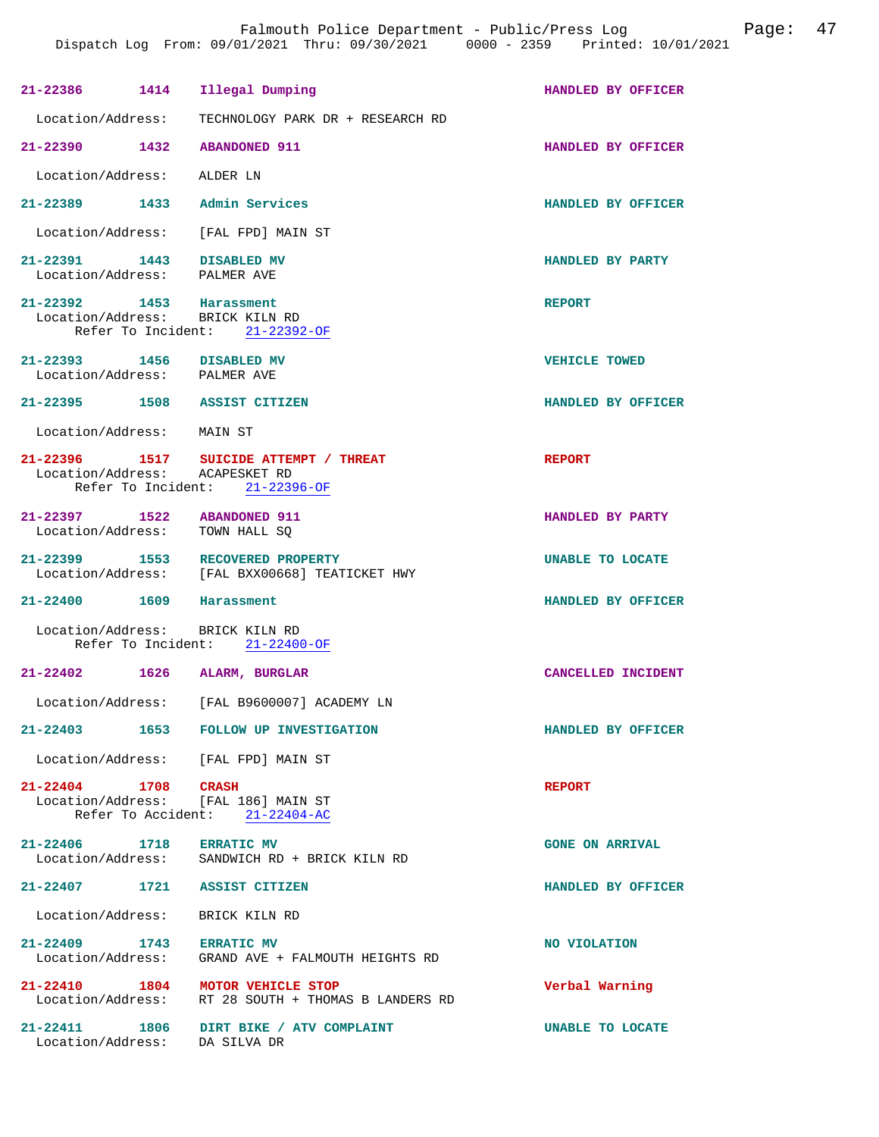| 21-22386 1414                                             | Illegal Dumping                                                                         | HANDLED BY OFFICER     |
|-----------------------------------------------------------|-----------------------------------------------------------------------------------------|------------------------|
| Location/Address:                                         | TECHNOLOGY PARK DR + RESEARCH RD                                                        |                        |
| 21-22390 1432                                             | <b>ABANDONED 911</b>                                                                    | HANDLED BY OFFICER     |
| Location/Address: ALDER LN                                |                                                                                         |                        |
| 21-22389 1433 Admin Services                              |                                                                                         | HANDLED BY OFFICER     |
|                                                           | Location/Address: [FAL FPD] MAIN ST                                                     |                        |
| 21-22391 1443 DISABLED MV<br>Location/Address: PALMER AVE |                                                                                         | HANDLED BY PARTY       |
| 21-22392 1453 Harassment                                  | Location/Address: BRICK KILN RD<br>Refer To Incident: 21-22392-OF                       | <b>REPORT</b>          |
| 21-22393 1456 DISABLED MV<br>Location/Address: PALMER AVE |                                                                                         | <b>VEHICLE TOWED</b>   |
| 21-22395 1508 ASSIST CITIZEN                              |                                                                                         | HANDLED BY OFFICER     |
| Location/Address: MAIN ST                                 |                                                                                         |                        |
| Location/Address: ACAPESKET RD                            | 21-22396 1517 SUICIDE ATTEMPT / THREAT<br>Refer To Incident: 21-22396-OF                | <b>REPORT</b>          |
| 21-22397 1522 ABANDONED 911<br>Location/Address:          | TOWN HALL SQ                                                                            | HANDLED BY PARTY       |
| 21-22399 1553                                             | RECOVERED PROPERTY<br>Location/Address: [FAL BXX00668] TEATICKET HWY                    | UNABLE TO LOCATE       |
| 21-22400 1609 Harassment                                  |                                                                                         | HANDLED BY OFFICER     |
| Location/Address: BRICK KILN RD                           | Refer To Incident: 21-22400-OF                                                          |                        |
| 21-22402 1626                                             | ALARM, BURGLAR                                                                          | CANCELLED INCIDENT     |
|                                                           | Location/Address: [FAL B9600007] ACADEMY LN                                             |                        |
|                                                           | 21-22403 1653 FOLLOW UP INVESTIGATION                                                   | HANDLED BY OFFICER     |
|                                                           | Location/Address: [FAL FPD] MAIN ST                                                     |                        |
| 21-22404 1708 CRASH                                       | Location/Address: [FAL 186] MAIN ST<br>Refer To Accident: 21-22404-AC                   | <b>REPORT</b>          |
|                                                           | 21-22406 1718 ERRATIC MV<br>Location/Address: SANDWICH RD + BRICK KILN RD               | <b>GONE ON ARRIVAL</b> |
| 21-22407 1721 ASSIST CITIZEN                              |                                                                                         | HANDLED BY OFFICER     |
| Location/Address: BRICK KILN RD                           |                                                                                         |                        |
| 21-22409 1743 ERRATIC MV                                  | Location/Address: GRAND AVE + FALMOUTH HEIGHTS RD                                       | NO VIOLATION           |
|                                                           | 21-22410 1804 MOTOR VEHICLE STOP<br>Location/Address: RT 28 SOUTH + THOMAS B LANDERS RD | Verbal Warning         |
| Location/Address: DA SILVA DR                             | 21-22411 1806 DIRT BIKE / ATV COMPLAINT                                                 | UNABLE TO LOCATE       |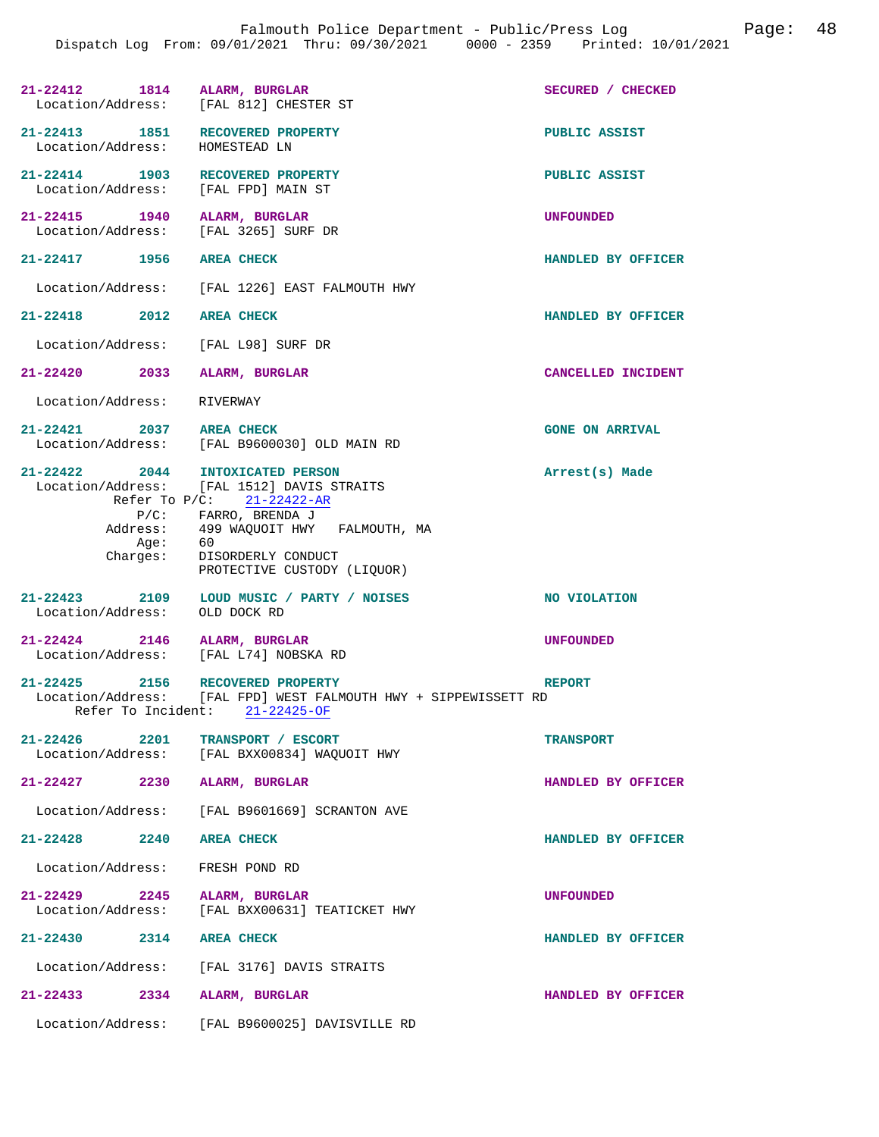|                               | 21-22412 1814 ALARM, BURGLAR<br>Location/Address: [FAL 812] CHESTER ST                                                                                                                                                                              | SECURED / CHECKED      |
|-------------------------------|-----------------------------------------------------------------------------------------------------------------------------------------------------------------------------------------------------------------------------------------------------|------------------------|
| Location/Address:             | 21-22413 1851 RECOVERED PROPERTY<br>HOMESTEAD LN                                                                                                                                                                                                    | PUBLIC ASSIST          |
|                               | 21-22414 1903 RECOVERED PROPERTY<br>Location/Address: [FAL FPD] MAIN ST                                                                                                                                                                             | PUBLIC ASSIST          |
| 21-22415 1940                 | ALARM, BURGLAR<br>Location/Address: [FAL 3265] SURF DR                                                                                                                                                                                              | <b>UNFOUNDED</b>       |
| 21-22417 1956                 | <b>AREA CHECK</b>                                                                                                                                                                                                                                   | HANDLED BY OFFICER     |
|                               | Location/Address: [FAL 1226] EAST FALMOUTH HWY                                                                                                                                                                                                      |                        |
| 21-22418 2012 AREA CHECK      |                                                                                                                                                                                                                                                     | HANDLED BY OFFICER     |
|                               | Location/Address: [FAL L98] SURF DR                                                                                                                                                                                                                 |                        |
|                               | 21-22420 2033 ALARM, BURGLAR                                                                                                                                                                                                                        | CANCELLED INCIDENT     |
| Location/Address: RIVERWAY    |                                                                                                                                                                                                                                                     |                        |
| 21-22421 2037 AREA CHECK      | Location/Address: [FAL B9600030] OLD MAIN RD                                                                                                                                                                                                        | <b>GONE ON ARRIVAL</b> |
| Aqe:                          | 21-22422 2044 INTOXICATED PERSON<br>Location/Address: [FAL 1512] DAVIS STRAITS<br>Refer To $P/C$ : 21-22422-AR<br>P/C: FARRO, BRENDA J<br>Address: 499 WAQUOIT HWY FALMOUTH, MA<br>60<br>Charges: DISORDERLY CONDUCT<br>PROTECTIVE CUSTODY (LIQUOR) | Arrest(s) Made         |
| Location/Address: OLD DOCK RD | 21-22423 2109 LOUD MUSIC / PARTY / NOISES                                                                                                                                                                                                           | NO VIOLATION           |
|                               | $21-22424$ 2146 ALARM, BURGLAR<br>Location/Address: [FAL L74] NOBSKA RD                                                                                                                                                                             | <b>UNFOUNDED</b>       |
|                               | 21-22425 2156 RECOVERED PROPERTY<br>Location/Address: [FAL FPD] WEST FALMOUTH HWY + SIPPEWISSETT RD<br>Refer To Incident: 21-22425-OF                                                                                                               | <b>REPORT</b>          |
| $21 - 22426$ 2201             | TRANSPORT / ESCORT<br>Location/Address: [FAL BXX00834] WAQUOIT HWY                                                                                                                                                                                  | <b>TRANSPORT</b>       |
|                               | 21-22427 2230 ALARM, BURGLAR                                                                                                                                                                                                                        | HANDLED BY OFFICER     |
|                               | Location/Address: [FAL B9601669] SCRANTON AVE                                                                                                                                                                                                       |                        |
| 21-22428 2240 AREA CHECK      |                                                                                                                                                                                                                                                     | HANDLED BY OFFICER     |
|                               | Location/Address: FRESH POND RD                                                                                                                                                                                                                     |                        |
|                               | 21-22429 2245 ALARM, BURGLAR<br>Location/Address: [FAL BXX00631] TEATICKET HWY                                                                                                                                                                      | <b>UNFOUNDED</b>       |
| 21-22430 2314 AREA CHECK      |                                                                                                                                                                                                                                                     | HANDLED BY OFFICER     |
|                               | Location/Address: [FAL 3176] DAVIS STRAITS                                                                                                                                                                                                          |                        |
|                               | 21-22433 2334 ALARM, BURGLAR                                                                                                                                                                                                                        | HANDLED BY OFFICER     |
|                               | Location/Address: [FAL B9600025] DAVISVILLE RD                                                                                                                                                                                                      |                        |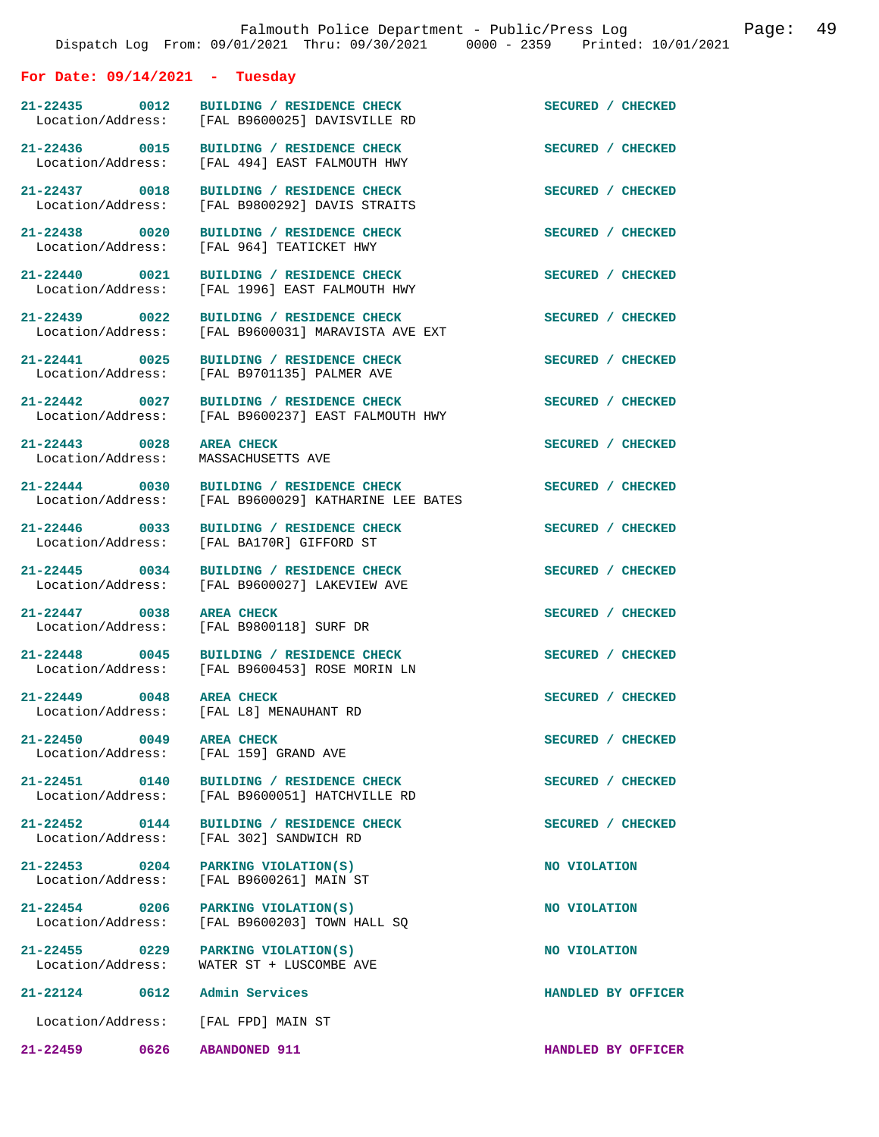## **For Date: 09/14/2021 - Tuesday**

**21-22435 0012 BUILDING / RESIDENCE CHECK SECURED / CHECKED**  Location/Address: [FAL B9600025] DAVISVILLE RD

21-22436 0015 BUILDING / RESIDENCE CHECK SECURED / CHECKED Location/Address: [FAL 494] EAST FALMOUTH HWY

**21-22443 0028 AREA CHECK SECURED / CHECKED** 

**21-22449 0048 AREA CHECK SECURED / CHECKED**  Location/Address: [FAL L8] MENAUHANT RD

**21-22450 0049 AREA CHECK SECURED / CHECKED** 

**21-22459 0626 ABANDONED 911 HANDLED BY OFFICER** 

21-22437 0018 BUILDING / RESIDENCE CHECK<br>
Location/Address: [FAL B9800292] DAVIS STRAITS [FAL B9800292] DAVIS STRAITS 21-22438 0020 BUILDING / RESIDENCE CHECK **SECURED** / CHECKED Location/Address: [FAL 964] TEATICKET HWY [FAL 964] TEATICKET HWY **21-22440 0021 BUILDING / RESIDENCE CHECK SECURED / CHECKED**  Location/Address: [FAL 1996] EAST FALMOUTH HWY

21-22439 0022 BUILDING / RESIDENCE CHECK **SECURED** / CHECKED<br>
Location/Address: [FAL B9600031] MARAVISTA AVE EXT [FAL B9600031] MARAVISTA AVE EXT

21-22441 0025 BUILDING / RESIDENCE CHECK SECURED / CHECKED Location/Address: [FAL B9701135] PALMER AVE [FAL B9701135] PALMER AVE

Location/Address: [FAL 494] EAST FALMOUTH HWY

21-22442 0027 BUILDING / RESIDENCE CHECK<br>
Location/Address: [FAL B9600237] EAST FALMOUTH HWY [FAL B9600237] EAST FALMOUTH HWY

Location/Address: MASSACHUSETTS AVE

**21-22444 0030 BUILDING / RESIDENCE CHECK SECURED / CHECKED**  Location/Address: [FAL B9600029] KATHARINE LEE BATES

21-22446 0033 BUILDING / RESIDENCE CHECK SECURED / CHECKED **SECURED** / CHECKED [FAL BA170R] GIFFORD ST

21-22445 0034 BUILDING / RESIDENCE CHECK **SECURED** / CHECKED Location/Address: [FAL B9600027] LAKEVIEW AVE [FAL B9600027] LAKEVIEW AVE

**21-22447** 0038 AREA CHECK **DEALL ASSECURED** / CHECKED 10038 AREA CHECK SECURED **SECURED** / CHECKED Location/Address: [FAL B9800118] SURF DR

**21-22448 0045 BUILDING / RESIDENCE CHECK SECURED / CHECKED**  Location/Address: [FAL B9600453] ROSE MORIN LN

Location/Address: [FAL 159] GRAND AVE

21-22451 0140 BUILDING / RESIDENCE CHECK<br>
Location/Address: [FAL B9600051] HATCHVILLE RD [FAL B9600051] HATCHVILLE RD

21-22452 0144 BUILDING / RESIDENCE CHECK<br>
Location/Address: [FAL 302] SANDWICH RD [FAL 302] SANDWICH RD

**21-22453 0204 PARKING VIOLATION(S) NO VIOLATION**  [FAL B9600261] MAIN ST

21-22454 0206 PARKING VIOLATION(S) **NO VIOLATION** Location/Address: [FAL B9600203] TOWN HALL SQ  $[FAL B9600203]$  TOWN HALL SQ

**21-22455 0229 PARKING VIOLATION(S) NO VIOLATION**  Location/Address: WATER ST + LUSCOMBE AVE

**21-22124 0612 Admin Services HANDLED BY OFFICER** 

Location/Address: [FAL FPD] MAIN ST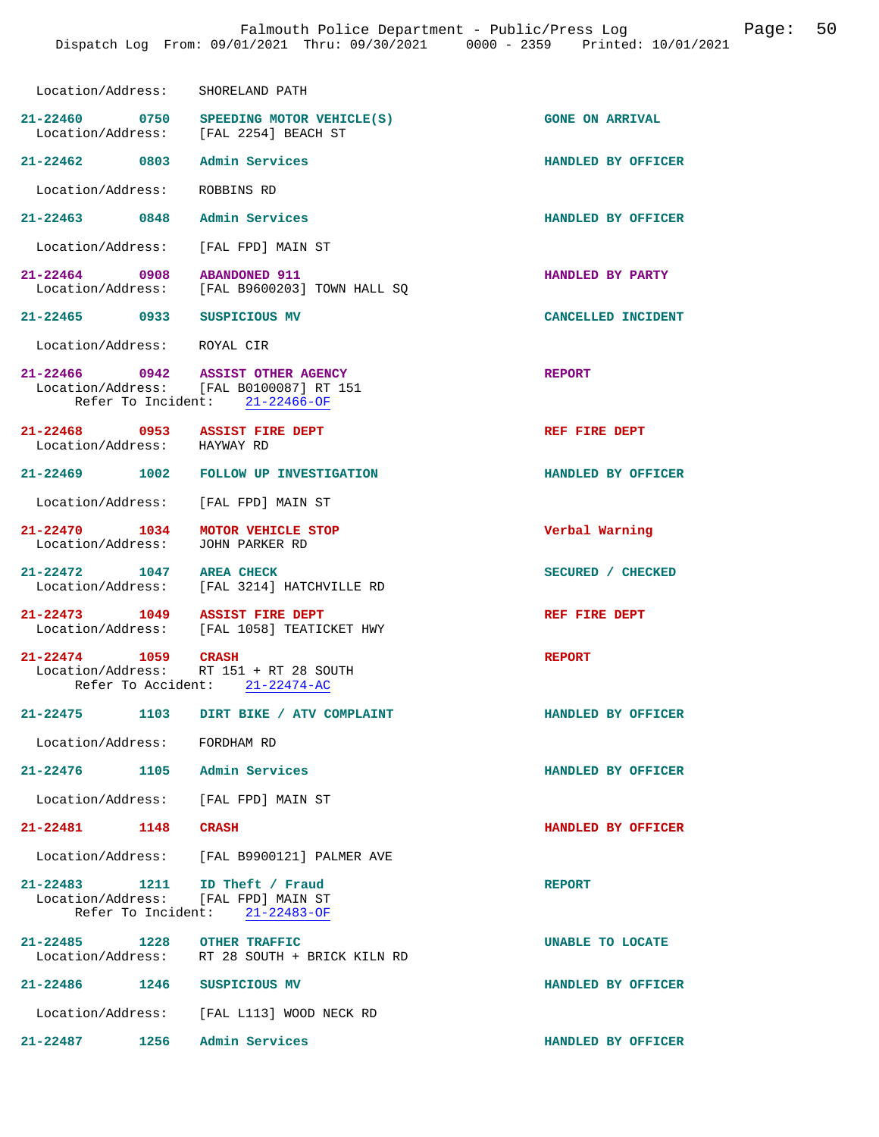| Location/Address:                                                     | SHORELAND PATH                                                            |                        |
|-----------------------------------------------------------------------|---------------------------------------------------------------------------|------------------------|
| Location/Address: [FAL 2254] BEACH ST                                 | 21-22460 0750 SPEEDING MOTOR VEHICLE(S)                                   | <b>GONE ON ARRIVAL</b> |
| 21-22462 0803                                                         | Admin Services                                                            | HANDLED BY OFFICER     |
| Location/Address:                                                     | ROBBINS RD                                                                |                        |
| 21-22463 0848                                                         | Admin Services                                                            | HANDLED BY OFFICER     |
| Location/Address: [FAL FPD] MAIN ST                                   |                                                                           |                        |
| $21 - 22464$ 0908                                                     | <b>ABANDONED 911</b><br>Location/Address: [FAL B9600203] TOWN HALL SQ     | HANDLED BY PARTY       |
| 21-22465 0933 SUSPICIOUS MV                                           |                                                                           | CANCELLED INCIDENT     |
| Location/Address: ROYAL CIR                                           |                                                                           |                        |
| 21-22466 0942 ASSIST OTHER AGENCY                                     | Location/Address: [FAL B0100087] RT 151<br>Refer To Incident: 21-22466-OF | <b>REPORT</b>          |
| 21-22468 0953 ASSIST FIRE DEPT<br>Location/Address: HAYWAY RD         |                                                                           | REF FIRE DEPT          |
|                                                                       | 21-22469 1002 FOLLOW UP INVESTIGATION                                     | HANDLED BY OFFICER     |
| Location/Address: [FAL FPD] MAIN ST                                   |                                                                           |                        |
| 21-22470 1034<br>Location/Address:                                    | MOTOR VEHICLE STOP<br>JOHN PARKER RD                                      | Verbal Warning         |
| 21-22472 1047 AREA CHECK                                              | Location/Address: [FAL 3214] HATCHVILLE RD                                | SECURED / CHECKED      |
| 21-22473 1049                                                         | <b>ASSIST FIRE DEPT</b><br>Location/Address: [FAL 1058] TEATICKET HWY     | REF FIRE DEPT          |
| 21-22474 1059 CRASH<br>Location/Address: RT 151 + RT 28 SOUTH         | Refer To Accident: 21-22474-AC                                            | <b>REPORT</b>          |
|                                                                       | 21-22475 1103 DIRT BIKE / ATV COMPLAINT                                   | HANDLED BY OFFICER     |
| Location/Address: FORDHAM RD                                          |                                                                           |                        |
| 21-22476 1105 Admin Services                                          |                                                                           | HANDLED BY OFFICER     |
| Location/Address: [FAL FPD] MAIN ST                                   |                                                                           |                        |
| 21-22481 1148 CRASH                                                   |                                                                           | HANDLED BY OFFICER     |
|                                                                       | Location/Address: [FAL B9900121] PALMER AVE                               |                        |
| 21-22483 1211 ID Theft / Fraud<br>Location/Address: [FAL FPD] MAIN ST | Refer To Incident: 21-22483-OF                                            | <b>REPORT</b>          |
| 21-22485 1228 OTHER TRAFFIC                                           | Location/Address: RT 28 SOUTH + BRICK KILN RD                             | UNABLE TO LOCATE       |
| 21-22486 1246 SUSPICIOUS MV                                           |                                                                           | HANDLED BY OFFICER     |
|                                                                       | Location/Address: [FAL L113] WOOD NECK RD                                 |                        |
| 21-22487 1256                                                         | Admin Services                                                            | HANDLED BY OFFICER     |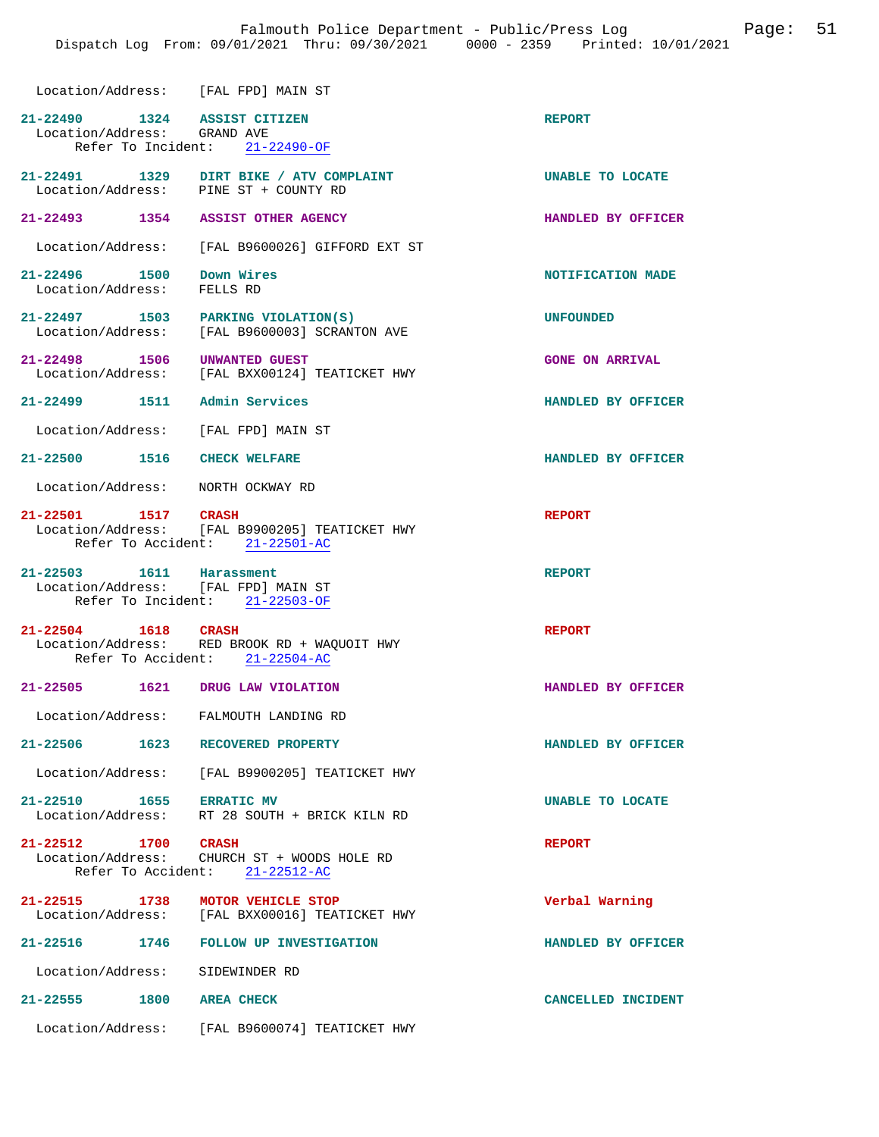| Location/Address: [FAL FPD] MAIN ST                             |                                                                                                       |                         |
|-----------------------------------------------------------------|-------------------------------------------------------------------------------------------------------|-------------------------|
| 21-22490 1324 ASSIST CITIZEN<br>Location/Address: GRAND AVE     | Refer To Incident: 21-22490-OF                                                                        | <b>REPORT</b>           |
| Location/Address: PINE ST + COUNTY RD                           | 21-22491 1329 DIRT BIKE / ATV COMPLAINT                                                               | <b>UNABLE TO LOCATE</b> |
| 21-22493 1354 ASSIST OTHER AGENCY                               |                                                                                                       | HANDLED BY OFFICER      |
|                                                                 | Location/Address: [FAL B9600026] GIFFORD EXT ST                                                       |                         |
| 21-22496   1500   Down Wires<br>Location/Address: FELLS RD      |                                                                                                       | NOTIFICATION MADE       |
| 21-22497 1503 PARKING VIOLATION(S)                              | Location/Address: [FAL B9600003] SCRANTON AVE                                                         | <b>UNFOUNDED</b>        |
| 21-22498 1506                                                   | UNWANTED GUEST<br>Location/Address: [FAL BXX00124] TEATICKET HWY                                      | <b>GONE ON ARRIVAL</b>  |
| 21-22499 1511 Admin Services                                    |                                                                                                       | HANDLED BY OFFICER      |
| Location/Address: [FAL FPD] MAIN ST                             |                                                                                                       |                         |
| 21-22500 1516 CHECK WELFARE                                     |                                                                                                       | HANDLED BY OFFICER      |
| Location/Address: NORTH OCKWAY RD                               |                                                                                                       |                         |
| 21-22501 1517 CRASH                                             | Location/Address: [FAL B9900205] TEATICKET HWY<br>Refer To Accident: 21-22501-AC                      | <b>REPORT</b>           |
| 21-22503 1611 Harassment<br>Location/Address: [FAL FPD] MAIN ST | Refer To Incident: 21-22503-OF                                                                        | <b>REPORT</b>           |
|                                                                 | 21-22504 1618 CRASH<br>Location/Address: RED BROOK RD + WAQUOIT HWY<br>Refer To Accident: 21-22504-AC | <b>REPORT</b>           |
| 21-22505 1621 DRUG LAW VIOLATION                                |                                                                                                       | HANDLED BY OFFICER      |
| Location/Address: FALMOUTH LANDING RD                           |                                                                                                       |                         |
| 21-22506 1623 RECOVERED PROPERTY                                |                                                                                                       | HANDLED BY OFFICER      |
|                                                                 | Location/Address: [FAL B9900205] TEATICKET HWY                                                        |                         |
| 21-22510 1655 ERRATIC MV                                        | Location/Address: RT 28 SOUTH + BRICK KILN RD                                                         | UNABLE TO LOCATE        |
| 21-22512 1700 CRASH                                             | Location/Address: CHURCH ST + WOODS HOLE RD<br>Refer To Accident: 21-22512-AC                         | <b>REPORT</b>           |
| 21-22515 1738 MOTOR VEHICLE STOP                                | Location/Address: [FAL BXX00016] TEATICKET HWY                                                        | Verbal Warning          |
|                                                                 | 21-22516 1746 FOLLOW UP INVESTIGATION                                                                 | HANDLED BY OFFICER      |
| Location/Address: SIDEWINDER RD                                 |                                                                                                       |                         |
| 21-22555 1800                                                   | <b>AREA CHECK</b>                                                                                     | CANCELLED INCIDENT      |

Location/Address: [FAL B9600074] TEATICKET HWY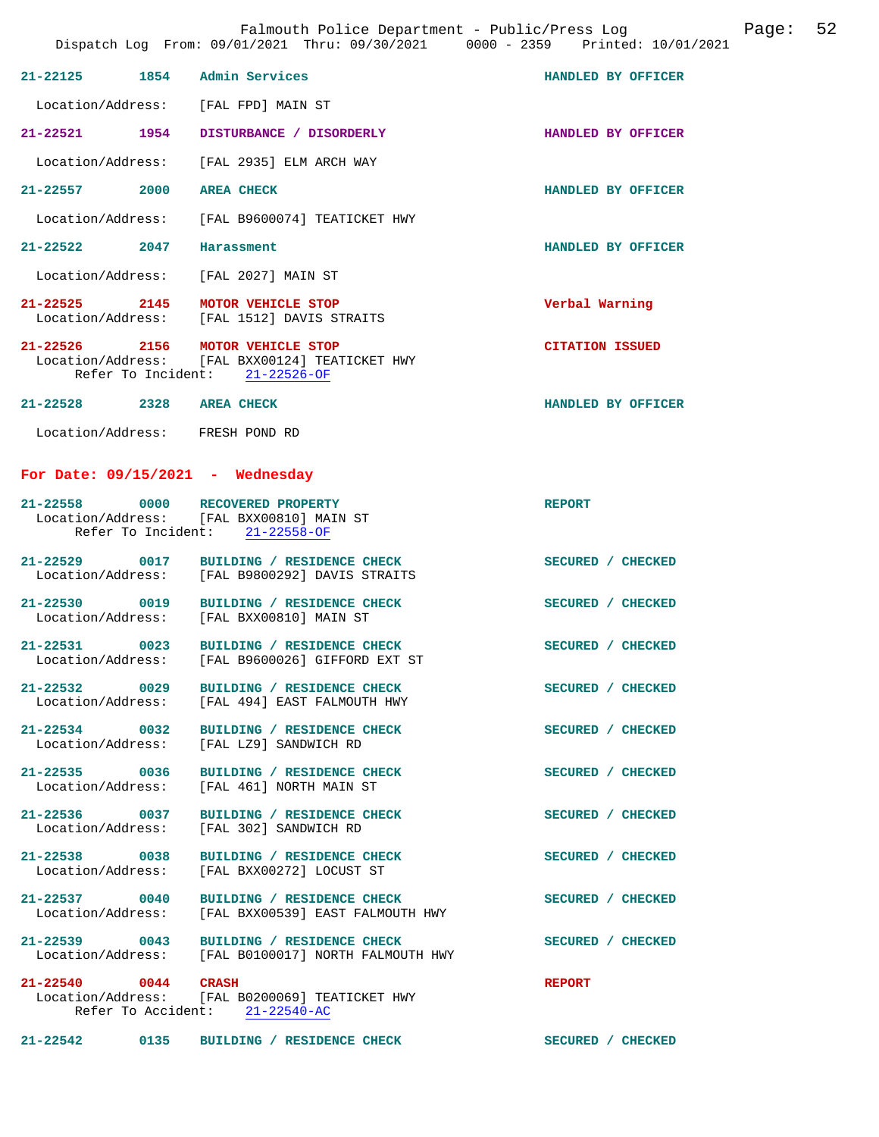| $21 - 22125$                                            | 1854 | Admin Services                                                                 | HANDLED BY OFFICER     |
|---------------------------------------------------------|------|--------------------------------------------------------------------------------|------------------------|
| Location/Address:                                       |      | [FAL FPD] MAIN ST                                                              |                        |
| $21 - 22521$                                            | 1954 | DISTURBANCE / DISORDERLY                                                       | HANDLED BY OFFICER     |
| Location/Address:                                       |      | [FAL 2935] ELM ARCH WAY                                                        |                        |
| $21 - 22557$                                            | 2000 | <b>AREA CHECK</b>                                                              | HANDLED BY OFFICER     |
| Location/Address:                                       |      | [FAL B9600074] TEATICKET HWY                                                   |                        |
| $21 - 22522$                                            | 2047 | Harassment                                                                     | HANDLED BY OFFICER     |
| Location/Address:                                       |      | [FAL 2027] MAIN ST                                                             |                        |
| $21 - 22525$ 2145<br>Location/Address:                  |      | <b>MOTOR VEHICLE STOP</b><br>[FAL 1512] DAVIS STRAITS                          | Verbal Warning         |
| $21 - 22526$<br>Location/Address:<br>Refer To Incident: | 2156 | <b>MOTOR VEHICLE STOP</b><br>[FAL BXX00124] TEATICKET HWY<br>$21 - 22526 - OF$ | <b>CITATION ISSUED</b> |
| $21 - 22528$                                            | 2328 | <b>AREA CHECK</b>                                                              | HANDLED BY OFFICER     |
| Location/Address:                                       |      | FRESH POND RD                                                                  |                        |

## **For Date: 09/15/2021 - Wednesday**

| 21-22558 0000 RECOVERED PROPERTY        | Location/Address: [FAL BXX00810] MAIN ST<br>Refer To Incident: 21-22558-OF                              | <b>REPORT</b>     |
|-----------------------------------------|---------------------------------------------------------------------------------------------------------|-------------------|
|                                         | 21-22529 0017 BUILDING / RESIDENCE CHECK SECURED / CHECKED                                              |                   |
|                                         | Location/Address: [FAL B9800292] DAVIS STRAITS<br>21-22530 0019 BUILDING / RESIDENCE CHECK              | SECURED / CHECKED |
|                                         | Location/Address: [FAL BXX00810] MAIN ST                                                                |                   |
|                                         | 21-22531 0023 BUILDING / RESIDENCE CHECK<br>Location/Address: [FAL B9600026] GIFFORD EXT ST             | SECURED / CHECKED |
|                                         | 21-22532 0029 BUILDING / RESIDENCE CHECK<br>Location/Address: [FAL 494] EAST FALMOUTH HWY               | SECURED / CHECKED |
| Location/Address: [FAL LZ9] SANDWICH RD | 21-22534 0032 BUILDING / RESIDENCE CHECK                                                                | SECURED / CHECKED |
|                                         | 21-22535 0036 BUILDING / RESIDENCE CHECK SECURED / CHECKED<br>Location/Address: [FAL 461] NORTH MAIN ST |                   |
| Location/Address: [FAL 302] SANDWICH RD | 21-22536 0037 BUILDING / RESIDENCE CHECK                                                                | SECURED / CHECKED |
|                                         | 21-22538 0038 BUILDING / RESIDENCE CHECK<br>Location/Address: [FAL BXX00272] LOCUST ST                  | SECURED / CHECKED |
|                                         | 21-22537 0040 BUILDING / RESIDENCE CHECK<br>Location/Address: [FAL BXX00539] EAST FALMOUTH HWY          | SECURED / CHECKED |
|                                         | 21-22539 0043 BUILDING / RESIDENCE CHECK<br>Location/Address: [FAL B0100017] NORTH FALMOUTH HWY         | SECURED / CHECKED |
| 21-22540 0044 CRASH                     | Location/Address: [FAL B0200069] TEATICKET HWY<br>Refer To Accident: 21-22540-AC                        | <b>REPORT</b>     |

**21-22542 0135 BUILDING / RESIDENCE CHECK SECURED / CHECKED**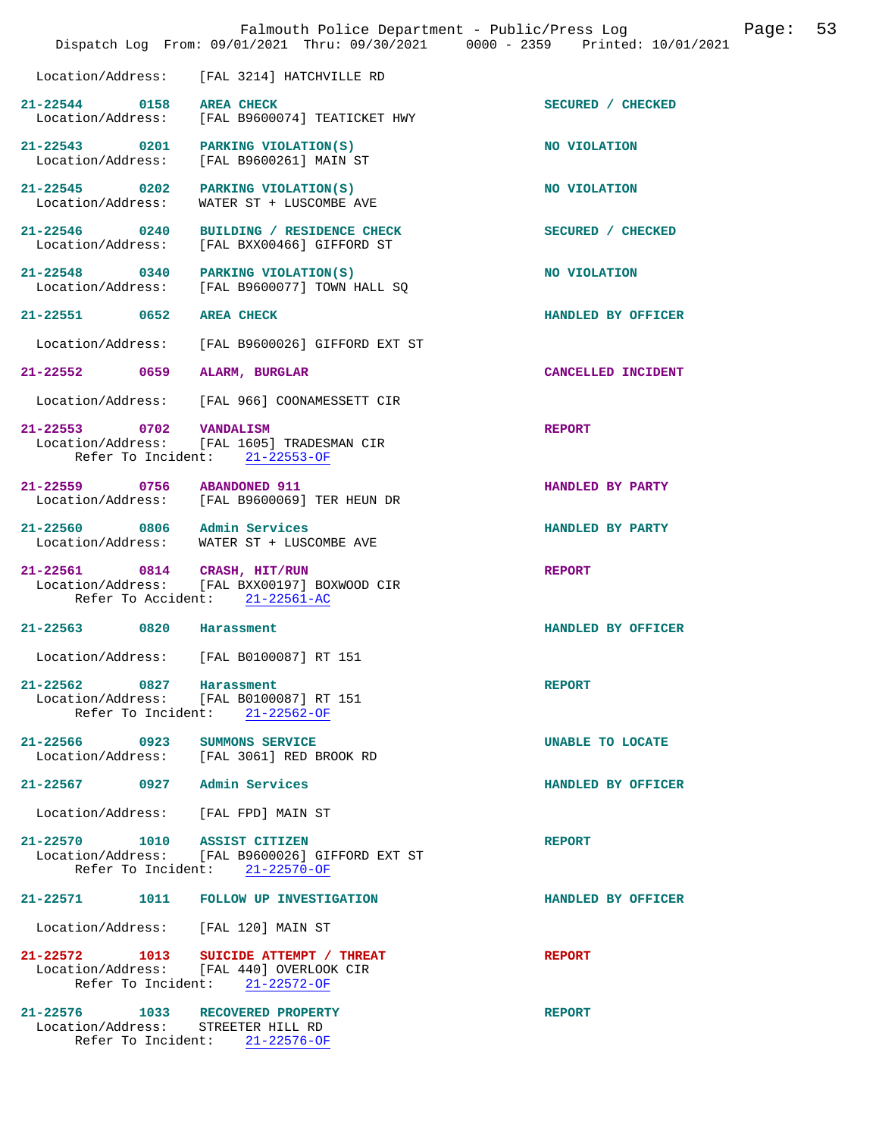|                                                                        | Falmouth Police Department - Public/Press Log<br>Dispatch Log From: 09/01/2021 Thru: 09/30/2021 0000 - 2359 Printed: 10/01/2021 | 53<br>Page:        |
|------------------------------------------------------------------------|---------------------------------------------------------------------------------------------------------------------------------|--------------------|
| Location/Address:                                                      | [FAL 3214] HATCHVILLE RD                                                                                                        |                    |
| 21-22544 0158 AREA CHECK                                               | Location/Address: [FAL B9600074] TEATICKET HWY                                                                                  | SECURED / CHECKED  |
| Location/Address:                                                      | 21-22543 0201 PARKING VIOLATION(S)<br>[FAL B9600261] MAIN ST                                                                    | NO VIOLATION       |
| Location/Address:                                                      | 21-22545 0202 PARKING VIOLATION(S)<br>WATER ST + LUSCOMBE AVE                                                                   | NO VIOLATION       |
| Location/Address:                                                      | 21-22546 0240 BUILDING / RESIDENCE CHECK<br>[FAL BXX00466] GIFFORD ST                                                           | SECURED / CHECKED  |
| 21-22548 0340 PARKING VIOLATION(S)<br>Location/Address:                | [FAL B9600077] TOWN HALL SQ                                                                                                     | NO VIOLATION       |
| 21-22551 0652                                                          | <b>AREA CHECK</b>                                                                                                               | HANDLED BY OFFICER |
| Location/Address:                                                      | [FAL B9600026] GIFFORD EXT ST                                                                                                   |                    |
| 21-22552 0659                                                          | ALARM, BURGLAR                                                                                                                  | CANCELLED INCIDENT |
|                                                                        | Location/Address: [FAL 966] COONAMESSETT CIR                                                                                    |                    |
| 21-22553 0702 VANDALISM                                                | Location/Address: [FAL 1605] TRADESMAN CIR<br>Refer To Incident: 21-22553-OF                                                    | <b>REPORT</b>      |
| 21-22559 0756 ABANDONED 911                                            | Location/Address: [FAL B9600069] TER HEUN DR                                                                                    | HANDLED BY PARTY   |
| 21-22560 0806 Admin Services                                           | Location/Address: WATER ST + LUSCOMBE AVE                                                                                       | HANDLED BY PARTY   |
| 21-22561 0814 CRASH, HIT/RUN                                           | Location/Address: [FAL BXX00197] BOXWOOD CIR<br>Refer To Accident: 21-22561-AC                                                  | <b>REPORT</b>      |
| 21-22563 0820 Harassment                                               |                                                                                                                                 | HANDLED BY OFFICER |
| Location/Address:                                                      | [FAL B0100087] RT 151                                                                                                           |                    |
| 21-22562 0827 Harassment                                               | Location/Address: [FAL B0100087] RT 151<br>Refer To Incident: 21-22562-OF                                                       | <b>REPORT</b>      |
| 21-22566 0923 SUMMONS SERVICE                                          | Location/Address: [FAL 3061] RED BROOK RD                                                                                       | UNABLE TO LOCATE   |
| 21-22567 0927 Admin Services                                           |                                                                                                                                 | HANDLED BY OFFICER |
| Location/Address: [FAL FPD] MAIN ST                                    |                                                                                                                                 |                    |
| 21-22570 1010 ASSIST CITIZEN                                           | Location/Address: [FAL B9600026] GIFFORD EXT ST<br>Refer To Incident: 21-22570-OF                                               | <b>REPORT</b>      |
|                                                                        | 21-22571 1011 FOLLOW UP INVESTIGATION                                                                                           | HANDLED BY OFFICER |
| Location/Address: [FAL 120] MAIN ST                                    |                                                                                                                                 |                    |
|                                                                        | 21-22572 1013 SUICIDE ATTEMPT / THREAT<br>Location/Address: [FAL 440] OVERLOOK CIR<br>Refer To Incident: 21-22572-OF            | <b>REPORT</b>      |
| 21-22576 1033 RECOVERED PROPERTY<br>Location/Address: STREETER HILL RD | Refer To Incident: 21-22576-OF                                                                                                  | <b>REPORT</b>      |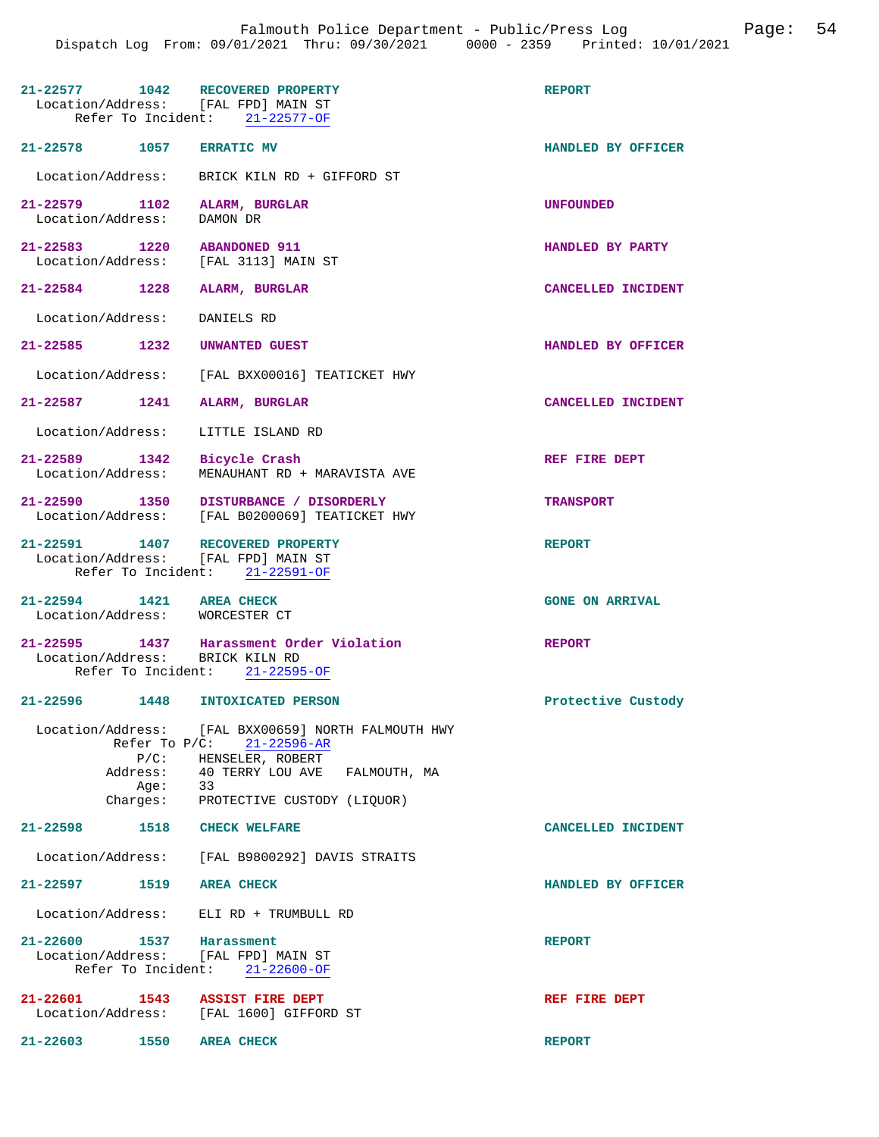|                                                                         | 21-22577 1042 RECOVERED PROPERTY<br>Location/Address: [FAL FPD] MAIN ST<br>Refer To Incident: 21-22577-OF                                                   | <b>REPORT</b>          |
|-------------------------------------------------------------------------|-------------------------------------------------------------------------------------------------------------------------------------------------------------|------------------------|
| 21-22578 1057 ERRATIC MV                                                |                                                                                                                                                             | HANDLED BY OFFICER     |
| Location/Address:                                                       | BRICK KILN RD + GIFFORD ST                                                                                                                                  |                        |
| 21-22579 1102<br>Location/Address:                                      | ALARM, BURGLAR<br>DAMON DR                                                                                                                                  | <b>UNFOUNDED</b>       |
| 21-22583 1220 ABANDONED 911<br>Location/Address:                        | [FAL 3113] MAIN ST                                                                                                                                          | HANDLED BY PARTY       |
| 21-22584 1228                                                           | ALARM, BURGLAR                                                                                                                                              | CANCELLED INCIDENT     |
| Location/Address:                                                       | DANIELS RD                                                                                                                                                  |                        |
| 21-22585                                                                | 1232 UNWANTED GUEST                                                                                                                                         | HANDLED BY OFFICER     |
|                                                                         | Location/Address: [FAL BXX00016] TEATICKET HWY                                                                                                              |                        |
| $21 - 22587$<br>1241                                                    | ALARM, BURGLAR                                                                                                                                              | CANCELLED INCIDENT     |
| Location/Address:                                                       | LITTLE ISLAND RD                                                                                                                                            |                        |
| 21-22589 1342<br>Location/Address:                                      | Bicycle Crash<br>MENAUHANT RD + MARAVISTA AVE                                                                                                               | REF FIRE DEPT          |
|                                                                         | 21-22590 1350 DISTURBANCE / DISORDERLY<br>Location/Address: [FAL B0200069] TEATICKET HWY                                                                    | <b>TRANSPORT</b>       |
| 21-22591 1407 RECOVERED PROPERTY<br>Location/Address: [FAL FPD] MAIN ST | Refer To Incident: 21-22591-OF                                                                                                                              | <b>REPORT</b>          |
| 21-22594 1421 AREA CHECK<br>Location/Address: WORCESTER CT              |                                                                                                                                                             | <b>GONE ON ARRIVAL</b> |
|                                                                         |                                                                                                                                                             |                        |
| Location/Address: BRICK KILN RD                                         | 21-22595 1437 Harassment Order Violation<br>Refer To Incident: 21-22595-OF                                                                                  | <b>REPORT</b>          |
| $21 - 22596$                                                            | 1448 INTOXICATED PERSON                                                                                                                                     | Protective Custody     |
| Aqe:                                                                    | Location/Address: [FAL BXX00659] NORTH FALMOUTH HWY<br>Refer To P/C: 21-22596-AR<br>$P/C:$ HENSELER, ROBERT<br>Address: 40 TERRY LOU AVE FALMOUTH, MA<br>33 |                        |
| 21-22598 1518 CHECK WELFARE                                             | Charges: PROTECTIVE CUSTODY (LIQUOR)                                                                                                                        |                        |
|                                                                         | Location/Address: [FAL B9800292] DAVIS STRAITS                                                                                                              | CANCELLED INCIDENT     |
| 21-22597 1519 AREA CHECK                                                |                                                                                                                                                             | HANDLED BY OFFICER     |
|                                                                         | Location/Address: ELI RD + TRUMBULL RD                                                                                                                      |                        |
| 21-22600 1537 Harassment<br>Location/Address: [FAL FPD] MAIN ST         | Refer To Incident: 21-22600-OF                                                                                                                              | <b>REPORT</b>          |
| 21-22601 1543 ASSIST FIRE DEPT                                          | Location/Address: [FAL 1600] GIFFORD ST                                                                                                                     | REF FIRE DEPT          |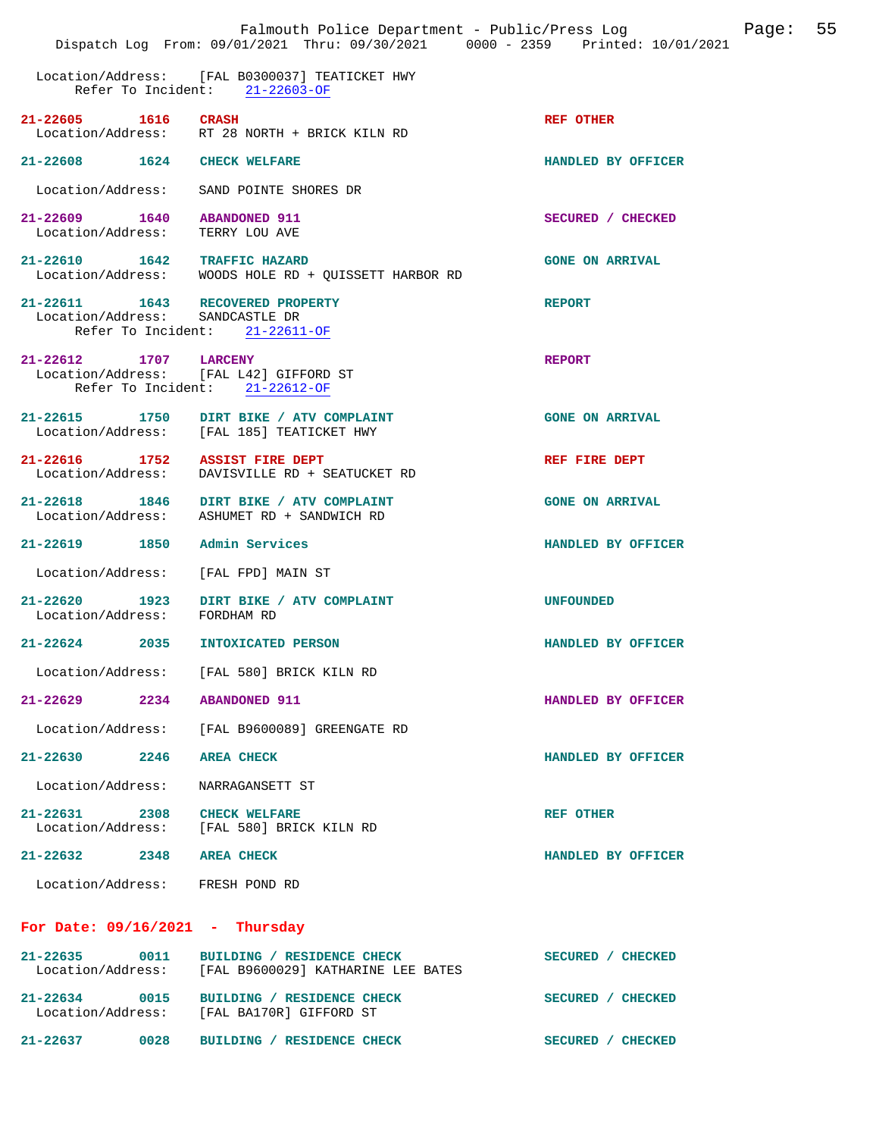|                                                     |      | Falmouth Police Department - Public/Press Log<br>Dispatch Log From: 09/01/2021 Thru: 09/30/2021 0000 - 2359 Printed: 10/01/2021 |                        | Page: | 55 |
|-----------------------------------------------------|------|---------------------------------------------------------------------------------------------------------------------------------|------------------------|-------|----|
|                                                     |      | Location/Address: [FAL B0300037] TEATICKET HWY<br>Refer To Incident: 21-22603-OF                                                |                        |       |    |
| 21-22605 1616                                       |      | <b>CRASH</b><br>Location/Address: RT 28 NORTH + BRICK KILN RD                                                                   | <b>REF OTHER</b>       |       |    |
| 21-22608 1624                                       |      | <b>CHECK WELFARE</b>                                                                                                            | HANDLED BY OFFICER     |       |    |
| Location/Address:                                   |      | SAND POINTE SHORES DR                                                                                                           |                        |       |    |
| 21-22609 1640 ABANDONED 911<br>Location/Address:    |      | TERRY LOU AVE                                                                                                                   | SECURED / CHECKED      |       |    |
| 21-22610 1642 TRAFFIC HAZARD                        |      | Location/Address: WOODS HOLE RD + QUISSETT HARBOR RD                                                                            | <b>GONE ON ARRIVAL</b> |       |    |
| Location/Address:                                   |      | 21-22611 1643 RECOVERED PROPERTY<br>SANDCASTLE DR<br>Refer To Incident: 21-22611-OF                                             | <b>REPORT</b>          |       |    |
| 21-22612 1707 LARCENY                               |      | Location/Address: [FAL L42] GIFFORD ST<br>Refer To Incident: 21-22612-OF                                                        | <b>REPORT</b>          |       |    |
|                                                     |      | 21-22615 1750 DIRT BIKE / ATV COMPLAINT<br>Location/Address: [FAL 185] TEATICKET HWY                                            | <b>GONE ON ARRIVAL</b> |       |    |
| 21-22616 1752 ASSIST FIRE DEPT<br>Location/Address: |      | DAVISVILLE RD + SEATUCKET RD                                                                                                    | REF FIRE DEPT          |       |    |
|                                                     |      | 21-22618 1846 DIRT BIKE / ATV COMPLAINT<br>Location/Address: ASHUMET RD + SANDWICH RD                                           | <b>GONE ON ARRIVAL</b> |       |    |
| 21-22619 1850                                       |      | Admin Services                                                                                                                  | HANDLED BY OFFICER     |       |    |
| Location/Address:                                   |      | [FAL FPD] MAIN ST                                                                                                               |                        |       |    |
| Location/Address: FORDHAM RD                        |      | 21-22620 1923 DIRT BIKE / ATV COMPLAINT                                                                                         | <b>UNFOUNDED</b>       |       |    |
| $21 - 22624$ 2035                                   |      | <b>INTOXICATED PERSON</b>                                                                                                       | HANDLED BY OFFICER     |       |    |
|                                                     |      | Location/Address: [FAL 580] BRICK KILN RD                                                                                       |                        |       |    |
| 21-22629                                            | 2234 | <b>ABANDONED 911</b>                                                                                                            | HANDLED BY OFFICER     |       |    |
|                                                     |      | Location/Address: [FAL B9600089] GREENGATE RD                                                                                   |                        |       |    |
| 21-22630 2246                                       |      | <b>AREA CHECK</b>                                                                                                               | HANDLED BY OFFICER     |       |    |
| Location/Address:                                   |      | NARRAGANSETT ST                                                                                                                 |                        |       |    |
| 21-22631 2308                                       |      | <b>CHECK WELFARE</b><br>Location/Address: [FAL 580] BRICK KILN RD                                                               | <b>REF OTHER</b>       |       |    |
| 21-22632                                            | 2348 | <b>AREA CHECK</b>                                                                                                               | HANDLED BY OFFICER     |       |    |
| Location/Address: FRESH POND RD                     |      |                                                                                                                                 |                        |       |    |
| For Date: $09/16/2021$ - Thursday                   |      |                                                                                                                                 |                        |       |    |
| $21 - 22635$                                        | 0011 | BUILDING / RESIDENCE CHECK<br>Location/Address: [FAL B9600029] KATHARINE LEE BATES                                              | SECURED / CHECKED      |       |    |
| 21-22634 0015                                       |      | BUILDING / RESIDENCE CHECK<br>Location/Address: [FAL BA170R] GIFFORD ST                                                         | SECURED / CHECKED      |       |    |
| $21 - 22637$                                        | 0028 | BUILDING / RESIDENCE CHECK                                                                                                      | SECURED / CHECKED      |       |    |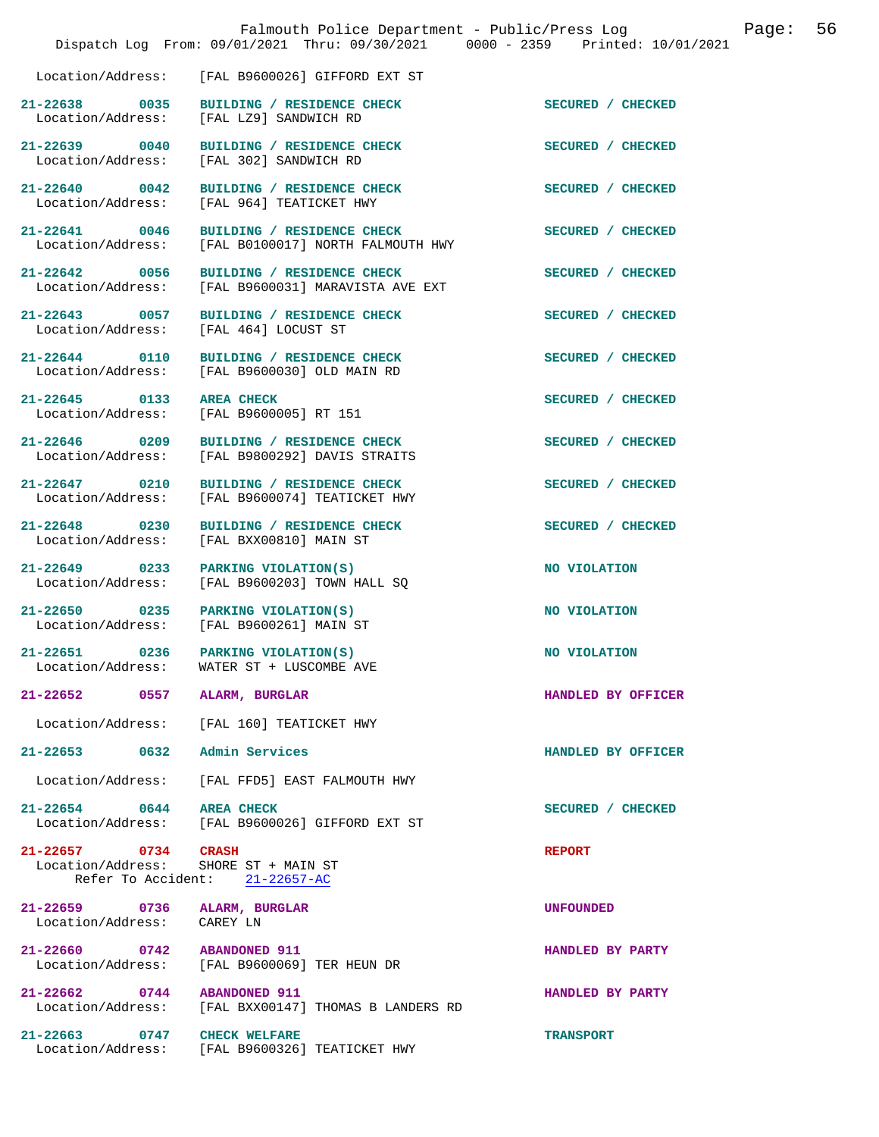|                                                            | Falmouth Police Department - Public/Press Log<br>Dispatch Log From: 09/01/2021 Thru: 09/30/2021 0000 - 2359 Printed: 10/01/2021 |                    | Page: | 56 |
|------------------------------------------------------------|---------------------------------------------------------------------------------------------------------------------------------|--------------------|-------|----|
|                                                            | Location/Address: [FAL B9600026] GIFFORD EXT ST                                                                                 |                    |       |    |
| 21-22638 0035                                              | BUILDING / RESIDENCE CHECK<br>Location/Address: [FAL LZ9] SANDWICH RD                                                           | SECURED / CHECKED  |       |    |
| 21-22639 0040<br>Location/Address:                         | BUILDING / RESIDENCE CHECK<br>[FAL 302] SANDWICH RD                                                                             | SECURED / CHECKED  |       |    |
|                                                            | 21-22640 0042 BUILDING / RESIDENCE CHECK<br>Location/Address: [FAL 964] TEATICKET HWY                                           | SECURED / CHECKED  |       |    |
| 21-22641 0046<br>Location/Address:                         | BUILDING / RESIDENCE CHECK<br>[FAL B0100017] NORTH FALMOUTH HWY                                                                 | SECURED / CHECKED  |       |    |
| 21-22642 0056<br>Location/Address:                         | BUILDING / RESIDENCE CHECK<br>[FAL B9600031] MARAVISTA AVE EXT                                                                  | SECURED / CHECKED  |       |    |
| 21-22643 0057<br>Location/Address:                         | BUILDING / RESIDENCE CHECK<br>[FAL 464] LOCUST ST                                                                               | SECURED / CHECKED  |       |    |
| 21-22644 0110<br>Location/Address:                         | BUILDING / RESIDENCE CHECK<br>[FAL B9600030] OLD MAIN RD                                                                        | SECURED / CHECKED  |       |    |
| 21-22645 0133<br>Location/Address:                         | <b>AREA CHECK</b><br>[FAL B9600005] RT 151                                                                                      | SECURED / CHECKED  |       |    |
| 21-22646 0209<br>Location/Address:                         | BUILDING / RESIDENCE CHECK<br>[FAL B9800292] DAVIS STRAITS                                                                      | SECURED / CHECKED  |       |    |
| 21-22647 0210<br>Location/Address:                         | BUILDING / RESIDENCE CHECK<br>[FAL B9600074] TEATICKET HWY                                                                      | SECURED / CHECKED  |       |    |
| 21-22648 0230<br>Location/Address:                         | BUILDING / RESIDENCE CHECK<br>[FAL BXX00810] MAIN ST                                                                            | SECURED / CHECKED  |       |    |
| 21-22649 0233                                              | PARKING VIOLATION(S)<br>Location/Address: [FAL B9600203] TOWN HALL SQ                                                           | NO VIOLATION       |       |    |
| $21 - 22650$ 0235<br>Location/Address:                     | PARKING VIOLATION(S)<br>[FAL B9600261] MAIN ST                                                                                  | NO VIOLATION       |       |    |
| 21-22651 0236<br>Location/Address:                         | PARKING VIOLATION(S)<br>WATER ST + LUSCOMBE AVE                                                                                 | NO VIOLATION       |       |    |
| 21-22652 0557 ALARM, BURGLAR                               |                                                                                                                                 | HANDLED BY OFFICER |       |    |
|                                                            | Location/Address: [FAL 160] TEATICKET HWY                                                                                       |                    |       |    |
| 21-22653 0632 Admin Services                               |                                                                                                                                 | HANDLED BY OFFICER |       |    |
|                                                            | Location/Address: [FAL FFD5] EAST FALMOUTH HWY                                                                                  |                    |       |    |
| 21-22654 0644 AREA CHECK                                   | Location/Address: [FAL B9600026] GIFFORD EXT ST                                                                                 | SECURED / CHECKED  |       |    |
| 21-22657 0734 CRASH                                        | Location/Address: SHORE ST + MAIN ST<br>Refer To Accident: 21-22657-AC                                                          | <b>REPORT</b>      |       |    |
| 21-22659 0736 ALARM, BURGLAR<br>Location/Address: CAREY LN |                                                                                                                                 | <b>UNFOUNDED</b>   |       |    |
| 21-22660 0742 ABANDONED 911                                | Location/Address: [FAL B9600069] TER HEUN DR                                                                                    | HANDLED BY PARTY   |       |    |
| 21-22662 0744 ABANDONED 911                                | Location/Address: [FAL BXX00147] THOMAS B LANDERS RD                                                                            | HANDLED BY PARTY   |       |    |
| 21-22663 0747 CHECK WELFARE                                | Location/Address: [FAL B9600326] TEATICKET HWY                                                                                  | <b>TRANSPORT</b>   |       |    |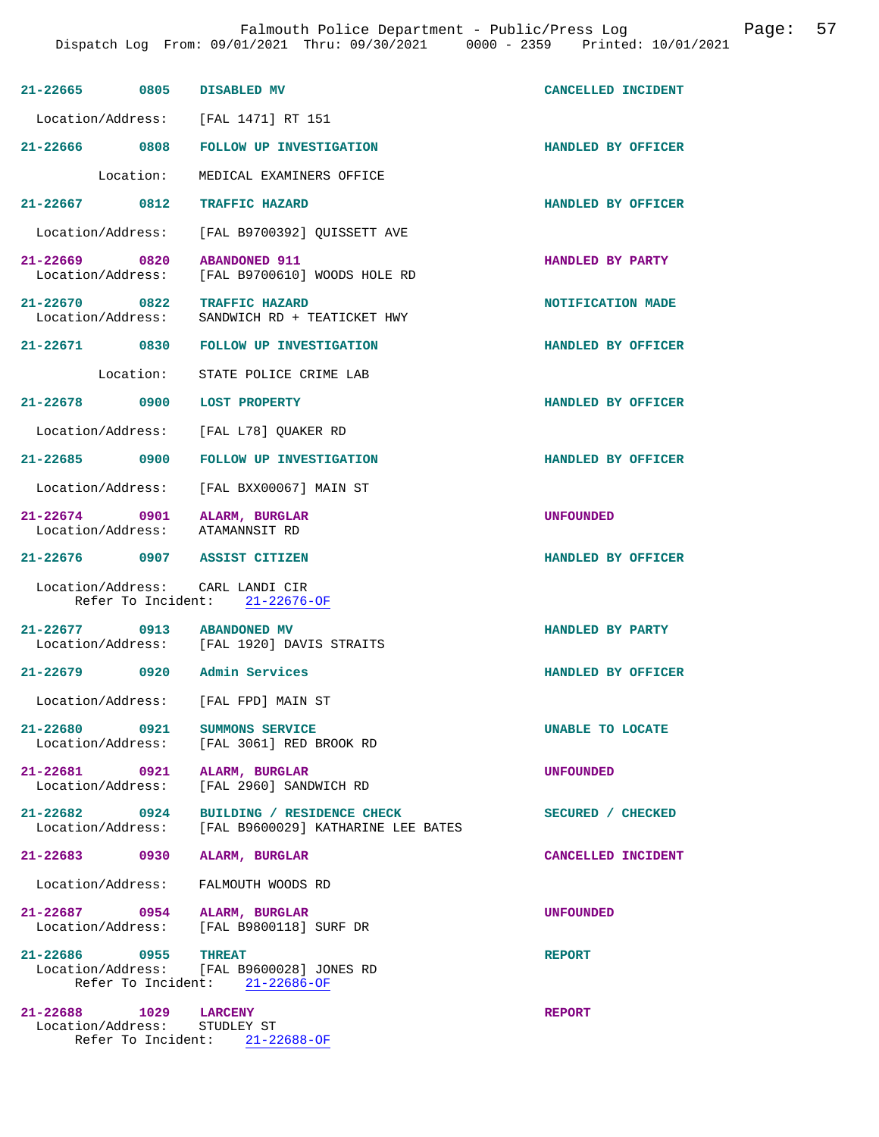| 21-22665 0805 DISABLED MV                                       |                                                                                | CANCELLED INCIDENT |
|-----------------------------------------------------------------|--------------------------------------------------------------------------------|--------------------|
|                                                                 | Location/Address: [FAL 1471] RT 151                                            |                    |
|                                                                 | 21-22666 0808 FOLLOW UP INVESTIGATION                                          | HANDLED BY OFFICER |
| Location:                                                       | MEDICAL EXAMINERS OFFICE                                                       |                    |
| 21-22667 0812 TRAFFIC HAZARD                                    |                                                                                | HANDLED BY OFFICER |
|                                                                 | Location/Address: [FAL B9700392] QUISSETT AVE                                  |                    |
| 21-22669 0820 ABANDONED 911                                     | Location/Address: [FAL B9700610] WOODS HOLE RD                                 | HANDLED BY PARTY   |
| 21-22670 0822 TRAFFIC HAZARD                                    | Location/Address: SANDWICH RD + TEATICKET HWY                                  | NOTIFICATION MADE  |
|                                                                 | 21-22671 0830 FOLLOW UP INVESTIGATION                                          | HANDLED BY OFFICER |
|                                                                 | Location: STATE POLICE CRIME LAB                                               |                    |
| 21-22678 0900 LOST PROPERTY                                     |                                                                                | HANDLED BY OFFICER |
|                                                                 | Location/Address: [FAL L78] QUAKER RD                                          |                    |
|                                                                 | 21-22685 0900 FOLLOW UP INVESTIGATION                                          | HANDLED BY OFFICER |
|                                                                 | Location/Address: [FAL BXX00067] MAIN ST                                       |                    |
| 21-22674 0901 ALARM, BURGLAR<br>Location/Address: ATAMANNSIT RD |                                                                                | <b>UNFOUNDED</b>   |
| 21-22676 0907 ASSIST CITIZEN                                    |                                                                                | HANDLED BY OFFICER |
| Location/Address: CARL LANDI CIR                                | Refer To Incident: 21-22676-OF                                                 |                    |
| 21-22677 0913 ABANDONED MV                                      |                                                                                | HANDLED BY PARTY   |
|                                                                 | Location/Address: [FAL 1920] DAVIS STRAITS                                     |                    |
| 21-22679 0920 Admin Services                                    |                                                                                | HANDLED BY OFFICER |
| 21-22680 0921                                                   | Location/Address: [FAL FPD] MAIN ST                                            |                    |
| Location/Address:                                               | SUMMONS SERVICE<br>[FAL 3061] RED BROOK RD                                     | UNABLE TO LOCATE   |
| 21-22681 0921 ALARM, BURGLAR<br>Location/Address:               | [FAL 2960] SANDWICH RD                                                         | UNFOUNDED          |
| Location/Address:                                               | 21-22682 0924 BUILDING / RESIDENCE CHECK<br>[FAL B9600029] KATHARINE LEE BATES | SECURED / CHECKED  |
| 21-22683 0930 ALARM, BURGLAR                                    |                                                                                | CANCELLED INCIDENT |
|                                                                 | Location/Address: FALMOUTH WOODS RD                                            |                    |
|                                                                 | 21-22687 0954 ALARM, BURGLAR<br>Location/Address: [FAL B9800118] SURF DR       | <b>UNFOUNDED</b>   |
|                                                                 |                                                                                |                    |
| 21-22686 0955                                                   | <b>THREAT</b><br>Location/Address: [FAL B9600028] JONES RD                     | <b>REPORT</b>      |
|                                                                 | Refer To Incident: 21-22686-OF                                                 |                    |
| 21-22688 1029 LARCENY<br>Location/Address: STUDLEY ST           | Refer To Incident: 21-22688-OF                                                 | <b>REPORT</b>      |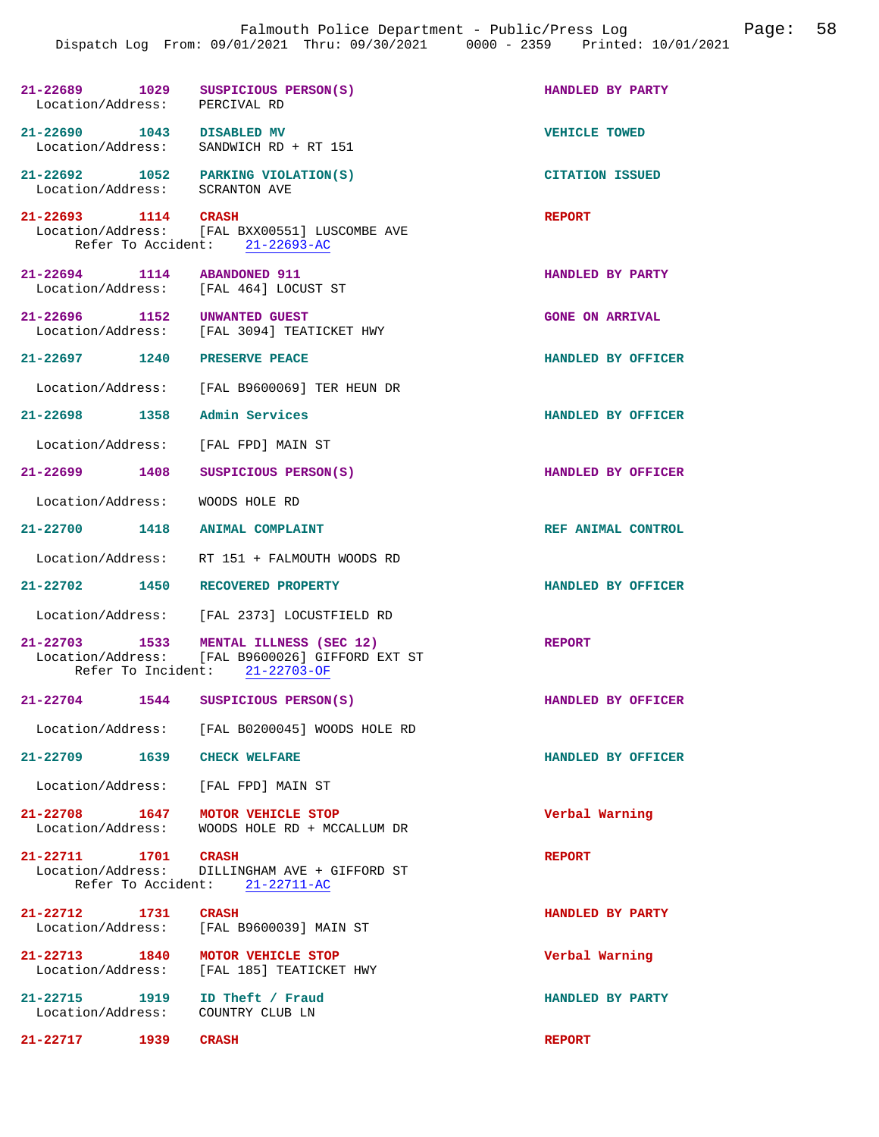| 21-22689 1029<br>Location/Address: PERCIVAL RD | SUSPICIOUS PERSON(S)                                                                                                       | HANDLED BY PARTY       |
|------------------------------------------------|----------------------------------------------------------------------------------------------------------------------------|------------------------|
| 21-22690 1043 DISABLED MV<br>Location/Address: | SANDWICH RD + RT 151                                                                                                       | <b>VEHICLE TOWED</b>   |
| 21-22692 1052<br>Location/Address:             | PARKING VIOLATION(S)<br>SCRANTON AVE                                                                                       | <b>CITATION ISSUED</b> |
| 21-22693 1114 CRASH                            | Location/Address: [FAL BXX00551] LUSCOMBE AVE<br>Refer To Accident: 21-22693-AC                                            | <b>REPORT</b>          |
| 21-22694 1114 ABANDONED 911                    | Location/Address: [FAL 464] LOCUST ST                                                                                      | HANDLED BY PARTY       |
|                                                | 21-22696 1152 UNWANTED GUEST<br>Location/Address: [FAL 3094] TEATICKET HWY                                                 | <b>GONE ON ARRIVAL</b> |
| $21 - 22697$ 1240                              | PRESERVE PEACE                                                                                                             | HANDLED BY OFFICER     |
|                                                | Location/Address: [FAL B9600069] TER HEUN DR                                                                               |                        |
|                                                | 21-22698 1358 Admin Services                                                                                               | HANDLED BY OFFICER     |
|                                                | Location/Address: [FAL FPD] MAIN ST                                                                                        |                        |
| 21-22699 1408                                  | SUSPICIOUS PERSON(S)                                                                                                       | HANDLED BY OFFICER     |
|                                                | Location/Address: WOODS HOLE RD                                                                                            |                        |
|                                                | 21-22700 1418 ANIMAL COMPLAINT                                                                                             | REF ANIMAL CONTROL     |
|                                                | Location/Address: RT 151 + FALMOUTH WOODS RD                                                                               |                        |
|                                                | 21-22702 1450 RECOVERED PROPERTY                                                                                           | HANDLED BY OFFICER     |
|                                                | Location/Address: [FAL 2373] LOCUSTFIELD RD                                                                                |                        |
|                                                | 21-22703 1533 MENTAL ILLNESS (SEC 12)<br>Location/Address: [FAL B9600026] GIFFORD EXT ST<br>Refer To Incident: 21-22703-OF | <b>REPORT</b>          |
| $21 - 22704$<br>1544                           | SUSPICIOUS PERSON(S)                                                                                                       | HANDLED BY OFFICER     |
|                                                | Location/Address: [FAL B0200045] WOODS HOLE RD                                                                             |                        |
| 21-22709 1639 CHECK WELFARE                    |                                                                                                                            | HANDLED BY OFFICER     |
|                                                | Location/Address: [FAL FPD] MAIN ST                                                                                        |                        |
| 21-22708 1647<br>Location/Address:             | MOTOR VEHICLE STOP<br>WOODS HOLE RD + MCCALLUM DR                                                                          | Verbal Warning         |
| $21 - 22711$ 1701                              | <b>CRASH</b><br>Location/Address: DILLINGHAM AVE + GIFFORD ST<br>Refer To Accident: 21-22711-AC                            | <b>REPORT</b>          |
| 21-22712 1731                                  | <b>CRASH</b><br>Location/Address: [FAL B9600039] MAIN ST                                                                   | HANDLED BY PARTY       |
| 21-22713 1840                                  | MOTOR VEHICLE STOP<br>Location/Address: [FAL 185] TEATICKET HWY                                                            | Verbal Warning         |
| 21-22715 1919<br>Location/Address:             | ID Theft / Fraud<br>COUNTRY CLUB LN                                                                                        | HANDLED BY PARTY       |
| $21 - 22717$<br>1939                           | <b>CRASH</b>                                                                                                               | <b>REPORT</b>          |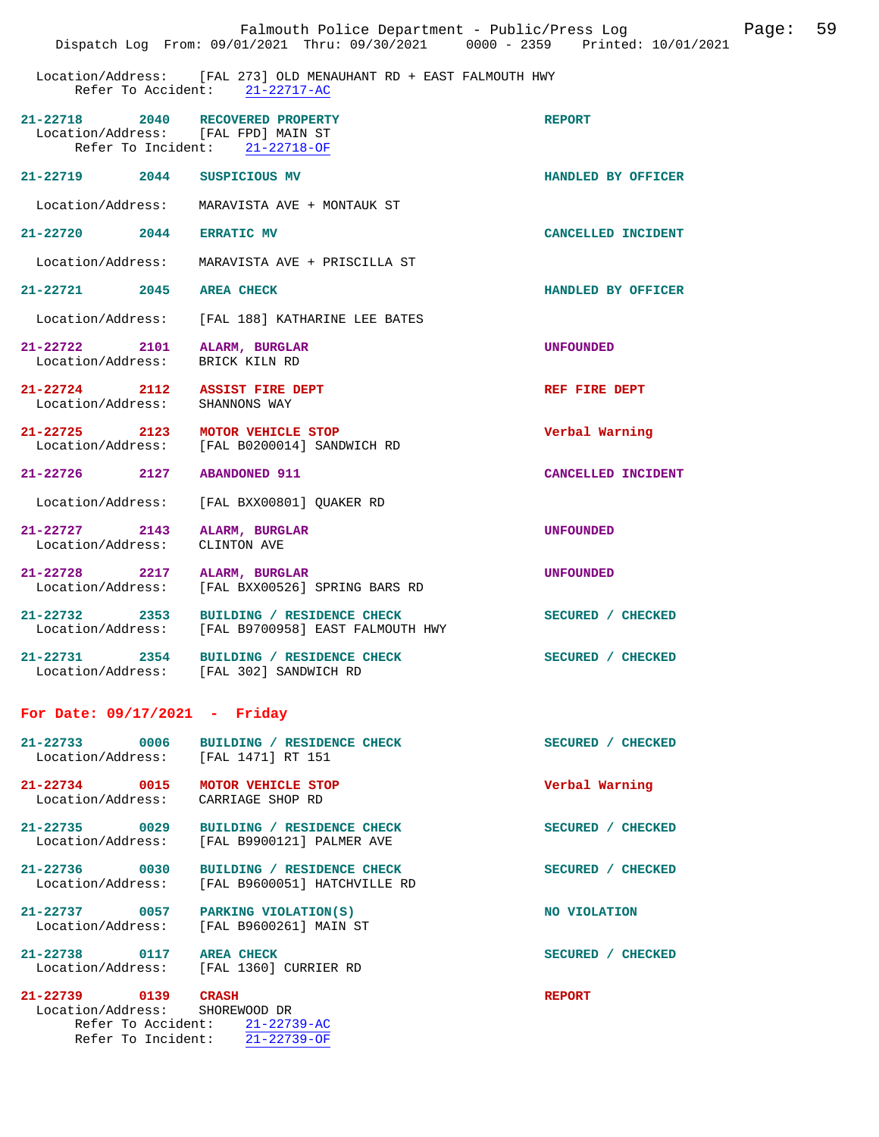|                                                             | Falmouth Police Department - Public/Press Log<br>Dispatch Log From: 09/01/2021 Thru: 09/30/2021 0000 - 2359 Printed: 10/01/2021 |                    | Page: | 59 |
|-------------------------------------------------------------|---------------------------------------------------------------------------------------------------------------------------------|--------------------|-------|----|
| Refer To Accident:                                          | Location/Address: [FAL 273] OLD MENAUHANT RD + EAST FALMOUTH HWY<br>$21 - 22717 - AC$                                           |                    |       |    |
| $21 - 22718$<br>2040<br>Location/Address: [FAL FPD] MAIN ST | RECOVERED PROPERTY<br>Refer To Incident: 21-22718-OF                                                                            | <b>REPORT</b>      |       |    |
| 21-22719<br>2044                                            | SUSPICIOUS MV                                                                                                                   | HANDLED BY OFFICER |       |    |
| Location/Address:                                           | MARAVISTA AVE + MONTAUK ST                                                                                                      |                    |       |    |
| $21 - 22720$ 2044                                           | <b>ERRATIC MV</b>                                                                                                               | CANCELLED INCIDENT |       |    |
| Location/Address:                                           | MARAVISTA AVE + PRISCILLA ST                                                                                                    |                    |       |    |
| $21 - 22721$<br>2045                                        | <b>AREA CHECK</b>                                                                                                               | HANDLED BY OFFICER |       |    |
| Location/Address:                                           | [FAL 188] KATHARINE LEE BATES                                                                                                   |                    |       |    |
| 21-22722 2101<br>Location/Address:                          | ALARM, BURGLAR<br>BRICK KILN RD                                                                                                 | <b>UNFOUNDED</b>   |       |    |
| $21 - 22724$<br>2112<br>Location/Address:                   | <b>ASSIST FIRE DEPT</b><br>SHANNONS WAY                                                                                         | REF FIRE DEPT      |       |    |
| $21 - 22725$ 2123<br>Location/Address:                      | MOTOR VEHICLE STOP<br>[FAL B0200014] SANDWICH RD                                                                                | Verbal Warning     |       |    |
| $21 - 22726$ 2127                                           | <b>ABANDONED 911</b>                                                                                                            | CANCELLED INCIDENT |       |    |
| Location/Address:                                           | [FAL BXX00801] QUAKER RD                                                                                                        |                    |       |    |
| $21 - 22727$<br>2143<br>Location/Address:                   | ALARM, BURGLAR<br>CLINTON AVE                                                                                                   | <b>UNFOUNDED</b>   |       |    |
| $21 - 22728$<br>2217<br>Location/Address:                   | ALARM, BURGLAR<br>[FAL BXX00526] SPRING BARS RD                                                                                 | <b>UNFOUNDED</b>   |       |    |
| $21 - 22732$<br>2353<br>Location/Address:                   | BUILDING / RESIDENCE CHECK<br>[FAL B9700958] EAST FALMOUTH HWY                                                                  | SECURED / CHECKED  |       |    |
| 21-22731<br>2354                                            | BUILDING / RESIDENCE CHECK<br>Location/Address: [FAL 302] SANDWICH RD                                                           | SECURED / CHECKED  |       |    |
| For Date: $09/17/2021$ - Friday                             |                                                                                                                                 |                    |       |    |
| $21 - 22733$<br>0006<br>Location/Address:                   | BUILDING / RESIDENCE CHECK<br>[FAL 1471] RT 151                                                                                 | SECURED / CHECKED  |       |    |
| 21-22734 0015<br>Location/Address:                          | MOTOR VEHICLE STOP<br>CARRIAGE SHOP RD                                                                                          | Verbal Warning     |       |    |
| 21-22735 0029<br>Location/Address:                          | BUILDING / RESIDENCE CHECK<br>[FAL B9900121] PALMER AVE                                                                         | SECURED / CHECKED  |       |    |
| 21-22736 0030<br>Location/Address:                          | BUILDING / RESIDENCE CHECK<br>[FAL B9600051] HATCHVILLE RD                                                                      | SECURED / CHECKED  |       |    |
| 21-22737 0057<br>Location/Address:                          | PARKING VIOLATION(S)<br>[FAL B9600261] MAIN ST                                                                                  | NO VIOLATION       |       |    |
| $21 - 22738$<br>0117<br>Location/Address:                   | <b>AREA CHECK</b><br>[FAL 1360] CURRIER RD                                                                                      | SECURED / CHECKED  |       |    |
| $21 - 22739$<br>0139<br>Location/Address:                   | <b>CRASH</b><br>SHOREWOOD DR<br>Refer To Accident: 21-22739-AC<br>Refer To Incident: 21-22739-OF                                | <b>REPORT</b>      |       |    |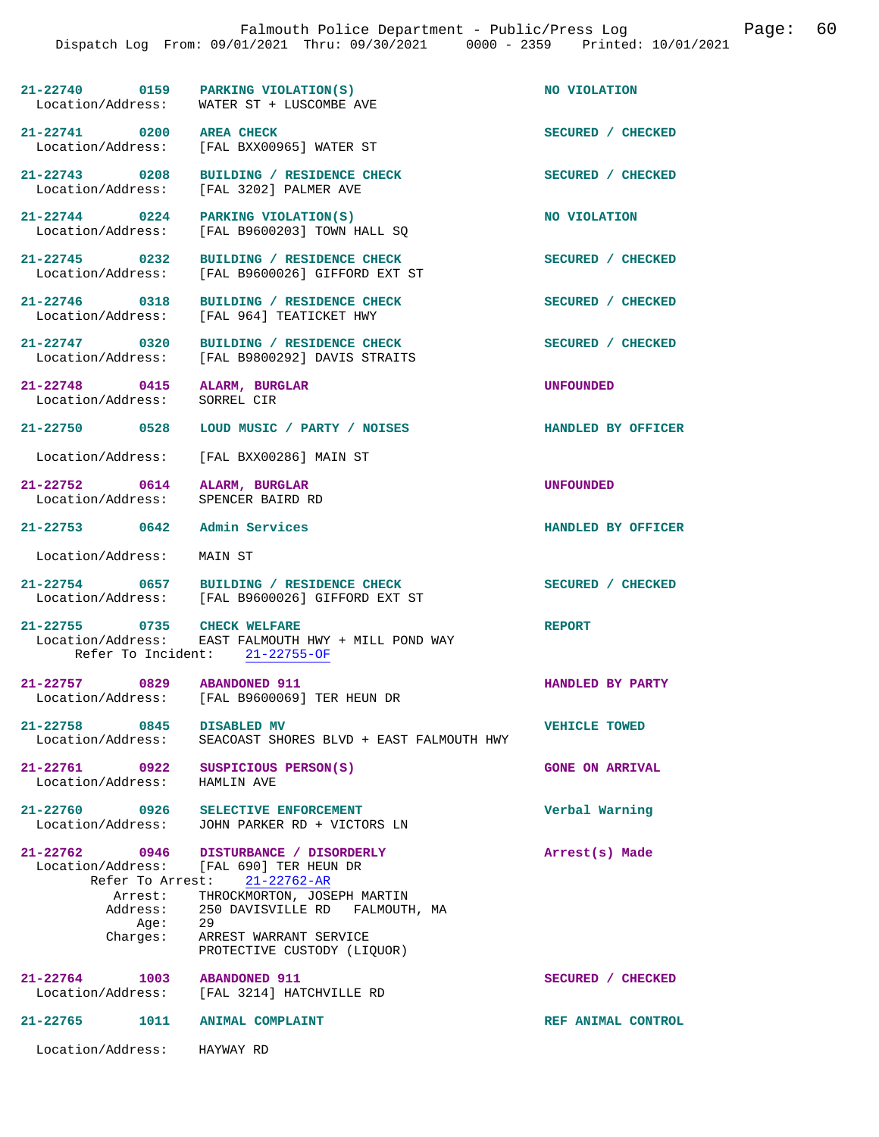| 21-22740          | 0159 | PARKING VIOLATION(S)    | NO VIOLATION |
|-------------------|------|-------------------------|--------------|
| Location/Address: |      | WATER ST + LUSCOMBE AVE |              |

Location/Address: [FAL BXX00965] WATER ST

**21-22743 0208 BUILDING / RESIDENCE CHECK SECURED / CHECKED**  Location/Address: [FAL 3202] PALMER AVE

**21-22744 0224 PARKING VIOLATION(S) NO VIOLATION**  Location/Address: [FAL B9600203] TOWN HALL SQ

**21-22745 0232 BUILDING / RESIDENCE CHECK SECURED / CHECKED**  Location/Address: [FAL B9600026] GIFFORD EXT ST

21-22746 0318 BUILDING / RESIDENCE CHECK SECURED / CHECKED Location / Address: [FAL 964] TEATICKET HWY

21-22747 0320 BUILDING / RESIDENCE CHECK<br>
Location/Address: [FAL B9800292] DAVIS STRAITS

**21-22748 0415 ALARM, BURGLAR UNFOUNDED** 

Location/Address: SORREL CIR

**21-22750 0528 LOUD MUSIC / PARTY / NOISES HANDLED BY OFFICER** 

[FAL 964] TEATICKET HWY

[FAL B9800292] DAVIS STRAITS

Location/Address: [FAL BXX00286] MAIN ST

**21-22752 0614 ALARM, BURGLAR UNFOUNDED**  Location/Address: SPENCER BAIRD RD

**21-22753 0642 Admin Services HANDLED BY OFFICER** 

Location/Address: MAIN ST

21-22754 0657 BUILDING / RESIDENCE CHECK<br>
Location/Address: [FAL B9600026] GIFFORD EXT ST [FAL B9600026] GIFFORD EXT ST

**21-22755 0735 CHECK WELFARE REPORT**  Location/Address: EAST FALMOUTH HWY + MILL POND WAY Refer To Incident: 21-22755-OF

**21-22757 0829 ABANDONED 911 HANDLED BY PARTY**  Location/Address: [FAL B9600069] TER HEUN DR

21-22758 0845 DISABLED MV **VEHICLE TOWED**<br>Location/Address: SEACOAST SHORES BLVD + EAST FALMOUTH HWY SEACOAST SHORES BLVD + EAST FALMOUTH HWY

21-22761 0922 SUSPICIOUS PERSON(S) GONE ON ARRIVAL Location/Address: HAMLIN AVE Location/Address:

21-22760 0926 SELECTIVE ENFORCEMENT **Discussed SELECTIVE ENFORCEMENT** Verbal Warning **Verbal Warning** Location/Address: JOHN PARKER RD + VICTORS LN

**21-22762 0946 DISTURBANCE / DISORDERLY Arrest(s) Made**  Location/Address: [FAL 690] TER HEUN DR Refer To Arrest: 21-22762-AR Arrest: THROCKMORTON, JOSEPH MARTIN<br>Address: 250 DAVISVILLE RD FALMOUTH 250 DAVISVILLE RD FALMOUTH, MA Age:<br>Charges: Charges: ARREST WARRANT SERVICE PROTECTIVE CUSTODY (LIQUOR)

**21-22764 1003 ABANDONED 911 SECURED / CHECKED**  [FAL 3214] HATCHVILLE RD

**21-22765 1011 ANIMAL COMPLAINT REF ANIMAL CONTROL** 

Location/Address: HAYWAY RD

**21-22741 0200 AREA CHECK SECURED / CHECKED**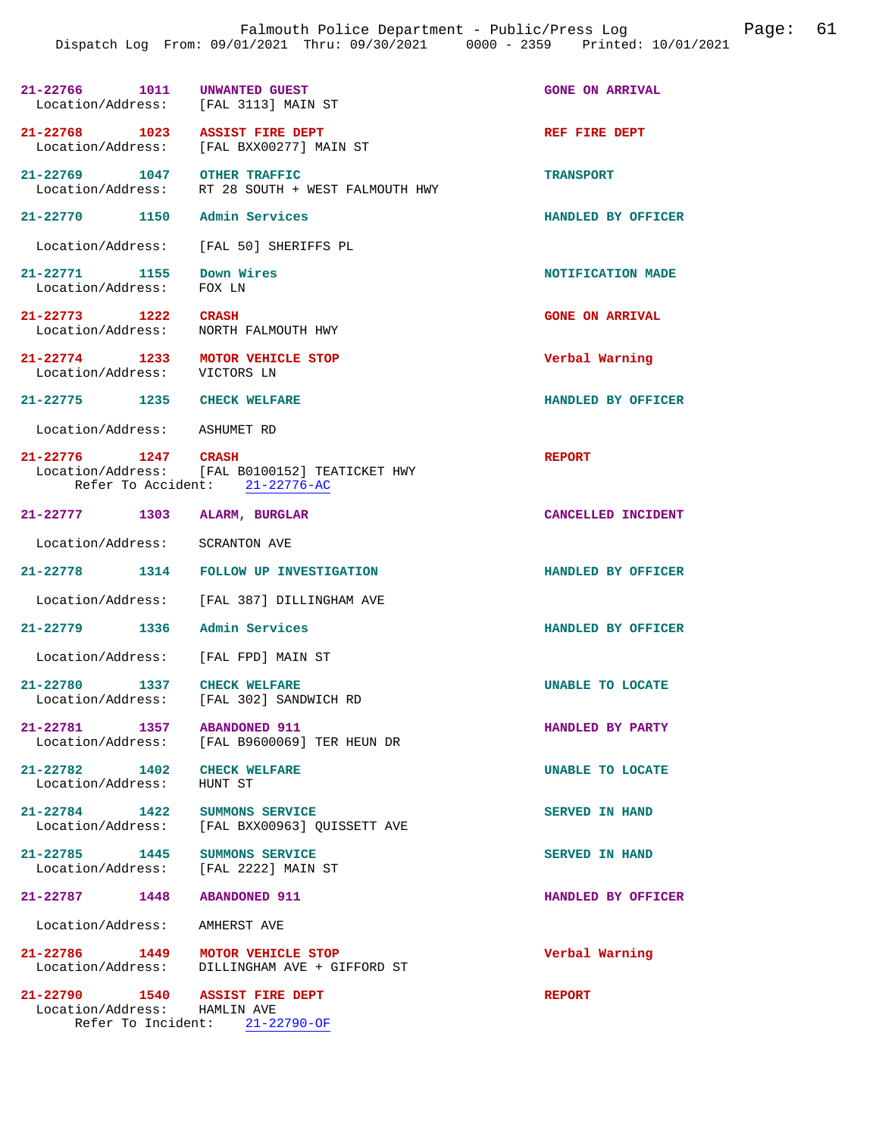| 21-22766 1011<br>Location/Address: [FAL 3113] MAIN ST                 | UNWANTED GUEST                                                                   | <b>GONE ON ARRIVAL</b> |
|-----------------------------------------------------------------------|----------------------------------------------------------------------------------|------------------------|
| 21-22768 1023                                                         | <b>ASSIST FIRE DEPT</b><br>Location/Address: [FAL BXX00277] MAIN ST              | REF FIRE DEPT          |
| 21-22769 1047 OTHER TRAFFIC<br>Location/Address:                      | RT 28 SOUTH + WEST FALMOUTH HWY                                                  | <b>TRANSPORT</b>       |
| 21-22770 1150                                                         | Admin Services                                                                   | HANDLED BY OFFICER     |
|                                                                       | Location/Address: [FAL 50] SHERIFFS PL                                           |                        |
| 21-22771 1155<br>Location/Address:                                    | Down Wires<br>FOX LN                                                             | NOTIFICATION MADE      |
| 21–22773 1222<br>Location/Address:                                    | <b>CRASH</b><br>NORTH FALMOUTH HWY                                               | <b>GONE ON ARRIVAL</b> |
| 21-22774 1233 MOTOR VEHICLE STOP<br>Location/Address:                 | VICTORS LN                                                                       | Verbal Warning         |
| 21-22775 1235 CHECK WELFARE                                           |                                                                                  | HANDLED BY OFFICER     |
| Location/Address:                                                     | ASHUMET RD                                                                       |                        |
| 21-22776 1247 CRASH                                                   | Location/Address: [FAL B0100152] TEATICKET HWY<br>Refer To Accident: 21-22776-AC | <b>REPORT</b>          |
| 21-22777 1303                                                         | ALARM, BURGLAR                                                                   | CANCELLED INCIDENT     |
| Location/Address:                                                     | <b>SCRANTON AVE</b>                                                              |                        |
|                                                                       | 21-22778 1314 FOLLOW UP INVESTIGATION                                            | HANDLED BY OFFICER     |
| Location/Address:                                                     | [FAL 387] DILLINGHAM AVE                                                         |                        |
| 21-22779 1336 Admin Services                                          |                                                                                  | HANDLED BY OFFICER     |
| Location/Address: [FAL FPD] MAIN ST                                   |                                                                                  |                        |
| 1337<br>21-22780                                                      | <b>CHECK WELFARE</b><br>Location/Address: [FAL 302] SANDWICH RD                  | UNABLE TO LOCATE       |
| 21-22781 1357 ABANDONED 911                                           | Location/Address: [FAL B9600069] TER HEUN DR                                     | HANDLED BY PARTY       |
| 21-22782 1402 CHECK WELFARE<br>Location/Address: HUNT ST              |                                                                                  | UNABLE TO LOCATE       |
| 21-22784 1422 SUMMONS SERVICE                                         | Location/Address: [FAL BXX00963] QUISSETT AVE                                    | SERVED IN HAND         |
| 21-22785 1445 SUMMONS SERVICE<br>Location/Address: [FAL 2222] MAIN ST |                                                                                  | <b>SERVED IN HAND</b>  |
| 21-22787 1448                                                         | <b>ABANDONED 911</b>                                                             | HANDLED BY OFFICER     |
| Location/Address: AMHERST AVE                                         |                                                                                  |                        |
| 21-22786 1449 MOTOR VEHICLE STOP                                      | Location/Address: DILLINGHAM AVE + GIFFORD ST                                    | Verbal Warning         |
| 21-22790 1540 ASSIST FIRE DEPT<br>Location/Address: HAMLIN AVE        | Refer To Incident: 21-22790-OF                                                   | <b>REPORT</b>          |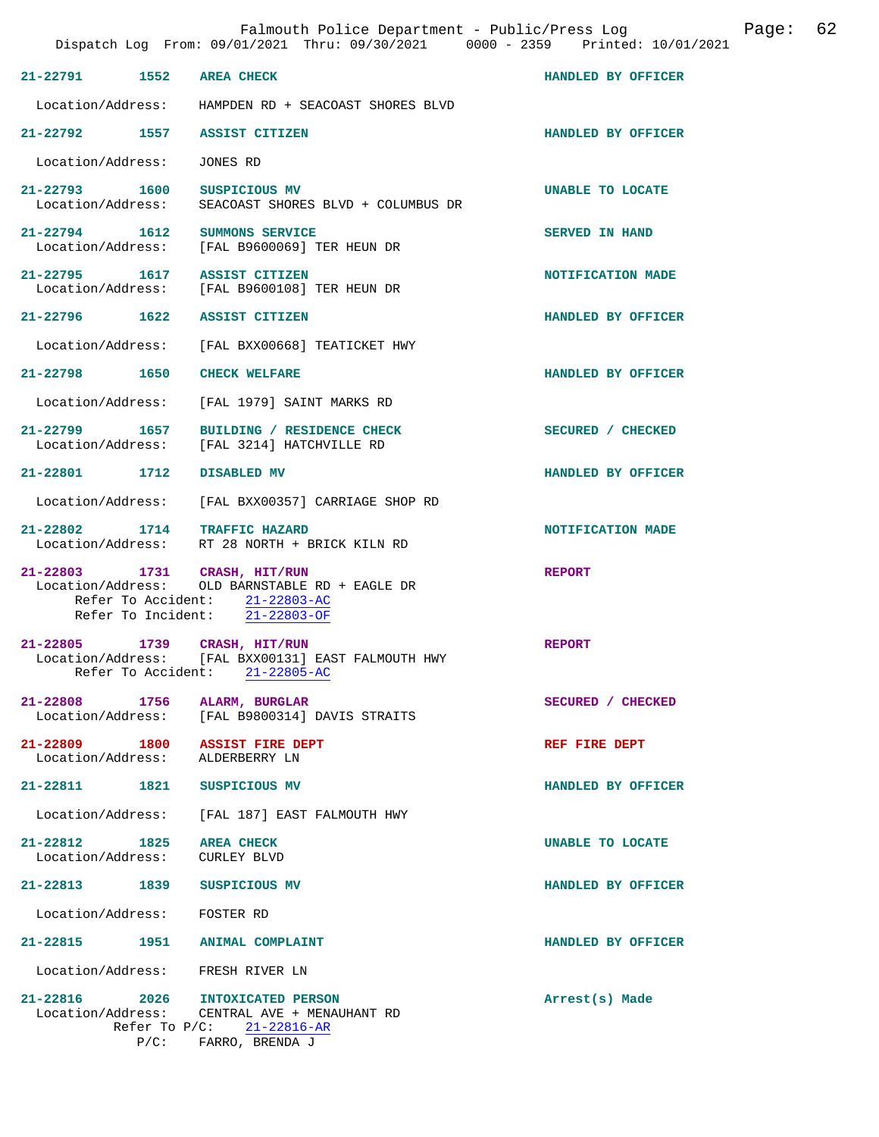|                                    |      | Falmouth Police Department - Public/Press Log<br>Dispatch Log From: 09/01/2021 Thru: 09/30/2021 0000 - 2359 Printed: 10/01/2021 | Page: 62           |
|------------------------------------|------|---------------------------------------------------------------------------------------------------------------------------------|--------------------|
| 21-22791 1552                      |      | <b>AREA CHECK</b>                                                                                                               | HANDLED BY OFFICER |
| Location/Address:                  |      | HAMPDEN RD + SEACOAST SHORES BLVD                                                                                               |                    |
| 21-22792 1557                      |      | ASSIST CITIZEN                                                                                                                  | HANDLED BY OFFICER |
| Location/Address:                  |      | JONES RD                                                                                                                        |                    |
| 21-22793 1600<br>Location/Address: |      | SUSPICIOUS MV<br>SEACOAST SHORES BLVD + COLUMBUS DR                                                                             | UNABLE TO LOCATE   |
| 21-22794 1612                      |      | SUMMONS SERVICE<br>Location/Address: [FAL B9600069] TER HEUN DR                                                                 | SERVED IN HAND     |
| 21-22795 1617                      |      | <b>ASSIST CITIZEN</b><br>Location/Address: [FAL B9600108] TER HEUN DR                                                           | NOTIFICATION MADE  |
|                                    |      | 21-22796 1622 ASSIST CITIZEN                                                                                                    | HANDLED BY OFFICER |
| Location/Address:                  |      | [FAL BXX00668] TEATICKET HWY                                                                                                    |                    |
| 21-22798 1650                      |      | <b>CHECK WELFARE</b>                                                                                                            | HANDLED BY OFFICER |
|                                    |      | Location/Address: [FAL 1979] SAINT MARKS RD                                                                                     |                    |
| 21–22799 1657                      |      | BUILDING / RESIDENCE CHECK<br>Location/Address: [FAL 3214] HATCHVILLE RD                                                        | SECURED / CHECKED  |
| 21-22801 1712                      |      | DISABLED MV                                                                                                                     | HANDLED BY OFFICER |
| Location/Address:                  |      | [FAL BXX00357] CARRIAGE SHOP RD                                                                                                 |                    |
| 21-22802 1714 TRAFFIC HAZARD       |      | Location/Address: RT 28 NORTH + BRICK KILN RD                                                                                   | NOTIFICATION MADE  |
| 21-22803 1731 CRASH, HIT/RUN       |      | Location/Address: OLD BARNSTABLE RD + EAGLE DR<br>Refer To Accident: 21-22803-AC<br>Refer To Incident: 21-22803-OF              | <b>REPORT</b>      |
| 21-22805<br>Refer To Accident:     | 1739 | CRASH, HIT/RUN<br>Location/Address: [FAL BXX00131] EAST FALMOUTH HWY<br>$21 - 22805 - AC$                                       | <b>REPORT</b>      |
| 21-22808 1756<br>Location/Address: |      | ALARM, BURGLAR<br>[FAL B9800314] DAVIS STRAITS                                                                                  | SECURED / CHECKED  |
| 21-22809 1800<br>Location/Address: |      | <b>ASSIST FIRE DEPT</b><br>ALDERBERRY LN                                                                                        | REF FIRE DEPT      |
| 21-22811 1821                      |      | SUSPICIOUS MV                                                                                                                   | HANDLED BY OFFICER |
| Location/Address:                  |      | [FAL 187] EAST FALMOUTH HWY                                                                                                     |                    |
| 21-22812 1825<br>Location/Address: |      | <b>AREA CHECK</b><br>CURLEY BLVD                                                                                                | UNABLE TO LOCATE   |
| 21-22813 1839                      |      | SUSPICIOUS MV                                                                                                                   | HANDLED BY OFFICER |
| Location/Address:                  |      | FOSTER RD                                                                                                                       |                    |
| 21-22815 1951                      |      | <b>ANIMAL COMPLAINT</b>                                                                                                         | HANDLED BY OFFICER |
| Location/Address:                  |      | FRESH RIVER LN                                                                                                                  |                    |
| 21-22816                           | 2026 | <b>INTOXICATED PERSON</b><br>Location/Address: CENTRAL AVE + MENAUHANT RD<br>Refer To P/C: 21-22816-AR                          | Arrest(s) Made     |
|                                    |      | $P/C:$ FARRO, BRENDA J                                                                                                          |                    |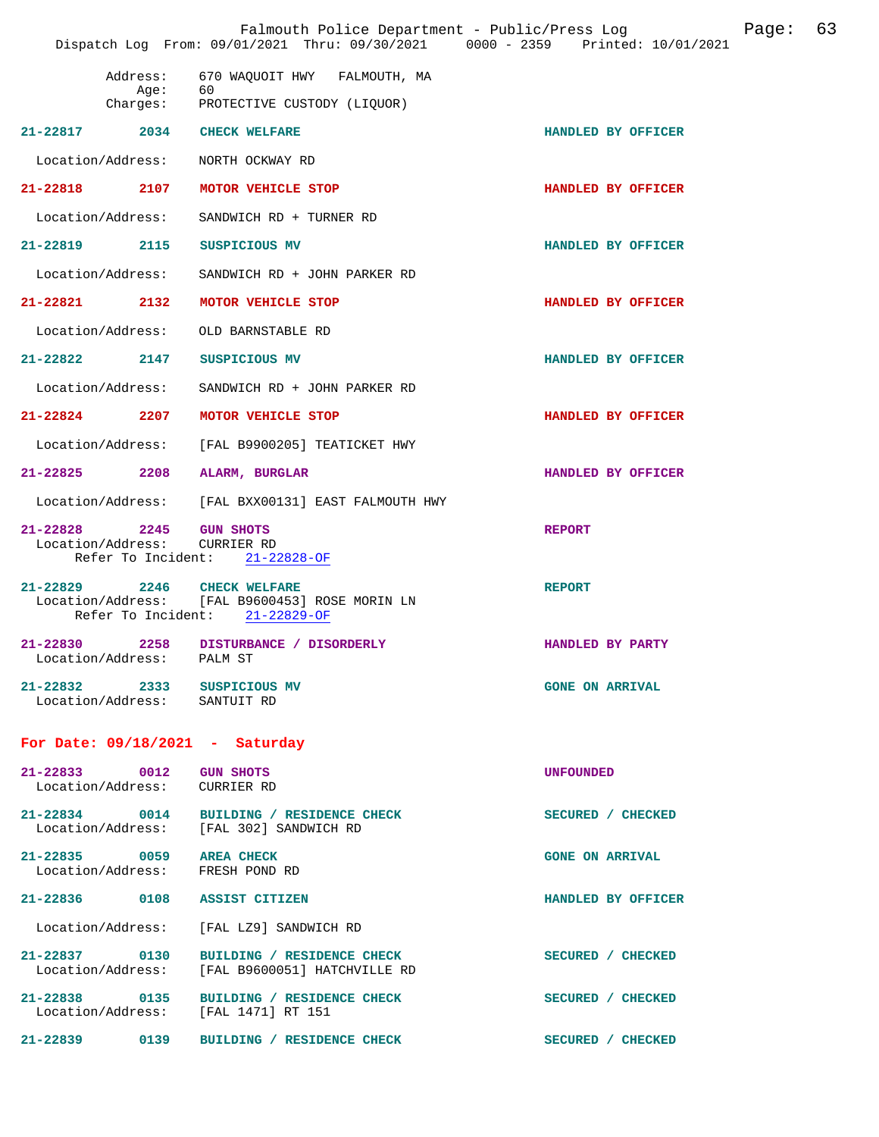|                   |                                                         | Falmouth Police Department - Public/Press Log<br>Dispatch Log From: 09/01/2021 Thru: 09/30/2021 0000 - 2359 Printed: 10/01/2021 |                        | Page: | 63 |
|-------------------|---------------------------------------------------------|---------------------------------------------------------------------------------------------------------------------------------|------------------------|-------|----|
|                   | Address:<br>Age:                                        | 670 WAQUOIT HWY FALMOUTH, MA<br>60<br>Charges: PROTECTIVE CUSTODY (LIQUOR)                                                      |                        |       |    |
|                   |                                                         | 21-22817 2034 CHECK WELFARE                                                                                                     | HANDLED BY OFFICER     |       |    |
|                   | Location/Address:                                       | NORTH OCKWAY RD                                                                                                                 |                        |       |    |
| 21-22818 2107     |                                                         | MOTOR VEHICLE STOP                                                                                                              | HANDLED BY OFFICER     |       |    |
| Location/Address: |                                                         | SANDWICH RD + TURNER RD                                                                                                         |                        |       |    |
| 21-22819 2115     |                                                         | SUSPICIOUS MV                                                                                                                   | HANDLED BY OFFICER     |       |    |
|                   | Location/Address:                                       | SANDWICH RD + JOHN PARKER RD                                                                                                    |                        |       |    |
| $21 - 22821$ 2132 |                                                         | MOTOR VEHICLE STOP                                                                                                              | HANDLED BY OFFICER     |       |    |
|                   | Location/Address:                                       | OLD BARNSTABLE RD                                                                                                               |                        |       |    |
|                   | $21 - 22822$ 2147                                       | SUSPICIOUS MV                                                                                                                   | HANDLED BY OFFICER     |       |    |
|                   | Location/Address:                                       | SANDWICH RD + JOHN PARKER RD                                                                                                    |                        |       |    |
| $21 - 22824$      | 2207                                                    | MOTOR VEHICLE STOP                                                                                                              | HANDLED BY OFFICER     |       |    |
|                   | Location/Address:                                       | [FAL B9900205] TEATICKET HWY                                                                                                    |                        |       |    |
| 21-22825 2208     |                                                         | ALARM, BURGLAR                                                                                                                  | HANDLED BY OFFICER     |       |    |
|                   | Location/Address:                                       | [FAL BXX00131] EAST FALMOUTH HWY                                                                                                |                        |       |    |
| 21-22828 2245     | Location/Address:<br>Refer To Incident:                 | <b>GUN SHOTS</b><br><b>CURRIER RD</b><br>21-22828-OF                                                                            | <b>REPORT</b>          |       |    |
|                   |                                                         | 21-22829 2246 CHECK WELFARE<br>Location/Address: [FAL B9600453] ROSE MORIN LN<br>Refer To Incident: 21-22829-OF                 | <b>REPORT</b>          |       |    |
|                   | Location/Address: PALM ST                               | 21-22830 2258 DISTURBANCE / DISORDERLY                                                                                          | HANDLED BY PARTY       |       |    |
|                   | Location/Address: SANTUIT RD                            | 21-22832 2333 SUSPICIOUS MV                                                                                                     | <b>GONE ON ARRIVAL</b> |       |    |
|                   |                                                         | For Date: $09/18/2021$ - Saturday                                                                                               |                        |       |    |
|                   | 21-22833 0012 GUN SHOTS<br>Location/Address: CURRIER RD |                                                                                                                                 | <b>UNFOUNDED</b>       |       |    |
|                   |                                                         | 21-22834 0014 BUILDING / RESIDENCE CHECK<br>Location/Address: [FAL 302] SANDWICH RD                                             | SECURED / CHECKED      |       |    |
|                   |                                                         | 21-22835 0059 AREA CHECK<br>Location/Address: FRESH POND RD                                                                     | <b>GONE ON ARRIVAL</b> |       |    |
|                   |                                                         | 21-22836 0108 ASSIST CITIZEN                                                                                                    | HANDLED BY OFFICER     |       |    |
|                   |                                                         | Location/Address: [FAL LZ9] SANDWICH RD                                                                                         |                        |       |    |
|                   | 21-22837 0130<br>Location/Address:                      | BUILDING / RESIDENCE CHECK<br>[FAL B9600051] HATCHVILLE RD                                                                      | SECURED / CHECKED      |       |    |
|                   |                                                         | 21-22838 0135 BUILDING / RESIDENCE CHECK<br>Location/Address: [FAL 1471] RT 151                                                 | SECURED / CHECKED      |       |    |
|                   | 21-22839 0139                                           | BUILDING / RESIDENCE CHECK                                                                                                      | SECURED / CHECKED      |       |    |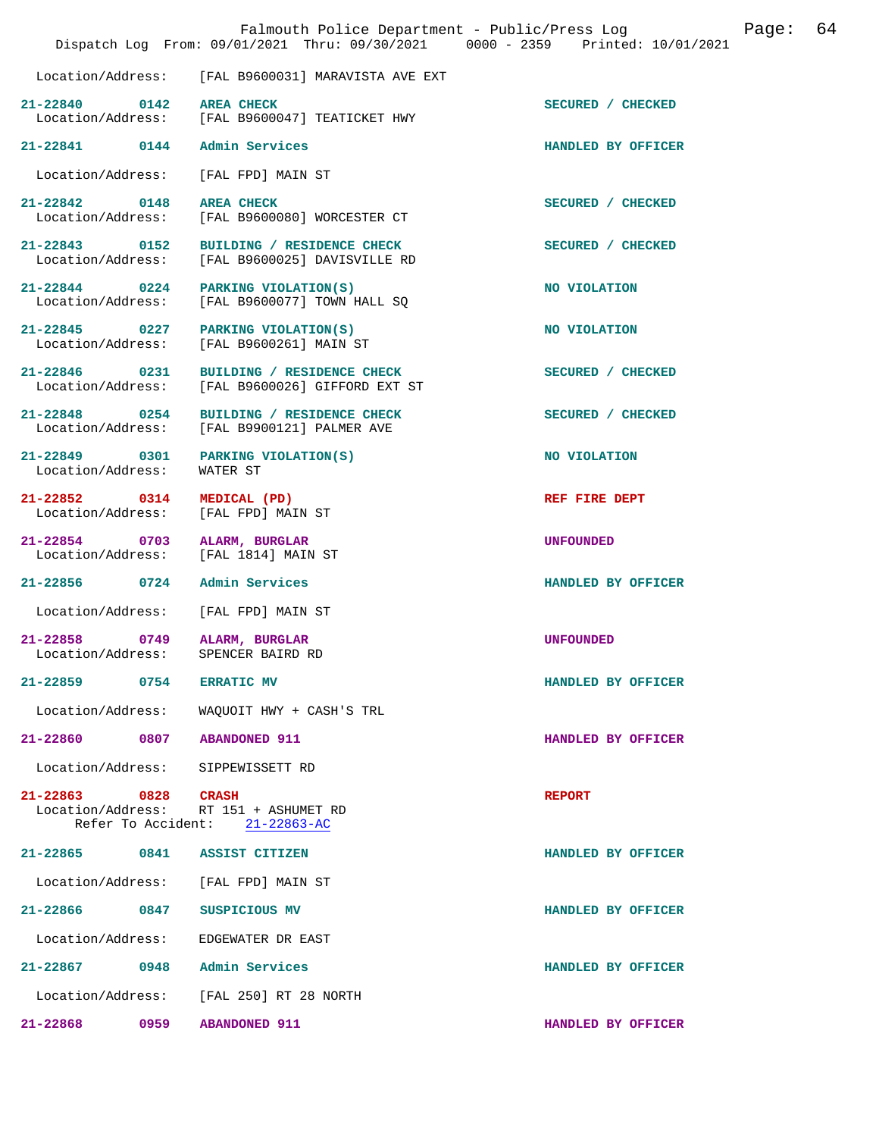|                                                          |      | Falmouth Police Department - Public/Press Log<br>Dispatch Log From: 09/01/2021 Thru: 09/30/2021 0000 - 2359 Printed: 10/01/2021 |                    | Page: | 64 |
|----------------------------------------------------------|------|---------------------------------------------------------------------------------------------------------------------------------|--------------------|-------|----|
| Location/Address:                                        |      | [FAL B9600031] MARAVISTA AVE EXT                                                                                                |                    |       |    |
| 21-22840 0142                                            |      | <b>AREA CHECK</b><br>Location/Address: [FAL B9600047] TEATICKET HWY                                                             | SECURED / CHECKED  |       |    |
| 21-22841 0144                                            |      | Admin Services                                                                                                                  | HANDLED BY OFFICER |       |    |
| Location/Address:                                        |      | [FAL FPD] MAIN ST                                                                                                               |                    |       |    |
| 21-22842 0148<br>Location/Address:                       |      | <b>AREA CHECK</b><br>[FAL B9600080] WORCESTER CT                                                                                | SECURED / CHECKED  |       |    |
| 21-22843 0152                                            |      | BUILDING / RESIDENCE CHECK<br>Location/Address: [FAL B9600025] DAVISVILLE RD                                                    | SECURED / CHECKED  |       |    |
| $21 - 22844$ 0224<br>Location/Address:                   |      | PARKING VIOLATION(S)<br>[FAL B9600077] TOWN HALL SO                                                                             | NO VIOLATION       |       |    |
| 21-22845 0227                                            |      | PARKING VIOLATION(S)<br>Location/Address: [FAL B9600261] MAIN ST                                                                | NO VIOLATION       |       |    |
| 21-22846 0231<br>Location/Address:                       |      | BUILDING / RESIDENCE CHECK<br>[FAL B9600026] GIFFORD EXT ST                                                                     | SECURED / CHECKED  |       |    |
| 21-22848 0254                                            |      | BUILDING / RESIDENCE CHECK<br>Location/Address: [FAL B9900121] PALMER AVE                                                       | SECURED / CHECKED  |       |    |
| 21-22849 0301<br>Location/Address:                       |      | PARKING VIOLATION(S)<br>WATER ST                                                                                                | NO VIOLATION       |       |    |
| 21-22852 0314<br>Location/Address:                       |      | MEDICAL (PD)<br>[FAL FPD] MAIN ST                                                                                               | REF FIRE DEPT      |       |    |
| 21-22854 0703<br>Location/Address:                       |      | ALARM, BURGLAR<br>[FAL 1814] MAIN ST                                                                                            | <b>UNFOUNDED</b>   |       |    |
| $21 - 22856$                                             | 0724 | Admin Services                                                                                                                  | HANDLED BY OFFICER |       |    |
| Location/Address:                                        |      | [FAL FPD] MAIN ST                                                                                                               |                    |       |    |
| $21 - 22858$<br>Location/Address:                        | 0749 | ALARM, BURGLAR<br>SPENCER BAIRD RD                                                                                              | <b>UNFOUNDED</b>   |       |    |
| 21-22859                                                 | 0754 | <b>ERRATIC MV</b>                                                                                                               | HANDLED BY OFFICER |       |    |
| Location/Address:                                        |      | WAQUOIT HWY + CASH'S TRL                                                                                                        |                    |       |    |
| $21 - 22860$                                             | 0807 | <b>ABANDONED 911</b>                                                                                                            | HANDLED BY OFFICER |       |    |
| Location/Address:                                        |      | SIPPEWISSETT RD                                                                                                                 |                    |       |    |
| 21-22863 0828<br>Location/Address:<br>Refer To Accident: |      | <b>CRASH</b><br>RT 151 + ASHUMET RD<br>$21 - 22863 - AC$                                                                        | <b>REPORT</b>      |       |    |
| 21-22865                                                 | 0841 | ASSIST CITIZEN                                                                                                                  | HANDLED BY OFFICER |       |    |
| Location/Address:                                        |      | [FAL FPD] MAIN ST                                                                                                               |                    |       |    |
| 21-22866                                                 | 0847 | SUSPICIOUS MV                                                                                                                   | HANDLED BY OFFICER |       |    |
| Location/Address:                                        |      | EDGEWATER DR EAST                                                                                                               |                    |       |    |
| 21-22867                                                 | 0948 | Admin Services                                                                                                                  | HANDLED BY OFFICER |       |    |
| Location/Address:                                        |      | [FAL 250] RT 28 NORTH                                                                                                           |                    |       |    |
| 21-22868                                                 | 0959 | <b>ABANDONED 911</b>                                                                                                            | HANDLED BY OFFICER |       |    |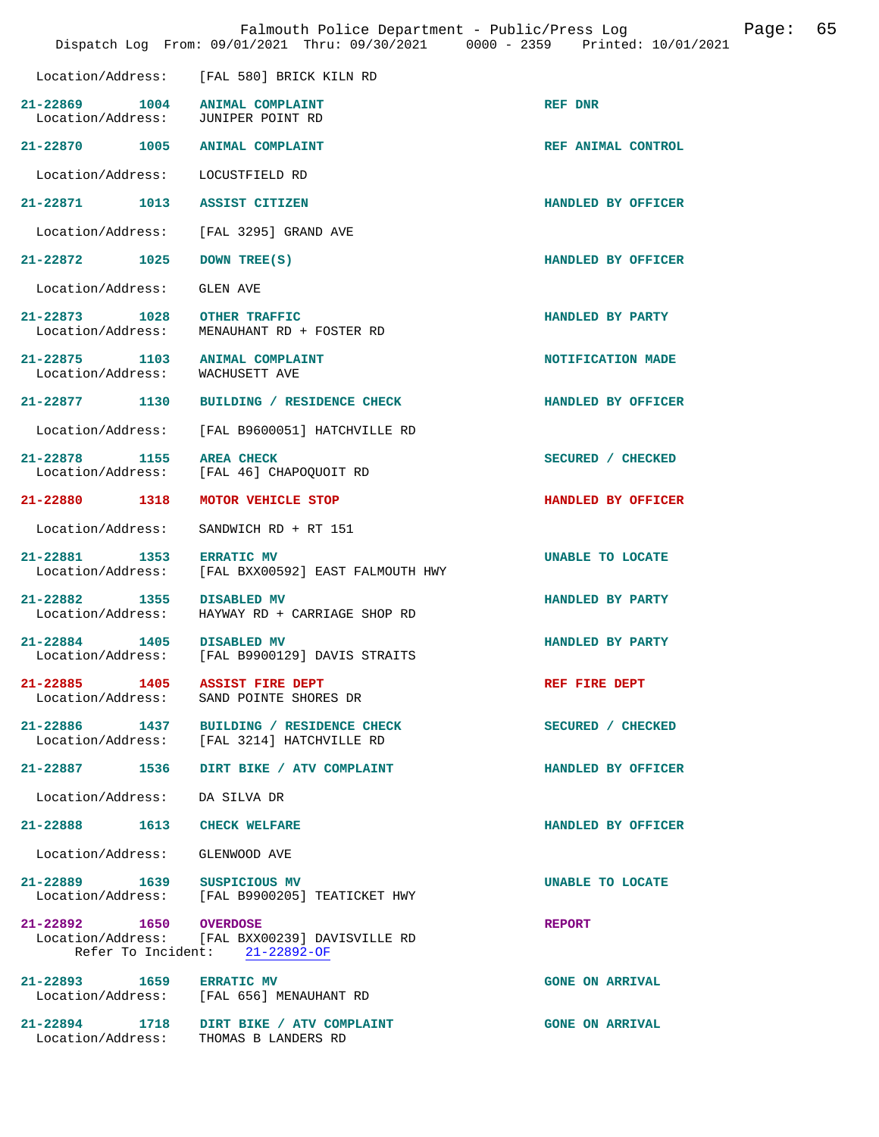|                                                  |      | Falmouth Police Department - Public/Press Log<br>Dispatch Log From: 09/01/2021 Thru: 09/30/2021 0000 - 2359 Printed: 10/01/2021 | 65<br>Page:        |  |
|--------------------------------------------------|------|---------------------------------------------------------------------------------------------------------------------------------|--------------------|--|
|                                                  |      | Location/Address: [FAL 580] BRICK KILN RD                                                                                       |                    |  |
| 21-22869 1004<br>Location/Address:               |      | <b>ANIMAL COMPLAINT</b><br>JUNIPER POINT RD                                                                                     | REF DNR            |  |
| 21-22870 1005                                    |      | <b>ANIMAL COMPLAINT</b>                                                                                                         | REF ANIMAL CONTROL |  |
| Location/Address:                                |      | LOCUSTFIELD RD                                                                                                                  |                    |  |
| 21-22871 1013                                    |      | <b>ASSIST CITIZEN</b>                                                                                                           | HANDLED BY OFFICER |  |
| Location/Address:                                |      | [FAL 3295] GRAND AVE                                                                                                            |                    |  |
| $21 - 22872$                                     | 1025 | DOWN TREE(S)                                                                                                                    | HANDLED BY OFFICER |  |
| Location/Address:                                |      | GLEN AVE                                                                                                                        |                    |  |
| 21-22873 1028 OTHER TRAFFIC<br>Location/Address: |      | MENAUHANT RD + FOSTER RD                                                                                                        | HANDLED BY PARTY   |  |
| 21-22875 1103<br>Location/Address:               |      | <b>ANIMAL COMPLAINT</b><br>WACHUSETT AVE                                                                                        | NOTIFICATION MADE  |  |
| 21-22877 1130                                    |      | BUILDING / RESIDENCE CHECK                                                                                                      | HANDLED BY OFFICER |  |
| Location/Address:                                |      | [FAL B9600051] HATCHVILLE RD                                                                                                    |                    |  |
| 21-22878 1155<br>Location/Address:               |      | <b>AREA CHECK</b><br>[FAL 46] CHAPOQUOIT RD                                                                                     | SECURED / CHECKED  |  |
| 21-22880 1318                                    |      | MOTOR VEHICLE STOP                                                                                                              | HANDLED BY OFFICER |  |
| Location/Address:                                |      | SANDWICH RD + RT 151                                                                                                            |                    |  |
| 21-22881 1353                                    |      | <b>ERRATIC MV</b><br>Location/Address: [FAL BXX00592] EAST FALMOUTH HWY                                                         | UNABLE TO LOCATE   |  |
| 21-22882 1355<br>Location/Address:               |      | <b>DISABLED MV</b><br>HAYWAY RD + CARRIAGE SHOP RD                                                                              | HANDLED BY PARTY   |  |
| 21-22884 1405<br>Location/Address:               |      | <b>DISABLED MV</b><br>[FAL B9900129] DAVIS STRAITS                                                                              | HANDLED BY PARTY   |  |
| 21-22885 1405 ASSIST FIRE DEPT                   |      | Location/Address: SAND POINTE SHORES DR                                                                                         | REF FIRE DEPT      |  |
| 21-22886 1437                                    |      | BUILDING / RESIDENCE CHECK<br>Location/Address: [FAL 3214] HATCHVILLE RD                                                        | SECURED / CHECKED  |  |
|                                                  |      | 21-22887 1536 DIRT BIKE / ATV COMPLAINT                                                                                         | HANDLED BY OFFICER |  |

Location/Address: DA SILVA DR

**21-22888 1613 CHECK WELFARE HANDLED BY OFFICER** 

Location/Address: GLENWOOD AVE

**21-22889 1639 SUSPICIOUS MV UNABLE TO LOCATE** 

 Location/Address: [FAL B9900205] TEATICKET HWY **21-22892 1650 OVERDOSE REPORT** 

 Location/Address: [FAL BXX00239] DAVISVILLE RD Refer To Incident: 21-22892-OF

21-22893 1659 ERRATIC MV GONE ON ARRIVAL Location/Address: [FAL 656] MENAUHANT RD [FAL 656] MENAUHANT RD

**21-22894 1718 DIRT BIKE / ATV COMPLAINT GONE ON ARRIVAL**  Location/Address: THOMAS B LANDERS RD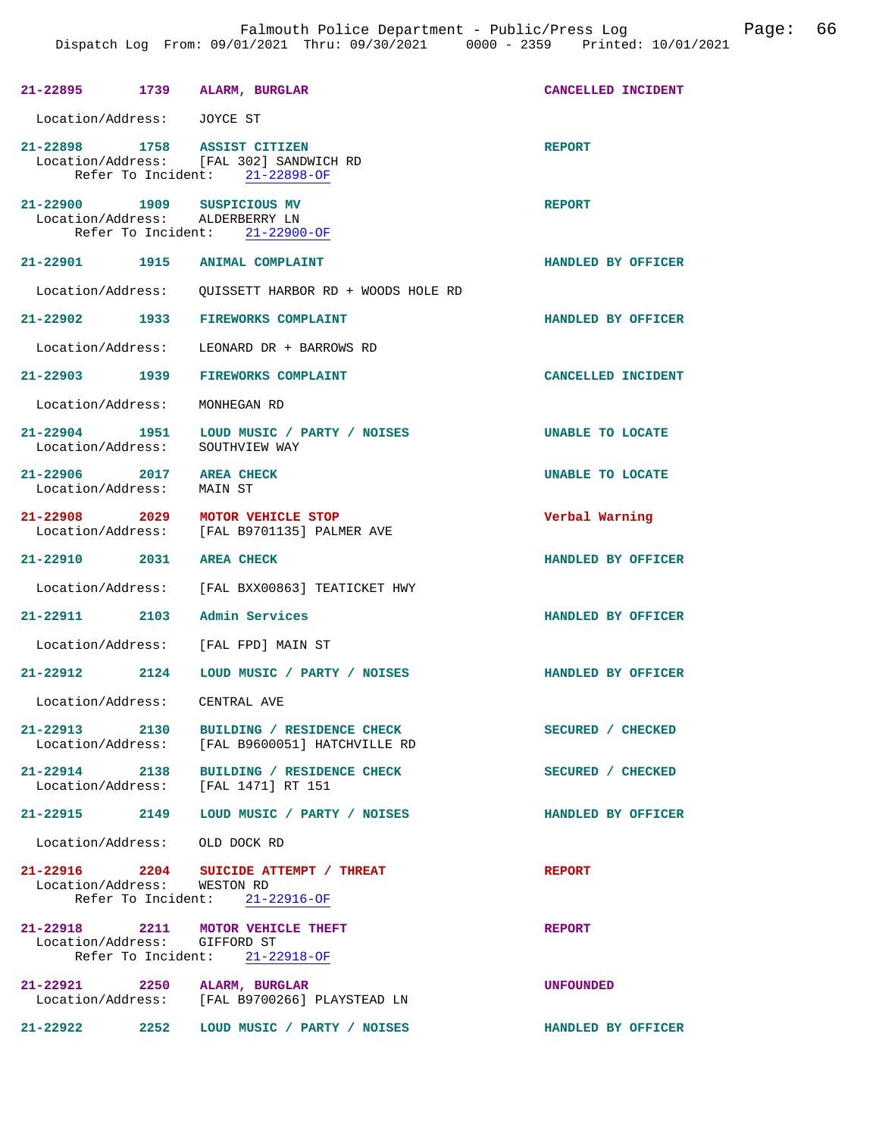|                                               |      | 21-22895 1739 ALARM, BURGLAR                                                                              | CANCELLED INCIDENT      |
|-----------------------------------------------|------|-----------------------------------------------------------------------------------------------------------|-------------------------|
| Location/Address: JOYCE ST                    |      |                                                                                                           |                         |
|                                               |      | 21-22898 1758 ASSIST CITIZEN<br>Location/Address: [FAL 302] SANDWICH RD<br>Refer To Incident: 21-22898-OF | <b>REPORT</b>           |
|                                               |      | 21-22900 1909 SUSPICIOUS MV<br>Location/Address: ALDERBERRY LN<br>Refer To Incident: 21-22900-OF          | <b>REPORT</b>           |
|                                               |      | 21-22901 1915 ANIMAL COMPLAINT                                                                            | HANDLED BY OFFICER      |
| Location/Address:                             |      | OUISSETT HARBOR RD + WOODS HOLE RD                                                                        |                         |
|                                               |      | 21-22902 1933 FIREWORKS COMPLAINT                                                                         | HANDLED BY OFFICER      |
|                                               |      | Location/Address: LEONARD DR + BARROWS RD                                                                 |                         |
|                                               |      | 21-22903 1939 FIREWORKS COMPLAINT                                                                         | CANCELLED INCIDENT      |
| Location/Address:                             |      | MONHEGAN RD                                                                                               |                         |
| Location/Address:                             |      | 21-22904 1951 LOUD MUSIC / PARTY / NOISES<br>SOUTHVIEW WAY                                                | <b>UNABLE TO LOCATE</b> |
| 21-22906 2017 AREA CHECK<br>Location/Address: |      | MAIN ST                                                                                                   | <b>UNABLE TO LOCATE</b> |
| 21-22908 2029                                 |      | MOTOR VEHICLE STOP<br>Location/Address: [FAL B9701135] PALMER AVE                                         | Verbal Warning          |
| 21-22910 2031 AREA CHECK                      |      |                                                                                                           | HANDLED BY OFFICER      |
|                                               |      | Location/Address: [FAL BXX00863] TEATICKET HWY                                                            |                         |
| 21-22911 2103                                 |      | Admin Services                                                                                            | HANDLED BY OFFICER      |
|                                               |      | Location/Address: [FAL FPD] MAIN ST                                                                       |                         |
|                                               |      | 21-22912 2124 LOUD MUSIC / PARTY / NOISES                                                                 | HANDLED BY OFFICER      |
| Location/Address: CENTRAL AVE                 |      |                                                                                                           |                         |
| $21 - 22913$                                  | 2130 | BUILDING / RESIDENCE CHECK<br>Location/Address: [FAL B9600051] HATCHVILLE RD                              | SECURED / CHECKED       |
|                                               |      | 21-22914 2138 BUILDING / RESIDENCE CHECK<br>Location/Address: [FAL 1471] RT 151                           | SECURED / CHECKED       |
|                                               |      | 21-22915 2149 LOUD MUSIC / PARTY / NOISES                                                                 | HANDLED BY OFFICER      |
| Location/Address: OLD DOCK RD                 |      |                                                                                                           |                         |
| Location/Address: WESTON RD                   |      | 21-22916 $2204$ SUICIDE ATTEMPT / THREAT<br>Refer To Incident: $21-22916-OF$                              | <b>REPORT</b>           |
| Location/Address: GIFFORD ST                  |      | 21-22918 2211 MOTOR VEHICLE THEFT<br>Refer To Incident: 21-22918-OF                                       | <b>REPORT</b>           |
|                                               |      | 21-22921 2250 ALARM, BURGLAR<br>Location/Address: [FAL B9700266] PLAYSTEAD LN                             | <b>UNFOUNDED</b>        |
| 21-22922                                      |      | 2252 LOUD MUSIC / PARTY / NOISES                                                                          | HANDLED BY OFFICER      |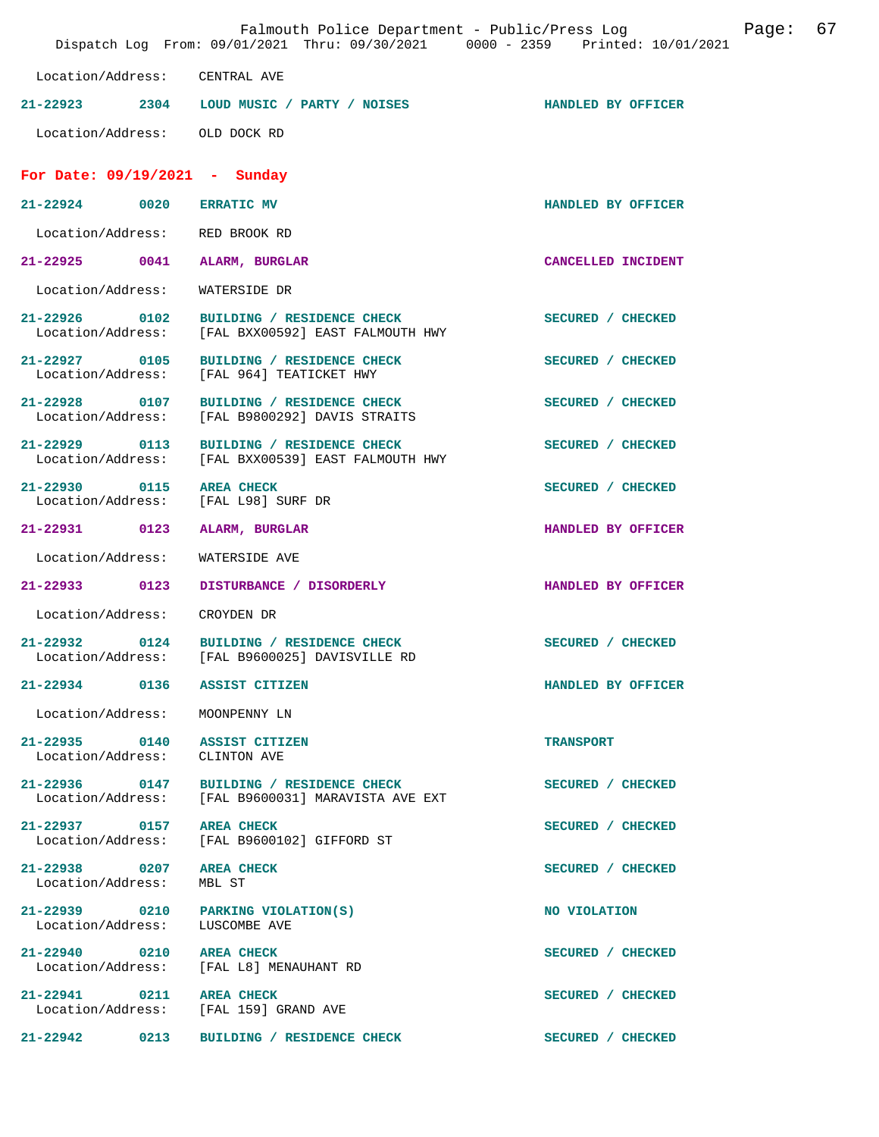|                                                   | Falmouth Police Department - Public/Press Log<br>Dispatch Log From: 09/01/2021 Thru: 09/30/2021 0000 - 2359 Printed: 10/01/2021 |                    | Page: | 67 |
|---------------------------------------------------|---------------------------------------------------------------------------------------------------------------------------------|--------------------|-------|----|
| Location/Address: CENTRAL AVE                     |                                                                                                                                 |                    |       |    |
|                                                   | 21-22923 2304 LOUD MUSIC / PARTY / NOISES                                                                                       | HANDLED BY OFFICER |       |    |
| Location/Address: OLD DOCK RD                     |                                                                                                                                 |                    |       |    |
| For Date: $09/19/2021$ - Sunday                   |                                                                                                                                 |                    |       |    |
| $21 - 22924$ 0020                                 | <b>ERRATIC MV</b>                                                                                                               | HANDLED BY OFFICER |       |    |
| Location/Address: RED BROOK RD                    |                                                                                                                                 |                    |       |    |
| 21-22925<br>0041                                  | ALARM, BURGLAR                                                                                                                  | CANCELLED INCIDENT |       |    |
| Location/Address:                                 | WATERSIDE DR                                                                                                                    |                    |       |    |
| 21-22926 0102<br>Location/Address:                | BUILDING / RESIDENCE CHECK<br>[FAL BXX00592] EAST FALMOUTH HWY                                                                  | SECURED / CHECKED  |       |    |
| 21-22927 0105                                     | BUILDING / RESIDENCE CHECK<br>Location/Address: [FAL 964] TEATICKET HWY                                                         | SECURED / CHECKED  |       |    |
| 21-22928 0107<br>Location/Address:                | BUILDING / RESIDENCE CHECK<br>[FAL B9800292] DAVIS STRAITS                                                                      | SECURED / CHECKED  |       |    |
| 21-22929 0113<br>Location/Address:                | BUILDING / RESIDENCE CHECK<br>[FAL BXX00539] EAST FALMOUTH HWY                                                                  | SECURED / CHECKED  |       |    |
| 21-22930 0115                                     | <b>AREA CHECK</b><br>Location/Address: [FAL L98] SURF DR                                                                        | SECURED / CHECKED  |       |    |
| 21-22931 0123                                     | ALARM, BURGLAR                                                                                                                  | HANDLED BY OFFICER |       |    |
| Location/Address:                                 | WATERSIDE AVE                                                                                                                   |                    |       |    |
| 21-22933 0123                                     | DISTURBANCE / DISORDERLY                                                                                                        | HANDLED BY OFFICER |       |    |
| Location/Address:                                 | CROYDEN DR                                                                                                                      |                    |       |    |
| $21 - 22932$                                      | 0124 BUILDING / RESIDENCE CHECK<br>Location/Address: [FAL B9600025] DAVISVILLE RD                                               | SECURED / CHECKED  |       |    |
| 21-22934 0136 ASSIST CITIZEN                      |                                                                                                                                 | HANDLED BY OFFICER |       |    |
| Location/Address: MOONPENNY LN                    |                                                                                                                                 |                    |       |    |
| 21-22935 0140 ASSIST CITIZEN<br>Location/Address: | CLINTON AVE                                                                                                                     | <b>TRANSPORT</b>   |       |    |
| 21-22936 0147                                     | BUILDING / RESIDENCE CHECK<br>Location/Address: [FAL B9600031] MARAVISTA AVE EXT                                                | SECURED / CHECKED  |       |    |
| 21-22937 0157 AREA CHECK                          | Location/Address: [FAL B9600102] GIFFORD ST                                                                                     | SECURED / CHECKED  |       |    |
| 21-22938 0207 AREA CHECK<br>Location/Address:     | MBL ST                                                                                                                          | SECURED / CHECKED  |       |    |
| Location/Address:                                 | 21-22939 0210 PARKING VIOLATION(S)<br>LUSCOMBE AVE                                                                              | NO VIOLATION       |       |    |
| 21-22940 0210 AREA CHECK                          | Location/Address: [FAL L8] MENAUHANT RD                                                                                         | SECURED / CHECKED  |       |    |
| 21-22941 0211 AREA CHECK                          | Location/Address: [FAL 159] GRAND AVE                                                                                           | SECURED / CHECKED  |       |    |
| $21 - 22942$ 0213                                 | BUILDING / RESIDENCE CHECK                                                                                                      | SECURED / CHECKED  |       |    |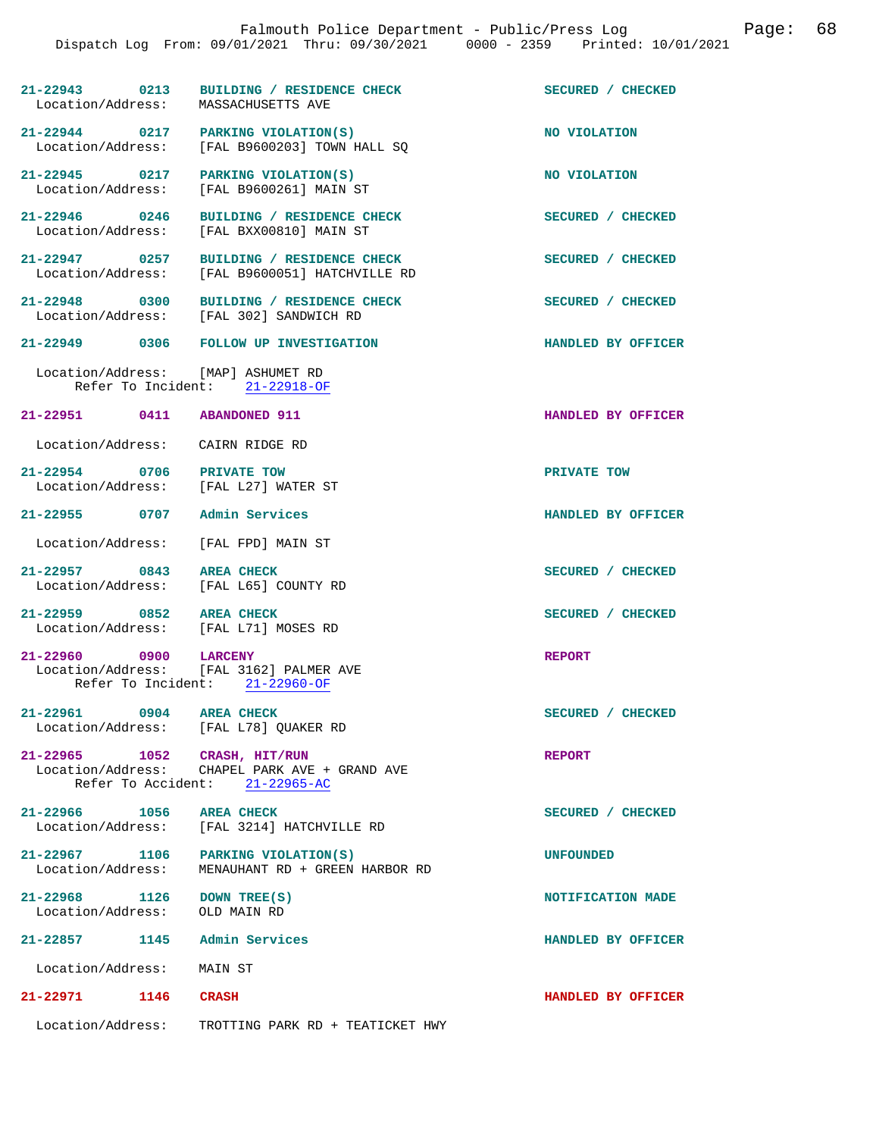| $21 - 22943$ 0213<br>Location/Address:                           | BUILDING / RESIDENCE CHECK<br>MASSACHUSETTS AVE                                             | SECURED / CHECKED  |
|------------------------------------------------------------------|---------------------------------------------------------------------------------------------|--------------------|
| 21-22944 0217 PARKING VIOLATION(S)<br>Location/Address:          | [FAL B9600203] TOWN HALL SO                                                                 | NO VIOLATION       |
| 21-22945 0217<br>Location/Address:                               | PARKING VIOLATION(S)<br>[FAL B9600261] MAIN ST                                              | NO VIOLATION       |
| $21 - 22946$ 0246<br>Location/Address:                           | BUILDING / RESIDENCE CHECK<br>[FAL BXX00810] MAIN ST                                        | SECURED / CHECKED  |
| 21-22947 0257<br>Location/Address:                               | BUILDING / RESIDENCE CHECK<br>[FAL B9600051] HATCHVILLE RD                                  | SECURED / CHECKED  |
| $21 - 22948$ 0300                                                | BUILDING / RESIDENCE CHECK<br>Location/Address: [FAL 302] SANDWICH RD                       | SECURED / CHECKED  |
|                                                                  | 21-22949 0306 FOLLOW UP INVESTIGATION                                                       | HANDLED BY OFFICER |
| Location/Address: [MAP] ASHUMET RD                               | Refer To Incident: 21-22918-OF                                                              |                    |
| 21-22951 0411 ABANDONED 911                                      |                                                                                             | HANDLED BY OFFICER |
| Location/Address: CAIRN RIDGE RD                                 |                                                                                             |                    |
| 21-22954 0706 PRIVATE TOW<br>Location/Address:                   | [FAL L27] WATER ST                                                                          | PRIVATE TOW        |
| 21-22955 0707                                                    | Admin Services                                                                              | HANDLED BY OFFICER |
| Location/Address: [FAL FPD] MAIN ST                              |                                                                                             |                    |
| 21-22957 0843<br>Location/Address:                               | <b>AREA CHECK</b><br>[FAL L65] COUNTY RD                                                    | SECURED / CHECKED  |
| 21-22959 0852 AREA CHECK<br>Location/Address: [FAL L71] MOSES RD |                                                                                             | SECURED / CHECKED  |
| 21-22960 0900                                                    | <b>LARCENY</b><br>Location/Address: [FAL 3162] PALMER AVE<br>Refer To Incident: 21-22960-OF | <b>REPORT</b>      |
| 21-22961 0904 AREA CHECK                                         |                                                                                             | SECURED / CHECKED  |
| Location/Address: [FAL L78] QUAKER RD                            |                                                                                             |                    |
| 21-22965 1052 CRASH, HIT/RUN                                     | Location/Address: CHAPEL PARK AVE + GRAND AVE<br>Refer To Accident: 21-22965-AC             | <b>REPORT</b>      |
| 21-22966 1056 AREA CHECK                                         |                                                                                             | SECURED / CHECKED  |
| Location/Address:                                                | [FAL 3214] HATCHVILLE RD                                                                    |                    |
| 21-22967 1106<br>Location/Address:                               | PARKING VIOLATION(S)<br>MENAUHANT RD + GREEN HARBOR RD                                      | <b>UNFOUNDED</b>   |
| 21-22968 1126<br>Location/Address:                               | DOWN TREE(S)<br>OLD MAIN RD                                                                 | NOTIFICATION MADE  |
| 21-22857 1145 Admin Services                                     |                                                                                             | HANDLED BY OFFICER |
| Location/Address:                                                | MAIN ST                                                                                     |                    |
| 21-22971 1146 CRASH                                              |                                                                                             | HANDLED BY OFFICER |
| Location/Address:                                                | TROTTING PARK RD + TEATICKET HWY                                                            |                    |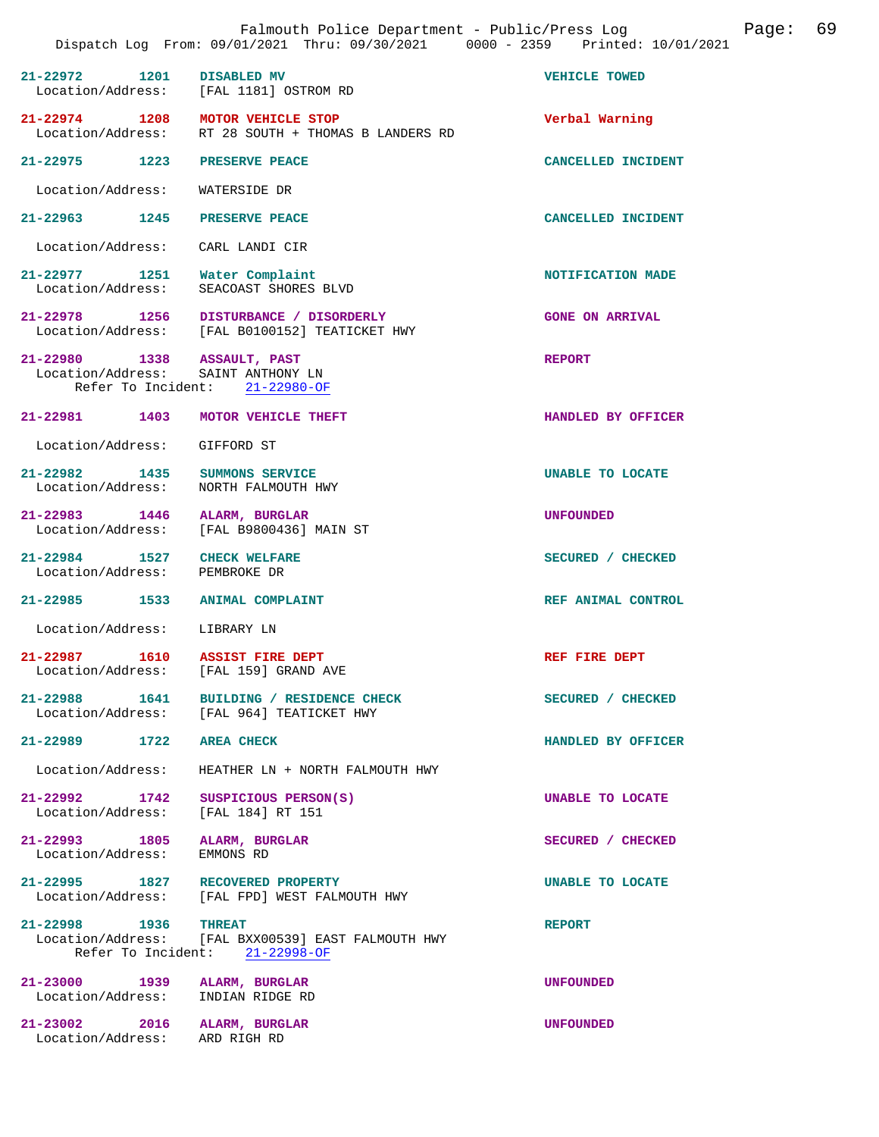|                                                               |      | Falmouth Police Department - Public/Press Log<br>Dispatch Log From: 09/01/2021 Thru: 09/30/2021 0000 - 2359 Printed: 10/01/2021 |                        | Page: | 69 |
|---------------------------------------------------------------|------|---------------------------------------------------------------------------------------------------------------------------------|------------------------|-------|----|
| $21 - 22972$                                                  | 1201 | DISABLED MV<br>Location/Address: [FAL 1181] OSTROM RD                                                                           | VEHICLE TOWED          |       |    |
| Location/Address:                                             |      | 21-22974 1208 MOTOR VEHICLE STOP<br>RT 28 SOUTH + THOMAS B LANDERS RD                                                           | Verbal Warning         |       |    |
| 21-22975 1223 PRESERVE PEACE                                  |      |                                                                                                                                 | CANCELLED INCIDENT     |       |    |
| Location/Address:                                             |      | WATERSIDE DR                                                                                                                    |                        |       |    |
| 21-22963 1245                                                 |      | PRESERVE PEACE                                                                                                                  | CANCELLED INCIDENT     |       |    |
| Location/Address:                                             |      | CARL LANDI CIR                                                                                                                  |                        |       |    |
| 21-22977 1251 Water Complaint<br>Location/Address:            |      | SEACOAST SHORES BLVD                                                                                                            | NOTIFICATION MADE      |       |    |
|                                                               |      | 21-22978 1256 DISTURBANCE / DISORDERLY<br>Location/Address: [FAL B0100152] TEATICKET HWY                                        | <b>GONE ON ARRIVAL</b> |       |    |
| 21-22980 1338 ASSAULT, PAST                                   |      | Location/Address: SAINT ANTHONY LN<br>Refer To Incident: 21-22980-OF                                                            | <b>REPORT</b>          |       |    |
|                                                               |      | 21-22981 1403 MOTOR VEHICLE THEFT                                                                                               | HANDLED BY OFFICER     |       |    |
| Location/Address: GIFFORD ST                                  |      |                                                                                                                                 |                        |       |    |
| 21-22982 1435 SUMMONS SERVICE<br>Location/Address:            |      | NORTH FALMOUTH HWY                                                                                                              | UNABLE TO LOCATE       |       |    |
| 21-22983 1446 ALARM, BURGLAR<br>Location/Address:             |      | [FAL B9800436] MAIN ST                                                                                                          | <b>UNFOUNDED</b>       |       |    |
| 21-22984 1527 CHECK WELFARE<br>Location/Address:              |      | PEMBROKE DR                                                                                                                     | SECURED / CHECKED      |       |    |
|                                                               |      | 21-22985 1533 ANIMAL COMPLAINT                                                                                                  | REF ANIMAL CONTROL     |       |    |
| Location/Address:                                             |      | LIBRARY LN                                                                                                                      |                        |       |    |
| 21-22987<br>Location/Address:                                 | 1610 | <b>ASSIST FIRE DEPT</b><br>[FAL 159] GRAND AVE                                                                                  | REF FIRE DEPT          |       |    |
|                                                               |      | 21-22988 1641 BUILDING / RESIDENCE CHECK<br>Location/Address: [FAL 964] TEATICKET HWY                                           | SECURED / CHECKED      |       |    |
| 21-22989 1722 AREA CHECK                                      |      |                                                                                                                                 | HANDLED BY OFFICER     |       |    |
| Location/Address:                                             |      | HEATHER LN + NORTH FALMOUTH HWY                                                                                                 |                        |       |    |
| 21-22992 1742<br>Location/Address:                            |      | SUSPICIOUS PERSON(S)<br>[FAL 184] RT 151                                                                                        | UNABLE TO LOCATE       |       |    |
| 21-22993 1805 ALARM, BURGLAR<br>Location/Address:             |      | EMMONS RD                                                                                                                       | SECURED / CHECKED      |       |    |
|                                                               |      | 21-22995 1827 RECOVERED PROPERTY<br>Location/Address: [FAL FPD] WEST FALMOUTH HWY                                               | UNABLE TO LOCATE       |       |    |
| 21-22998 1936 THREAT                                          |      | Location/Address: [FAL BXX00539] EAST FALMOUTH HWY<br>Refer To Incident: 21-22998-OF                                            | <b>REPORT</b>          |       |    |
| 21-23000 1939 ALARM, BURGLAR<br>Location/Address:             |      | INDIAN RIDGE RD                                                                                                                 | <b>UNFOUNDED</b>       |       |    |
| 21-23002 2016 ALARM, BURGLAR<br>Location/Address: ARD RIGH RD |      |                                                                                                                                 | <b>UNFOUNDED</b>       |       |    |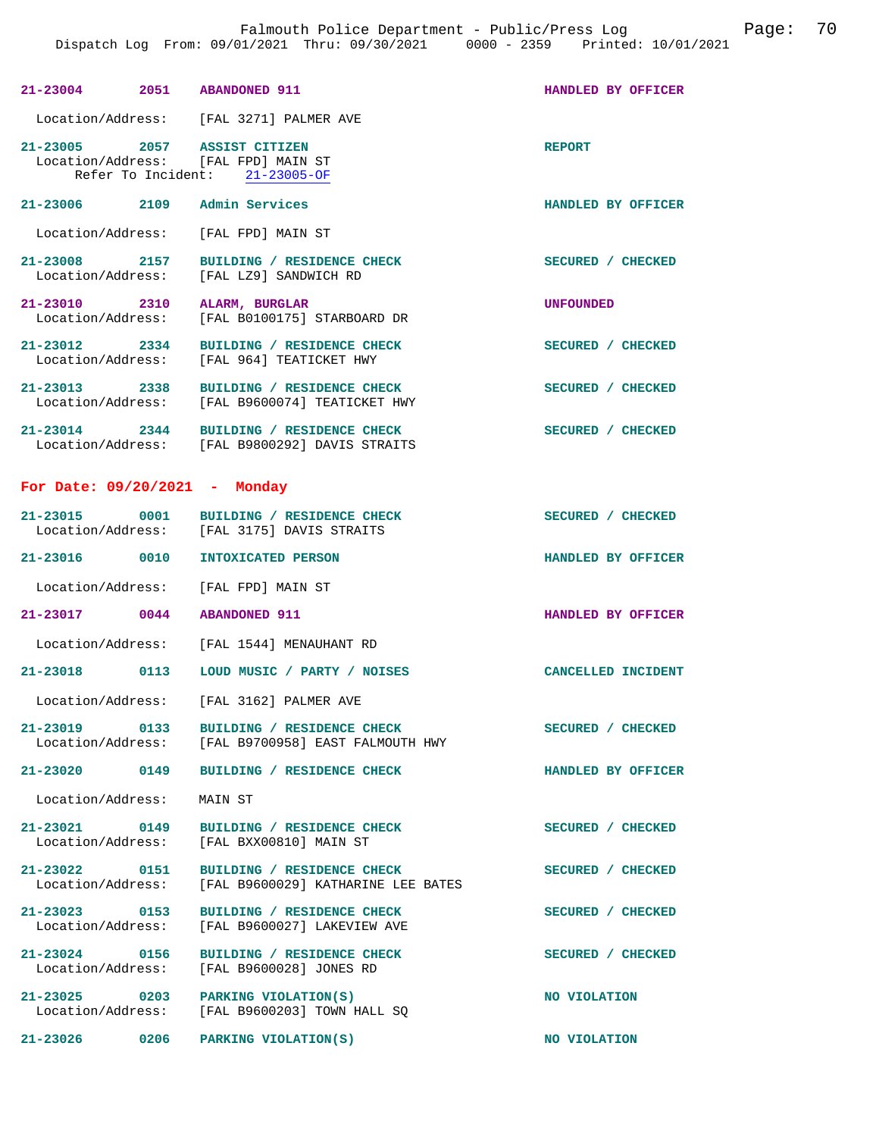| 21-23004 2051                          | <b>ABANDONED 911</b>                                                  | HANDLED BY OFFICER |  |
|----------------------------------------|-----------------------------------------------------------------------|--------------------|--|
| Location/Address:                      | [FAL 3271] PALMER AVE                                                 |                    |  |
| 21-23005 2057 ASSIST CITIZEN           | Location/Address: [FAL FPD] MAIN ST<br>Refer To Incident: 21-23005-OF | <b>REPORT</b>      |  |
| $21 - 23006$ 2109                      | Admin Services                                                        | HANDLED BY OFFICER |  |
| Location/Address:                      | [FAL FPD] MAIN ST                                                     |                    |  |
| 21-23008 2157<br>Location/Address:     | BUILDING / RESIDENCE CHECK<br>[FAL LZ9] SANDWICH RD                   | SECURED / CHECKED  |  |
| $21 - 23010$ 2310<br>Location/Address: | <b>ALARM, BURGLAR</b><br>[FAL B0100175] STARBOARD DR                  | <b>UNFOUNDED</b>   |  |
| $21 - 23012$ 2334<br>Location/Address: | BUILDING / RESIDENCE CHECK<br>[FAL 964] TEATICKET HWY                 | SECURED / CHECKED  |  |
| 21-23013 2338<br>Location/Address:     | BUILDING / RESIDENCE CHECK<br>[FAL B9600074] TEATICKET HWY            | SECURED / CHECKED  |  |
| $21 - 23014$ 2344<br>Location/Address: | BUILDING / RESIDENCE CHECK<br>[FAL B9800292] DAVIS STRAITS            | SECURED / CHECKED  |  |

## **For Date: 09/20/2021 - Monday**

| 21-23015          | 0001 | BUILDING / RESIDENCE CHECK | SECURED / CHECKED  |
|-------------------|------|----------------------------|--------------------|
| Location/Address: |      | [FAL 3175] DAVIS STRAITS   |                    |
|                   |      |                            |                    |
| 21-23016          | 0010 | INTOXICATED PERSON         | HANDLED BY OFFICER |

Location/Address: [FAL FPD] MAIN ST

**21-23017 0044 ABANDONED 911 HANDLED BY OFFICER** 

Location/Address: [FAL 1544] MENAUHANT RD

**21-23018 0113 LOUD MUSIC / PARTY / NOISES CANCELLED INCIDENT** 

Location/Address: [FAL 3162] PALMER AVE

21-23019 0133 BUILDING / RESIDENCE CHECK<br>
Location/Address: [FAL B9700958] EAST FALMOUTH HWY [FAL B9700958] EAST FALMOUTH HWY

**21-23020 0149 BUILDING / RESIDENCE CHECK HANDLED BY OFFICER** 

Location/Address: MAIN ST

**21-23021 0149 BUILDING / RESIDENCE CHECK SECURED / CHECKED**  Location/Address: [FAL BXX00810] MAIN ST

**21-23022 0151 BUILDING / RESIDENCE CHECK SECURED / CHECKED**  Location/Address: [FAL B9600029] KATHARINE LEE BATES

**21-23023 0153 BUILDING / RESIDENCE CHECK SECURED / CHECKED** 

 Location/Address: [FAL B9600027] LAKEVIEW AVE **21-23024 0156 BUILDING / RESIDENCE CHECK SECURED / CHECKED** 

Location/Address: [FAL B9600028] JONES RD

**21-23025 0203 PARKING VIOLATION(S) NO VIOLATION**  Location/Address: [FAL B9600203] TOWN HALL SQ

**21-23026 0206 PARKING VIOLATION(S) NO VIOLATION**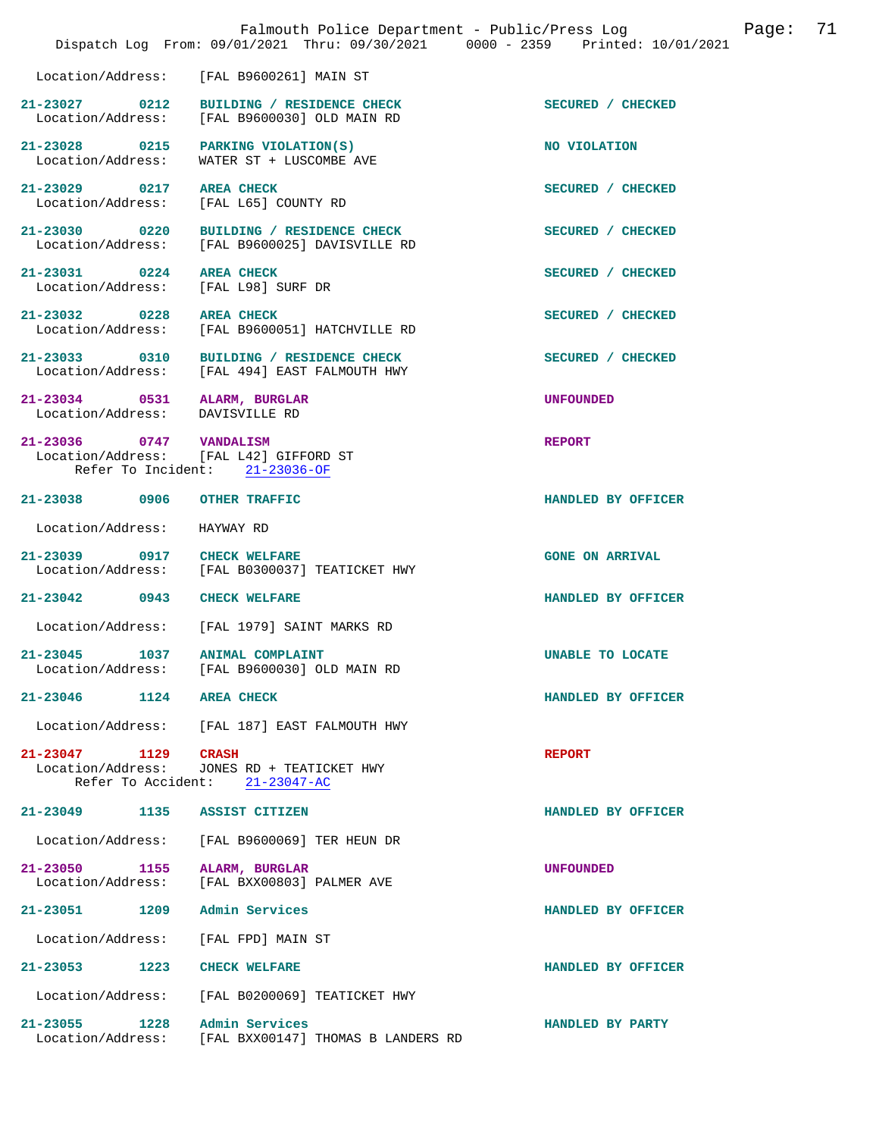|                                                                 | Falmouth Police Department - Public/Press Log<br>Dispatch Log From: 09/01/2021 Thru: 09/30/2021 0000 - 2359 Printed: 10/01/2021 | 71<br>Page:            |
|-----------------------------------------------------------------|---------------------------------------------------------------------------------------------------------------------------------|------------------------|
| Location/Address:                                               | [FAL B9600261] MAIN ST                                                                                                          |                        |
| $21 - 23027$ 0212<br>Location/Address:                          | BUILDING / RESIDENCE CHECK<br>[FAL B9600030] OLD MAIN RD                                                                        | SECURED / CHECKED      |
| 21-23028 0215<br>Location/Address:                              | PARKING VIOLATION(S)<br>WATER ST + LUSCOMBE AVE                                                                                 | NO VIOLATION           |
| 21-23029 0217<br>Location/Address:                              | <b>AREA CHECK</b><br>[FAL L65] COUNTY RD                                                                                        | SECURED / CHECKED      |
| 21-23030 0220                                                   | BUILDING / RESIDENCE CHECK<br>Location/Address: [FAL B9600025] DAVISVILLE RD                                                    | SECURED / CHECKED      |
| 21-23031 0224<br>Location/Address:                              | <b>AREA CHECK</b><br>[FAL L98] SURF DR                                                                                          | SECURED / CHECKED      |
| 21-23032 0228                                                   | <b>AREA CHECK</b><br>Location/Address: [FAL B9600051] HATCHVILLE RD                                                             | SECURED / CHECKED      |
| 21-23033 0310                                                   | BUILDING / RESIDENCE CHECK<br>Location/Address: [FAL 494] EAST FALMOUTH HWY                                                     | SECURED / CHECKED      |
| 21-23034 0531<br>Location/Address: DAVISVILLE RD                | ALARM, BURGLAR                                                                                                                  | <b>UNFOUNDED</b>       |
| 21-23036 0747 VANDALISM                                         | Location/Address: [FAL L42] GIFFORD ST<br>Refer To Incident: 21-23036-OF                                                        | <b>REPORT</b>          |
| 21-23038 0906                                                   | OTHER TRAFFIC                                                                                                                   | HANDLED BY OFFICER     |
| Location/Address:                                               | HAYWAY RD                                                                                                                       |                        |
| 21-23039 0917                                                   | <b>CHECK WELFARE</b><br>Location/Address: [FAL B0300037] TEATICKET HWY                                                          | <b>GONE ON ARRIVAL</b> |
| 21-23042 0943                                                   | <b>CHECK WELFARE</b>                                                                                                            | HANDLED BY OFFICER     |
| Location/Address:                                               | [FAL 1979] SAINT MARKS RD                                                                                                       |                        |
| 21-23045<br>1037<br>Location/Address:                           | <b>ANIMAL COMPLAINT</b><br>[FAL B9600030] OLD MAIN RD                                                                           | UNABLE TO LOCATE       |
| 1124<br>$21 - 23046$                                            | <b>AREA CHECK</b>                                                                                                               | HANDLED BY OFFICER     |
| Location/Address:                                               | [FAL 187] EAST FALMOUTH HWY                                                                                                     |                        |
| $21 - 23047$<br>1129<br>Location/Address:<br>Refer To Accident: | <b>CRASH</b><br>JONES RD + TEATICKET HWY<br>$21 - 23047 - AC$                                                                   | <b>REPORT</b>          |
| 21-23049 1135                                                   | ASSIST CITIZEN                                                                                                                  | HANDLED BY OFFICER     |
| Location/Address:                                               | [FAL B9600069] TER HEUN DR                                                                                                      |                        |
| 21-23050<br>1155<br>Location/Address:                           | ALARM, BURGLAR<br>[FAL BXX00803] PALMER AVE                                                                                     | <b>UNFOUNDED</b>       |
| 21-23051<br>1209                                                | Admin Services                                                                                                                  | HANDLED BY OFFICER     |
| Location/Address:                                               | [FAL FPD] MAIN ST                                                                                                               |                        |
| $21 - 23053$<br>1223                                            | <b>CHECK WELFARE</b>                                                                                                            | HANDLED BY OFFICER     |
| Location/Address:                                               | [FAL B0200069] TEATICKET HWY                                                                                                    |                        |
| 21-23055<br>1228<br>Location/Address:                           | Admin Services<br>[FAL BXX00147] THOMAS B LANDERS RD                                                                            | HANDLED BY PARTY       |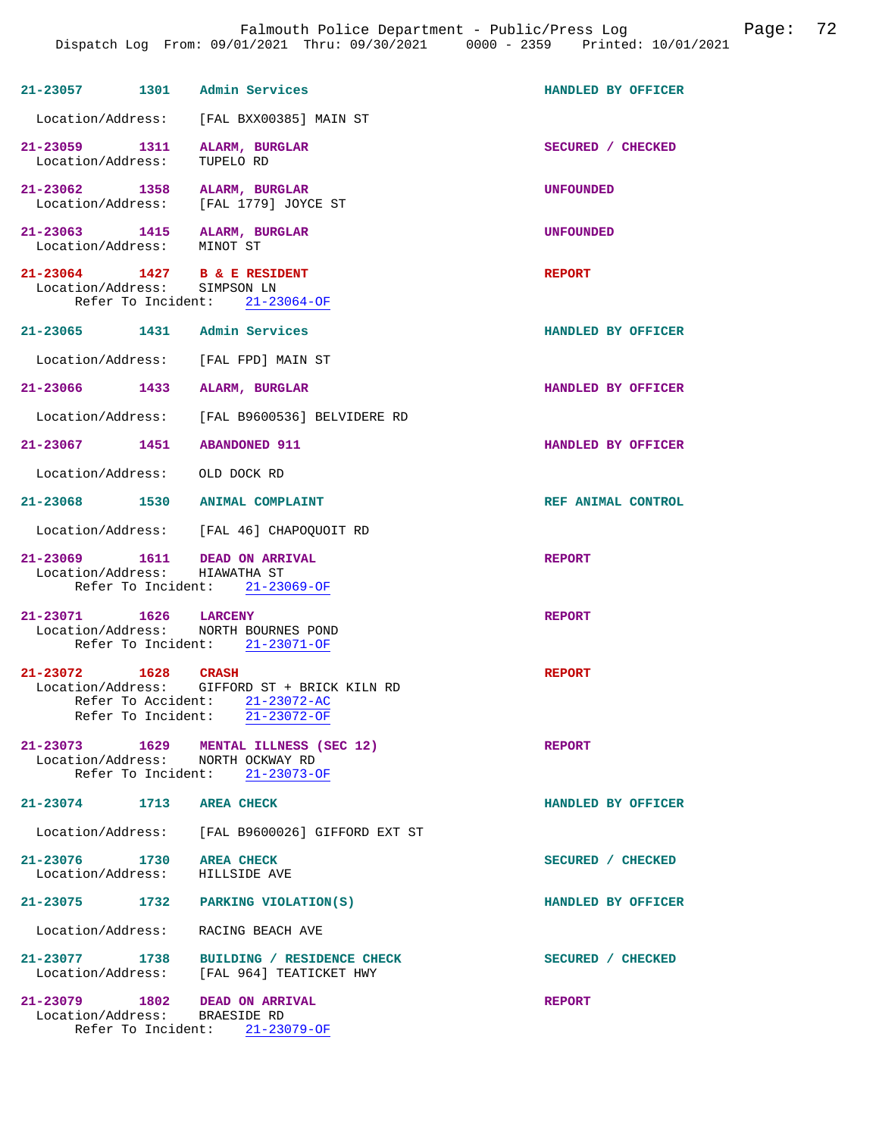| 21-23057 1301 Admin Services                                          |                                                                                                                  | HANDLED BY OFFICER |
|-----------------------------------------------------------------------|------------------------------------------------------------------------------------------------------------------|--------------------|
|                                                                       | Location/Address: [FAL BXX00385] MAIN ST                                                                         |                    |
| 21-23059 1311 ALARM, BURGLAR<br>Location/Address: TUPELO RD           |                                                                                                                  | SECURED / CHECKED  |
| 21-23062 1358 ALARM, BURGLAR<br>Location/Address: [FAL 1779] JOYCE ST |                                                                                                                  | <b>UNFOUNDED</b>   |
| 21-23063 1415 ALARM, BURGLAR<br>Location/Address: MINOT ST            |                                                                                                                  | <b>UNFOUNDED</b>   |
| 21-23064 1427 B & E RESIDENT<br>Location/Address: SIMPSON LN          | Refer To Incident: 21-23064-OF                                                                                   | <b>REPORT</b>      |
| 21-23065 1431 Admin Services                                          |                                                                                                                  | HANDLED BY OFFICER |
| Location/Address: [FAL FPD] MAIN ST                                   |                                                                                                                  |                    |
| 21-23066 1433 ALARM, BURGLAR                                          |                                                                                                                  | HANDLED BY OFFICER |
|                                                                       | Location/Address: [FAL B9600536] BELVIDERE RD                                                                    |                    |
| 21-23067 1451 ABANDONED 911                                           |                                                                                                                  | HANDLED BY OFFICER |
| Location/Address: OLD DOCK RD                                         |                                                                                                                  |                    |
| 21-23068 1530 ANIMAL COMPLAINT                                        |                                                                                                                  | REF ANIMAL CONTROL |
|                                                                       | Location/Address: [FAL 46] CHAPOQUOIT RD                                                                         |                    |
| 21-23069   1611   DEAD ON ARRIVAL<br>Location/Address: HIAWATHA ST    | Refer To Incident: 21-23069-OF                                                                                   | <b>REPORT</b>      |
| 21-23071 1626 LARCENY<br>Location/Address: NORTH BOURNES POND         | Refer To Incident: 21-23071-OF                                                                                   | <b>REPORT</b>      |
| 21-23072 1628 CRASH                                                   | Location/Address: GIFFORD ST + BRICK KILN RD<br>Refer To Accident: 21-23072-AC<br>Refer To Incident: 21-23072-OF | <b>REPORT</b>      |
| Location/Address: NORTH OCKWAY RD                                     | 21-23073 1629 MENTAL ILLNESS (SEC 12)<br>Refer To Incident: 21-23073-OF                                          | <b>REPORT</b>      |
| 21-23074 1713 AREA CHECK                                              |                                                                                                                  | HANDLED BY OFFICER |
|                                                                       | Location/Address: [FAL B9600026] GIFFORD EXT ST                                                                  |                    |
| 21-23076 1730 AREA CHECK<br>Location/Address:                         | HILLSIDE AVE                                                                                                     | SECURED / CHECKED  |
| 21-23075 1732                                                         | PARKING VIOLATION(S)                                                                                             | HANDLED BY OFFICER |
| Location/Address:                                                     | RACING BEACH AVE                                                                                                 |                    |
|                                                                       | 21-23077 1738 BUILDING / RESIDENCE CHECK<br>Location/Address: [FAL 964] TEATICKET HWY                            | SECURED / CHECKED  |
| 21-23079 1802 DEAD ON ARRIVAL<br>Location/Address: BRAESIDE RD        | Refer To Incident: 21-23079-OF                                                                                   | <b>REPORT</b>      |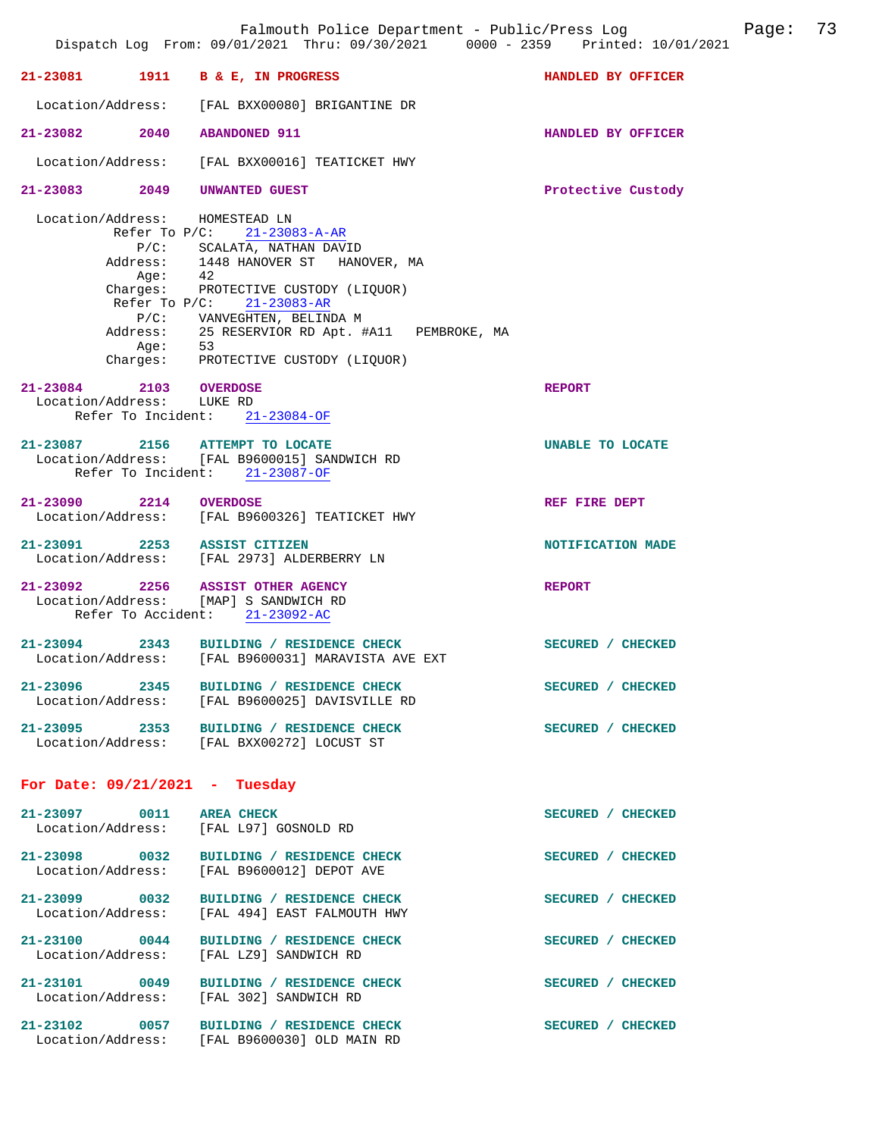|                                                     |                       | Falmouth Police Department - Public/Press Log<br>Dispatch Log From: 09/01/2021 Thru: 09/30/2021 0000 - 2359 Printed: 10/01/2021                                                                                                                                                                                          |                    | Page: | 73 |
|-----------------------------------------------------|-----------------------|--------------------------------------------------------------------------------------------------------------------------------------------------------------------------------------------------------------------------------------------------------------------------------------------------------------------------|--------------------|-------|----|
|                                                     |                       | 21-23081 1911 B & E, IN PROGRESS                                                                                                                                                                                                                                                                                         | HANDLED BY OFFICER |       |    |
| Location/Address:                                   |                       | [FAL BXX00080] BRIGANTINE DR                                                                                                                                                                                                                                                                                             |                    |       |    |
| 21-23082 2040                                       |                       | <b>ABANDONED 911</b>                                                                                                                                                                                                                                                                                                     | HANDLED BY OFFICER |       |    |
| Location/Address:                                   |                       | [FAL BXX00016] TEATICKET HWY                                                                                                                                                                                                                                                                                             |                    |       |    |
| 21-23083 2049                                       |                       | <b>UNWANTED GUEST</b>                                                                                                                                                                                                                                                                                                    | Protective Custody |       |    |
| Location/Address:                                   | Aqe:<br>Refer To P/C: | HOMESTEAD LN<br>Refer To P/C: 21-23083-A-AR<br>P/C: SCALATA, NATHAN DAVID<br>Address: 1448 HANOVER ST HANOVER, MA<br>42<br>Charges: PROTECTIVE CUSTODY (LIQUOR)<br>$21 - 23083 - AR$<br>P/C: VANVEGHTEN, BELINDA M<br>Address: 25 RESERVIOR RD Apt. #A11 PEMBROKE, MA<br>Age: 53<br>Charges: PROTECTIVE CUSTODY (LIQUOR) |                    |       |    |
| 21-23084 2103 OVERDOSE<br>Location/Address: LUKE RD |                       | Refer To Incident: 21-23084-OF                                                                                                                                                                                                                                                                                           | <b>REPORT</b>      |       |    |
|                                                     |                       | 21-23087 2156 ATTEMPT TO LOCATE<br>Location/Address: [FAL B9600015] SANDWICH RD<br>Refer To Incident: 21-23087-OF                                                                                                                                                                                                        | UNABLE TO LOCATE   |       |    |
| 21-23090 2214 OVERDOSE                              |                       | Location/Address: [FAL B9600326] TEATICKET HWY                                                                                                                                                                                                                                                                           | REF FIRE DEPT      |       |    |
|                                                     |                       | 21-23091 2253 ASSIST CITIZEN<br>Location/Address: [FAL 2973] ALDERBERRY LN                                                                                                                                                                                                                                               | NOTIFICATION MADE  |       |    |
|                                                     |                       | 21-23092 2256 ASSIST OTHER AGENCY<br>Location/Address: [MAP] S SANDWICH RD<br>Refer To Accident: 21-23092-AC                                                                                                                                                                                                             | <b>REPORT</b>      |       |    |
| $21 - 23094$ 2343                                   |                       | BUILDING / RESIDENCE CHECK<br>Location/Address: [FAL B9600031] MARAVISTA AVE EXT                                                                                                                                                                                                                                         | SECURED / CHECKED  |       |    |
|                                                     |                       | 21-23096 2345 BUILDING / RESIDENCE CHECK<br>Location/Address: [FAL B9600025] DAVISVILLE RD                                                                                                                                                                                                                               | SECURED / CHECKED  |       |    |
|                                                     |                       | 21-23095 2353 BUILDING / RESIDENCE CHECK<br>Location/Address: [FAL BXX00272] LOCUST ST                                                                                                                                                                                                                                   | SECURED / CHECKED  |       |    |
|                                                     |                       | For Date: $09/21/2021$ - Tuesday                                                                                                                                                                                                                                                                                         |                    |       |    |
|                                                     |                       | 21-23097 0011 AREA CHECK<br>Location/Address: [FAL L97] GOSNOLD RD                                                                                                                                                                                                                                                       | SECURED / CHECKED  |       |    |
|                                                     |                       | 21-23098 0032 BUILDING / RESIDENCE CHECK<br>Location/Address: [FAL B9600012] DEPOT AVE                                                                                                                                                                                                                                   | SECURED / CHECKED  |       |    |
| 21-23099 0032<br>Location/Address:                  |                       | <b>BUILDING / RESIDENCE CHECK</b><br>[FAL 494] EAST FALMOUTH HWY                                                                                                                                                                                                                                                         | SECURED / CHECKED  |       |    |
|                                                     |                       | 21-23100 0044 BUILDING / RESIDENCE CHECK<br>Location/Address: [FAL LZ9] SANDWICH RD                                                                                                                                                                                                                                      | SECURED / CHECKED  |       |    |
|                                                     |                       | 21-23101 0049 BUILDING / RESIDENCE CHECK<br>Location/Address: [FAL 302] SANDWICH RD                                                                                                                                                                                                                                      | SECURED / CHECKED  |       |    |
|                                                     |                       | 21-23102 0057 BUILDING / RESIDENCE CHECK<br>Location/Address: [FAL B9600030] OLD MAIN RD                                                                                                                                                                                                                                 | SECURED / CHECKED  |       |    |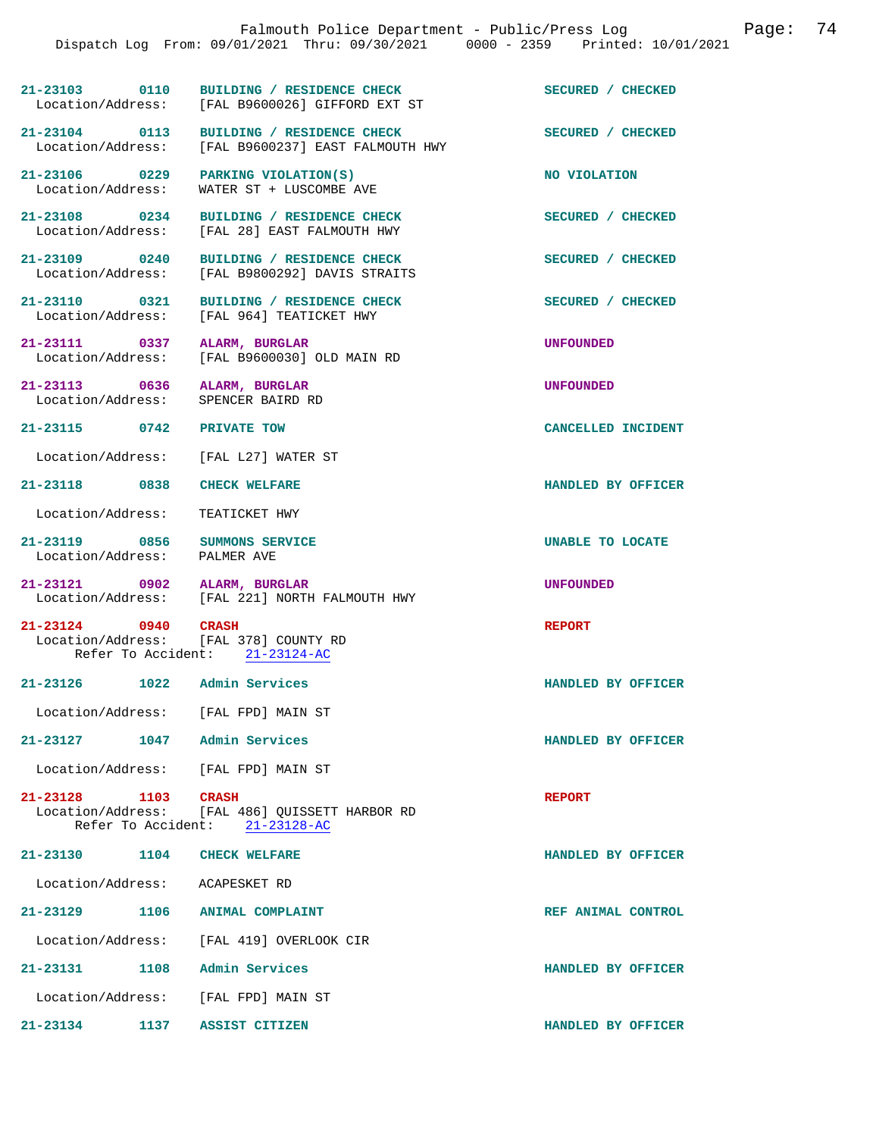|                                | Dispatch Log From: 09/01/2021 Thru: 09/30/2021 0000 - 2359 Printed: 10/01/2021                   | Falmouth Police Department - Public/Press Log | Page: 74 |  |
|--------------------------------|--------------------------------------------------------------------------------------------------|-----------------------------------------------|----------|--|
|                                |                                                                                                  |                                               |          |  |
|                                | 21-23103 0110 BUILDING / RESIDENCE CHECK<br>Location/Address: [FAL B9600026] GIFFORD EXT ST      | SECURED / CHECKED                             |          |  |
|                                | 21-23104 0113 BUILDING / RESIDENCE CHECK<br>Location/Address: [FAL B9600237] EAST FALMOUTH HWY   | SECURED / CHECKED                             |          |  |
|                                | $21-23106$ 0229 PARKING VIOLATION(S)<br>Location/Address: WATER ST + LUSCOMBE AVE                | NO VIOLATION                                  |          |  |
|                                | 21-23108 0234 BUILDING / RESIDENCE CHECK<br>Location/Address: [FAL 28] EAST FALMOUTH HWY         | SECURED / CHECKED                             |          |  |
|                                | 21-23109 0240 BUILDING / RESIDENCE CHECK<br>Location/Address: [FAL B9800292] DAVIS STRAITS       | SECURED / CHECKED                             |          |  |
| Location/Address:              | 21-23110 0321 BUILDING / RESIDENCE CHECK<br>[FAL 964] TEATICKET HWY                              | SECURED / CHECKED                             |          |  |
|                                | 21-23111 0337 ALARM, BURGLAR<br>Location/Address: [FAL B9600030] OLD MAIN RD                     | <b>UNFOUNDED</b>                              |          |  |
|                                | 21-23113 0636 ALARM, BURGLAR<br>Location/Address: SPENCER BAIRD RD                               | <b>UNFOUNDED</b>                              |          |  |
| 21-23115 0742 PRIVATE TOW      |                                                                                                  | CANCELLED INCIDENT                            |          |  |
|                                | Location/Address: [FAL L27] WATER ST                                                             |                                               |          |  |
|                                | 21-23118 0838 CHECK WELFARE                                                                      | HANDLED BY OFFICER                            |          |  |
| Location/Address:              | TEATICKET HWY                                                                                    |                                               |          |  |
| Location/Address: PALMER AVE   | 21-23119 0856 SUMMONS SERVICE                                                                    | UNABLE TO LOCATE                              |          |  |
|                                | 21-23121 0902 ALARM, BURGLAR<br>Location/Address: [FAL 221] NORTH FALMOUTH HWY                   | <b>UNFOUNDED</b>                              |          |  |
|                                | 21-23124 0940 CRASH<br>Location/Address: [FAL 378] COUNTY RD<br>Refer To Accident: 21-23124-AC   | <b>REPORT</b>                                 |          |  |
|                                | 21-23126 1022 Admin Services                                                                     | HANDLED BY OFFICER                            |          |  |
|                                | Location/Address: [FAL FPD] MAIN ST                                                              |                                               |          |  |
| 21-23127                       | 1047 Admin Services                                                                              | HANDLED BY OFFICER                            |          |  |
|                                | Location/Address: [FAL FPD] MAIN ST                                                              |                                               |          |  |
| 21-23128 1103                  | <b>CRASH</b><br>Location/Address: [FAL 486] QUISSETT HARBOR RD<br>Refer To Accident: 21-23128-AC | <b>REPORT</b>                                 |          |  |
|                                | 21-23130 1104 CHECK WELFARE                                                                      | HANDLED BY OFFICER                            |          |  |
| Location/Address: ACAPESKET RD |                                                                                                  |                                               |          |  |
| 21-23129                       | 1106 ANIMAL COMPLAINT                                                                            | REF ANIMAL CONTROL                            |          |  |
|                                | Location/Address: [FAL 419] OVERLOOK CIR                                                         |                                               |          |  |
|                                | 21-23131 1108 Admin Services                                                                     | HANDLED BY OFFICER                            |          |  |
|                                | Location/Address: [FAL FPD] MAIN ST                                                              |                                               |          |  |
|                                |                                                                                                  |                                               |          |  |

**21-23134 1137 ASSIST CITIZEN HANDLED BY OFFICER**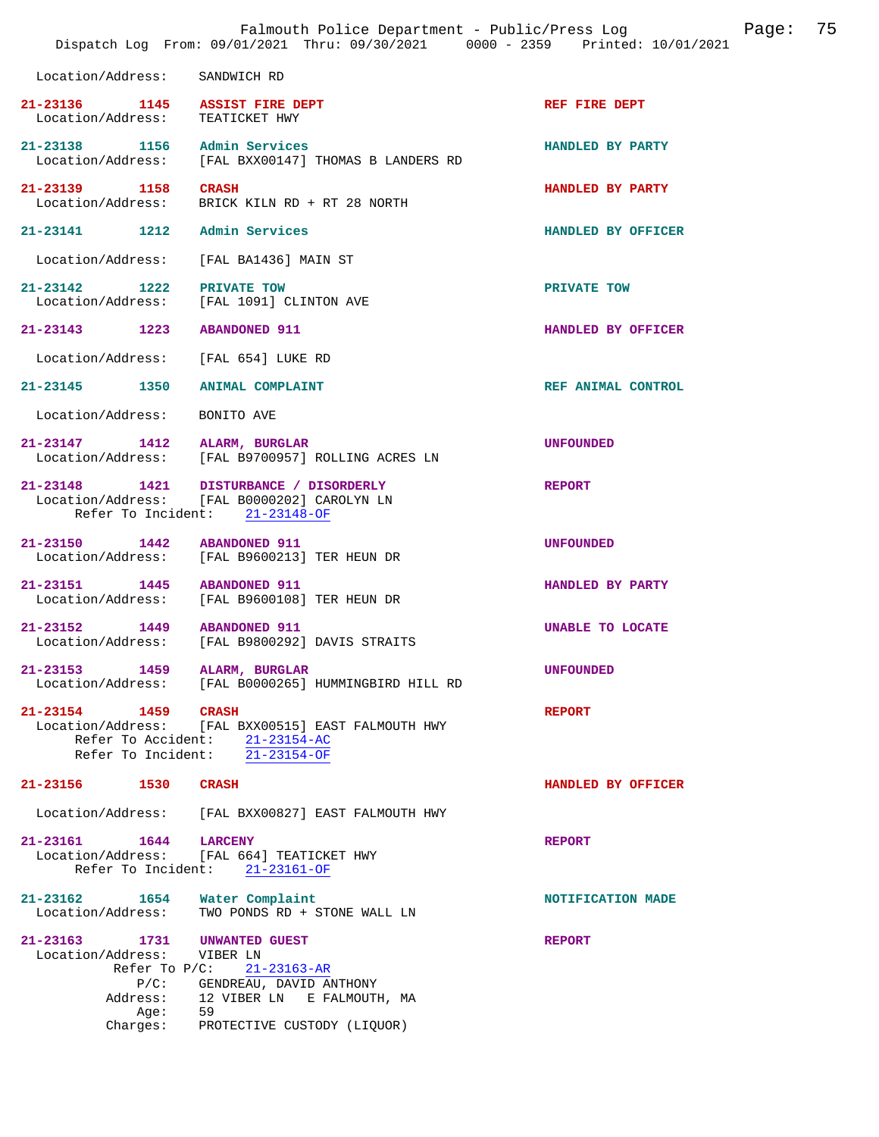|                                                                                                      | Falmouth Police Department - Public/Press Log<br>Dispatch Log From: 09/01/2021 Thru: 09/30/2021 0000 - 2359 Printed: 10/01/2021                |                    | Page: | 75 |
|------------------------------------------------------------------------------------------------------|------------------------------------------------------------------------------------------------------------------------------------------------|--------------------|-------|----|
| Location/Address:                                                                                    | SANDWICH RD                                                                                                                                    |                    |       |    |
| 21-23136 1145 ASSIST FIRE DEPT<br>Location/Address: TEATICKET HWY                                    |                                                                                                                                                | REF FIRE DEPT      |       |    |
| 21-23138 1156 Admin Services                                                                         | Location/Address: [FAL BXX00147] THOMAS B LANDERS RD                                                                                           | HANDLED BY PARTY   |       |    |
| 21-23139 1158 CRASH<br>Location/Address:                                                             | BRICK KILN RD + RT 28 NORTH                                                                                                                    | HANDLED BY PARTY   |       |    |
| 21-23141 1212 Admin Services                                                                         |                                                                                                                                                | HANDLED BY OFFICER |       |    |
| Location/Address:                                                                                    | [FAL BA1436] MAIN ST                                                                                                                           |                    |       |    |
| 21-23142 1222 PRIVATE TOW                                                                            | Location/Address: [FAL 1091] CLINTON AVE                                                                                                       | PRIVATE TOW        |       |    |
| 21-23143 1223 ABANDONED 911                                                                          |                                                                                                                                                | HANDLED BY OFFICER |       |    |
| Location/Address: [FAL 654] LUKE RD                                                                  |                                                                                                                                                |                    |       |    |
| 21-23145 1350 ANIMAL COMPLAINT                                                                       |                                                                                                                                                | REF ANIMAL CONTROL |       |    |
| Location/Address:                                                                                    | BONITO AVE                                                                                                                                     |                    |       |    |
| 21-23147 1412 ALARM, BURGLAR                                                                         | Location/Address: [FAL B9700957] ROLLING ACRES LN                                                                                              | <b>UNFOUNDED</b>   |       |    |
|                                                                                                      | 21-23148   1421   DISTURBANCE / DISORDERLY<br>Location/Address: [FAL B0000202] CAROLYN LN<br>Refer To Incident: 21-23148-OF                    | <b>REPORT</b>      |       |    |
| 21-23150 1442 ABANDONED 911                                                                          | Location/Address: [FAL B9600213] TER HEUN DR                                                                                                   | <b>UNFOUNDED</b>   |       |    |
| 21-23151 1445 ABANDONED 911                                                                          | Location/Address: [FAL B9600108] TER HEUN DR                                                                                                   | HANDLED BY PARTY   |       |    |
| 21-23152 1449 ABANDONED 911                                                                          | Location/Address: [FAL B9800292] DAVIS STRAITS                                                                                                 | UNABLE TO LOCATE   |       |    |
| $21 - 23153$                                                                                         | 1459 ALARM, BURGLAR<br>Location/Address: [FAL B0000265] HUMMINGBIRD HILL RD                                                                    | <b>UNFOUNDED</b>   |       |    |
| 21-23154 1459 CRASH                                                                                  | Location/Address: [FAL BXX00515] EAST FALMOUTH HWY<br>Refer To Accident: 21-23154-AC<br>Refer To Incident: 21-23154-OF                         | <b>REPORT</b>      |       |    |
| 21-23156<br><b>1530 CRASH</b>                                                                        |                                                                                                                                                | HANDLED BY OFFICER |       |    |
| Location/Address:                                                                                    | [FAL BXX00827] EAST FALMOUTH HWY                                                                                                               |                    |       |    |
| 21-23161 1644 LARCENY                                                                                | Location/Address: [FAL 664] TEATICKET HWY<br>Refer To Incident: $21-23161-OF$                                                                  | <b>REPORT</b>      |       |    |
| 21-23162 1654 Water Complaint<br>Location/Address:                                                   | TWO PONDS RD + STONE WALL LN                                                                                                                   | NOTIFICATION MADE  |       |    |
| 21-23163 1731<br>Location/Address:<br>Refer To $P/C$ :<br>$P/C$ :<br>Address:<br>Age: 59<br>Charges: | <b>UNWANTED GUEST</b><br>VIBER LN<br>$21 - 23163 - AR$<br>GENDREAU, DAVID ANTHONY<br>12 VIBER LN E FALMOUTH, MA<br>PROTECTIVE CUSTODY (LIQUOR) | <b>REPORT</b>      |       |    |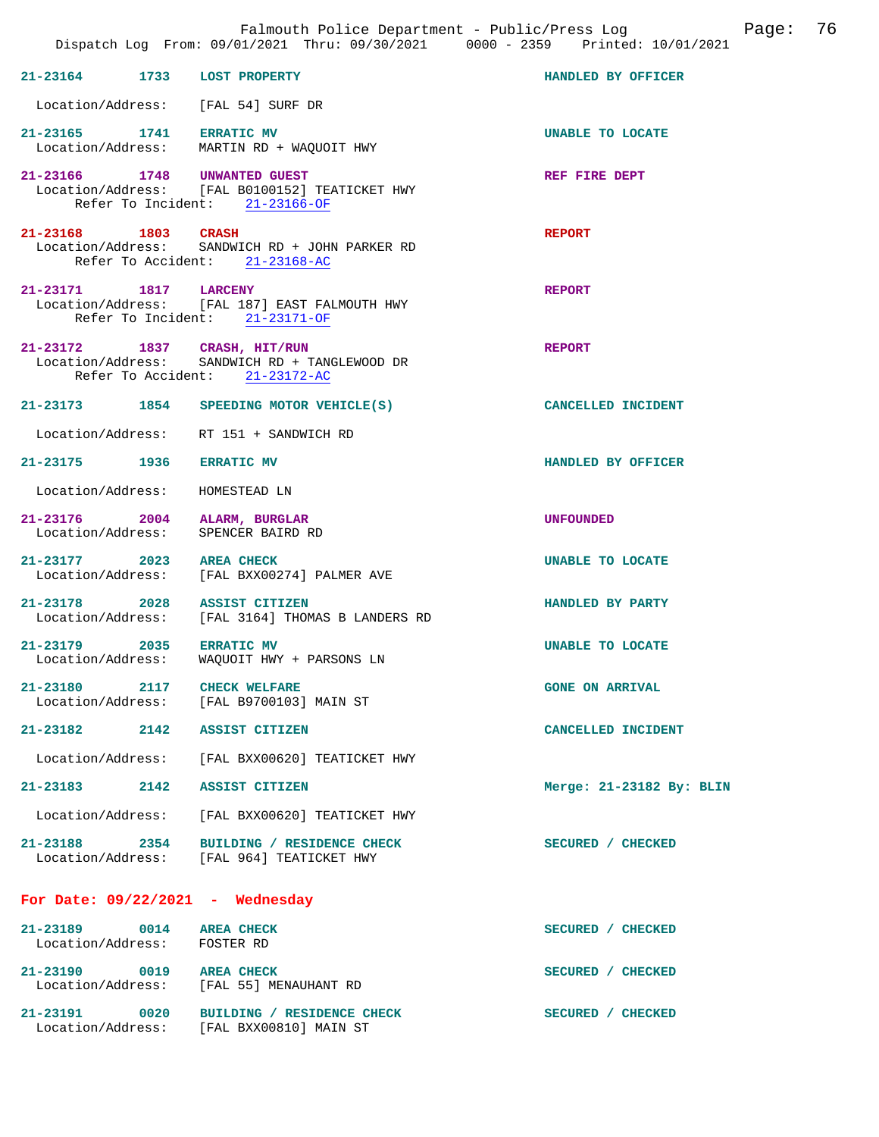|                             | Dispatch Log From: 09/01/2021 Thru: 09/30/2021 0000 - 2359 Printed: 10/01/2021                                   | Falmouth Police Department - Public/Press Log<br>Page: 76 |  |
|-----------------------------|------------------------------------------------------------------------------------------------------------------|-----------------------------------------------------------|--|
|                             | 21-23164 1733 LOST PROPERTY                                                                                      | HANDLED BY OFFICER                                        |  |
|                             | Location/Address: [FAL 54] SURF DR                                                                               |                                                           |  |
|                             | 21-23165 1741 ERRATIC MV<br>Location/Address: MARTIN RD + WAQUOIT HWY                                            | UNABLE TO LOCATE                                          |  |
|                             | 21-23166 1748 UNWANTED GUEST<br>Location/Address: [FAL B0100152] TEATICKET HWY<br>Refer To Incident: 21-23166-OF | REF FIRE DEPT                                             |  |
| 21-23168 1803 CRASH         | Location/Address: SANDWICH RD + JOHN PARKER RD<br>Refer To Accident: 21-23168-AC                                 | <b>REPORT</b>                                             |  |
| 21-23171 1817 LARCENY       | Location/Address: [FAL 187] EAST FALMOUTH HWY<br>Refer To Incident: 21-23171-OF                                  | <b>REPORT</b>                                             |  |
|                             | 21-23172 1837 CRASH, HIT/RUN<br>Location/Address: SANDWICH RD + TANGLEWOOD DR<br>Refer To Accident: 21-23172-AC  | <b>REPORT</b>                                             |  |
|                             | 21-23173 1854 SPEEDING MOTOR VEHICLE(S)                                                                          | CANCELLED INCIDENT                                        |  |
|                             | Location/Address: RT 151 + SANDWICH RD                                                                           |                                                           |  |
|                             | 21-23175 1936 ERRATIC MV                                                                                         | HANDLED BY OFFICER                                        |  |
|                             | Location/Address: HOMESTEAD LN                                                                                   |                                                           |  |
|                             | 21-23176 2004 ALARM, BURGLAR<br>Location/Address: SPENCER BAIRD RD                                               | <b>UNFOUNDED</b>                                          |  |
|                             | 21-23177 2023 AREA CHECK<br>Location/Address: [FAL BXX00274] PALMER AVE                                          | UNABLE TO LOCATE                                          |  |
|                             | 21-23178 2028 ASSIST CITIZEN<br>Location/Address: [FAL 3164] THOMAS B LANDERS RD                                 | HANDLED BY PARTY                                          |  |
|                             | 21-23179 2035 ERRATIC MV<br>Location/Address: WAQUOIT HWY + PARSONS LN                                           | UNABLE TO LOCATE                                          |  |
|                             | 21-23180 2117 CHECK WELFARE<br>Location/Address: [FAL B9700103] MAIN ST                                          | <b>GONE ON ARRIVAL</b>                                    |  |
|                             | 21-23182 2142 ASSIST CITIZEN                                                                                     | CANCELLED INCIDENT                                        |  |
|                             | Location/Address: [FAL BXX00620] TEATICKET HWY                                                                   |                                                           |  |
|                             | 21-23183 2142 ASSIST CITIZEN                                                                                     | Merge: 21-23182 By: BLIN                                  |  |
|                             | Location/Address: [FAL BXX00620] TEATICKET HWY                                                                   |                                                           |  |
|                             | 21-23188 2354 BUILDING / RESIDENCE CHECK<br>Location/Address: [FAL 964] TEATICKET HWY                            | SECURED / CHECKED                                         |  |
|                             | For Date: $09/22/2021$ - Wednesday                                                                               |                                                           |  |
| Location/Address: FOSTER RD | 21-23189 0014 AREA CHECK                                                                                         | SECURED / CHECKED                                         |  |
|                             | 21-23190 0019 AREA CHECK<br>Location/Address: [FAL 55] MENAUHANT RD                                              | SECURED / CHECKED                                         |  |
|                             | 21-23191 0020 BUILDING / RESIDENCE CHECK<br>Location/Address: [FAL BXX00810] MAIN ST                             | SECURED / CHECKED                                         |  |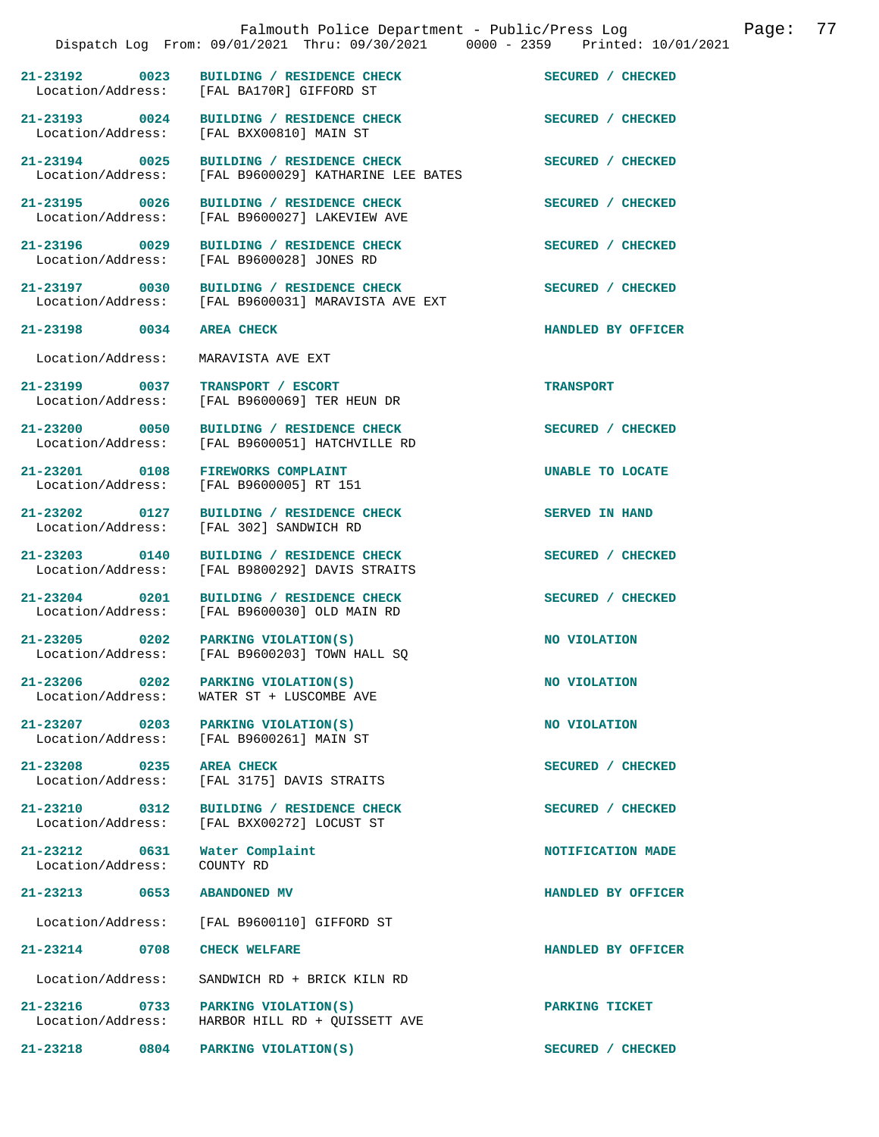|                                                        | Falmouth Police Department - Public/Press Log<br>Dispatch Log From: 09/01/2021 Thru: 09/30/2021 0000 - 2359 Printed: 10/01/2021 | 77<br>Page:        |
|--------------------------------------------------------|---------------------------------------------------------------------------------------------------------------------------------|--------------------|
|                                                        |                                                                                                                                 |                    |
| 21-23192 0023                                          | BUILDING / RESIDENCE CHECK<br>Location/Address: [FAL BA170R] GIFFORD ST                                                         | SECURED / CHECKED  |
| 21-23193 0024<br>Location/Address:                     | BUILDING / RESIDENCE CHECK<br>[FAL BXX00810] MAIN ST                                                                            | SECURED / CHECKED  |
| 21-23194 0025<br>Location/Address:                     | BUILDING / RESIDENCE CHECK<br>[FAL B9600029] KATHARINE LEE BATES                                                                | SECURED / CHECKED  |
| 21-23195 0026<br>Location/Address:                     | BUILDING / RESIDENCE CHECK<br>[FAL B9600027] LAKEVIEW AVE                                                                       | SECURED / CHECKED  |
| 21-23196 0029<br>Location/Address:                     | BUILDING / RESIDENCE CHECK<br>[FAL B9600028] JONES RD                                                                           | SECURED / CHECKED  |
| 21-23197 0030<br>Location/Address:                     | BUILDING / RESIDENCE CHECK<br>[FAL B9600031] MARAVISTA AVE EXT                                                                  | SECURED / CHECKED  |
| 21-23198 0034                                          | <b>AREA CHECK</b>                                                                                                               | HANDLED BY OFFICER |
| Location/Address:                                      | MARAVISTA AVE EXT                                                                                                               |                    |
| 21-23199 0037<br>Location/Address:                     | TRANSPORT / ESCORT<br>[FAL B9600069] TER HEUN DR                                                                                | <b>TRANSPORT</b>   |
| 21-23200 0050<br>Location/Address:                     | BUILDING / RESIDENCE CHECK<br>[FAL B9600051] HATCHVILLE RD                                                                      | SECURED / CHECKED  |
| 21-23201 0108                                          | FIREWORKS COMPLAINT<br>Location/Address: [FAL B9600005] RT 151                                                                  | UNABLE TO LOCATE   |
| 21-23202<br>0127<br>Location/Address:                  | BUILDING / RESIDENCE CHECK<br>[FAL 302] SANDWICH RD                                                                             | SERVED IN HAND     |
| 21-23203 0140                                          | BUILDING / RESIDENCE CHECK<br>Location/Address: [FAL B9800292] DAVIS STRAITS                                                    | SECURED / CHECKED  |
| 21-23204 0201<br>Location/Address:                     | BUILDING / RESIDENCE CHECK<br>[FAL B9600030] OLD MAIN RD                                                                        | SECURED / CHECKED  |
| 21-23205<br>$\sim$ 0202                                | PARKING VIOLATION(S)<br>Location/Address: [FAL B9600203] TOWN HALL SQ                                                           | NO VIOLATION       |
| $21 - 23206$ 0202<br>Location/Address:                 | PARKING VIOLATION(S)<br>WATER ST + LUSCOMBE AVE                                                                                 | NO VIOLATION       |
| 21-23207 0203<br>Location/Address:                     | PARKING VIOLATION(S)<br>[FAL B9600261] MAIN ST                                                                                  | NO VIOLATION       |
| $\overline{0235}$<br>$21 - 23208$<br>Location/Address: | <b>AREA CHECK</b><br>[FAL 3175] DAVIS STRAITS                                                                                   | SECURED / CHECKED  |
| 21-23210<br>$\overline{0312}$<br>Location/Address:     | BUILDING / RESIDENCE CHECK<br>[FAL BXX00272] LOCUST ST                                                                          | SECURED / CHECKED  |
| 21-23212<br>0631<br>Location/Address:                  | Water Complaint<br>COUNTY RD                                                                                                    | NOTIFICATION MADE  |
| $21 - 23213$<br>0653                                   | <b>ABANDONED MV</b>                                                                                                             | HANDLED BY OFFICER |
| Location/Address:                                      | [FAL B9600110] GIFFORD ST                                                                                                       |                    |
| $21 - 23214$<br>0708                                   | <b>CHECK WELFARE</b>                                                                                                            | HANDLED BY OFFICER |
| Location/Address:                                      | SANDWICH RD + BRICK KILN RD                                                                                                     |                    |
| 21-23216<br>0733<br>Location/Address:                  | PARKING VIOLATION(S)<br>HARBOR HILL RD + QUISSETT AVE                                                                           | PARKING TICKET     |
| 21-23218<br>0804                                       | PARKING VIOLATION(S)                                                                                                            | SECURED / CHECKED  |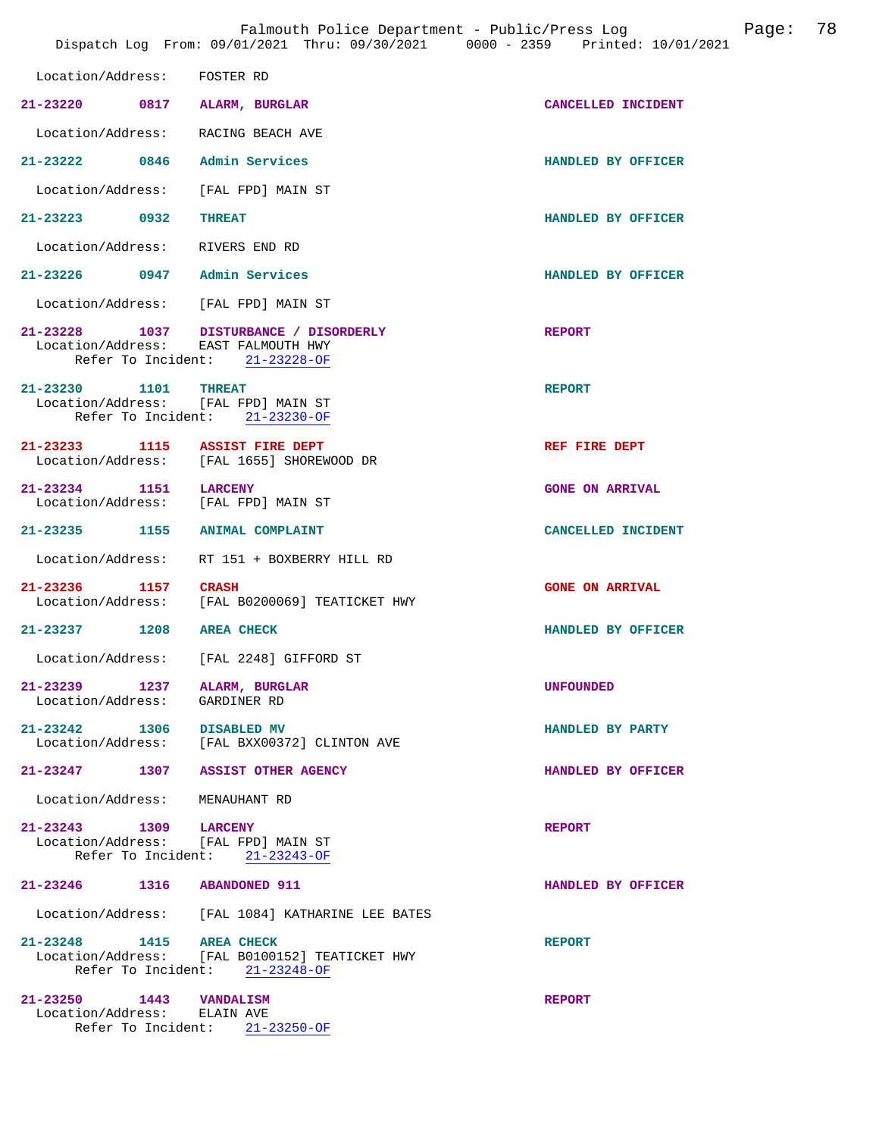|                                                                            | Dispatch Log From: 09/01/2021 Thru: 09/30/2021 0000 - 2359 Printed: 10/01/2021   | Falmouth Police Department - Public/Press Log | Page: | 78 |
|----------------------------------------------------------------------------|----------------------------------------------------------------------------------|-----------------------------------------------|-------|----|
| Location/Address:                                                          | FOSTER RD                                                                        |                                               |       |    |
| 21-23220<br>0817                                                           | ALARM, BURGLAR                                                                   | CANCELLED INCIDENT                            |       |    |
| Location/Address:                                                          | RACING BEACH AVE                                                                 |                                               |       |    |
| 21-23222 0846                                                              | Admin Services                                                                   | HANDLED BY OFFICER                            |       |    |
| Location/Address:                                                          | [FAL FPD] MAIN ST                                                                |                                               |       |    |
| 21-23223 0932                                                              | <b>THREAT</b>                                                                    | HANDLED BY OFFICER                            |       |    |
| Location/Address:                                                          | RIVERS END RD                                                                    |                                               |       |    |
| 21-23226 0947 Admin Services                                               |                                                                                  | HANDLED BY OFFICER                            |       |    |
| Location/Address:                                                          | [FAL FPD] MAIN ST                                                                |                                               |       |    |
| Location/Address: EAST FALMOUTH HWY                                        | 21-23228 1037 DISTURBANCE / DISORDERLY<br>Refer To Incident: 21-23228-OF         | <b>REPORT</b>                                 |       |    |
| 21-23230 1101<br>Location/Address: [FAL FPD] MAIN ST<br>Refer To Incident: | <b>THREAT</b><br>21-23230-OF                                                     | <b>REPORT</b>                                 |       |    |
| 21-23233 1115 ASSIST FIRE DEPT                                             | Location/Address: [FAL 1655] SHOREWOOD DR                                        | REF FIRE DEPT                                 |       |    |
| $21 - 23234$<br>Location/Address:                                          | 1151 LARCENY<br>[FAL FPD] MAIN ST                                                | <b>GONE ON ARRIVAL</b>                        |       |    |
| 21-23235 1155                                                              | <b>ANIMAL COMPLAINT</b>                                                          | CANCELLED INCIDENT                            |       |    |
| Location/Address:                                                          | RT 151 + BOXBERRY HILL RD                                                        |                                               |       |    |
| 21-23236 1157                                                              | <b>CRASH</b><br>Location/Address: [FAL B0200069] TEATICKET HWY                   | <b>GONE ON ARRIVAL</b>                        |       |    |
| 21-23237 1208                                                              | <b>AREA CHECK</b>                                                                | HANDLED BY OFFICER                            |       |    |
| Location/Address:                                                          | [FAL 2248] GIFFORD ST                                                            |                                               |       |    |
| $21 - 23239$<br>Location/Address: GARDINER RD                              | 1237 ALARM, BURGLAR                                                              | <b>UNFOUNDED</b>                              |       |    |
| 21-23242 1306 DISABLED MV                                                  | Location/Address: [FAL BXX00372] CLINTON AVE                                     | HANDLED BY PARTY                              |       |    |
|                                                                            | 21-23247 1307 ASSIST OTHER AGENCY                                                | HANDLED BY OFFICER                            |       |    |
| Location/Address: MENAUHANT RD                                             |                                                                                  |                                               |       |    |
| 21-23243 1309 LARCENY<br>Location/Address: [FAL FPD] MAIN ST               | Refer To Incident: 21-23243-OF                                                   | <b>REPORT</b>                                 |       |    |
| 21-23246 1316 ABANDONED 911                                                |                                                                                  | HANDLED BY OFFICER                            |       |    |
|                                                                            | Location/Address: [FAL 1084] KATHARINE LEE BATES                                 |                                               |       |    |
| 21-23248 1415 AREA CHECK                                                   | Location/Address: [FAL B0100152] TEATICKET HWY<br>Refer To Incident: 21-23248-OF | <b>REPORT</b>                                 |       |    |
| 21-23250 1443 VANDALISM<br>Location/Address: ELAIN AVE                     | Refer To Incident: 21-23250-OF                                                   | <b>REPORT</b>                                 |       |    |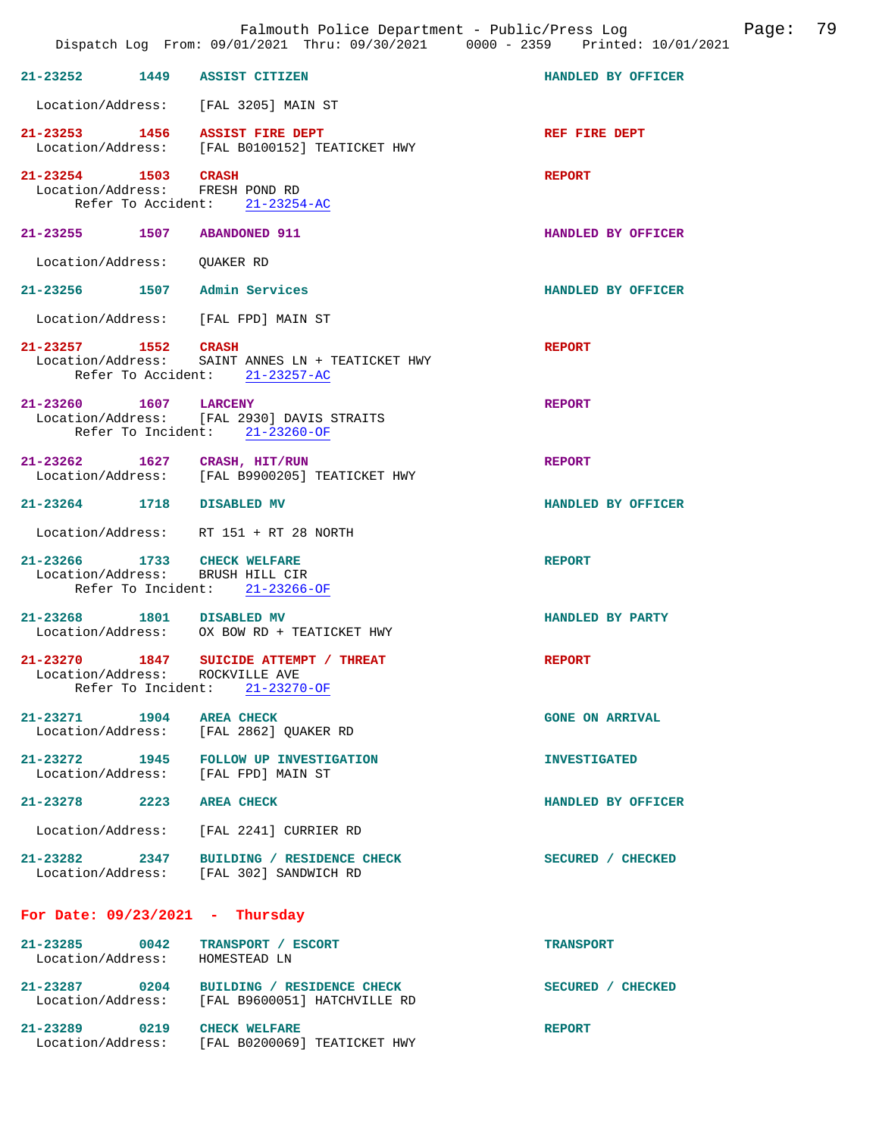|                                                                 | Falmouth Police Department - Public/Press Log<br>Dispatch Log From: 09/01/2021 Thru: 09/30/2021 0000 - 2359 Printed: 10/01/2021 | Page: 79               |
|-----------------------------------------------------------------|---------------------------------------------------------------------------------------------------------------------------------|------------------------|
| 21-23252 1449 ASSIST CITIZEN                                    |                                                                                                                                 | HANDLED BY OFFICER     |
|                                                                 | Location/Address: [FAL 3205] MAIN ST                                                                                            |                        |
| 21-23253 1456 ASSIST FIRE DEPT                                  | Location/Address: [FAL B0100152] TEATICKET HWY                                                                                  | REF FIRE DEPT          |
| 21-23254 1503 CRASH<br>Location/Address: FRESH POND RD          | Refer To Accident: 21-23254-AC                                                                                                  | <b>REPORT</b>          |
| 21-23255 1507 ABANDONED 911                                     |                                                                                                                                 | HANDLED BY OFFICER     |
| Location/Address: QUAKER RD                                     |                                                                                                                                 |                        |
| 21-23256 1507 Admin Services                                    |                                                                                                                                 | HANDLED BY OFFICER     |
|                                                                 | Location/Address: [FAL FPD] MAIN ST                                                                                             |                        |
| 21-23257 1552 CRASH                                             | Location/Address: SAINT ANNES LN + TEATICKET HWY<br>Refer To Accident: 21-23257-AC                                              | <b>REPORT</b>          |
| 21-23260 1607 LARCENY                                           | Location/Address: [FAL 2930] DAVIS STRAITS<br>Refer To Incident: 21-23260-OF                                                    | <b>REPORT</b>          |
| 21-23262 1627 CRASH, HIT/RUN                                    | Location/Address: [FAL B9900205] TEATICKET HWY                                                                                  | <b>REPORT</b>          |
| 21-23264 1718 DISABLED MV                                       |                                                                                                                                 | HANDLED BY OFFICER     |
|                                                                 | Location/Address: RT 151 + RT 28 NORTH                                                                                          |                        |
| 21-23266 1733 CHECK WELFARE<br>Location/Address: BRUSH HILL CIR | Refer To Incident: 21-23266-OF                                                                                                  | <b>REPORT</b>          |
| 21-23268 1801 DISABLED MV                                       | Location/Address: OX BOW RD + TEATICKET HWY                                                                                     | HANDLED BY PARTY       |
| 21-23270<br>1847<br>Location/Address: ROCKVILLE AVE             | SUICIDE ATTEMPT / THREAT<br>Refer To Incident: 21-23270-OF                                                                      | <b>REPORT</b>          |
| 21-23271 1904 AREA CHECK                                        | Location/Address: [FAL 2862] QUAKER RD                                                                                          | <b>GONE ON ARRIVAL</b> |
|                                                                 | 21-23272 1945 FOLLOW UP INVESTIGATION<br>Location/Address: [FAL FPD] MAIN ST                                                    | <b>INVESTIGATED</b>    |
| 21-23278 2223 AREA CHECK                                        |                                                                                                                                 | HANDLED BY OFFICER     |
|                                                                 | Location/Address: [FAL 2241] CURRIER RD                                                                                         |                        |
|                                                                 | 21-23282 2347 BUILDING / RESIDENCE CHECK<br>Location/Address: [FAL 302] SANDWICH RD                                             | SECURED / CHECKED      |
| For Date: $09/23/2021$ - Thursday                               |                                                                                                                                 |                        |
| Location/Address: HOMESTEAD LN                                  | 21-23285 0042 TRANSPORT / ESCORT                                                                                                | <b>TRANSPORT</b>       |
|                                                                 | 21-23287 0204 BUILDING / RESIDENCE CHECK<br>Location/Address: [FAL B9600051] HATCHVILLE RD                                      | SECURED / CHECKED      |
|                                                                 | 21-23289 0219 CHECK WELFARE<br>Location/Address: [FAL B0200069] TEATICKET HWY                                                   | <b>REPORT</b>          |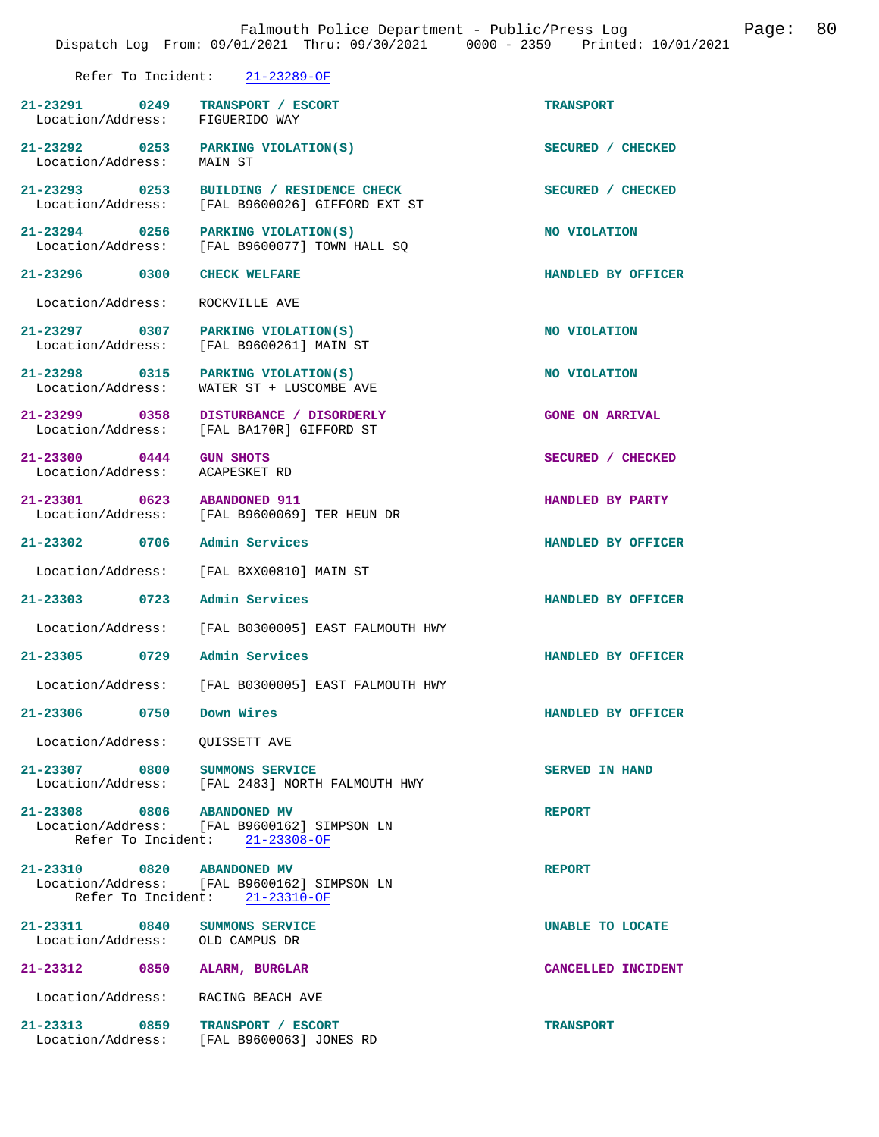|                                                                     | Dispatch Log From: 09/01/2021 Thru: 09/30/2021 0000 - 2359 Printed: 10/01/2021              |                        |
|---------------------------------------------------------------------|---------------------------------------------------------------------------------------------|------------------------|
|                                                                     | Refer To Incident: 21-23289-OF                                                              |                        |
| 21-23291 0249 TRANSPORT / ESCORT<br>Location/Address: FIGUERIDO WAY |                                                                                             | <b>TRANSPORT</b>       |
| Location/Address:                                                   | 21-23292 0253 PARKING VIOLATION(S)<br>MAIN ST                                               | SECURED / CHECKED      |
|                                                                     | 21-23293 0253 BUILDING / RESIDENCE CHECK<br>Location/Address: [FAL B9600026] GIFFORD EXT ST | SECURED / CHECKED      |
|                                                                     | 21-23294 0256 PARKING VIOLATION(S)<br>Location/Address: [FAL B9600077] TOWN HALL SQ         | NO VIOLATION           |
| 21-23296 0300 CHECK WELFARE                                         |                                                                                             | HANDLED BY OFFICER     |
| Location/Address: ROCKVILLE AVE                                     |                                                                                             |                        |
|                                                                     | 21-23297 0307 PARKING VIOLATION(S)<br>Location/Address: [FAL B9600261] MAIN ST              | NO VIOLATION           |
| Location/Address:                                                   | 21-23298 0315 PARKING VIOLATION(S)<br>WATER ST + LUSCOMBE AVE                               | NO VIOLATION           |
|                                                                     | 21-23299 0358 DISTURBANCE / DISORDERLY<br>Location/Address: [FAL BA170R] GIFFORD ST         | <b>GONE ON ARRIVAL</b> |
| 21-23300 0444 GUN SHOTS<br>Location/Address: ACAPESKET RD           |                                                                                             | SECURED / CHECKED      |
| 21-23301 0623 ABANDONED 911                                         | Location/Address: [FAL B9600069] TER HEUN DR                                                | HANDLED BY PARTY       |
| 21-23302 0706                                                       | Admin Services                                                                              | HANDLED BY OFFICER     |
|                                                                     | Location/Address: [FAL BXX00810] MAIN ST                                                    |                        |
| 21-23303 0723 Admin Services                                        |                                                                                             | HANDLED BY OFFICER     |
|                                                                     | Location/Address: [FAL B0300005] EAST FALMOUTH HWY                                          |                        |
| 21-23305 0729 Admin Services                                        |                                                                                             | HANDLED BY OFFICER     |
|                                                                     | Location/Address: [FAL B0300005] EAST FALMOUTH HWY                                          |                        |
| 21-23306 0750 Down Wires                                            |                                                                                             | HANDLED BY OFFICER     |
| Location/Address:                                                   | QUISSETT AVE                                                                                |                        |
| 21-23307 0800 SUMMONS SERVICE                                       | Location/Address: [FAL 2483] NORTH FALMOUTH HWY                                             | <b>SERVED IN HAND</b>  |
| 21-23308 0806 ABANDONED MV                                          | Location/Address: [FAL B9600162] SIMPSON LN<br>Refer To Incident: 21-23308-OF               | <b>REPORT</b>          |
| 21-23310 0820 ABANDONED MV                                          | Location/Address: [FAL B9600162] SIMPSON LN<br>Refer To Incident: 21-23310-OF               | <b>REPORT</b>          |
| 21-23311 0840 SUMMONS SERVICE<br>Location/Address: OLD CAMPUS DR    |                                                                                             | UNABLE TO LOCATE       |
| 21-23312 0850                                                       | ALARM, BURGLAR                                                                              | CANCELLED INCIDENT     |
| Location/Address: RACING BEACH AVE                                  |                                                                                             |                        |
| 21-23313 0859 TRANSPORT / ESCORT                                    | Location/Address: [FAL B9600063] JONES RD                                                   | <b>TRANSPORT</b>       |

Falmouth Police Department - Public/Press Log Company Page: 80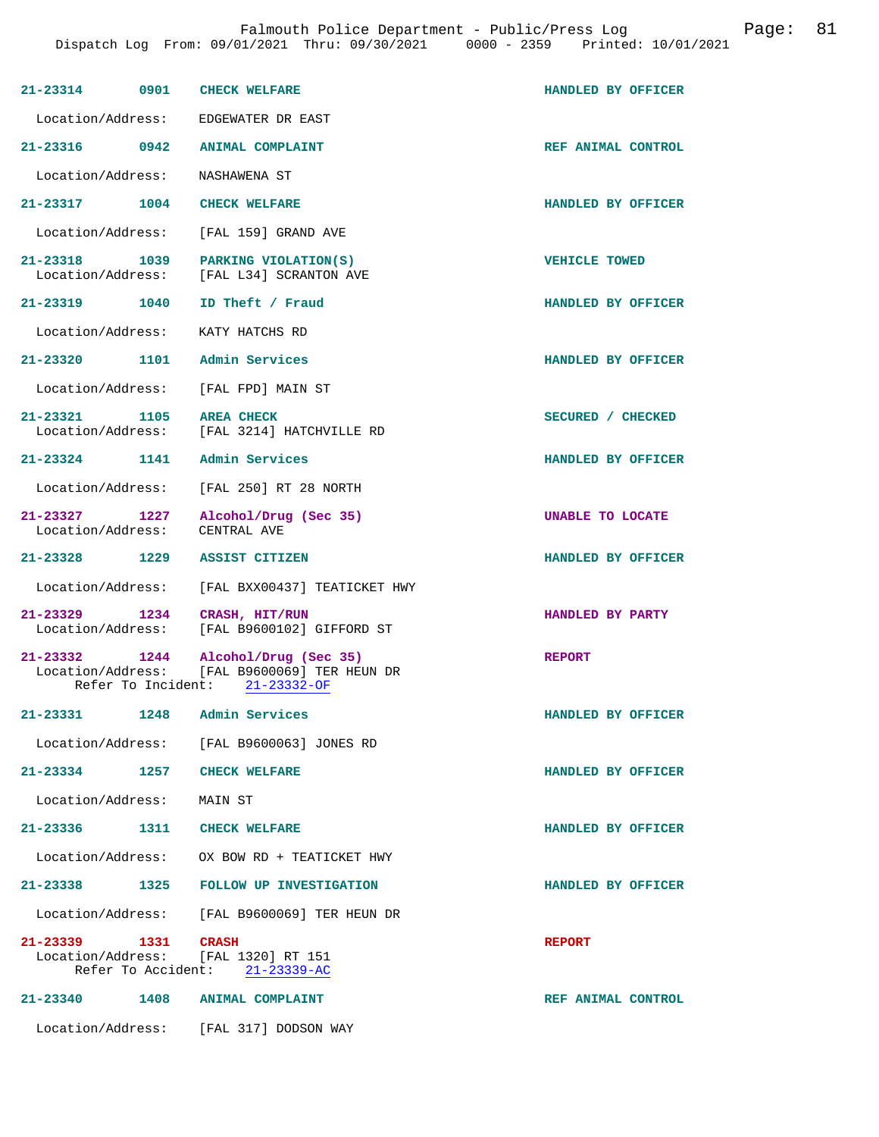| 21-23314 0901 CHECK WELFARE                       |      |                                                                                       | HANDLED BY OFFICER   |
|---------------------------------------------------|------|---------------------------------------------------------------------------------------|----------------------|
| Location/Address:                                 |      | EDGEWATER DR EAST                                                                     |                      |
| 21-23316 0942                                     |      | ANIMAL COMPLAINT                                                                      | REF ANIMAL CONTROL   |
| Location/Address:                                 |      | NASHAWENA ST                                                                          |                      |
| 21-23317 1004 CHECK WELFARE                       |      |                                                                                       | HANDLED BY OFFICER   |
| Location/Address:                                 |      | [FAL 159] GRAND AVE                                                                   |                      |
| 21-23318 1039<br>Location/Address:                |      | PARKING VIOLATION(S)<br>[FAL L34] SCRANTON AVE                                        | <b>VEHICLE TOWED</b> |
| 21-23319 1040                                     |      | ID Theft / Fraud                                                                      | HANDLED BY OFFICER   |
| Location/Address: KATY HATCHS RD                  |      |                                                                                       |                      |
| 21-23320 1101 Admin Services                      |      |                                                                                       | HANDLED BY OFFICER   |
| Location/Address:                                 |      | [FAL FPD] MAIN ST                                                                     |                      |
| 21-23321 1105                                     |      | <b>AREA CHECK</b><br>Location/Address: [FAL 3214] HATCHVILLE RD                       | SECURED / CHECKED    |
| 21-23324 1141                                     |      | Admin Services                                                                        | HANDLED BY OFFICER   |
| Location/Address:                                 |      | [FAL 250] RT 28 NORTH                                                                 |                      |
| 21-23327 1227<br>Location/Address:                |      | Alcohol/Drug (Sec 35)<br>CENTRAL AVE                                                  | UNABLE TO LOCATE     |
| 21-23328 1229                                     |      | <b>ASSIST CITIZEN</b>                                                                 | HANDLED BY OFFICER   |
| Location/Address:                                 |      | [FAL BXX00437] TEATICKET HWY                                                          |                      |
| 21-23329 1234 CRASH, HIT/RUN<br>Location/Address: |      | [FAL B9600102] GIFFORD ST                                                             | HANDLED BY PARTY     |
| 21-23332 1244<br>Location/Address:                |      | Alcohol/Drug (Sec 35)<br>[FAL B9600069] TER HEUN DR<br>Refer To Incident: 21-23332-OF | <b>REPORT</b>        |
| $21 - 23331$                                      | 1248 | Admin Services                                                                        | HANDLED BY OFFICER   |
| Location/Address:                                 |      | [FAL B9600063] JONES RD                                                               |                      |
| 21-23334 1257 CHECK WELFARE                       |      |                                                                                       | HANDLED BY OFFICER   |
| Location/Address:                                 |      | MAIN ST                                                                               |                      |
| 21-23336                                          |      | 1311 CHECK WELFARE                                                                    | HANDLED BY OFFICER   |
|                                                   |      | Location/Address: OX BOW RD + TEATICKET HWY                                           |                      |
|                                                   |      | 21-23338 1325 FOLLOW UP INVESTIGATION                                                 | HANDLED BY OFFICER   |
|                                                   |      | Location/Address: [FAL B9600069] TER HEUN DR                                          |                      |
| 21-23339 1331                                     |      | CRASH<br>Location/Address: [FAL 1320] RT 151<br>Refer To Accident: 21-23339-AC        | <b>REPORT</b>        |
| 21-23340                                          | 1408 | <b>ANIMAL COMPLAINT</b>                                                               | REF ANIMAL CONTROL   |
|                                                   |      | Location/Address: [FAL 317] DODSON WAY                                                |                      |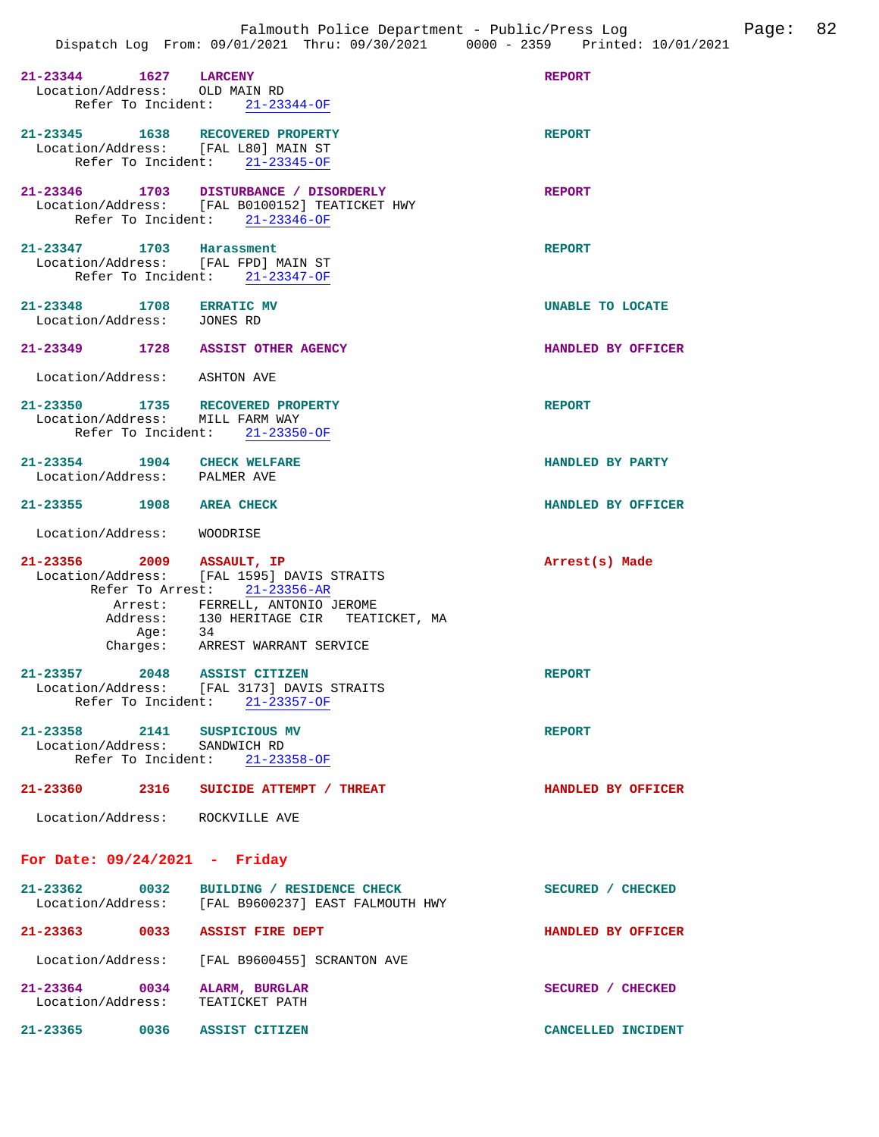| 21-23344 1627 LARCENY<br>Location/Address: OLD MAIN RD                  | Refer To Incident: 21-23344-OF                                                                                                                                                                    | <b>REPORT</b>           |
|-------------------------------------------------------------------------|---------------------------------------------------------------------------------------------------------------------------------------------------------------------------------------------------|-------------------------|
| 21-23345 1638 RECOVERED PROPERTY<br>Location/Address: [FAL L80] MAIN ST | Refer To Incident: 21-23345-OF                                                                                                                                                                    | <b>REPORT</b>           |
|                                                                         | 21-23346 1703 DISTURBANCE / DISORDERLY<br>Location/Address: [FAL B0100152] TEATICKET HWY<br>Refer To Incident: 21-23346-OF                                                                        | <b>REPORT</b>           |
| 21-23347 1703 Harassment<br>Location/Address: [FAL FPD] MAIN ST         | Refer To Incident: 21-23347-OF                                                                                                                                                                    | <b>REPORT</b>           |
| 21-23348 1708 ERRATIC MV<br>Location/Address: JONES RD                  |                                                                                                                                                                                                   | <b>UNABLE TO LOCATE</b> |
| 21-23349 1728 ASSIST OTHER AGENCY                                       |                                                                                                                                                                                                   | HANDLED BY OFFICER      |
| Location/Address: ASHTON AVE                                            |                                                                                                                                                                                                   |                         |
| 21-23350 1735 RECOVERED PROPERTY<br>Location/Address: MILL FARM WAY     | Refer To Incident: 21-23350-OF                                                                                                                                                                    | <b>REPORT</b>           |
| 21-23354 1904 CHECK WELFARE<br>Location/Address: PALMER AVE             |                                                                                                                                                                                                   | HANDLED BY PARTY        |
| 21-23355 1908 AREA CHECK                                                |                                                                                                                                                                                                   | HANDLED BY OFFICER      |
|                                                                         |                                                                                                                                                                                                   |                         |
| Location/Address: WOODRISE                                              |                                                                                                                                                                                                   |                         |
| 21-23356 2009 ASSAULT, IP<br>Aqe:                                       | Location/Address: [FAL 1595] DAVIS STRAITS<br>Refer To Arrest: 21-23356-AR<br>Arrest: FERRELL, ANTONIO JEROME<br>Address: 130 HERITAGE CIR TEATICKET, MA<br>34<br>Charges: ARREST WARRANT SERVICE | Arrest(s) Made          |
| 21-23357 2048 ASSIST CITIZEN<br>Refer To Incident: 21-23357-OF          | Location/Address: [FAL 3173] DAVIS STRAITS                                                                                                                                                        | <b>REPORT</b>           |
| 21-23358 2141 SUSPICIOUS MV<br>Location/Address: SANDWICH RD            | Refer To Incident: 21-23358-OF                                                                                                                                                                    | <b>REPORT</b>           |
| 21-23360                                                                | 2316 SUICIDE ATTEMPT / THREAT                                                                                                                                                                     | HANDLED BY OFFICER      |
| Location/Address: ROCKVILLE AVE                                         |                                                                                                                                                                                                   |                         |
| For Date: $09/24/2021$ - Friday                                         |                                                                                                                                                                                                   |                         |
|                                                                         | 21-23362 0032 BUILDING / RESIDENCE CHECK<br>Location/Address: [FAL B9600237] EAST FALMOUTH HWY                                                                                                    | SECURED / CHECKED       |
| 21-23363 0033 ASSIST FIRE DEPT                                          |                                                                                                                                                                                                   | HANDLED BY OFFICER      |
|                                                                         | Location/Address: [FAL B9600455] SCRANTON AVE                                                                                                                                                     |                         |

**21-23365 0036 ASSIST CITIZEN CANCELLED INCIDENT**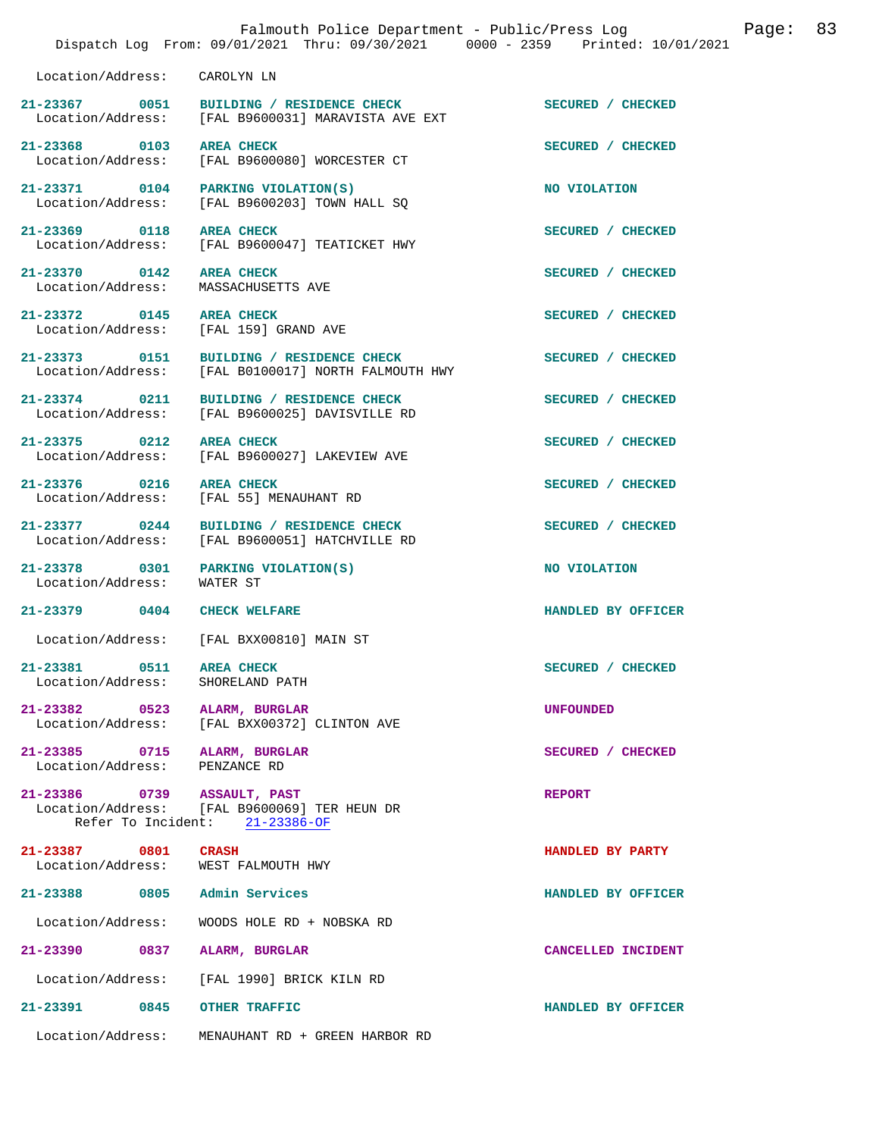|                                                   | Dispatch Log From: 09/01/2021 Thru: 09/30/2021 0000 - 2359 Printed: 10/01/2021                 | Falmouth Police Department - Public/Press Log | Page: | 83 |
|---------------------------------------------------|------------------------------------------------------------------------------------------------|-----------------------------------------------|-------|----|
| Location/Address: CAROLYN LN                      |                                                                                                |                                               |       |    |
|                                                   | 21-23367 0051 BUILDING / RESIDENCE CHECK<br>Location/Address: [FAL B9600031] MARAVISTA AVE EXT | SECURED / CHECKED                             |       |    |
| 21-23368 0103<br>Location/Address:                | <b>AREA CHECK</b><br>[FAL B9600080] WORCESTER CT                                               | SECURED / CHECKED                             |       |    |
|                                                   | 21-23371 0104 PARKING VIOLATION(S)<br>Location/Address: [FAL B9600203] TOWN HALL SQ            | NO VIOLATION                                  |       |    |
| 21-23369 0118 AREA CHECK<br>Location/Address:     | [FAL B9600047] TEATICKET HWY                                                                   | SECURED / CHECKED                             |       |    |
| 21-23370 0142 AREA CHECK<br>Location/Address:     | MASSACHUSETTS AVE                                                                              | SECURED / CHECKED                             |       |    |
| 21-23372 0145 AREA CHECK                          | Location/Address: [FAL 159] GRAND AVE                                                          | SECURED / CHECKED                             |       |    |
| 21-23373 0151<br>Location/Address:                | BUILDING / RESIDENCE CHECK<br>[FAL B0100017] NORTH FALMOUTH HWY                                | SECURED / CHECKED                             |       |    |
| 21-23374 0211                                     | BUILDING / RESIDENCE CHECK<br>Location/Address: [FAL B9600025] DAVISVILLE RD                   | SECURED / CHECKED                             |       |    |
| 21-23375 0212                                     | <b>AREA CHECK</b><br>Location/Address: [FAL B9600027] LAKEVIEW AVE                             | SECURED / CHECKED                             |       |    |
| 21-23376 0216 AREA CHECK                          | Location/Address: [FAL 55] MENAUHANT RD                                                        | SECURED / CHECKED                             |       |    |
| Location/Address:                                 | 21-23377 0244 BUILDING / RESIDENCE CHECK<br>[FAL B9600051] HATCHVILLE RD                       | SECURED / CHECKED                             |       |    |
| Location/Address: WATER ST                        | 21-23378 0301 PARKING VIOLATION(S)                                                             | NO VIOLATION                                  |       |    |
| 21-23379 0404 CHECK WELFARE                       |                                                                                                | HANDLED BY OFFICER                            |       |    |
|                                                   | Location/Address: [FAL BXX00810] MAIN ST                                                       |                                               |       |    |
| 21-23381<br>0511<br>Location/Address:             | <b>AREA CHECK</b><br>SHORELAND PATH                                                            | SECURED / CHECKED                             |       |    |
| 21-23382 0523<br>Location/Address:                | ALARM, BURGLAR<br>[FAL BXX00372] CLINTON AVE                                                   | <b>UNFOUNDED</b>                              |       |    |
| 21-23385 0715 ALARM, BURGLAR<br>Location/Address: | PENZANCE RD                                                                                    | SECURED / CHECKED                             |       |    |
| 21-23386 0739 ASSAULT, PAST                       | Location/Address: [FAL B9600069] TER HEUN DR<br>Refer To Incident: 21-23386-OF                 | <b>REPORT</b>                                 |       |    |
| 21-23387 0801 CRASH                               | Location/Address: WEST FALMOUTH HWY                                                            | HANDLED BY PARTY                              |       |    |
| 21-23388 0805                                     | Admin Services                                                                                 | HANDLED BY OFFICER                            |       |    |
|                                                   |                                                                                                |                                               |       |    |
| Location/Address:<br>21-23390 0837                | WOODS HOLE RD + NOBSKA RD<br>ALARM, BURGLAR                                                    | CANCELLED INCIDENT                            |       |    |
| Location/Address:                                 | [FAL 1990] BRICK KILN RD                                                                       |                                               |       |    |
| 21-23391 0845 OTHER TRAFFIC                       |                                                                                                | HANDLED BY OFFICER                            |       |    |
| Location/Address:                                 | MENAUHANT RD + GREEN HARBOR RD                                                                 |                                               |       |    |
|                                                   |                                                                                                |                                               |       |    |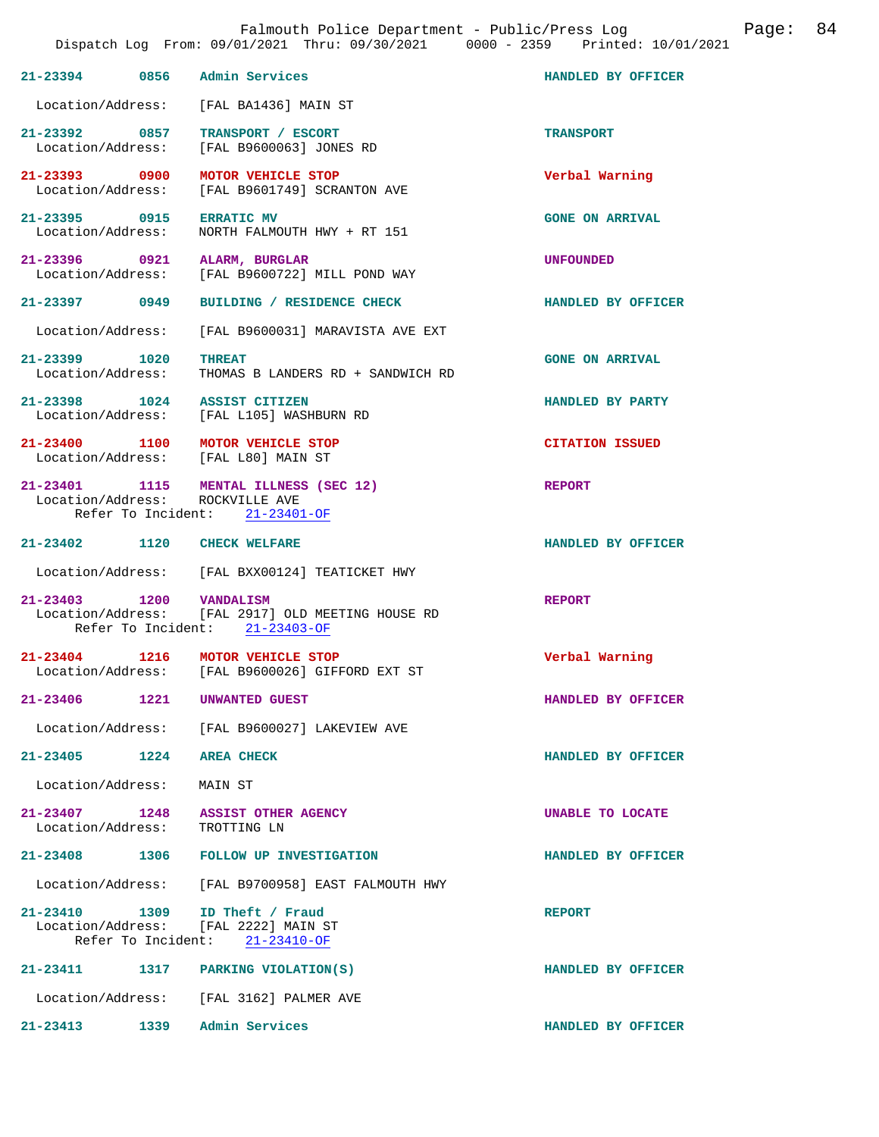|                                    |                    | Falmouth Police Department - Public/Press Log<br>Dispatch Log From: 09/01/2021 Thru: 09/30/2021 0000 - 2359 Printed: 10/01/2021 | Page:                  | 84 |
|------------------------------------|--------------------|---------------------------------------------------------------------------------------------------------------------------------|------------------------|----|
|                                    |                    | 21-23394 0856 Admin Services                                                                                                    | HANDLED BY OFFICER     |    |
| Location/Address:                  |                    | [FAL BA1436] MAIN ST                                                                                                            |                        |    |
| 21-23392 0857<br>Location/Address: |                    | TRANSPORT / ESCORT<br>[FAL B9600063] JONES RD                                                                                   | <b>TRANSPORT</b>       |    |
|                                    |                    | 21-23393 0900 MOTOR VEHICLE STOP<br>Location/Address: [FAL B9601749] SCRANTON AVE                                               | Verbal Warning         |    |
| 21-23395 0915<br>Location/Address: |                    | <b>ERRATIC MV</b><br>NORTH FALMOUTH HWY + RT 151                                                                                | <b>GONE ON ARRIVAL</b> |    |
|                                    |                    | 21-23396 0921 ALARM, BURGLAR<br>Location/Address: [FAL B9600722] MILL POND WAY                                                  | <b>UNFOUNDED</b>       |    |
| 21-23397 0949                      |                    | BUILDING / RESIDENCE CHECK                                                                                                      | HANDLED BY OFFICER     |    |
| Location/Address:                  |                    | [FAL B9600031] MARAVISTA AVE EXT                                                                                                |                        |    |
| 21-23399 1020<br>Location/Address: |                    | <b>THREAT</b><br>THOMAS B LANDERS RD + SANDWICH RD                                                                              | <b>GONE ON ARRIVAL</b> |    |
|                                    |                    | 21-23398 1024 ASSIST CITIZEN<br>Location/Address: [FAL L105] WASHBURN RD                                                        | HANDLED BY PARTY       |    |
|                                    |                    | 21-23400 1100 MOTOR VEHICLE STOP<br>Location/Address: [FAL L80] MAIN ST                                                         | <b>CITATION ISSUED</b> |    |
| Location/Address: ROCKVILLE AVE    |                    | 21-23401 1115 MENTAL ILLNESS (SEC 12)<br>Refer To Incident: 21-23401-OF                                                         | <b>REPORT</b>          |    |
| 21-23402 1120 CHECK WELFARE        |                    |                                                                                                                                 | HANDLED BY OFFICER     |    |
|                                    |                    | Location/Address: [FAL BXX00124] TEATICKET HWY                                                                                  |                        |    |
| 21-23403 1200 VANDALISM            |                    | Location/Address: [FAL 2917] OLD MEETING HOUSE RD<br>Refer To Incident: 21-23403-OF                                             | <b>REPORT</b>          |    |
| 21-23404<br>Location/Address:      | 1216               | MOTOR VEHICLE STOP<br>[FAL B9600026] GIFFORD EXT ST                                                                             | Verbal Warning         |    |
| $21 - 23406$                       | 1221               | UNWANTED GUEST                                                                                                                  | HANDLED BY OFFICER     |    |
| Location/Address:                  |                    | [FAL B9600027] LAKEVIEW AVE                                                                                                     |                        |    |
| $21 - 23405$ 1224                  |                    | <b>AREA CHECK</b>                                                                                                               | HANDLED BY OFFICER     |    |
| Location/Address:                  |                    | MAIN ST                                                                                                                         |                        |    |
| Location/Address:                  |                    | 21-23407 1248 ASSIST OTHER AGENCY<br>TROTTING LN                                                                                | UNABLE TO LOCATE       |    |
| $21 - 23408$                       |                    | 1306 FOLLOW UP INVESTIGATION                                                                                                    | HANDLED BY OFFICER     |    |
|                                    |                    | Location/Address: [FAL B9700958] EAST FALMOUTH HWY                                                                              |                        |    |
|                                    | Refer To Incident: | 21-23410 1309 ID Theft / Fraud<br>Location/Address: [FAL 2222] MAIN ST<br>$21 - 23410 - OF$                                     | <b>REPORT</b>          |    |
| $21 - 23411$                       |                    | 1317 PARKING VIOLATION(S)                                                                                                       | HANDLED BY OFFICER     |    |
|                                    |                    | Location/Address: [FAL 3162] PALMER AVE                                                                                         |                        |    |
| $21 - 23413$                       | 1339               | Admin Services                                                                                                                  | HANDLED BY OFFICER     |    |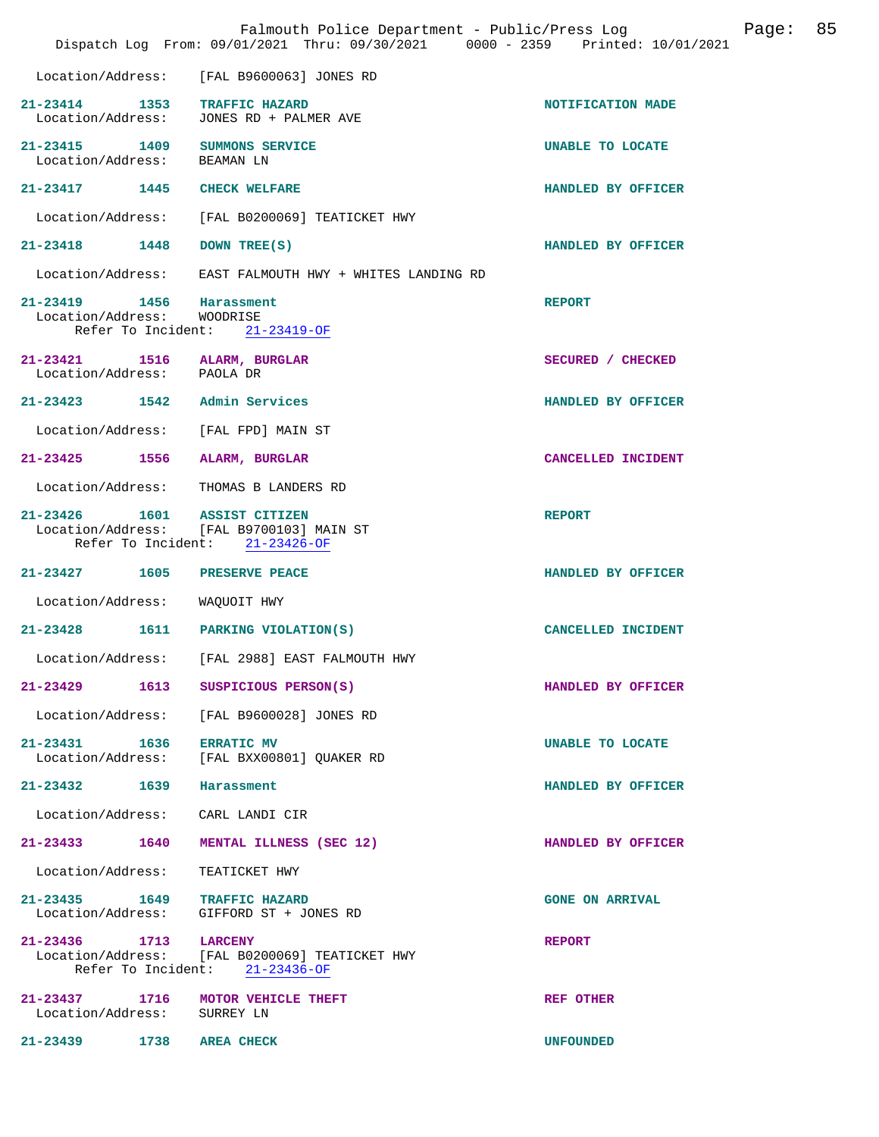|                                                        | Falmouth Police Department - Public/Press Log<br>Dispatch Log From: 09/01/2021 Thru: 09/30/2021 0000 - 2359 Printed: 10/01/2021 |                        | Page: | 85 |
|--------------------------------------------------------|---------------------------------------------------------------------------------------------------------------------------------|------------------------|-------|----|
|                                                        | Location/Address: [FAL B9600063] JONES RD                                                                                       |                        |       |    |
|                                                        | 21-23414 1353 TRAFFIC HAZARD<br>Location/Address: JONES RD + PALMER AVE                                                         | NOTIFICATION MADE      |       |    |
| Location/Address:                                      | 21-23415 1409 SUMMONS SERVICE<br>BEAMAN LN                                                                                      | UNABLE TO LOCATE       |       |    |
|                                                        | 21-23417 1445 CHECK WELFARE                                                                                                     | HANDLED BY OFFICER     |       |    |
|                                                        | Location/Address: [FAL B0200069] TEATICKET HWY                                                                                  |                        |       |    |
| 21-23418 1448                                          | DOWN TREE(S)                                                                                                                    | HANDLED BY OFFICER     |       |    |
|                                                        | Location/Address: EAST FALMOUTH HWY + WHITES LANDING RD                                                                         |                        |       |    |
| 21-23419 1456 Harassment<br>Location/Address: WOODRISE | Refer To Incident: 21-23419-OF                                                                                                  | <b>REPORT</b>          |       |    |
| Location/Address: PAOLA DR                             | 21-23421 1516 ALARM, BURGLAR                                                                                                    | SECURED / CHECKED      |       |    |
|                                                        | 21-23423 1542 Admin Services                                                                                                    | HANDLED BY OFFICER     |       |    |
|                                                        | Location/Address: [FAL FPD] MAIN ST                                                                                             |                        |       |    |
|                                                        | 21-23425 1556 ALARM, BURGLAR                                                                                                    | CANCELLED INCIDENT     |       |    |
|                                                        | Location/Address: THOMAS B LANDERS RD                                                                                           |                        |       |    |
|                                                        | 21-23426 1601 ASSIST CITIZEN<br>Location/Address: [FAL B9700103] MAIN ST<br>Refer To Incident: 21-23426-OF                      | <b>REPORT</b>          |       |    |
|                                                        | 21-23427 1605 PRESERVE PEACE                                                                                                    | HANDLED BY OFFICER     |       |    |
| Location/Address: WAQUOIT HWY                          |                                                                                                                                 |                        |       |    |
|                                                        | 21-23428 1611 PARKING VIOLATION(S)                                                                                              | CANCELLED INCIDENT     |       |    |
| Location/Address:                                      | [FAL 2988] EAST FALMOUTH HWY                                                                                                    |                        |       |    |
|                                                        | 21-23429 1613 SUSPICIOUS PERSON(S)                                                                                              | HANDLED BY OFFICER     |       |    |
|                                                        | Location/Address: [FAL B9600028] JONES RD                                                                                       |                        |       |    |
| 21-23431 1636 ERRATIC MV                               | Location/Address: [FAL BXX00801] QUAKER RD                                                                                      | UNABLE TO LOCATE       |       |    |
| 21-23432 1639 Harassment                               |                                                                                                                                 | HANDLED BY OFFICER     |       |    |
|                                                        | Location/Address: CARL LANDI CIR                                                                                                |                        |       |    |
|                                                        | 21-23433 1640 MENTAL ILLNESS (SEC 12)                                                                                           | HANDLED BY OFFICER     |       |    |
|                                                        | Location/Address: TEATICKET HWY                                                                                                 |                        |       |    |
|                                                        | 21-23435    1649    TRAFFIC HAZARD<br>Location/Address: GIFFORD ST + JONES RD                                                   | <b>GONE ON ARRIVAL</b> |       |    |
| 21-23436 1713 LARCENY                                  | Location/Address: [FAL B0200069] TEATICKET HWY<br>Refer To Incident: 21-23436-OF                                                | <b>REPORT</b>          |       |    |
| Location/Address: SURREY LN                            | 21-23437 1716 MOTOR VEHICLE THEFT                                                                                               | REF OTHER              |       |    |
| 21-23439 1738 AREA CHECK                               |                                                                                                                                 | <b>UNFOUNDED</b>       |       |    |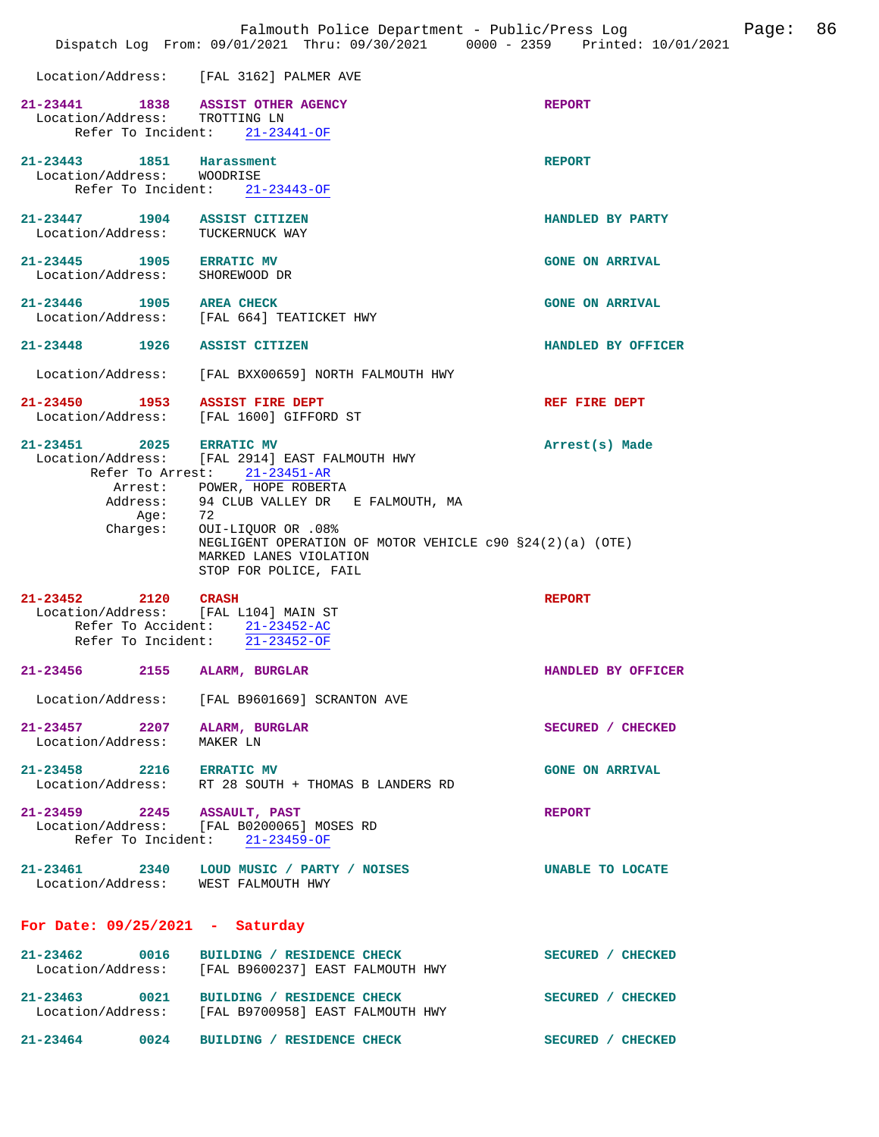|                                                                           | Falmouth Police Department - Public/Press Log<br>Dispatch Log From: 09/01/2021 Thru: 09/30/2021 0000 - 2359 Printed: 10/01/2021       |                        | Page: | 86 |
|---------------------------------------------------------------------------|---------------------------------------------------------------------------------------------------------------------------------------|------------------------|-------|----|
|                                                                           | Location/Address: [FAL 3162] PALMER AVE                                                                                               |                        |       |    |
| 21-23441 1838 ASSIST OTHER AGENCY<br>Location/Address: TROTTING LN        | Refer To Incident: 21-23441-OF                                                                                                        | <b>REPORT</b>          |       |    |
| 21-23443 1851 Harassment<br>Location/Address: WOODRISE                    | Refer To Incident: 21-23443-OF                                                                                                        | <b>REPORT</b>          |       |    |
| 21-23447 1904 ASSIST CITIZEN<br>Location/Address: TUCKERNUCK WAY          |                                                                                                                                       | HANDLED BY PARTY       |       |    |
| 21-23445 1905 ERRATIC MV<br>Location/Address: SHOREWOOD DR                |                                                                                                                                       | <b>GONE ON ARRIVAL</b> |       |    |
| 21-23446 1905 AREA CHECK                                                  | Location/Address: [FAL 664] TEATICKET HWY                                                                                             | <b>GONE ON ARRIVAL</b> |       |    |
| 21-23448 1926 ASSIST CITIZEN                                              |                                                                                                                                       | HANDLED BY OFFICER     |       |    |
|                                                                           | Location/Address: [FAL BXX00659] NORTH FALMOUTH HWY                                                                                   |                        |       |    |
| 21-23450 1953 ASSIST FIRE DEPT<br>Location/Address: [FAL 1600] GIFFORD ST |                                                                                                                                       | REF FIRE DEPT          |       |    |
| 21-23451 2025 ERRATIC MV                                                  | Location/Address: [FAL 2914] EAST FALMOUTH HWY<br>Refer To Arrest: 21-23451-AR                                                        | Arrest(s) Made         |       |    |
|                                                                           | Arrest: POWER, HOPE ROBERTA<br>Address: 94 CLUB VALLEY DR E FALMOUTH, MA                                                              |                        |       |    |
| Age: 72<br>Charges:                                                       | 0UI-LIQUOR OR .08%<br>NEGLIGENT OPERATION OF MOTOR VEHICLE $c90$ $$24(2)(a)$ (OTE)<br>MARKED LANES VIOLATION<br>STOP FOR POLICE, FAIL |                        |       |    |
| 21-23452 2120 CRASH<br>Location/Address: [FAL L104] MAIN ST               | Refer To Accident: 21-23452-AC<br>Refer To Incident: 21-23452-OF                                                                      | <b>REPORT</b>          |       |    |
| 21-23456<br>2155                                                          | ALARM, BURGLAR                                                                                                                        | HANDLED BY OFFICER     |       |    |
|                                                                           | Location/Address: [FAL B9601669] SCRANTON AVE                                                                                         |                        |       |    |
| 21-23457 2207 ALARM, BURGLAR<br>Location/Address:                         | MAKER LN                                                                                                                              | SECURED / CHECKED      |       |    |
|                                                                           | 21-23458 2216 ERRATIC MV<br>Location/Address: RT 28 SOUTH + THOMAS B LANDERS RD                                                       | <b>GONE ON ARRIVAL</b> |       |    |
| 21-23459 2245 ASSAULT, PAST                                               | Location/Address: [FAL B0200065] MOSES RD<br>Refer To Incident: 21-23459-OF                                                           | <b>REPORT</b>          |       |    |
| Location/Address: WEST FALMOUTH HWY                                       | 21-23461 2340 LOUD MUSIC / PARTY / NOISES                                                                                             | UNABLE TO LOCATE       |       |    |
| For Date: $09/25/2021$ - Saturday                                         |                                                                                                                                       |                        |       |    |
|                                                                           | 21-23462 0016 BUILDING / RESIDENCE CHECK<br>Location/Address: [FAL B9600237] EAST FALMOUTH HWY                                        | SECURED / CHECKED      |       |    |
|                                                                           | 21-23463 0021 BUILDING / RESIDENCE CHECK<br>Location/Address:    [FAL B9700958] EAST FALMOUTH HWY                                     | SECURED / CHECKED      |       |    |
|                                                                           | 21-23464 0024 BUILDING / RESIDENCE CHECK                                                                                              | SECURED / CHECKED      |       |    |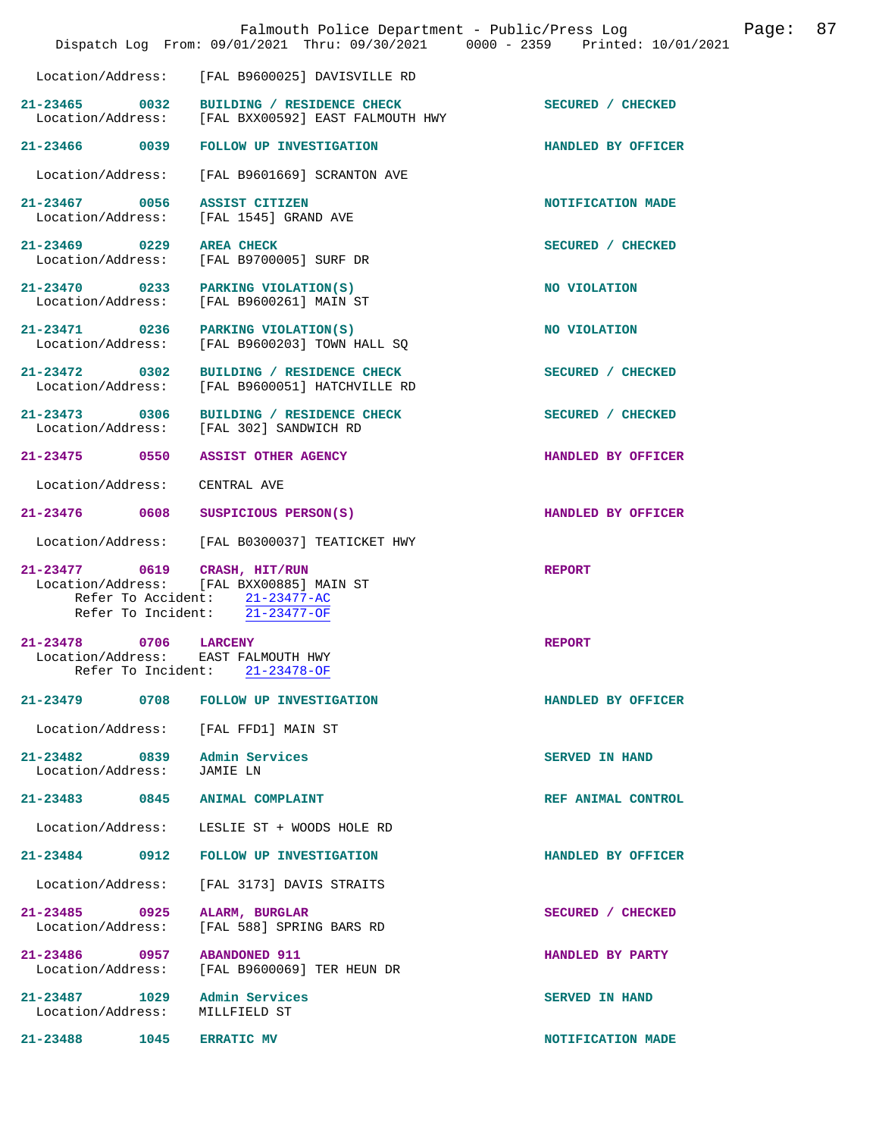|                                                                 | Falmouth Police Department - Public/Press Log<br>Dispatch Log From: 09/01/2021 Thru: 09/30/2021 0000 - 2359 Printed: 10/01/2021 |                       | Page: | 87 |
|-----------------------------------------------------------------|---------------------------------------------------------------------------------------------------------------------------------|-----------------------|-------|----|
| Location/Address:                                               | [FAL B9600025] DAVISVILLE RD                                                                                                    |                       |       |    |
| $21 - 23465$ 0032                                               | BUILDING / RESIDENCE CHECK<br>Location/Address: [FAL BXX00592] EAST FALMOUTH HWY                                                | SECURED / CHECKED     |       |    |
|                                                                 | 21-23466 0039 FOLLOW UP INVESTIGATION                                                                                           | HANDLED BY OFFICER    |       |    |
| Location/Address:                                               | [FAL B9601669] SCRANTON AVE                                                                                                     |                       |       |    |
| 21-23467 0056<br>Location/Address:                              | ASSIST CITIZEN<br>[FAL 1545] GRAND AVE                                                                                          | NOTIFICATION MADE     |       |    |
| 21-23469 0229<br>Location/Address:                              | <b>AREA CHECK</b><br>[FAL B9700005] SURF DR                                                                                     | SECURED / CHECKED     |       |    |
| 21-23470 0233<br>Location/Address:                              | PARKING VIOLATION(S)<br>[FAL B9600261] MAIN ST                                                                                  | NO VIOLATION          |       |    |
| 21-23471 0236<br>Location/Address:                              | PARKING VIOLATION(S)<br>[FAL B9600203] TOWN HALL SQ                                                                             | NO VIOLATION          |       |    |
| $21 - 23472$ 0302<br>Location/Address:                          | BUILDING / RESIDENCE CHECK<br>[FAL B9600051] HATCHVILLE RD                                                                      | SECURED / CHECKED     |       |    |
| 21-23473 0306                                                   | BUILDING / RESIDENCE CHECK<br>Location/Address: [FAL 302] SANDWICH RD                                                           | SECURED / CHECKED     |       |    |
| 21-23475 0550                                                   | <b>ASSIST OTHER AGENCY</b>                                                                                                      | HANDLED BY OFFICER    |       |    |
| Location/Address:                                               | CENTRAL AVE                                                                                                                     |                       |       |    |
| 21-23476 0608                                                   | SUSPICIOUS PERSON(S)                                                                                                            | HANDLED BY OFFICER    |       |    |
|                                                                 | Location/Address: [FAL B0300037] TEATICKET HWY                                                                                  |                       |       |    |
| 21-23477 0619 CRASH, HIT/RUN                                    | Location/Address: [FAL BXX00885] MAIN ST<br>Refer To Accident: 21-23477-AC<br>Refer To Incident: 21-23477-OF                    | <b>REPORT</b>         |       |    |
| $21 - 23478$<br>0706<br>Location/Address:<br>Refer To Incident: | <b>LARCENY</b><br>EAST FALMOUTH HWY<br>$21 - 23478 - OF$                                                                        | <b>REPORT</b>         |       |    |
| 21-23479<br>0708                                                | <b>FOLLOW UP INVESTIGATION</b>                                                                                                  | HANDLED BY OFFICER    |       |    |
| Location/Address:                                               | [FAL FFD1] MAIN ST                                                                                                              |                       |       |    |
| 21-23482 0839<br>Location/Address:                              | Admin Services<br>JAMIE LN                                                                                                      | SERVED IN HAND        |       |    |
| 21-23483 0845                                                   | ANIMAL COMPLAINT                                                                                                                | REF ANIMAL CONTROL    |       |    |
| Location/Address:                                               | LESLIE ST + WOODS HOLE RD                                                                                                       |                       |       |    |
| 21-23484<br>0912                                                | FOLLOW UP INVESTIGATION                                                                                                         | HANDLED BY OFFICER    |       |    |
| Location/Address:                                               | [FAL 3173] DAVIS STRAITS                                                                                                        |                       |       |    |
| 21-23485 0925<br>Location/Address:                              | ALARM, BURGLAR<br>[FAL 588] SPRING BARS RD                                                                                      | SECURED / CHECKED     |       |    |
| 21-23486 0957<br>Location/Address:                              | <b>ABANDONED 911</b><br>[FAL B9600069] TER HEUN DR                                                                              | HANDLED BY PARTY      |       |    |
| 21-23487 1029<br>Location/Address:                              | Admin Services<br>MILLFIELD ST                                                                                                  | <b>SERVED IN HAND</b> |       |    |
| 21-23488 1045                                                   | <b>ERRATIC MV</b>                                                                                                               | NOTIFICATION MADE     |       |    |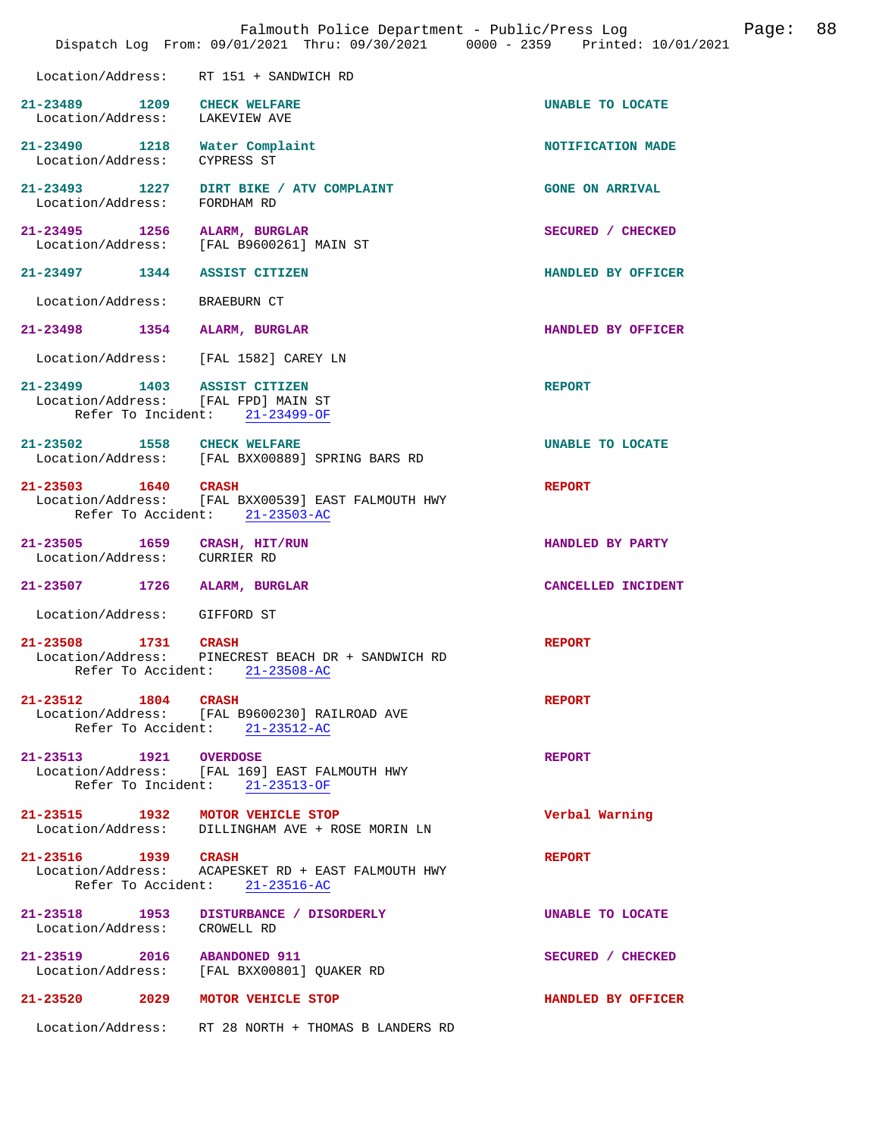|                                                                     | Falmouth Police Department - Public/Press Log<br>Dispatch Log From: 09/01/2021 Thru: 09/30/2021 0000 - 2359 Printed: 10/01/2021 |                        | Page: | 88 |
|---------------------------------------------------------------------|---------------------------------------------------------------------------------------------------------------------------------|------------------------|-------|----|
| Location/Address: RT 151 + SANDWICH RD                              |                                                                                                                                 |                        |       |    |
| 21-23489 1209 CHECK WELFARE<br>Location/Address: LAKEVIEW AVE       |                                                                                                                                 | UNABLE TO LOCATE       |       |    |
| 21-23490 1218 Water Complaint<br>Location/Address:                  | CYPRESS ST                                                                                                                      | NOTIFICATION MADE      |       |    |
| Location/Address: FORDHAM RD                                        | 21-23493 1227 DIRT BIKE / ATV COMPLAINT                                                                                         | <b>GONE ON ARRIVAL</b> |       |    |
| 21-23495 1256 ALARM, BURGLAR                                        | Location/Address: [FAL B9600261] MAIN ST                                                                                        | SECURED / CHECKED      |       |    |
| 21-23497 1344 ASSIST CITIZEN                                        |                                                                                                                                 | HANDLED BY OFFICER     |       |    |
| Location/Address: BRAEBURN CT                                       |                                                                                                                                 |                        |       |    |
| 21-23498 1354 ALARM, BURGLAR                                        |                                                                                                                                 | HANDLED BY OFFICER     |       |    |
| Location/Address: [FAL 1582] CAREY LN                               |                                                                                                                                 |                        |       |    |
| 21-23499 1403 ASSIST CITIZEN<br>Location/Address: [FAL FPD] MAIN ST | Refer To Incident: 21-23499-OF                                                                                                  | <b>REPORT</b>          |       |    |
| 21-23502 1558 CHECK WELFARE                                         | Location/Address: [FAL BXX00889] SPRING BARS RD                                                                                 | UNABLE TO LOCATE       |       |    |
| 21-23503 1640 CRASH                                                 | Location/Address: [FAL BXX00539] EAST FALMOUTH HWY<br>Refer To Accident: 21-23503-AC                                            | <b>REPORT</b>          |       |    |
| 21-23505 1659 CRASH, HIT/RUN<br>Location/Address: CURRIER RD        |                                                                                                                                 | HANDLED BY PARTY       |       |    |
| 21-23507 1726 ALARM, BURGLAR                                        |                                                                                                                                 | CANCELLED INCIDENT     |       |    |
| Location/Address: GIFFORD ST                                        |                                                                                                                                 |                        |       |    |
| 21-23508 1731 CRASH                                                 | Location/Address: PINECREST BEACH DR + SANDWICH RD<br>Refer To Accident: 21-23508-AC                                            | <b>REPORT</b>          |       |    |
| 21-23512 1804 CRASH                                                 | Location/Address: [FAL B9600230] RAILROAD AVE<br>Refer To Accident: 21-23512-AC                                                 | <b>REPORT</b>          |       |    |
| 21-23513 1921 OVERDOSE                                              | Location/Address: [FAL 169] EAST FALMOUTH HWY<br>Refer To Incident: 21-23513-OF                                                 | <b>REPORT</b>          |       |    |
| 21-23515 1932 MOTOR VEHICLE STOP                                    | Location/Address: DILLINGHAM AVE + ROSE MORIN LN                                                                                | Verbal Warning         |       |    |
| 21-23516 1939 CRASH                                                 | Location/Address: ACAPESKET RD + EAST FALMOUTH HWY<br>Refer To Accident: 21-23516-AC                                            | <b>REPORT</b>          |       |    |
| Location/Address: CROWELL RD                                        | 21-23518 1953 DISTURBANCE / DISORDERLY                                                                                          | UNABLE TO LOCATE       |       |    |
| 21-23519 2016 ABANDONED 911                                         | Location/Address: [FAL BXX00801] QUAKER RD                                                                                      | SECURED / CHECKED      |       |    |
| 21-23520 2029 MOTOR VEHICLE STOP                                    |                                                                                                                                 | HANDLED BY OFFICER     |       |    |
|                                                                     | Location/Address: RT 28 NORTH + THOMAS B LANDERS RD                                                                             |                        |       |    |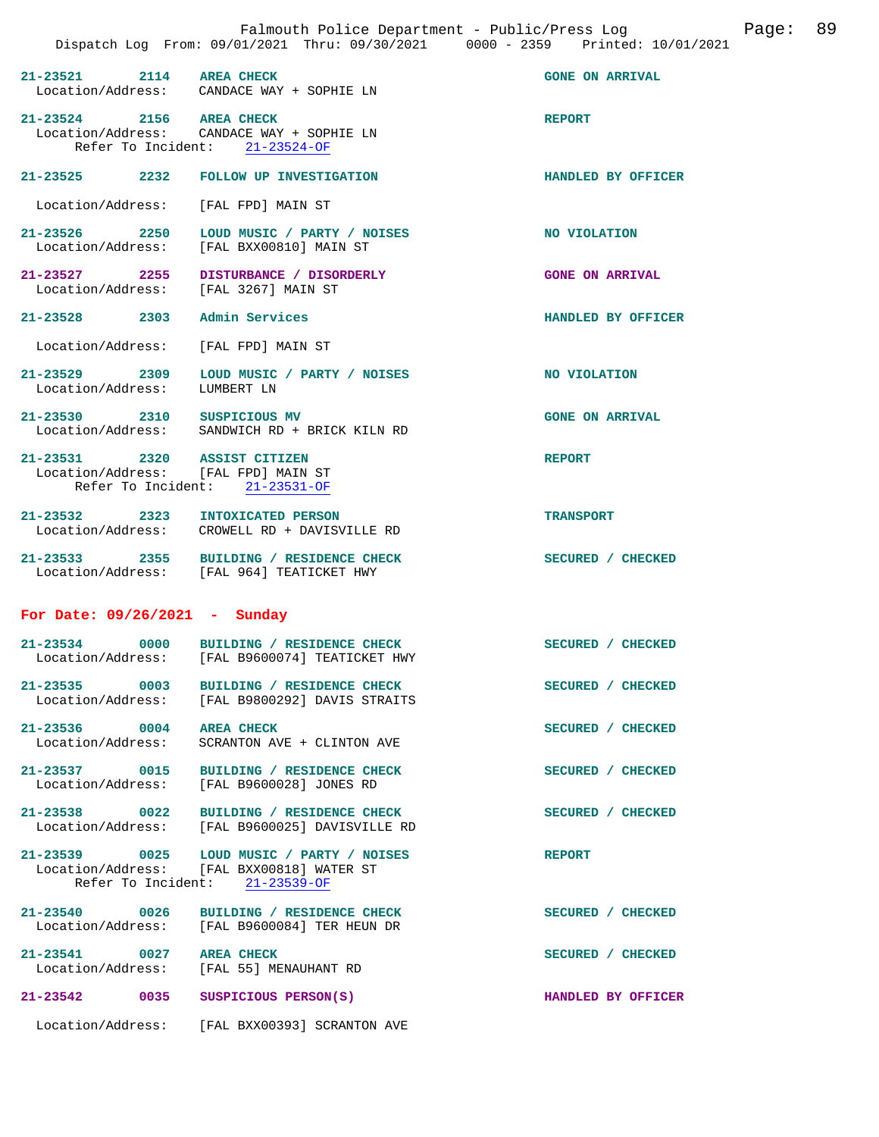| 21-23521 2114 AREA CHECK                                            | Location/Address: CANDACE WAY + SOPHIE LN                                                                                | <b>GONE ON ARRIVAL</b> |
|---------------------------------------------------------------------|--------------------------------------------------------------------------------------------------------------------------|------------------------|
| 21-23524 2156 AREA CHECK                                            | Location/Address: CANDACE WAY + SOPHIE LN<br>Refer To Incident: 21-23524-OF                                              | <b>REPORT</b>          |
|                                                                     |                                                                                                                          |                        |
|                                                                     | 21-23525 2232 FOLLOW UP INVESTIGATION                                                                                    | HANDLED BY OFFICER     |
| Location/Address: [FAL FPD] MAIN ST                                 |                                                                                                                          |                        |
|                                                                     | 21-23526 2250 LOUD MUSIC / PARTY / NOISES<br>Location/Address: [FAL BXX00810] MAIN ST                                    | NO VIOLATION           |
|                                                                     | 21-23527 2255 DISTURBANCE / DISORDERLY                                                                                   | <b>GONE ON ARRIVAL</b> |
| Location/Address: [FAL 3267] MAIN ST                                |                                                                                                                          |                        |
| 21-23528 2303 Admin Services                                        |                                                                                                                          | HANDLED BY OFFICER     |
| Location/Address: [FAL FPD] MAIN ST                                 |                                                                                                                          |                        |
| 21-23529 2309<br>Location/Address:                                  | LOUD MUSIC / PARTY / NOISES<br>LUMBERT LN                                                                                | NO VIOLATION           |
|                                                                     | 21-23530 2310 SUSPICIOUS MV<br>Location/Address: SANDWICH RD + BRICK KILN RD                                             | <b>GONE ON ARRIVAL</b> |
| 21-23531 2320 ASSIST CITIZEN<br>Location/Address: [FAL FPD] MAIN ST | Refer To Incident: 21-23531-OF                                                                                           | <b>REPORT</b>          |
|                                                                     |                                                                                                                          |                        |
| 21-23532 2323 INTOXICATED PERSON                                    | Location/Address: CROWELL RD + DAVISVILLE RD                                                                             | <b>TRANSPORT</b>       |
|                                                                     | 21-23533 2355 BUILDING / RESIDENCE CHECK<br>Location/Address: [FAL 964] TEATICKET HWY                                    | SECURED / CHECKED      |
| For Date: $09/26/2021$ - Sunday                                     |                                                                                                                          |                        |
|                                                                     | 21-23534 0000 BUILDING / RESIDENCE CHECK<br>Location/Address: [FAL B9600074] TEATICKET HWY                               | SECURED / CHECKED      |
| $21 - 23535$<br>0003<br>Location/Address:                           | BUILDING / RESIDENCE CHECK<br>[FAL B9800292] DAVIS STRAITS                                                               | SECURED / CHECKED      |
| 21-23536 0004 AREA CHECK                                            | Location/Address: SCRANTON AVE + CLINTON AVE                                                                             | SECURED / CHECKED      |
|                                                                     | 21-23537 0015 BUILDING / RESIDENCE CHECK<br>Location/Address: [FAL B9600028] JONES RD                                    | SECURED / CHECKED      |
|                                                                     | 21-23538 0022 BUILDING / RESIDENCE CHECK<br>Location/Address: [FAL B9600025] DAVISVILLE RD                               | SECURED / CHECKED      |
|                                                                     | 21-23539 0025 LOUD MUSIC / PARTY / NOISES<br>Location/Address: [FAL BXX00818] WATER ST<br>Refer To Incident: 21-23539-OF | <b>REPORT</b>          |
|                                                                     | 21-23540 0026 BUILDING / RESIDENCE CHECK<br>Location/Address: [FAL B9600084] TER HEUN DR                                 | SECURED / CHECKED      |
| 21-23541 0027 AREA CHECK                                            | Location/Address: [FAL 55] MENAUHANT RD                                                                                  | SECURED / CHECKED      |
| 21-23542 0035 SUSPICIOUS PERSON(S)                                  |                                                                                                                          | HANDLED BY OFFICER     |

Location/Address: [FAL BXX00393] SCRANTON AVE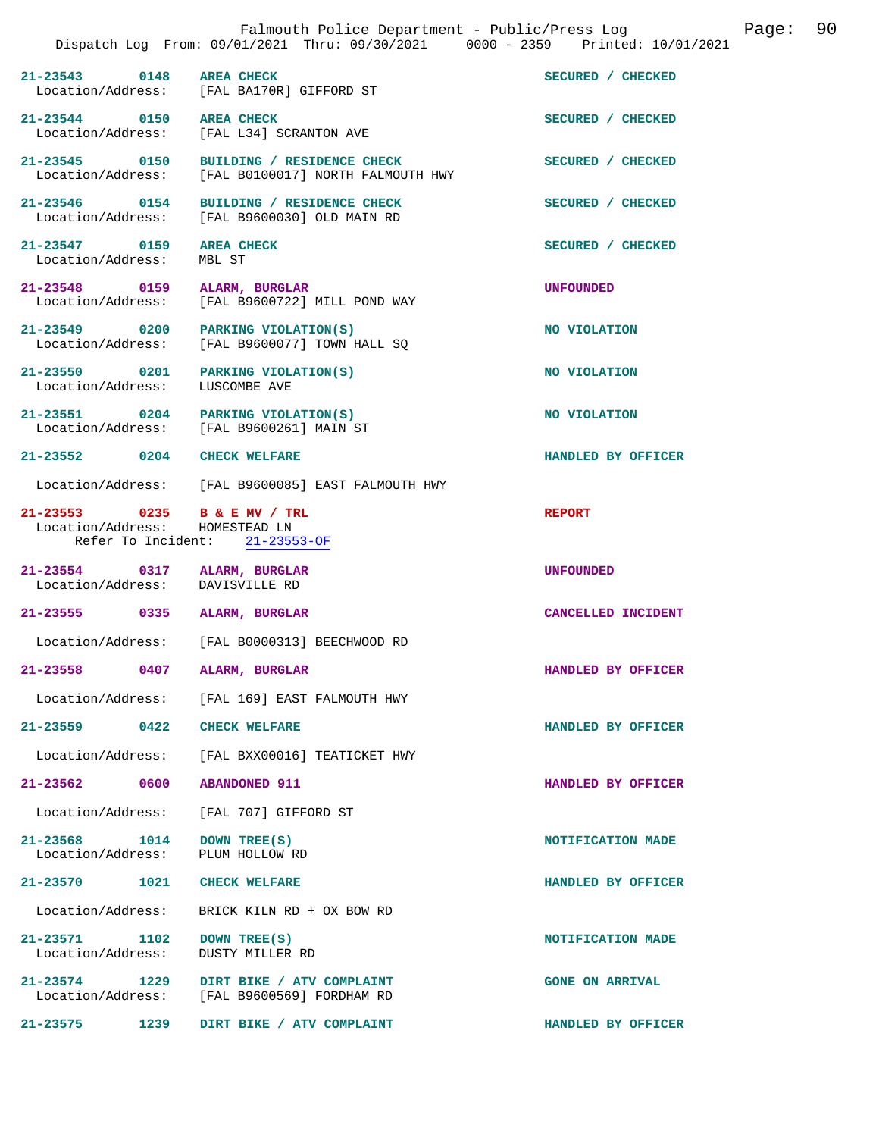|                                                   | Dispatch Log From: 09/01/2021 Thru: 09/30/2021 0000 - 2359 Printed: 10/01/2021    | Falmouth Police Department - Public/Press Log<br>Page: | 90 |
|---------------------------------------------------|-----------------------------------------------------------------------------------|--------------------------------------------------------|----|
| $21 - 23543$<br>0148                              | <b>AREA CHECK</b><br>Location/Address: [FAL BA170R] GIFFORD ST                    | SECURED / CHECKED                                      |    |
| 21-23544 0150<br>Location/Address:                | <b>AREA CHECK</b><br>[FAL L34] SCRANTON AVE                                       | SECURED / CHECKED                                      |    |
| 21-23545 0150                                     | BUILDING / RESIDENCE CHECK<br>Location/Address: [FAL B0100017] NORTH FALMOUTH HWY | SECURED / CHECKED                                      |    |
| 21-23546 0154                                     | BUILDING / RESIDENCE CHECK<br>Location/Address: [FAL B9600030] OLD MAIN RD        | SECURED / CHECKED                                      |    |
| 21-23547 0159<br>Location/Address:                | <b>AREA CHECK</b><br>MBL ST                                                       | SECURED / CHECKED                                      |    |
| 21-23548 0159<br>Location/Address:                | ALARM, BURGLAR<br>[FAL B9600722] MILL POND WAY                                    | <b>UNFOUNDED</b>                                       |    |
| 21-23549 0200<br>Location/Address:                | PARKING VIOLATION(S)<br>[FAL B9600077] TOWN HALL SQ                               | NO VIOLATION                                           |    |
| 21-23550 0201<br>Location/Address:                | PARKING VIOLATION(S)<br>LUSCOMBE AVE                                              | NO VIOLATION                                           |    |
| 21-23551 0204<br>Location/Address:                | PARKING VIOLATION(S)<br>[FAL B9600261] MAIN ST                                    | NO VIOLATION                                           |    |
| 21-23552 0204                                     | <b>CHECK WELFARE</b>                                                              | HANDLED BY OFFICER                                     |    |
|                                                   | Location/Address: [FAL B9600085] EAST FALMOUTH HWY                                |                                                        |    |
| 21-23553 0235 B & E MV / TRL<br>Location/Address: | HOMESTEAD LN<br>Refer To Incident: 21-23553-OF                                    | <b>REPORT</b>                                          |    |
| 21-23554 0317<br>Location/Address:                | ALARM, BURGLAR<br>DAVISVILLE RD                                                   | <b>UNFOUNDED</b>                                       |    |
| $21 - 23555$<br>0335                              | ALARM, BURGLAR                                                                    | CANCELLED INCIDENT                                     |    |
|                                                   | Location/Address: [FAL B0000313] BEECHWOOD RD                                     |                                                        |    |
| 21-23558<br>0407                                  | ALARM, BURGLAR                                                                    | HANDLED BY OFFICER                                     |    |
| Location/Address:                                 | [FAL 169] EAST FALMOUTH HWY                                                       |                                                        |    |
| $21 - 23559$ 0422                                 | <b>CHECK WELFARE</b>                                                              | HANDLED BY OFFICER                                     |    |
| Location/Address:                                 | [FAL BXX00016] TEATICKET HWY                                                      |                                                        |    |
| $21 - 23562$<br>0600                              | <b>ABANDONED 911</b>                                                              | HANDLED BY OFFICER                                     |    |
| Location/Address:                                 | [FAL 707] GIFFORD ST                                                              |                                                        |    |
| $21 - 23568$<br>1014<br>Location/Address:         | DOWN TREE(S)<br>PLUM HOLLOW RD                                                    | NOTIFICATION MADE                                      |    |
| 21-23570<br>1021                                  | <b>CHECK WELFARE</b>                                                              | HANDLED BY OFFICER                                     |    |
| Location/Address:                                 | BRICK KILN RD + OX BOW RD                                                         |                                                        |    |
| 21-23571<br>1102<br>Location/Address:             | DOWN TREE(S)<br><b>DUSTY MILLER RD</b>                                            | NOTIFICATION MADE                                      |    |
| $21 - 23574$<br>1229<br>Location/Address:         | DIRT BIKE / ATV COMPLAINT<br>[FAL B9600569] FORDHAM RD                            | <b>GONE ON ARRIVAL</b>                                 |    |
| 21-23575<br>1239                                  | DIRT BIKE / ATV COMPLAINT                                                         | HANDLED BY OFFICER                                     |    |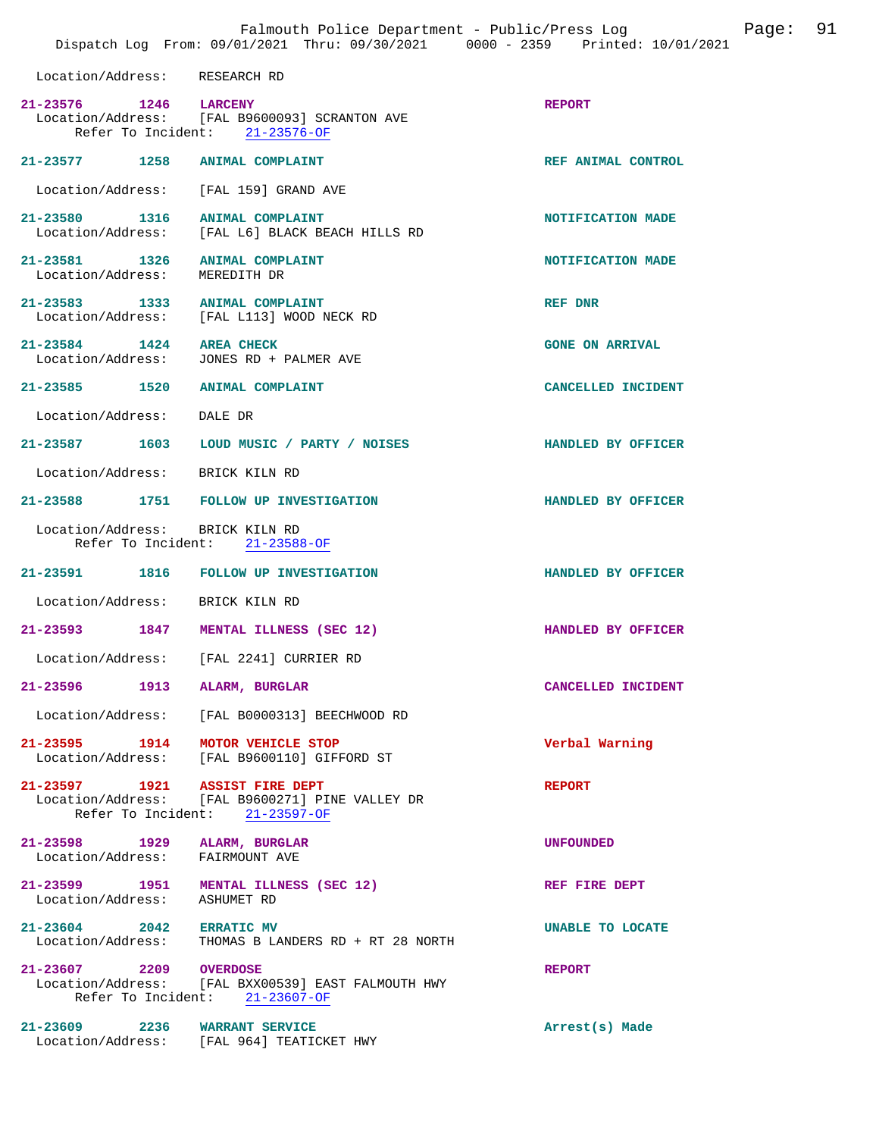|                               | Falmouth Police Department - Public/Press Log<br>Dispatch Log From: 09/01/2021 Thru: 09/30/2021 0000 - 2359 Printed: 10/01/2021 |                        | Page: 91 |  |
|-------------------------------|---------------------------------------------------------------------------------------------------------------------------------|------------------------|----------|--|
| Location/Address: RESEARCH RD |                                                                                                                                 |                        |          |  |
| 21-23576 1246 LARCENY         | Location/Address: [FAL B9600093] SCRANTON AVE<br>Refer To Incident: 21-23576-OF                                                 | <b>REPORT</b>          |          |  |
|                               | 21-23577 1258 ANIMAL COMPLAINT                                                                                                  | REF ANIMAL CONTROL     |          |  |
|                               | Location/Address: [FAL 159] GRAND AVE                                                                                           |                        |          |  |
|                               | 21-23580 1316 ANIMAL COMPLAINT<br>Location/Address: [FAL L6] BLACK BEACH HILLS RD                                               | NOTIFICATION MADE      |          |  |
| Location/Address: MEREDITH DR | 21-23581 1326 ANIMAL COMPLAINT                                                                                                  | NOTIFICATION MADE      |          |  |
|                               | 21-23583 1333 ANIMAL COMPLAINT<br>Location/Address: [FAL L113] WOOD NECK RD                                                     | REF DNR                |          |  |
| 21-23584 1424 AREA CHECK      | Location/Address: JONES RD + PALMER AVE                                                                                         | <b>GONE ON ARRIVAL</b> |          |  |
|                               | 21-23585 1520 ANIMAL COMPLAINT                                                                                                  | CANCELLED INCIDENT     |          |  |
| Location/Address: DALE DR     |                                                                                                                                 |                        |          |  |
|                               | 21-23587 1603 LOUD MUSIC / PARTY / NOISES                                                                                       | HANDLED BY OFFICER     |          |  |
|                               | Location/Address: BRICK KILN RD                                                                                                 |                        |          |  |
|                               | 21-23588 1751 FOLLOW UP INVESTIGATION                                                                                           | HANDLED BY OFFICER     |          |  |
|                               | Location/Address: BRICK KILN RD<br>Refer To Incident: 21-23588-OF                                                               |                        |          |  |
|                               | 21-23591 1816 FOLLOW UP INVESTIGATION                                                                                           | HANDLED BY OFFICER     |          |  |
|                               | Location/Address: BRICK KILN RD                                                                                                 |                        |          |  |
|                               | 21-23593 1847 MENTAL ILLNESS (SEC 12)                                                                                           | HANDLED BY OFFICER     |          |  |
| Location/Address:             | [FAL 2241] CURRIER RD                                                                                                           |                        |          |  |
|                               | 21-23596 1913 ALARM, BURGLAR                                                                                                    | CANCELLED INCIDENT     |          |  |
|                               | Location/Address: [FAL B0000313] BEECHWOOD RD                                                                                   |                        |          |  |
|                               | 21-23595 1914 MOTOR VEHICLE STOP<br>Location/Address: [FAL B9600110] GIFFORD ST                                                 | Verbal Warning         |          |  |
|                               | 21-23597 1921 ASSIST FIRE DEPT<br>Location/Address: [FAL B9600271] PINE VALLEY DR<br>Refer To Incident: 21-23597-OF             | <b>REPORT</b>          |          |  |
|                               | 21-23598 1929 ALARM, BURGLAR<br>Location/Address: FAIRMOUNT AVE                                                                 | <b>UNFOUNDED</b>       |          |  |
| Location/Address: ASHUMET RD  | 21-23599 1951 MENTAL ILLNESS (SEC 12)                                                                                           | REF FIRE DEPT          |          |  |
| 21-23604 2042 ERRATIC MV      | Location/Address: THOMAS B LANDERS RD + RT 28 NORTH                                                                             | UNABLE TO LOCATE       |          |  |
| 21-23607 2209 OVERDOSE        | Location/Address: [FAL BXX00539] EAST FALMOUTH HWY<br>Refer To Incident: 21-23607-OF                                            | <b>REPORT</b>          |          |  |
|                               | 21-23609 2236 WARRANT SERVICE<br>Location/Address: [FAL 964] TEATICKET HWY                                                      | Arrest(s) Made         |          |  |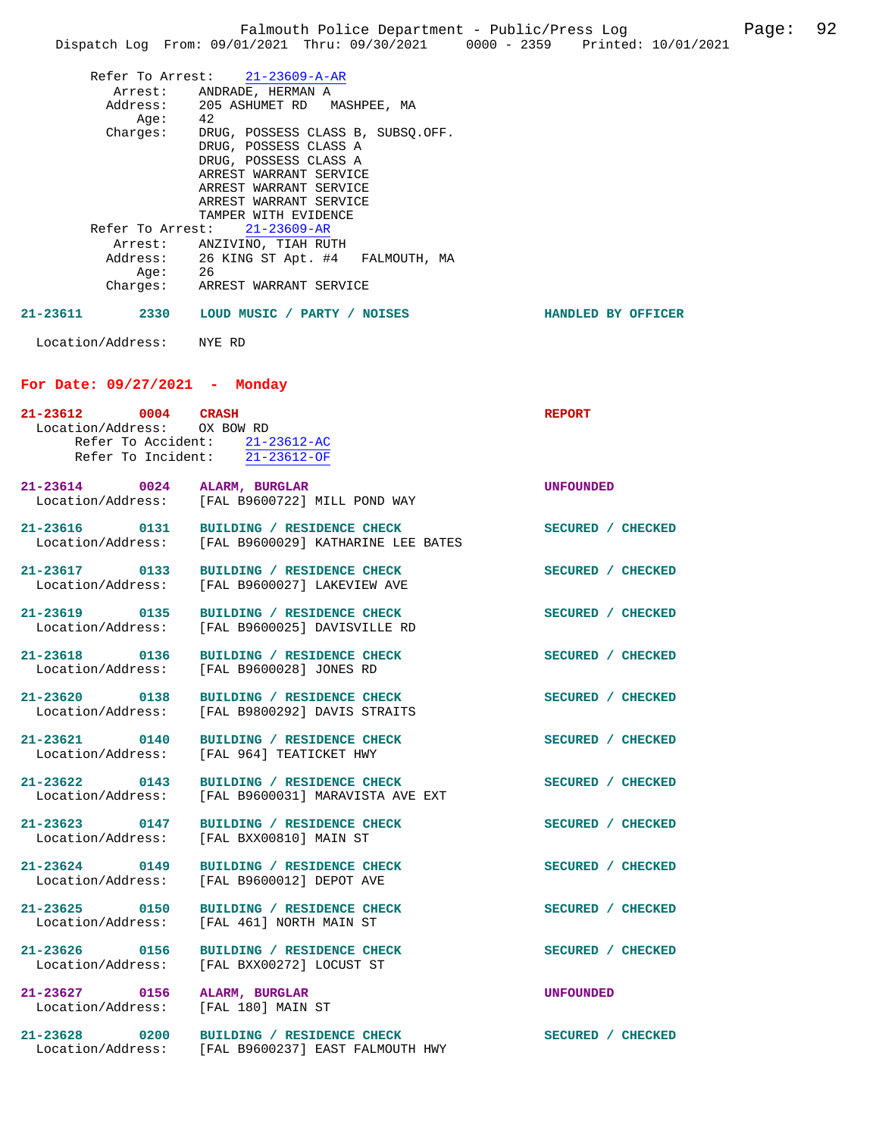|          |                             |                                                                                        | Falmouth Police Department - Public/Press Log | Page: | 92 |
|----------|-----------------------------|----------------------------------------------------------------------------------------|-----------------------------------------------|-------|----|
|          |                             | Dispatch Log From: 09/01/2021 Thru: 09/30/2021 0000 - 2359 Printed: 10/01/2021         |                                               |       |    |
|          |                             | Refer To Arrest: 21-23609-A-AR                                                         |                                               |       |    |
|          |                             |                                                                                        |                                               |       |    |
|          |                             | Arrest: ANDRADE, HERMAN A<br>Address: 205 ASHUMET RD MASHPEE, MA                       |                                               |       |    |
|          | Age:                        | -42                                                                                    |                                               |       |    |
|          | Charges:                    | DRUG, POSSESS CLASS B, SUBSQ.OFF.                                                      |                                               |       |    |
|          |                             | DRUG, POSSESS CLASS A                                                                  |                                               |       |    |
|          |                             | DRUG, POSSESS CLASS A<br>ARREST WARRANT SERVICE                                        |                                               |       |    |
|          |                             | ARREST WARRANT SERVICE                                                                 |                                               |       |    |
|          |                             | ARREST WARRANT SERVICE                                                                 |                                               |       |    |
|          |                             | TAMPER WITH EVIDENCE                                                                   |                                               |       |    |
|          |                             | Refer To Arrest: 21-23609-AR                                                           |                                               |       |    |
|          |                             | Arrest: ANZIVINO, TIAH RUTH                                                            |                                               |       |    |
|          |                             | Address: 26 KING ST Apt. #4 FALMOUTH, MA                                               |                                               |       |    |
|          |                             | Age: 26<br>Charges: ARREST WARRANT SERVICE                                             |                                               |       |    |
|          |                             |                                                                                        |                                               |       |    |
| 21-23611 |                             | 2330 LOUD MUSIC / PARTY / NOISES                                                       | HANDLED BY OFFICER                            |       |    |
|          | Location/Address: NYE RD    |                                                                                        |                                               |       |    |
|          |                             | For Date: $09/27/2021$ - Monday                                                        |                                               |       |    |
|          | 21-23612 0004 CRASH         |                                                                                        | <b>REPORT</b>                                 |       |    |
|          | Location/Address: OX BOW RD |                                                                                        |                                               |       |    |
|          |                             | Refer To Accident: 21-23612-AC                                                         |                                               |       |    |
|          |                             | Refer To Incident: $\overline{21-23612-OF}$                                            |                                               |       |    |
|          |                             |                                                                                        |                                               |       |    |
|          |                             | 21-23614 0024 ALARM, BURGLAR<br>Location/Address: [FAL B9600722] MILL POND WAY         | <b>UNFOUNDED</b>                              |       |    |
|          |                             |                                                                                        |                                               |       |    |
|          |                             | 21-23616 0131 BUILDING / RESIDENCE CHECK                                               | SECURED / CHECKED                             |       |    |
|          | Location/Address:           | [FAL B9600029] KATHARINE LEE BATES                                                     |                                               |       |    |
|          |                             |                                                                                        |                                               |       |    |
|          |                             | 21-23617 0133 BUILDING / RESIDENCE CHECK                                               | SECURED / CHECKED                             |       |    |
|          | Location/Address:           | [FAL B9600027] LAKEVIEW AVE                                                            |                                               |       |    |
|          |                             | 21-23619 0135 BUILDING / RESIDENCE CHECK                                               | SECURED / CHECKED                             |       |    |
|          |                             | Location/Address: [FAL B9600025] DAVISVILLE RD                                         |                                               |       |    |
|          |                             |                                                                                        |                                               |       |    |
|          | 21-23618 0136               | BUILDING / RESIDENCE CHECK                                                             | SECURED / CHECKED                             |       |    |
|          |                             | Location/Address: [FAL B9600028] JONES RD                                              |                                               |       |    |
|          |                             | 21-23620 0138 BUILDING / RESIDENCE CHECK                                               | SECURED / CHECKED                             |       |    |
|          |                             | Location/Address: [FAL B9800292] DAVIS STRAITS                                         |                                               |       |    |
|          |                             |                                                                                        |                                               |       |    |
|          |                             | 21-23621 0140 BUILDING / RESIDENCE CHECK                                               | SECURED / CHECKED                             |       |    |
|          |                             | Location/Address: [FAL 964] TEATICKET HWY                                              |                                               |       |    |
|          |                             | 21-23622 0143 BUILDING / RESIDENCE CHECK                                               |                                               |       |    |
|          |                             | Location/Address: [FAL B9600031] MARAVISTA AVE EXT                                     | SECURED / CHECKED                             |       |    |
|          |                             |                                                                                        |                                               |       |    |
|          |                             | 21-23623 0147 BUILDING / RESIDENCE CHECK<br>Location/Address: [FAL BXX00810] MAIN ST   | SECURED / CHECKED                             |       |    |
|          |                             |                                                                                        |                                               |       |    |
|          |                             |                                                                                        |                                               |       |    |
|          |                             | 21-23624 0149 BUILDING / RESIDENCE CHECK<br>Location/Address: [FAL B9600012] DEPOT AVE | SECURED / CHECKED                             |       |    |
|          |                             |                                                                                        |                                               |       |    |
|          |                             | 21-23625 0150 BUILDING / RESIDENCE CHECK                                               | SECURED / CHECKED                             |       |    |
|          |                             | Location/Address: [FAL 461] NORTH MAIN ST                                              |                                               |       |    |
|          |                             |                                                                                        |                                               |       |    |
|          |                             | 21-23626 0156 BUILDING / RESIDENCE CHECK                                               | SECURED / CHECKED                             |       |    |
|          | Location/Address:           | [FAL BXX00272] LOCUST ST                                                               |                                               |       |    |
|          |                             | 21-23627 0156 ALARM, BURGLAR                                                           | <b>UNFOUNDED</b>                              |       |    |
|          |                             | Location/Address: [FAL 180] MAIN ST                                                    |                                               |       |    |
|          |                             |                                                                                        |                                               |       |    |
|          |                             | 21-23628 0200 BUILDING / RESIDENCE CHECK                                               | SECURED / CHECKED                             |       |    |
|          |                             | Location/Address: [FAL B9600237] EAST FALMOUTH HWY                                     |                                               |       |    |
|          |                             |                                                                                        |                                               |       |    |
|          |                             |                                                                                        |                                               |       |    |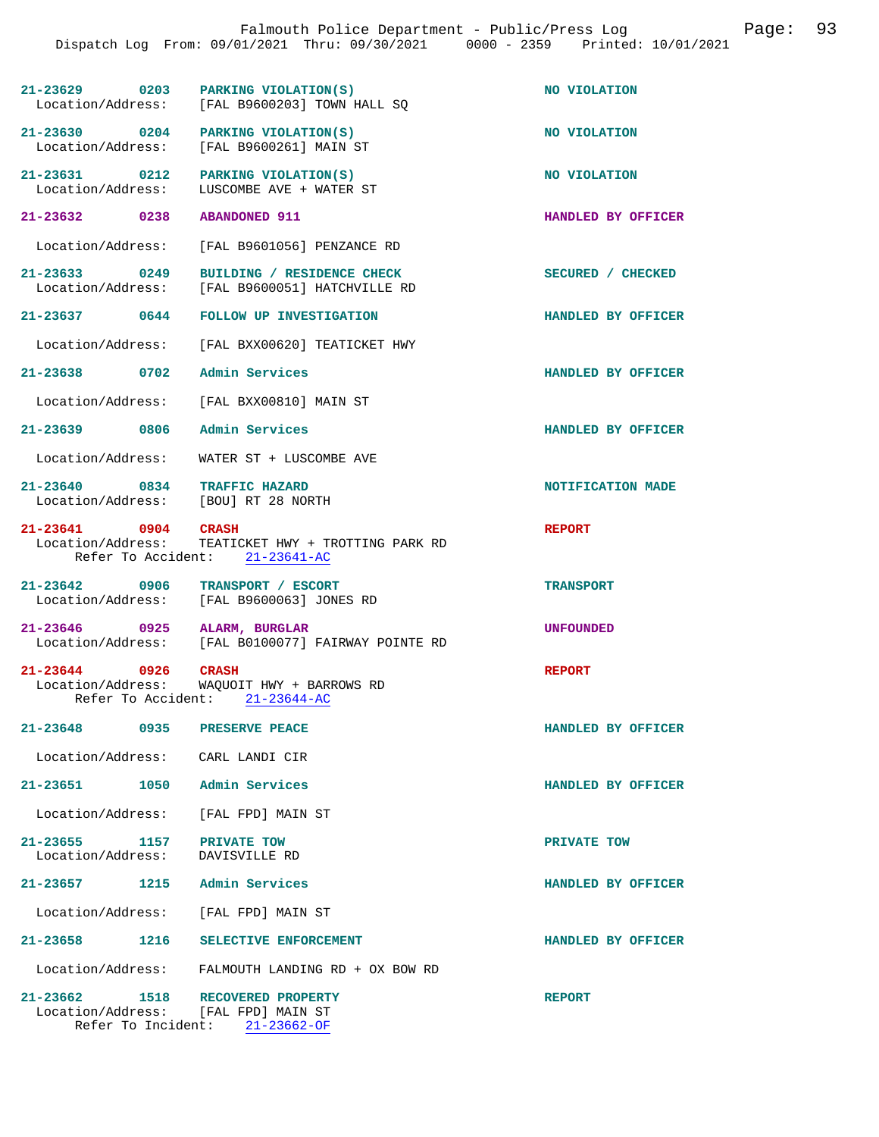| 21-23629 0203                                                           | PARKING VIOLATION(S)<br>Location/Address: [FAL B9600203] TOWN HALL SO                                       | NO VIOLATION       |
|-------------------------------------------------------------------------|-------------------------------------------------------------------------------------------------------------|--------------------|
| 21-23630 0204                                                           | PARKING VIOLATION(S)<br>Location/Address: [FAL B9600261] MAIN ST                                            | NO VIOLATION       |
| $21 - 23631$ 0212<br>Location/Address:                                  | PARKING VIOLATION(S)<br>LUSCOMBE AVE + WATER ST                                                             | NO VIOLATION       |
| 21-23632 0238                                                           | <b>ABANDONED 911</b>                                                                                        | HANDLED BY OFFICER |
|                                                                         | Location/Address: [FAL B9601056] PENZANCE RD                                                                |                    |
| 21-23633 0249<br>Location/Address:                                      | BUILDING / RESIDENCE CHECK<br>[FAL B9600051] HATCHVILLE RD                                                  | SECURED / CHECKED  |
| 21-23637 0644                                                           | <b>FOLLOW UP INVESTIGATION</b>                                                                              | HANDLED BY OFFICER |
|                                                                         | Location/Address: [FAL BXX00620] TEATICKET HWY                                                              |                    |
| 21-23638 0702                                                           | Admin Services                                                                                              | HANDLED BY OFFICER |
|                                                                         | Location/Address: [FAL BXX00810] MAIN ST                                                                    |                    |
| 21-23639 0806 Admin Services                                            |                                                                                                             | HANDLED BY OFFICER |
| Location/Address:                                                       | WATER ST + LUSCOMBE AVE                                                                                     |                    |
| 21-23640 0834 TRAFFIC HAZARD<br>Location/Address: [BOU] RT 28 NORTH     |                                                                                                             | NOTIFICATION MADE  |
|                                                                         | 21-23641 0904 CRASH<br>Location/Address: TEATICKET HWY + TROTTING PARK RD<br>Refer To Accident: 21-23641-AC | <b>REPORT</b>      |
| 21-23642 0906                                                           | TRANSPORT / ESCORT<br>Location/Address: [FAL B9600063] JONES RD                                             | <b>TRANSPORT</b>   |
| 21-23646 0925 ALARM, BURGLAR                                            | Location/Address: [FAL B0100077] FAIRWAY POINTE RD                                                          | <b>UNFOUNDED</b>   |
| 21-23644 0926 CRASH                                                     | Location/Address: WAQUOIT HWY + BARROWS RD<br>Refer To Accident: 21-23644-AC                                | <b>REPORT</b>      |
| 21-23648 0935                                                           | PRESERVE PEACE                                                                                              | HANDLED BY OFFICER |
| Location/Address: CARL LANDI CIR                                        |                                                                                                             |                    |
| 21-23651 1050 Admin Services                                            |                                                                                                             | HANDLED BY OFFICER |
| Location/Address: [FAL FPD] MAIN ST                                     |                                                                                                             |                    |
| 21-23655 1157<br>Location/Address: DAVISVILLE RD                        | PRIVATE TOW                                                                                                 | PRIVATE TOW        |
| 21-23657 1215 Admin Services                                            |                                                                                                             | HANDLED BY OFFICER |
| Location/Address: [FAL FPD] MAIN ST                                     |                                                                                                             |                    |
| 21-23658 1216                                                           | SELECTIVE ENFORCEMENT                                                                                       | HANDLED BY OFFICER |
|                                                                         | Location/Address: FALMOUTH LANDING RD + OX BOW RD                                                           |                    |
| 21-23662 1518 RECOVERED PROPERTY<br>Location/Address: [FAL FPD] MAIN ST |                                                                                                             | <b>REPORT</b>      |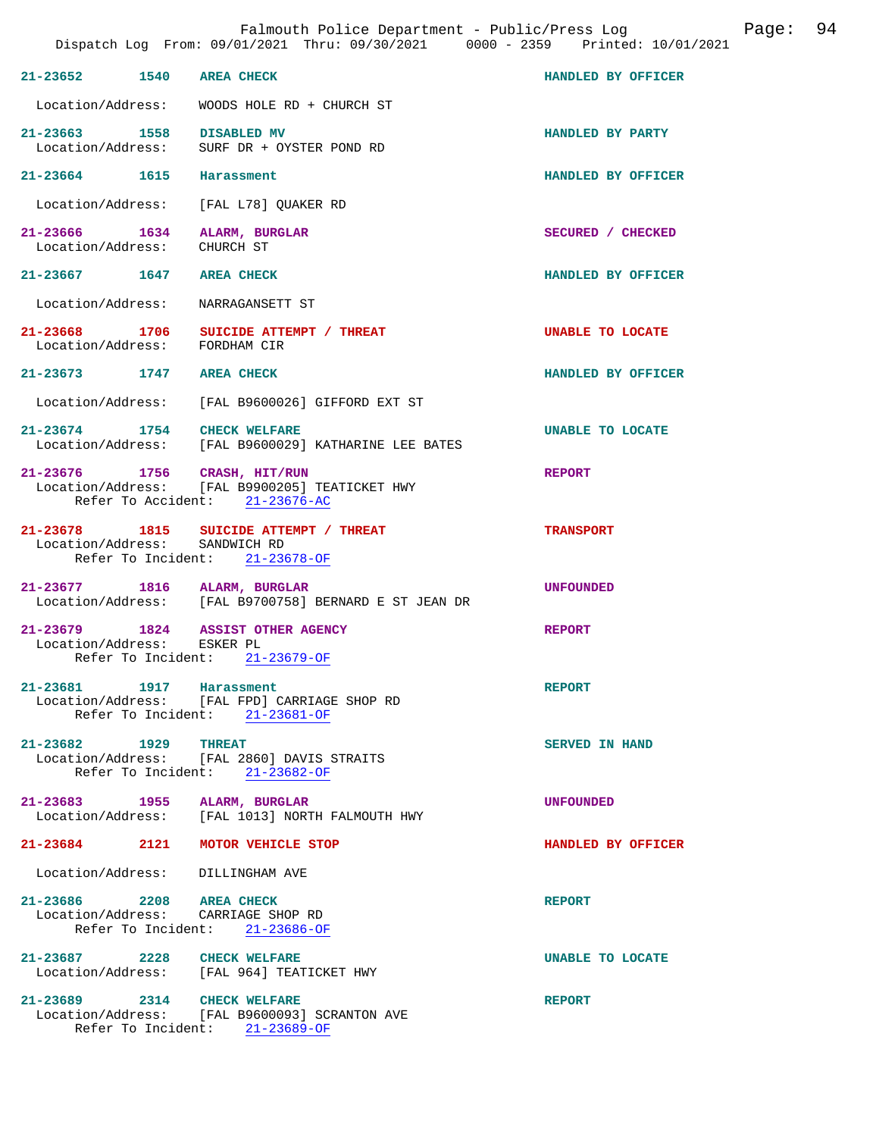|                                                                 | Dispatch Log From: 09/01/2021 Thru: 09/30/2021 0000 - 2359 Printed: 10/01/2021                |                         |
|-----------------------------------------------------------------|-----------------------------------------------------------------------------------------------|-------------------------|
| $21 - 23652$<br>1540                                            | <b>AREA CHECK</b>                                                                             | HANDLED BY OFFICER      |
|                                                                 | Location/Address: WOODS HOLE RD + CHURCH ST                                                   |                         |
| 21-23663 1558<br>Location/Address:                              | <b>DISABLED MV</b><br>SURF DR + OYSTER POND RD                                                | HANDLED BY PARTY        |
| 21-23664 1615                                                   | Harassment                                                                                    | HANDLED BY OFFICER      |
| Location/Address:                                               | [FAL L78] OUAKER RD                                                                           |                         |
| 21-23666 1634 ALARM, BURGLAR<br>Location/Address:               | CHURCH ST                                                                                     | SECURED / CHECKED       |
| 21-23667 1647                                                   | <b>AREA CHECK</b>                                                                             | HANDLED BY OFFICER      |
| Location/Address: NARRAGANSETT ST                               |                                                                                               |                         |
| 21-23668 1706<br>Location/Address: FORDHAM CIR                  | SUICIDE ATTEMPT / THREAT                                                                      | UNABLE TO LOCATE        |
| 21-23673 1747 AREA CHECK                                        |                                                                                               | HANDLED BY OFFICER      |
|                                                                 | Location/Address: [FAL B9600026] GIFFORD EXT ST                                               |                         |
| 21-23674 1754 CHECK WELFARE                                     | Location/Address: [FAL B9600029] KATHARINE LEE BATES                                          | <b>UNABLE TO LOCATE</b> |
| 21-23676 1756 CRASH, HIT/RUN                                    | Location/Address: [FAL B9900205] TEATICKET HWY<br>Refer To Accident: 21-23676-AC              | <b>REPORT</b>           |
| Location/Address:                                               | 21-23678 1815 SUICIDE ATTEMPT / THREAT<br>SANDWICH RD<br>Refer To Incident: 21-23678-OF       | <b>TRANSPORT</b>        |
| 21-23677 1816 ALARM, BURGLAR                                    | Location/Address: [FAL B9700758] BERNARD E ST JEAN DR                                         | <b>UNFOUNDED</b>        |
| 21-23679 1824 ASSIST OTHER AGENCY<br>Location/Address: ESKER PL | Refer To Incident: 21-23679-OF                                                                | <b>REPORT</b>           |
| 21-23681 1917 Harassment                                        | Location/Address: [FAL FPD] CARRIAGE SHOP RD<br>Refer To Incident: 21-23681-OF                | <b>REPORT</b>           |
| 21-23682 1929                                                   | <b>THREAT</b><br>Location/Address: [FAL 2860] DAVIS STRAITS<br>Refer To Incident: 21-23682-OF | SERVED IN HAND          |
| 21-23683 1955 ALARM, BURGLAR                                    | Location/Address: [FAL 1013] NORTH FALMOUTH HWY                                               | <b>UNFOUNDED</b>        |
| 21-23684<br>2121                                                | MOTOR VEHICLE STOP                                                                            | HANDLED BY OFFICER      |
| Location/Address:                                               | DILLINGHAM AVE                                                                                |                         |
| 21-23686 2208 AREA CHECK<br>Location/Address: CARRIAGE SHOP RD  | Refer To Incident: 21-23686-OF                                                                | <b>REPORT</b>           |
| $21 - 23687$<br>2228                                            | <b>CHECK WELFARE</b><br>Location/Address: [FAL 964] TEATICKET HWY                             | UNABLE TO LOCATE        |
| $21 - 23689$                                                    | 2314 CHECK WELFARE<br>Location/Address: [FAL B9600093] SCRANTON AVE                           | <b>REPORT</b>           |

Refer To Incident: 21-23689-OF

Falmouth Police Department - Public/Press Log Page: 94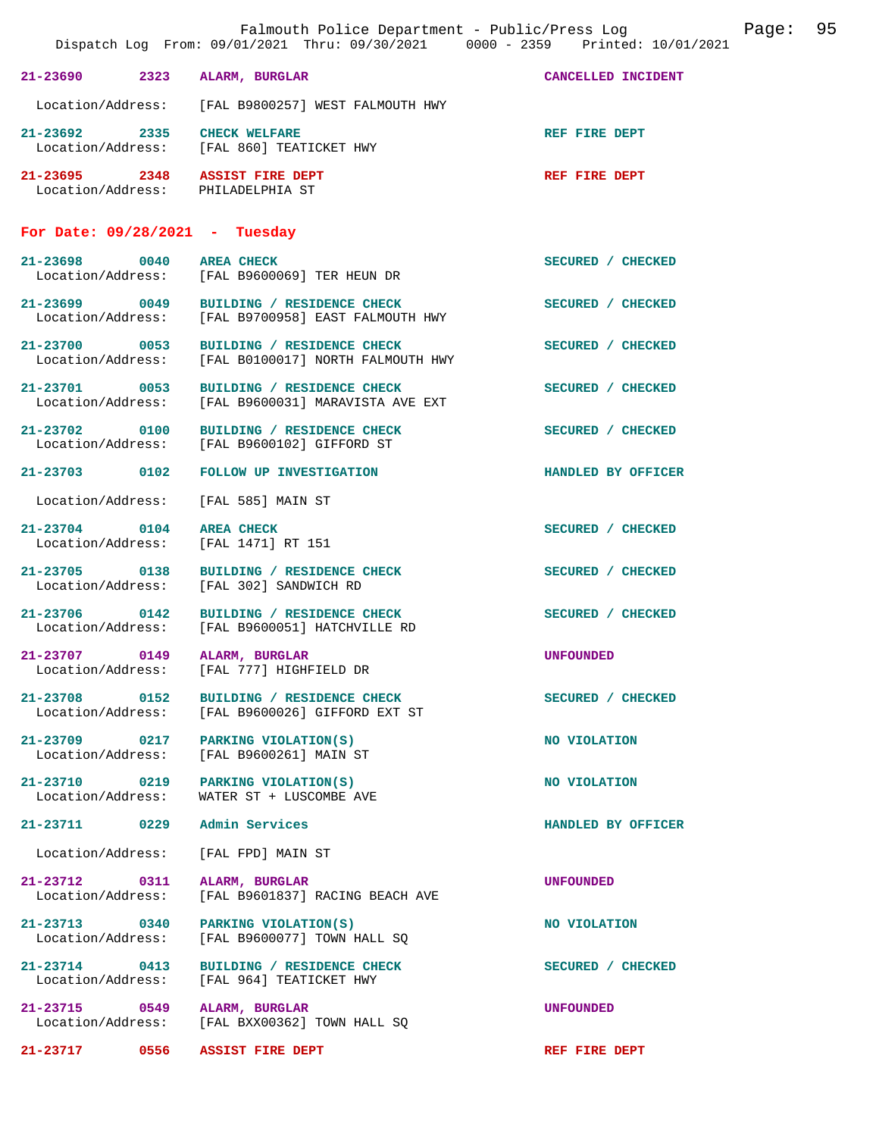| Falmouth Police Department - Public/Press Log<br>Dispatch Log From: 09/01/2021 Thru: 09/30/2021 0000 - 2359 Printed: 10/01/2021 |                                                                     |                                                                                                | 95<br>Page:        |
|---------------------------------------------------------------------------------------------------------------------------------|---------------------------------------------------------------------|------------------------------------------------------------------------------------------------|--------------------|
|                                                                                                                                 | 2323<br>21-23690                                                    | ALARM, BURGLAR                                                                                 | CANCELLED INCIDENT |
|                                                                                                                                 | Location/Address:                                                   | [FAL B9800257] WEST FALMOUTH HWY                                                               |                    |
|                                                                                                                                 | $21 - 23692$<br>2335<br>Location/Address:                           | <b>CHECK WELFARE</b><br>[FAL 860] TEATICKET HWY                                                | REF FIRE DEPT      |
|                                                                                                                                 | 21-23695 2348 ASSIST FIRE DEPT<br>Location/Address: PHILADELPHIA ST |                                                                                                | REF FIRE DEPT      |
|                                                                                                                                 | For Date: $09/28/2021$ - Tuesday                                    |                                                                                                |                    |
|                                                                                                                                 | 21-23698 0040                                                       | <b>AREA CHECK</b><br>Location/Address: [FAL B9600069] TER HEUN DR                              | SECURED / CHECKED  |
|                                                                                                                                 |                                                                     | 21-23699 0049 BUILDING / RESIDENCE CHECK<br>Location/Address: [FAL B9700958] EAST FALMOUTH HWY | SECURED / CHECKED  |
|                                                                                                                                 | 21-23700 0053                                                       | BUILDING / RESIDENCE CHECK<br>Location/Address: [FAL B0100017] NORTH FALMOUTH HWY              | SECURED / CHECKED  |
|                                                                                                                                 | 21-23701 0053<br>Location/Address:                                  | BUILDING / RESIDENCE CHECK<br>[FAL B9600031] MARAVISTA AVE EXT                                 | SECURED / CHECKED  |
|                                                                                                                                 | 21-23702 0100<br>Location/Address:                                  | BUILDING / RESIDENCE CHECK<br>[FAL B9600102] GIFFORD ST                                        | SECURED / CHECKED  |
|                                                                                                                                 | 21-23703 0102                                                       | FOLLOW UP INVESTIGATION                                                                        | HANDLED BY OFFICER |
|                                                                                                                                 | Location/Address:                                                   | [FAL 585] MAIN ST                                                                              |                    |
|                                                                                                                                 | $21 - 23704$<br>0104<br>Location/Address:                           | <b>AREA CHECK</b><br>[FAL 1471] RT 151                                                         | SECURED / CHECKED  |
|                                                                                                                                 | 21-23705 0138                                                       | BUILDING / RESIDENCE CHECK<br>Location/Address: [FAL 302] SANDWICH RD                          | SECURED / CHECKED  |
|                                                                                                                                 | 0142<br>21-23706<br>Location/Address:                               | BUILDING / RESIDENCE CHECK<br>[FAL B9600051] HATCHVILLE RD                                     | SECURED / CHECKED  |
|                                                                                                                                 | $21 - 23707$<br>0149<br>Location/Address:                           | ALARM, BURGLAR<br>[FAL 777] HIGHFIELD DR                                                       | <b>UNFOUNDED</b>   |
|                                                                                                                                 | 21-23708<br>0152<br>Location/Address:                               | BUILDING / RESIDENCE CHECK<br>[FAL B9600026] GIFFORD EXT ST                                    | SECURED / CHECKED  |
|                                                                                                                                 | 21-23709 0217<br>Location/Address:                                  | PARKING VIOLATION(S)<br>[FAL B9600261] MAIN ST                                                 | NO VIOLATION       |
|                                                                                                                                 | 21-23710 0219<br>Location/Address:                                  | PARKING VIOLATION(S)<br>WATER ST + LUSCOMBE AVE                                                | NO VIOLATION       |
|                                                                                                                                 | 21-23711 0229                                                       | Admin Services                                                                                 | HANDLED BY OFFICER |
|                                                                                                                                 | Location/Address:                                                   | [FAL FPD] MAIN ST                                                                              |                    |
|                                                                                                                                 | 21-23712 0311<br>Location/Address:                                  | ALARM, BURGLAR<br>[FAL B9601837] RACING BEACH AVE                                              | <b>UNFOUNDED</b>   |
|                                                                                                                                 | 21-23713 0340<br>Location/Address:                                  | PARKING VIOLATION(S)<br>[FAL B9600077] TOWN HALL SO                                            | NO VIOLATION       |
|                                                                                                                                 | 21-23714 0413<br>Location/Address:                                  | BUILDING / RESIDENCE CHECK<br>[FAL 964] TEATICKET HWY                                          | SECURED / CHECKED  |
|                                                                                                                                 | 21-23715 0549<br>Location/Address:                                  | ALARM, BURGLAR<br>[FAL BXX00362] TOWN HALL SQ                                                  | <b>UNFOUNDED</b>   |
|                                                                                                                                 | 21-23717<br>0556                                                    | ASSIST FIRE DEPT                                                                               | REF FIRE DEPT      |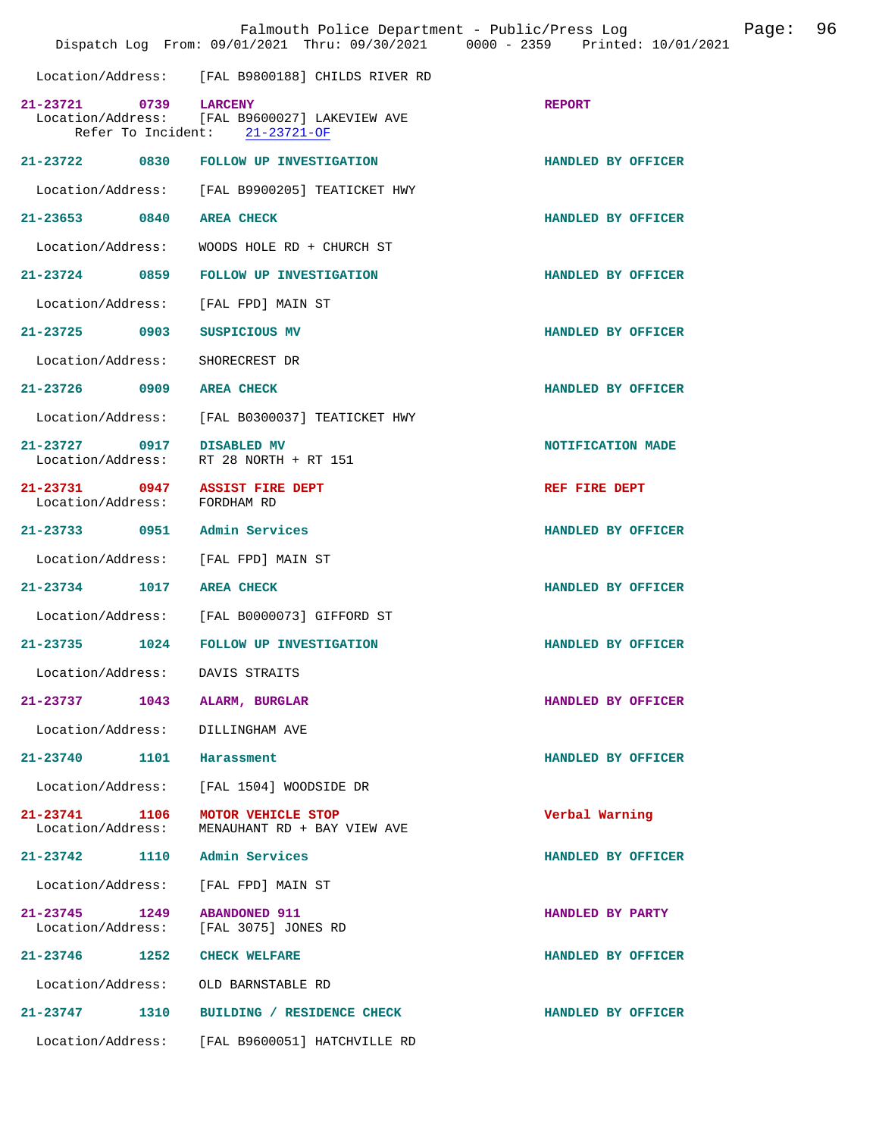|                                    |      | Falmouth Police Department - Public/Press Log<br>Dispatch Log From: 09/01/2021 Thru: 09/30/2021 0000 - 2359 Printed: 10/01/2021 |                    | Page: | 96 |
|------------------------------------|------|---------------------------------------------------------------------------------------------------------------------------------|--------------------|-------|----|
|                                    |      | Location/Address: [FAL B9800188] CHILDS RIVER RD                                                                                |                    |       |    |
| 21-23721<br>Refer To Incident:     | 0739 | <b>LARCENY</b><br>Location/Address: [FAL B9600027] LAKEVIEW AVE<br>$21 - 23721 - OF$                                            | <b>REPORT</b>      |       |    |
|                                    |      | 21-23722 0830 FOLLOW UP INVESTIGATION                                                                                           | HANDLED BY OFFICER |       |    |
| Location/Address:                  |      | [FAL B9900205] TEATICKET HWY                                                                                                    |                    |       |    |
| 21-23653 0840                      |      | <b>AREA CHECK</b>                                                                                                               | HANDLED BY OFFICER |       |    |
| Location/Address:                  |      | WOODS HOLE RD + CHURCH ST                                                                                                       |                    |       |    |
| 21-23724 0859                      |      | FOLLOW UP INVESTIGATION                                                                                                         | HANDLED BY OFFICER |       |    |
| Location/Address:                  |      | [FAL FPD] MAIN ST                                                                                                               |                    |       |    |
| 21-23725 0903                      |      | SUSPICIOUS MV                                                                                                                   | HANDLED BY OFFICER |       |    |
| Location/Address:                  |      | SHORECREST DR                                                                                                                   |                    |       |    |
| 21-23726 0909                      |      | <b>AREA CHECK</b>                                                                                                               | HANDLED BY OFFICER |       |    |
| Location/Address:                  |      | [FAL B0300037] TEATICKET HWY                                                                                                    |                    |       |    |
| 21-23727 0917<br>Location/Address: |      | <b>DISABLED MV</b><br>RT 28 NORTH + RT 151                                                                                      | NOTIFICATION MADE  |       |    |
| 21-23731 0947<br>Location/Address: |      | <b>ASSIST FIRE DEPT</b><br>FORDHAM RD                                                                                           | REF FIRE DEPT      |       |    |
| 21-23733 0951 Admin Services       |      |                                                                                                                                 | HANDLED BY OFFICER |       |    |
| Location/Address:                  |      | [FAL FPD] MAIN ST                                                                                                               |                    |       |    |
| $21 - 23734$                       | 1017 | <b>AREA CHECK</b>                                                                                                               | HANDLED BY OFFICER |       |    |
| Location/Address:                  |      | [FAL B0000073] GIFFORD ST                                                                                                       |                    |       |    |
| $21 - 23735$                       | 1024 | <b>FOLLOW UP INVESTIGATION</b>                                                                                                  | HANDLED BY OFFICER |       |    |
| Location/Address:                  |      | DAVIS STRAITS                                                                                                                   |                    |       |    |
| 21-23737                           | 1043 | ALARM, BURGLAR                                                                                                                  | HANDLED BY OFFICER |       |    |
| Location/Address:                  |      | DILLINGHAM AVE                                                                                                                  |                    |       |    |
| 21-23740                           | 1101 | Harassment                                                                                                                      | HANDLED BY OFFICER |       |    |
| Location/Address:                  |      | [FAL 1504] WOODSIDE DR                                                                                                          |                    |       |    |
| 21-23741<br>Location/Address:      | 1106 | MOTOR VEHICLE STOP<br>MENAUHANT RD + BAY VIEW AVE                                                                               | Verbal Warning     |       |    |
| 21-23742                           | 1110 | Admin Services                                                                                                                  | HANDLED BY OFFICER |       |    |
| Location/Address:                  |      | [FAL FPD] MAIN ST                                                                                                               |                    |       |    |
| 21-23745<br>Location/Address:      | 1249 | <b>ABANDONED 911</b><br>[FAL 3075] JONES RD                                                                                     | HANDLED BY PARTY   |       |    |
| 21-23746                           | 1252 | <b>CHECK WELFARE</b>                                                                                                            | HANDLED BY OFFICER |       |    |
| Location/Address:                  |      | OLD BARNSTABLE RD                                                                                                               |                    |       |    |
| 21-23747                           | 1310 | BUILDING / RESIDENCE CHECK                                                                                                      | HANDLED BY OFFICER |       |    |
| Location/Address:                  |      | [FAL B9600051] HATCHVILLE RD                                                                                                    |                    |       |    |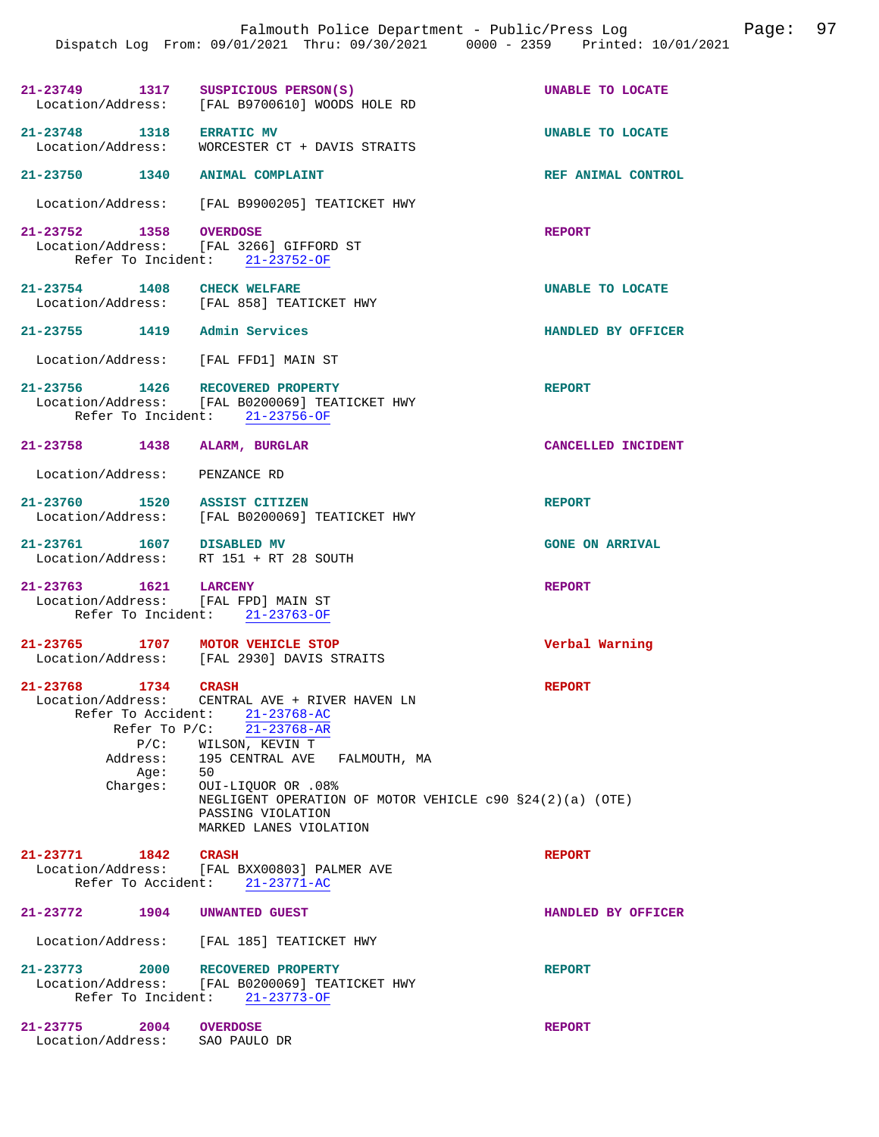|                                                                | Dispatch Log From: 09/01/2021 Thru: 09/30/2021 0000 - 2359 Printed: 10/01/2021                                                                                                                                                                                                                            | Falmouth Police Department - Public/Press Log | Page: | 97 |
|----------------------------------------------------------------|-----------------------------------------------------------------------------------------------------------------------------------------------------------------------------------------------------------------------------------------------------------------------------------------------------------|-----------------------------------------------|-------|----|
|                                                                | 21-23749 1317 SUSPICIOUS PERSON(S)<br>Location/Address: [FAL B9700610] WOODS HOLE RD                                                                                                                                                                                                                      | UNABLE TO LOCATE                              |       |    |
| 21-23748 1318 ERRATIC MV<br>Location/Address:                  | WORCESTER CT + DAVIS STRAITS                                                                                                                                                                                                                                                                              | UNABLE TO LOCATE                              |       |    |
| 21-23750 1340 ANIMAL COMPLAINT                                 |                                                                                                                                                                                                                                                                                                           | REF ANIMAL CONTROL                            |       |    |
|                                                                | Location/Address: [FAL B9900205] TEATICKET HWY                                                                                                                                                                                                                                                            |                                               |       |    |
| 21-23752 1358 OVERDOSE                                         | Location/Address: [FAL 3266] GIFFORD ST<br>Refer To Incident: 21-23752-OF                                                                                                                                                                                                                                 | <b>REPORT</b>                                 |       |    |
| 21-23754 1408 CHECK WELFARE                                    | Location/Address: [FAL 858] TEATICKET HWY                                                                                                                                                                                                                                                                 | UNABLE TO LOCATE                              |       |    |
| 21-23755 1419 Admin Services                                   |                                                                                                                                                                                                                                                                                                           | HANDLED BY OFFICER                            |       |    |
| Location/Address: [FAL FFD1] MAIN ST                           |                                                                                                                                                                                                                                                                                                           |                                               |       |    |
| 21-23756 1426 RECOVERED PROPERTY                               | Location/Address: [FAL B0200069] TEATICKET HWY<br>Refer To Incident: 21-23756-OF                                                                                                                                                                                                                          | <b>REPORT</b>                                 |       |    |
| 21-23758 1438 ALARM, BURGLAR                                   |                                                                                                                                                                                                                                                                                                           | CANCELLED INCIDENT                            |       |    |
| Location/Address: PENZANCE RD                                  |                                                                                                                                                                                                                                                                                                           |                                               |       |    |
|                                                                | 21-23760 1520 ASSIST CITIZEN<br>Location/Address: [FAL B0200069] TEATICKET HWY                                                                                                                                                                                                                            | <b>REPORT</b>                                 |       |    |
| 21-23761 1607 DISABLED MV                                      | Location/Address: RT 151 + RT 28 SOUTH                                                                                                                                                                                                                                                                    | <b>GONE ON ARRIVAL</b>                        |       |    |
| 21-23763 1621 LARCENY<br>Location/Address: [FAL FPD] MAIN ST   | Refer To Incident: 21-23763-OF                                                                                                                                                                                                                                                                            | <b>REPORT</b>                                 |       |    |
| 21-23765 1707 MOTOR VEHICLE STOP                               | Location/Address: [FAL 2930] DAVIS STRAITS                                                                                                                                                                                                                                                                | Verbal Warning                                |       |    |
| 21-23768 1734 CRASH<br>$P/C$ :<br>Address:<br>Age:<br>Charges: | Location/Address: CENTRAL AVE + RIVER HAVEN LN<br>Refer To Accident: 21-23768-AC<br>Refer To P/C: 21-23768-AR<br>WILSON, KEVIN T<br>195 CENTRAL AVE FALMOUTH, MA<br>50<br>OUI-LIQUOR OR .08%<br>NEGLIGENT OPERATION OF MOTOR VEHICLE $c90 S24(2)(a)$ (OTE)<br>PASSING VIOLATION<br>MARKED LANES VIOLATION | <b>REPORT</b>                                 |       |    |
| 21-23771<br>1842<br>Refer To Accident:                         | <b>CRASH</b><br>Location/Address: [FAL BXX00803] PALMER AVE<br>$21 - 23771 - AC$                                                                                                                                                                                                                          | <b>REPORT</b>                                 |       |    |
| 21-23772 1904                                                  | UNWANTED GUEST                                                                                                                                                                                                                                                                                            | HANDLED BY OFFICER                            |       |    |
| Location/Address:                                              | [FAL 185] TEATICKET HWY                                                                                                                                                                                                                                                                                   |                                               |       |    |
| 21-23773<br>2000<br>Refer To Incident:                         | RECOVERED PROPERTY<br>Location/Address: [FAL B0200069] TEATICKET HWY<br>$21 - 23773 - OF$                                                                                                                                                                                                                 | <b>REPORT</b>                                 |       |    |
| 21-23775<br>2004<br>Location/Address:                          | <b>OVERDOSE</b><br>SAO PAULO DR                                                                                                                                                                                                                                                                           | <b>REPORT</b>                                 |       |    |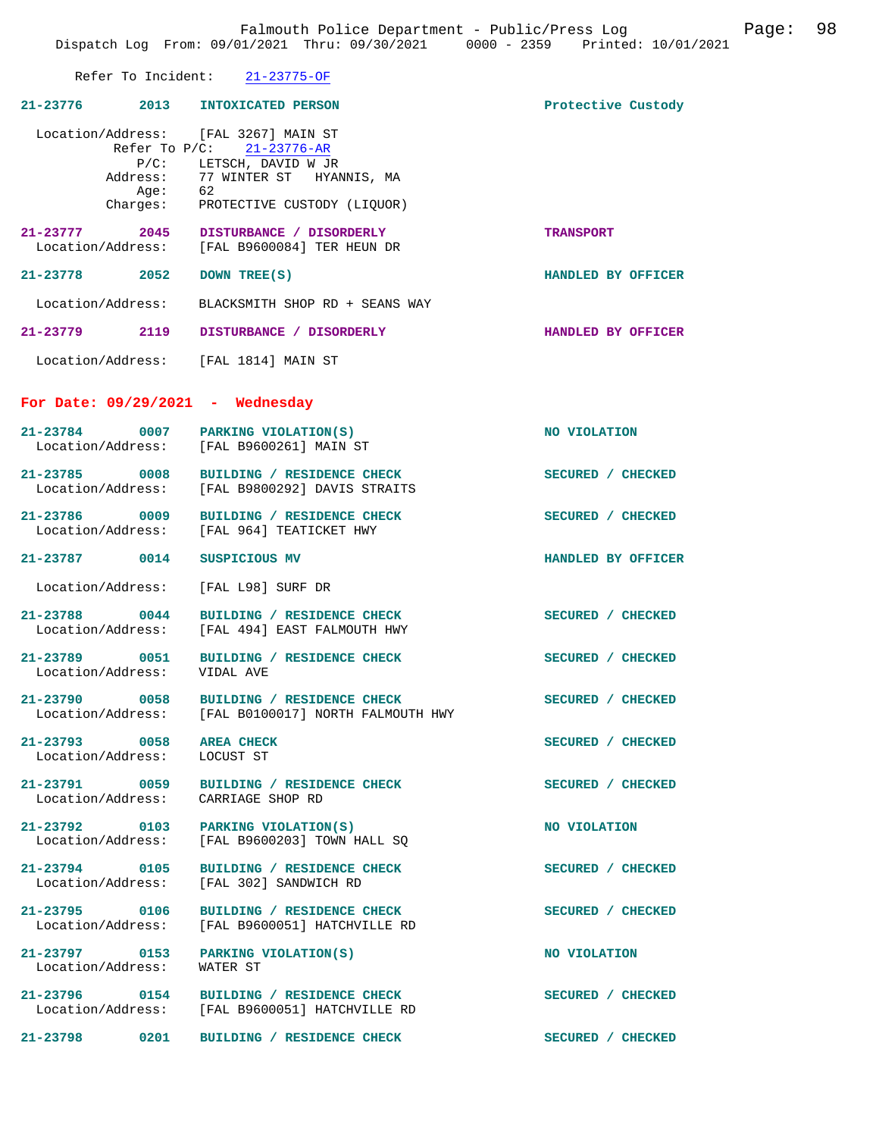Falmouth Police Department - Public/Press Log Falmouth Police 98 Dispatch Log From: 09/01/2021 Thru: 09/30/2021 0000 - 2359 Printed: 10/01/2021 Refer To Incident: 21-23775-OF **21-23776 2013 INTOXICATED PERSON Protective Custody**  Location/Address: [FAL 3267] MAIN ST<br>Refer To P/C: 21-23776-AR Refer To P/C: P/C: LETSCH, DAVID W JR<br>Address: 77 WINTER ST HYAI 77 WINTER ST HYANNIS, MA<br>62 Age:<br>:Charges PROTECTIVE CUSTODY (LIQUOR) **21-23777 2045 DISTURBANCE / DISORDERLY TRANSPORT**  [FAL B9600084] TER HEUN DR **21-23778 2052 DOWN TREE(S) HANDLED BY OFFICER**  Location/Address: BLACKSMITH SHOP RD + SEANS WAY **21-23779 2119 DISTURBANCE / DISORDERLY HANDLED BY OFFICER**  Location/Address: [FAL 1814] MAIN ST **For Date: 09/29/2021 - Wednesday 21-23784 0007 PARKING VIOLATION(S) NO VIOLATION**  Location/Address: [FAL B9600261] MAIN ST **21-23785 0008 BUILDING / RESIDENCE CHECK SECURED / CHECKED**  Location/Address: [FAL B9800292] DAVIS STRAITS 21-23786 0009 BUILDING / RESIDENCE CHECK SECURED / CHECKED Location/Address: [FAL 964] TEATICKET HWY [FAL 964] TEATICKET HWY **21-23787 0014 SUSPICIOUS MV HANDLED BY OFFICER**  Location/Address: [FAL L98] SURF DR 21-23788 0044 BUILDING / RESIDENCE CHECK<br>
Location/Address: [FAL 494] EAST FALMOUTH HWY [FAL 494] EAST FALMOUTH HWY **21-23789 0051 BUILDING / RESIDENCE CHECK SECURED / CHECKED**  Location/Address: 21-23790 0058 BUILDING / RESIDENCE CHECK<br>
Location/Address: [FAL B0100017] NORTH FALMOUTH HWY [FAL B0100017] NORTH FALMOUTH HWY 21-23793 0058 AREA CHECK SECURED / CHECKED Location/Address: LOCUST ST Location/Address: **21-23791 0059 BUILDING / RESIDENCE CHECK SECURED / CHECKED**  Location/Address: CARRIAGE SHOP RD 21-23792 0103 PARKING VIOLATION(S) NO VIOLATION Location/Address: [FAL B9600203] TOWN HALL SQ

21-23794 0105 BUILDING / RESIDENCE CHECK SECURED / CHECKED Location/Address: [FAL 302] SANDWICH RD

**21-23797** 0153 PARKING VIOLATION(S) NO VIOLATION **NO** VIOLATION **NO** Location/Address:

21-23795 0106 BUILDING / RESIDENCE CHECK **SECURED** / CHECKED Location / Address: [FAL B9600051] HATCHVILLE RD [FAL B9600051] HATCHVILLE RD

[FAL 302] SANDWICH RD

**21-23796 0154 BUILDING / RESIDENCE CHECK SECURED / CHECKED**  Location/Address: [FAL B9600051] HATCHVILLE RD

**21-23798 0201 BUILDING / RESIDENCE CHECK SECURED / CHECKED**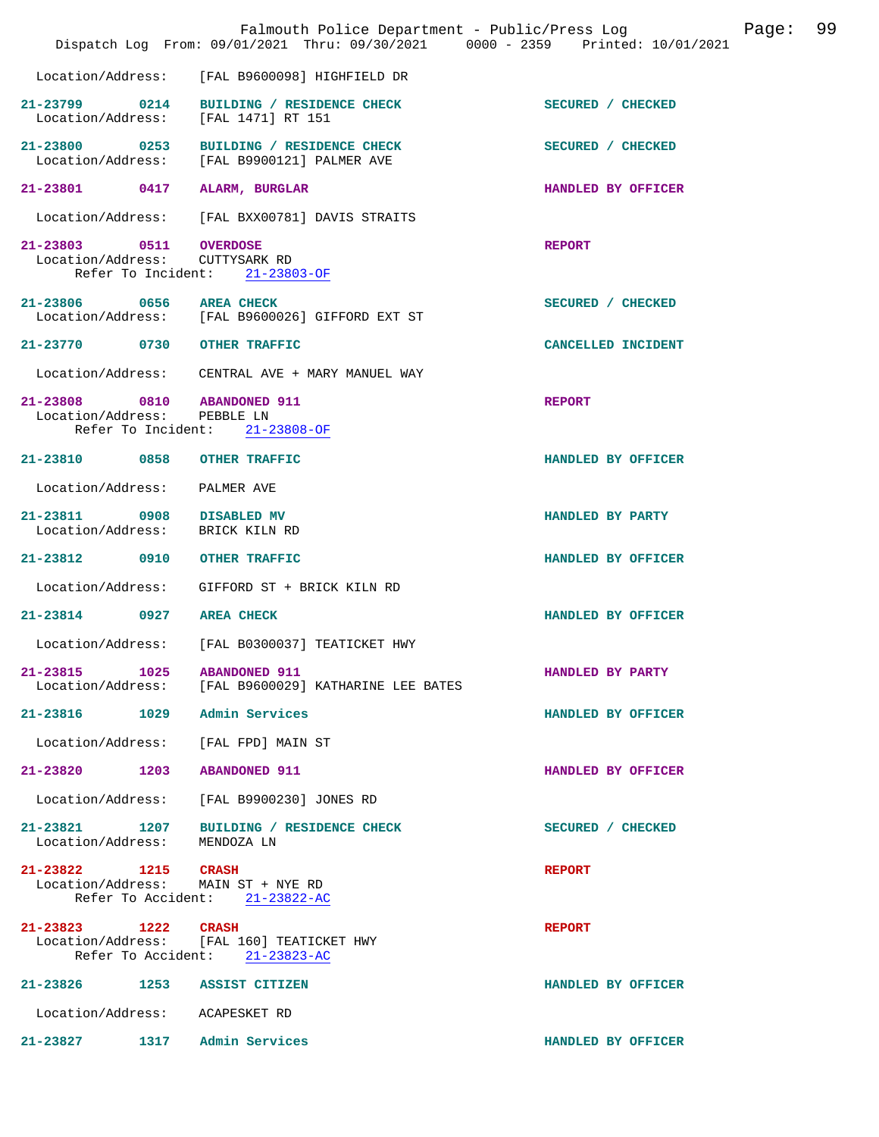|                                                              | Falmouth Police Department - Public/Press Log<br>Dispatch Log From: 09/01/2021 Thru: 09/30/2021 0000 - 2359 Printed: 10/01/2021 |                    | Page: 99 |  |
|--------------------------------------------------------------|---------------------------------------------------------------------------------------------------------------------------------|--------------------|----------|--|
|                                                              | Location/Address: [FAL B9600098] HIGHFIELD DR                                                                                   |                    |          |  |
| Location/Address: [FAL 1471] RT 151                          | 21-23799 0214 BUILDING / RESIDENCE CHECK                                                                                        | SECURED / CHECKED  |          |  |
|                                                              | 21-23800 0253 BUILDING / RESIDENCE CHECK<br>Location/Address: [FAL B9900121] PALMER AVE                                         | SECURED / CHECKED  |          |  |
| 21-23801 0417 ALARM, BURGLAR                                 |                                                                                                                                 | HANDLED BY OFFICER |          |  |
|                                                              | Location/Address: [FAL BXX00781] DAVIS STRAITS                                                                                  |                    |          |  |
| 21-23803 0511 OVERDOSE<br>Location/Address: CUTTYSARK RD     | Refer To Incident: 21-23803-OF                                                                                                  | <b>REPORT</b>      |          |  |
| 21-23806 0656 AREA CHECK                                     | Location/Address: [FAL B9600026] GIFFORD EXT ST                                                                                 | SECURED / CHECKED  |          |  |
| 21-23770 0730 OTHER TRAFFIC                                  |                                                                                                                                 | CANCELLED INCIDENT |          |  |
|                                                              | Location/Address: CENTRAL AVE + MARY MANUEL WAY                                                                                 |                    |          |  |
| 21-23808 0810 ABANDONED 911<br>Location/Address: PEBBLE LN   | Refer To Incident: 21-23808-OF                                                                                                  | <b>REPORT</b>      |          |  |
| 21-23810 0858 OTHER TRAFFIC                                  |                                                                                                                                 | HANDLED BY OFFICER |          |  |
| Location/Address: PALMER AVE                                 |                                                                                                                                 |                    |          |  |
| 21-23811 0908 DISABLED MV<br>Location/Address: BRICK KILN RD |                                                                                                                                 | HANDLED BY PARTY   |          |  |
| 21-23812 0910 OTHER TRAFFIC                                  |                                                                                                                                 | HANDLED BY OFFICER |          |  |
|                                                              | Location/Address: GIFFORD ST + BRICK KILN RD                                                                                    |                    |          |  |
| 21-23814 0927 AREA CHECK                                     |                                                                                                                                 | HANDLED BY OFFICER |          |  |
|                                                              | Location/Address: [FAL B0300037] TEATICKET HWY                                                                                  |                    |          |  |
| 21-23815 1025 ABANDONED 911                                  | Location/Address: [FAL B9600029] KATHARINE LEE BATES                                                                            | HANDLED BY PARTY   |          |  |
| 21-23816 1029 Admin Services                                 |                                                                                                                                 | HANDLED BY OFFICER |          |  |
| Location/Address: [FAL FPD] MAIN ST                          |                                                                                                                                 |                    |          |  |
| 21-23820 1203 ABANDONED 911                                  |                                                                                                                                 | HANDLED BY OFFICER |          |  |
|                                                              | Location/Address: [FAL B9900230] JONES RD                                                                                       |                    |          |  |
| Location/Address:                                            | 21-23821 1207 BUILDING / RESIDENCE CHECK<br>MENDOZA LN                                                                          | SECURED / CHECKED  |          |  |
| 21-23822 1215 CRASH<br>Location/Address: MAIN ST + NYE RD    | Refer To Accident: 21-23822-AC                                                                                                  | <b>REPORT</b>      |          |  |
| 21-23823 1222 CRASH                                          | Location/Address: [FAL 160] TEATICKET HWY<br>Refer To Accident: 21-23823-AC                                                     | <b>REPORT</b>      |          |  |
| 21-23826 1253 ASSIST CITIZEN                                 |                                                                                                                                 | HANDLED BY OFFICER |          |  |
| Location/Address: ACAPESKET RD                               |                                                                                                                                 |                    |          |  |
| 21-23827 1317 Admin Services                                 |                                                                                                                                 | HANDLED BY OFFICER |          |  |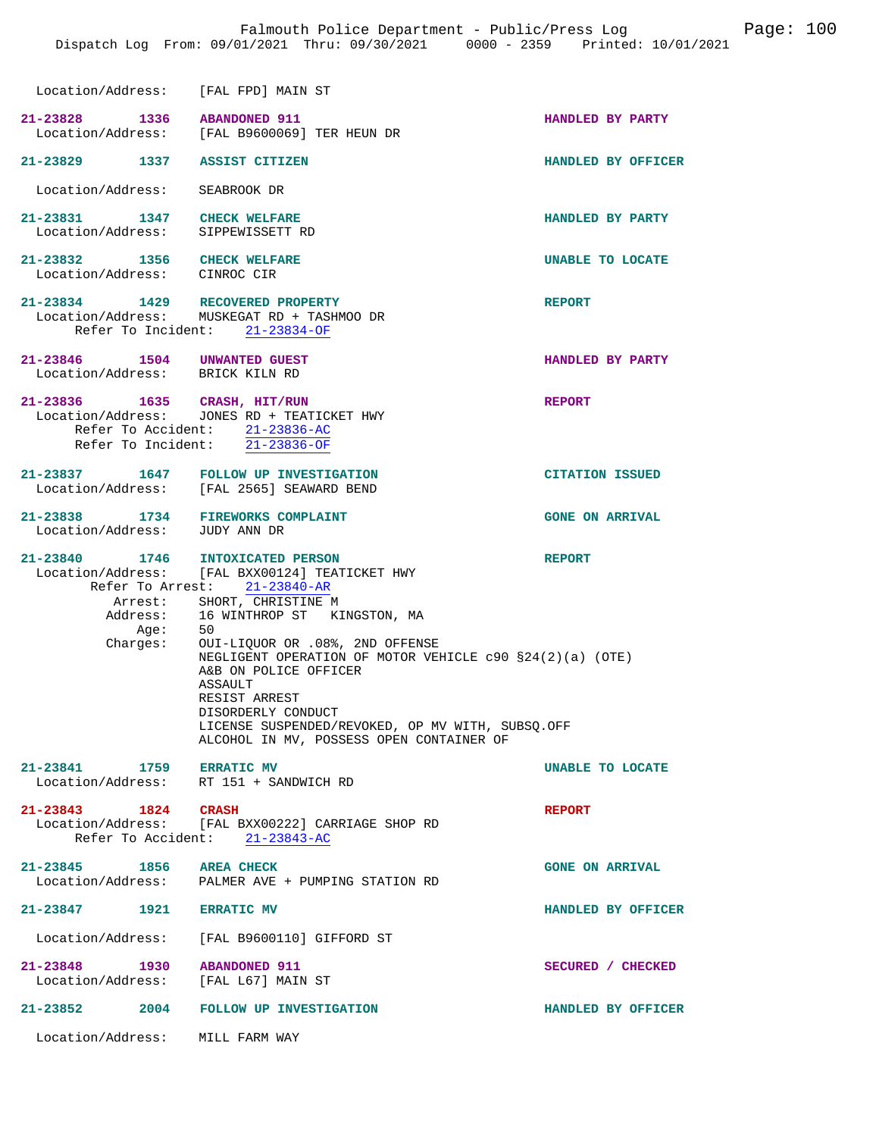| Location/Address: [FAL FPD] MAIN ST                                |                                                                                                                                                                                                                                                                                                                                                                                                                                                                  |                        |
|--------------------------------------------------------------------|------------------------------------------------------------------------------------------------------------------------------------------------------------------------------------------------------------------------------------------------------------------------------------------------------------------------------------------------------------------------------------------------------------------------------------------------------------------|------------------------|
| 21-23828 1336 ABANDONED 911                                        | Location/Address: [FAL B9600069] TER HEUN DR                                                                                                                                                                                                                                                                                                                                                                                                                     | HANDLED BY PARTY       |
| 21-23829 1337 ASSIST CITIZEN                                       |                                                                                                                                                                                                                                                                                                                                                                                                                                                                  | HANDLED BY OFFICER     |
| Location/Address:                                                  | SEABROOK DR                                                                                                                                                                                                                                                                                                                                                                                                                                                      |                        |
| 21-23831 1347 CHECK WELFARE<br>Location/Address:                   | SIPPEWISSETT RD                                                                                                                                                                                                                                                                                                                                                                                                                                                  | HANDLED BY PARTY       |
| 21-23832 1356 CHECK WELFARE<br>Location/Address: CINROC CIR        |                                                                                                                                                                                                                                                                                                                                                                                                                                                                  | UNABLE TO LOCATE       |
|                                                                    | 21-23834 1429 RECOVERED PROPERTY<br>Location/Address: MUSKEGAT RD + TASHMOO DR<br>Refer To Incident: 21-23834-OF                                                                                                                                                                                                                                                                                                                                                 | <b>REPORT</b>          |
| 21-23846 1504 UNWANTED GUEST<br>Location/Address: BRICK KILN RD    |                                                                                                                                                                                                                                                                                                                                                                                                                                                                  | HANDLED BY PARTY       |
| 21-23836 1635 CRASH, HIT/RUN                                       | Location/Address: JONES RD + TEATICKET HWY<br>Refer To Accident: 21-23836-AC<br>Refer To Incident: $\overline{21-23836-OF}$                                                                                                                                                                                                                                                                                                                                      | <b>REPORT</b>          |
|                                                                    | 21-23837 1647 FOLLOW UP INVESTIGATION<br>Location/Address: [FAL 2565] SEAWARD BEND                                                                                                                                                                                                                                                                                                                                                                               | <b>CITATION ISSUED</b> |
| 21-23838 1734 FIREWORKS COMPLAINT<br>Location/Address: JUDY ANN DR |                                                                                                                                                                                                                                                                                                                                                                                                                                                                  | <b>GONE ON ARRIVAL</b> |
| 21-23840 1746<br>Arrest:<br>Age:<br>:Charges                       | <b>INTOXICATED PERSON</b><br>Location/Address: [FAL BXX00124] TEATICKET HWY<br>Refer To Arrest: 21-23840-AR<br>SHORT, CHRISTINE M<br>Address: 16 WINTHROP ST KINGSTON, MA<br>50<br>OUI-LIQUOR OR .08%, 2ND OFFENSE<br>NEGLIGENT OPERATION OF MOTOR VEHICLE c90 §24(2)(a) (OTE)<br>A&B ON POLICE OFFICER<br><b>ASSAULT</b><br>RESIST ARREST<br>DISORDERLY CONDUCT<br>LICENSE SUSPENDED/REVOKED, OP MV WITH, SUBSQ.OFF<br>ALCOHOL IN MV, POSSESS OPEN CONTAINER OF | <b>REPORT</b>          |
| 21-23841 1759 ERRATIC MV<br>Location/Address: RT 151 + SANDWICH RD |                                                                                                                                                                                                                                                                                                                                                                                                                                                                  | UNABLE TO LOCATE       |
| 21-23843 1824 CRASH                                                | Location/Address: [FAL BXX00222] CARRIAGE SHOP RD<br>Refer To Accident: 21-23843-AC                                                                                                                                                                                                                                                                                                                                                                              | <b>REPORT</b>          |
| 21-23845 1856 AREA CHECK                                           | Location/Address: PALMER AVE + PUMPING STATION RD                                                                                                                                                                                                                                                                                                                                                                                                                | <b>GONE ON ARRIVAL</b> |
| 21-23847 1921 ERRATIC MV                                           |                                                                                                                                                                                                                                                                                                                                                                                                                                                                  | HANDLED BY OFFICER     |
|                                                                    | Location/Address: [FAL B9600110] GIFFORD ST                                                                                                                                                                                                                                                                                                                                                                                                                      |                        |
| 21-23848 1930<br>Location/Address:                                 | <b>ABANDONED 911</b><br>[FAL L67] MAIN ST                                                                                                                                                                                                                                                                                                                                                                                                                        | SECURED / CHECKED      |
| $21 - 23852$ 2004                                                  | FOLLOW UP INVESTIGATION                                                                                                                                                                                                                                                                                                                                                                                                                                          | HANDLED BY OFFICER     |
| Location/Address: MILL FARM WAY                                    |                                                                                                                                                                                                                                                                                                                                                                                                                                                                  |                        |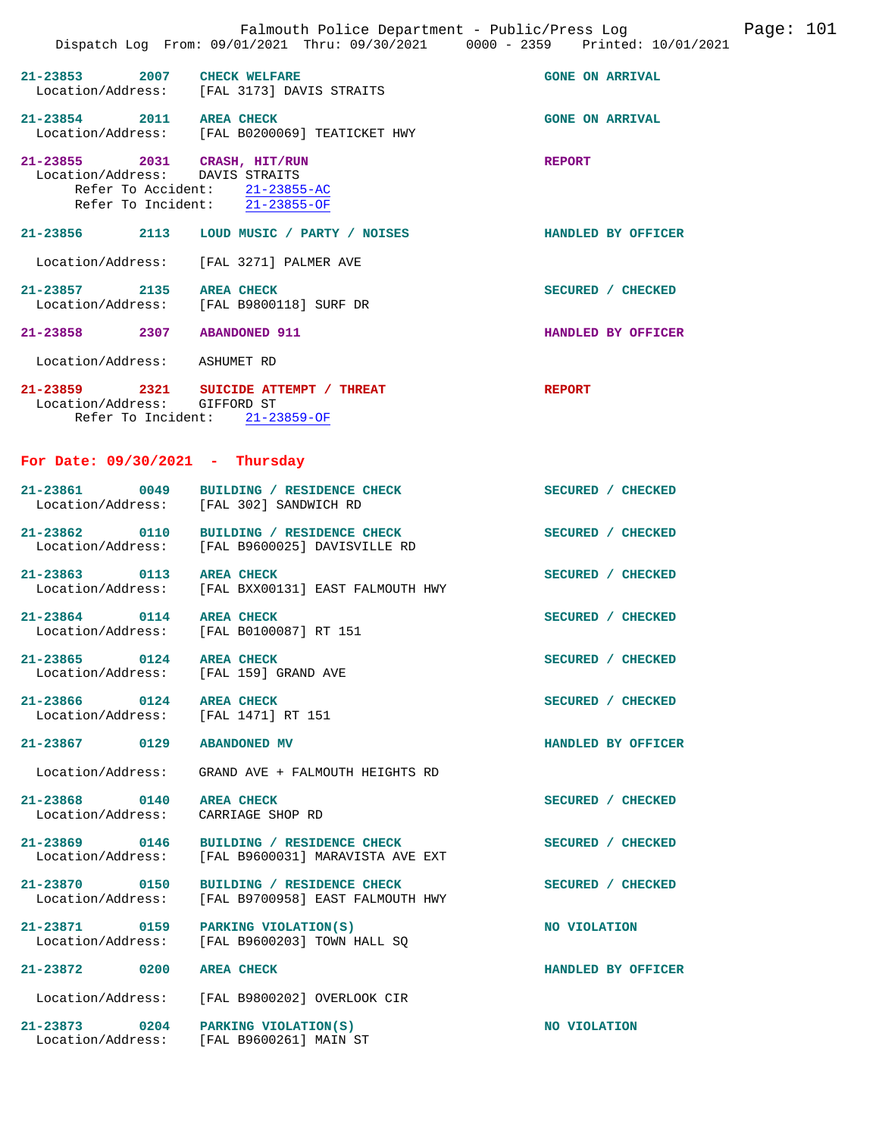|                                                                     | Falmouth Police Department - Public/Press Log<br>Dispatch Log From: 09/01/2021 Thru: 09/30/2021 0000 - 2359 Printed: 10/01/2021 | Page: 101              |
|---------------------------------------------------------------------|---------------------------------------------------------------------------------------------------------------------------------|------------------------|
| $21 - 23853$                                                        | 2007 CHECK WELFARE<br>Location/Address: [FAL 3173] DAVIS STRAITS                                                                | <b>GONE ON ARRIVAL</b> |
| 21-23854 2011 AREA CHECK                                            | Location/Address: [FAL B0200069] TEATICKET HWY                                                                                  | <b>GONE ON ARRIVAL</b> |
| 21-23855 2031 CRASH, HIT/RUN<br>Location/Address: DAVIS STRAITS     | Refer To Accident: 21-23855-AC<br>Refer To Incident: 21-23855-OF                                                                | <b>REPORT</b>          |
|                                                                     | 21-23856 2113 LOUD MUSIC / PARTY / NOISES                                                                                       | HANDLED BY OFFICER     |
| Location/Address:                                                   | [FAL 3271] PALMER AVE                                                                                                           |                        |
| 21-23857 2135 AREA CHECK                                            | Location/Address: [FAL B9800118] SURF DR                                                                                        | SECURED / CHECKED      |
| 21-23858 2307 ABANDONED 911                                         |                                                                                                                                 | HANDLED BY OFFICER     |
| Location/Address: ASHUMET RD                                        |                                                                                                                                 |                        |
| Location/Address: GIFFORD ST                                        | 21-23859 2321 SUICIDE ATTEMPT / THREAT<br>Refer To Incident: 21-23859-OF                                                        | <b>REPORT</b>          |
| For Date: $09/30/2021$ - Thursday                                   |                                                                                                                                 |                        |
|                                                                     | 21-23861 0049 BUILDING / RESIDENCE CHECK<br>Location/Address: [FAL 302] SANDWICH RD                                             | SECURED / CHECKED      |
|                                                                     | 21-23862 0110 BUILDING / RESIDENCE CHECK<br>Location/Address: [FAL B9600025] DAVISVILLE RD                                      | SECURED / CHECKED      |
| 21-23863 0113 AREA CHECK                                            | Location/Address: [FAL BXX00131] EAST FALMOUTH HWY                                                                              | SECURED / CHECKED      |
| 21-23864 0114 AREA CHECK<br>Location/Address: [FAL B0100087] RT 151 |                                                                                                                                 | SECURED / CHECKED      |
| 21-23865<br>0124<br>Location/Address:                               | <b>AREA CHECK</b><br>[FAL 159] GRAND AVE                                                                                        | SECURED / CHECKED      |
| 21-23866 0124<br>Location/Address:                                  | <b>AREA CHECK</b><br>[FAL 1471] RT 151                                                                                          | SECURED / CHECKED      |
| 21-23867 0129                                                       | <b>ABANDONED MV</b>                                                                                                             | HANDLED BY OFFICER     |
| Location/Address:                                                   | GRAND AVE + FALMOUTH HEIGHTS RD                                                                                                 |                        |
| 21-23868 0140<br>Location/Address:                                  | <b>AREA CHECK</b><br>CARRIAGE SHOP RD                                                                                           | SECURED / CHECKED      |
| 21-23869 0146<br>Location/Address:                                  | BUILDING / RESIDENCE CHECK<br>[FAL B9600031] MARAVISTA AVE EXT                                                                  | SECURED / CHECKED      |
| 21-23870 0150<br>Location/Address:                                  | BUILDING / RESIDENCE CHECK<br>[FAL B9700958] EAST FALMOUTH HWY                                                                  | SECURED / CHECKED      |
| 21-23871 0159<br>Location/Address:                                  | PARKING VIOLATION(S)<br>[FAL B9600203] TOWN HALL SQ                                                                             | NO VIOLATION           |
| 21-23872 0200                                                       | <b>AREA CHECK</b>                                                                                                               | HANDLED BY OFFICER     |
| Location/Address:                                                   | [FAL B9800202] OVERLOOK CIR                                                                                                     |                        |
| 21-23873 0204                                                       | PARKING VIOLATION(S)<br>Location/Address: [FAL B9600261] MAIN ST                                                                | NO VIOLATION           |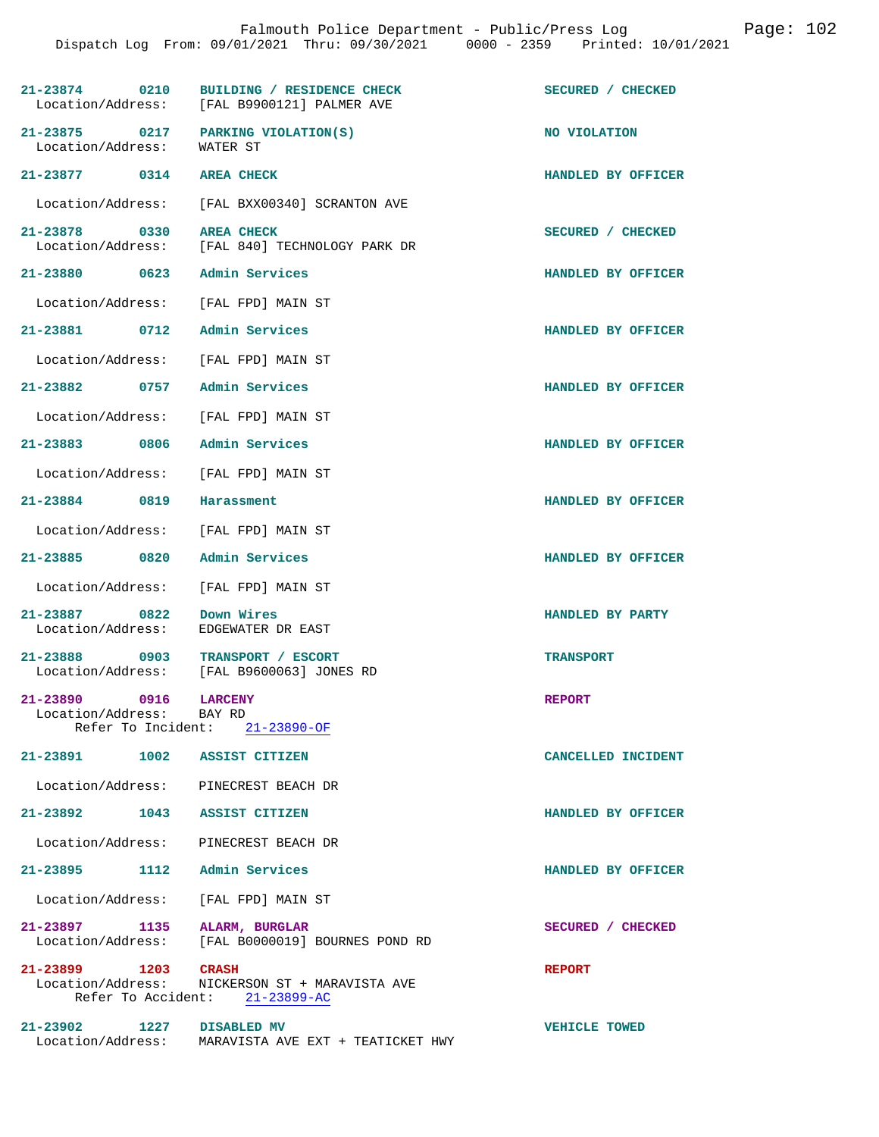|                                                                  | 21-23874 0210 BUILDING / RESIDENCE CHECK<br>Location/Address: [FAL B9900121] PALMER AVE | SECURED / CHECKED    |
|------------------------------------------------------------------|-----------------------------------------------------------------------------------------|----------------------|
| 21-23875 0217 PARKING VIOLATION(S)<br>Location/Address: WATER ST |                                                                                         | NO VIOLATION         |
| 21-23877 0314 AREA CHECK                                         |                                                                                         | HANDLED BY OFFICER   |
|                                                                  | Location/Address: [FAL BXX00340] SCRANTON AVE                                           |                      |
| 21-23878 0330                                                    | <b>AREA CHECK</b><br>Location/Address: [FAL 840] TECHNOLOGY PARK DR                     | SECURED / CHECKED    |
| 21-23880 0623 Admin Services                                     |                                                                                         | HANDLED BY OFFICER   |
| Location/Address:                                                | [FAL FPD] MAIN ST                                                                       |                      |
| 21-23881 0712                                                    | Admin Services                                                                          | HANDLED BY OFFICER   |
| Location/Address: [FAL FPD] MAIN ST                              |                                                                                         |                      |
| 21-23882 0757                                                    | Admin Services                                                                          | HANDLED BY OFFICER   |
| Location/Address: [FAL FPD] MAIN ST                              |                                                                                         |                      |
| 21-23883 0806 Admin Services                                     |                                                                                         | HANDLED BY OFFICER   |
| Location/Address:                                                | [FAL FPD] MAIN ST                                                                       |                      |
| 21-23884 0819                                                    | Harassment                                                                              | HANDLED BY OFFICER   |
| Location/Address: [FAL FPD] MAIN ST                              |                                                                                         |                      |
| 21-23885 0820                                                    | Admin Services                                                                          | HANDLED BY OFFICER   |
| Location/Address:                                                | [FAL FPD] MAIN ST                                                                       |                      |
| 21-23887 0822<br>Location/Address:                               | Down Wires<br>EDGEWATER DR EAST                                                         | HANDLED BY PARTY     |
| 21-23888 0903 TRANSPORT / ESCORT<br>Location/Address:            | [FAL B9600063] JONES RD                                                                 | <b>TRANSPORT</b>     |
| 0916<br>21-23890<br>Location/Address: BAY RD                     | <b>LARCENY</b><br>Refer To Incident: 21-23890-OF                                        | <b>REPORT</b>        |
| 21-23891 1002 ASSIST CITIZEN                                     |                                                                                         | CANCELLED INCIDENT   |
| Location/Address: PINECREST BEACH DR                             |                                                                                         |                      |
| 21-23892 1043 ASSIST CITIZEN                                     |                                                                                         | HANDLED BY OFFICER   |
| Location/Address: PINECREST BEACH DR                             |                                                                                         |                      |
| 21-23895 1112 Admin Services                                     |                                                                                         | HANDLED BY OFFICER   |
| Location/Address: [FAL FPD] MAIN ST                              |                                                                                         |                      |
| 21-23897 1135 ALARM, BURGLAR                                     | Location/Address: [FAL B0000019] BOURNES POND RD                                        | SECURED / CHECKED    |
| 21-23899 1203 CRASH                                              | Location/Address: NICKERSON ST + MARAVISTA AVE<br>Refer To Accident: 21-23899-AC        | <b>REPORT</b>        |
| 21-23902 1227 DISABLED MV                                        | Location/Address: MARAVISTA AVE EXT + TEATICKET HWY                                     | <b>VEHICLE TOWED</b> |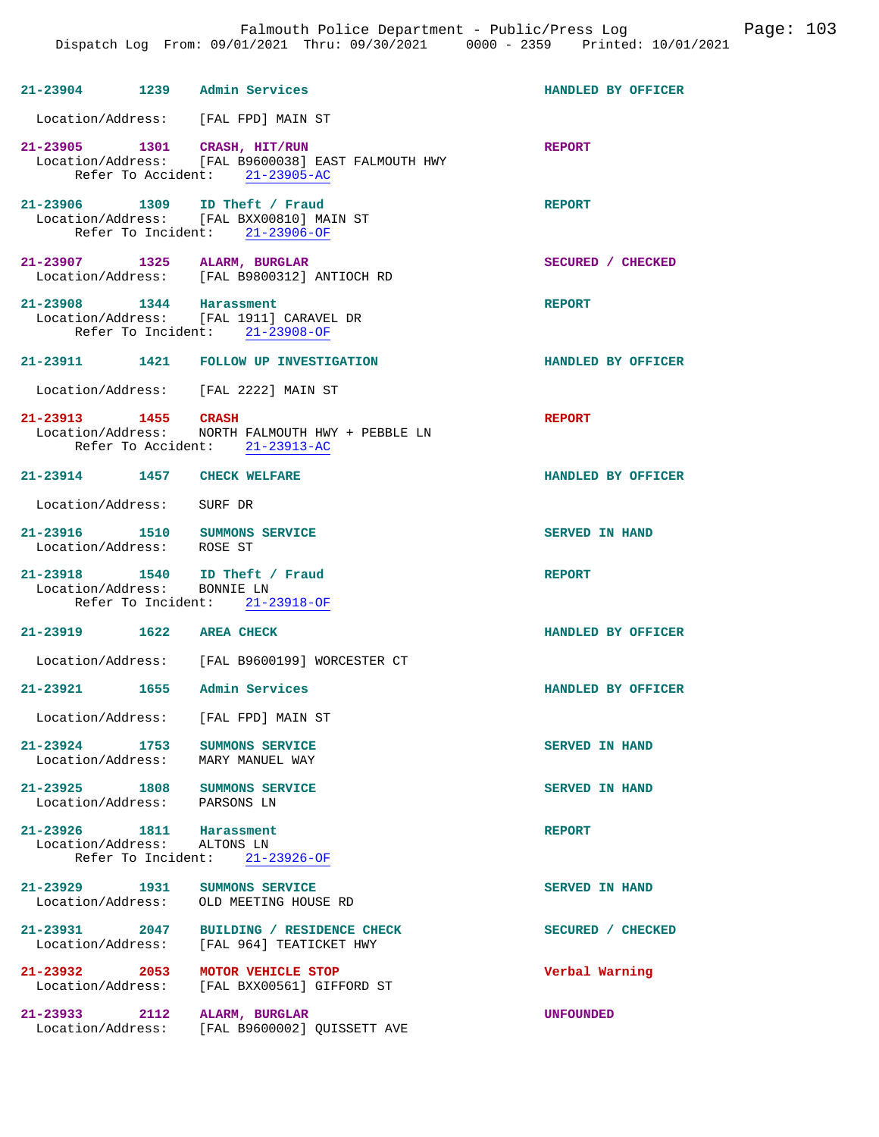| 21-23904 1239 Admin Services                                       |                                                                                      | HANDLED BY OFFICER    |
|--------------------------------------------------------------------|--------------------------------------------------------------------------------------|-----------------------|
| Location/Address: [FAL FPD] MAIN ST                                |                                                                                      |                       |
| 21-23905 1301 CRASH, HIT/RUN                                       | Location/Address: [FAL B9600038] EAST FALMOUTH HWY<br>Refer To Accident: 21-23905-AC | <b>REPORT</b>         |
| 21-23906 1309 ID Theft / Fraud                                     | Location/Address: [FAL BXX00810] MAIN ST<br>Refer To Incident: 21-23906-OF           | <b>REPORT</b>         |
| 21-23907 1325 ALARM, BURGLAR                                       | Location/Address: [FAL B9800312] ANTIOCH RD                                          | SECURED / CHECKED     |
| 21-23908 1344 Harassment                                           | Location/Address: [FAL 1911] CARAVEL DR<br>Refer To Incident: 21-23908-OF            | <b>REPORT</b>         |
|                                                                    | 21-23911 1421 FOLLOW UP INVESTIGATION                                                | HANDLED BY OFFICER    |
| Location/Address: [FAL 2222] MAIN ST                               |                                                                                      |                       |
| 21-23913 1455 CRASH                                                | Location/Address: NORTH FALMOUTH HWY + PEBBLE LN<br>Refer To Accident: 21-23913-AC   | <b>REPORT</b>         |
| 21-23914 1457 CHECK WELFARE                                        |                                                                                      | HANDLED BY OFFICER    |
| Location/Address: SURF DR                                          |                                                                                      |                       |
| 21-23916  1510  SUMMONS SERVICE<br>Location/Address: ROSE ST       |                                                                                      | <b>SERVED IN HAND</b> |
| 21-23918 1540 ID Theft / Fraud<br>Location/Address: BONNIE LN      | Refer To Incident: 21-23918-OF                                                       | <b>REPORT</b>         |
| 21-23919 1622 AREA CHECK                                           |                                                                                      | HANDLED BY OFFICER    |
|                                                                    | Location/Address: [FAL B9600199] WORCESTER CT                                        |                       |
| 21-23921                                                           | 1655 – Admin Services                                                                | HANDLED BY OFFICER    |
| Location/Address: [FAL FPD] MAIN ST                                |                                                                                      |                       |
| 21-23924 1753 SUMMONS SERVICE<br>Location/Address: MARY MANUEL WAY |                                                                                      | <b>SERVED IN HAND</b> |
| 21-23925 1808 SUMMONS SERVICE<br>Location/Address: PARSONS LN      |                                                                                      | SERVED IN HAND        |
| 21-23926 1811 Harassment<br>Location/Address: ALTONS LN            | Refer To Incident: 21-23926-OF                                                       | <b>REPORT</b>         |
| 21-23929 1931                                                      | SUMMONS SERVICE<br>Location/Address: OLD MEETING HOUSE RD                            | <b>SERVED IN HAND</b> |
| Location/Address:                                                  | 21-23931 2047 BUILDING / RESIDENCE CHECK<br>[FAL 964] TEATICKET HWY                  | SECURED / CHECKED     |
| 21-23932 2053<br>Location/Address:                                 | MOTOR VEHICLE STOP<br>[FAL BXX00561] GIFFORD ST                                      | Verbal Warning        |
| 21-23933 2112<br>Location/Address:                                 | ALARM, BURGLAR<br>[FAL B9600002] QUISSETT AVE                                        | <b>UNFOUNDED</b>      |